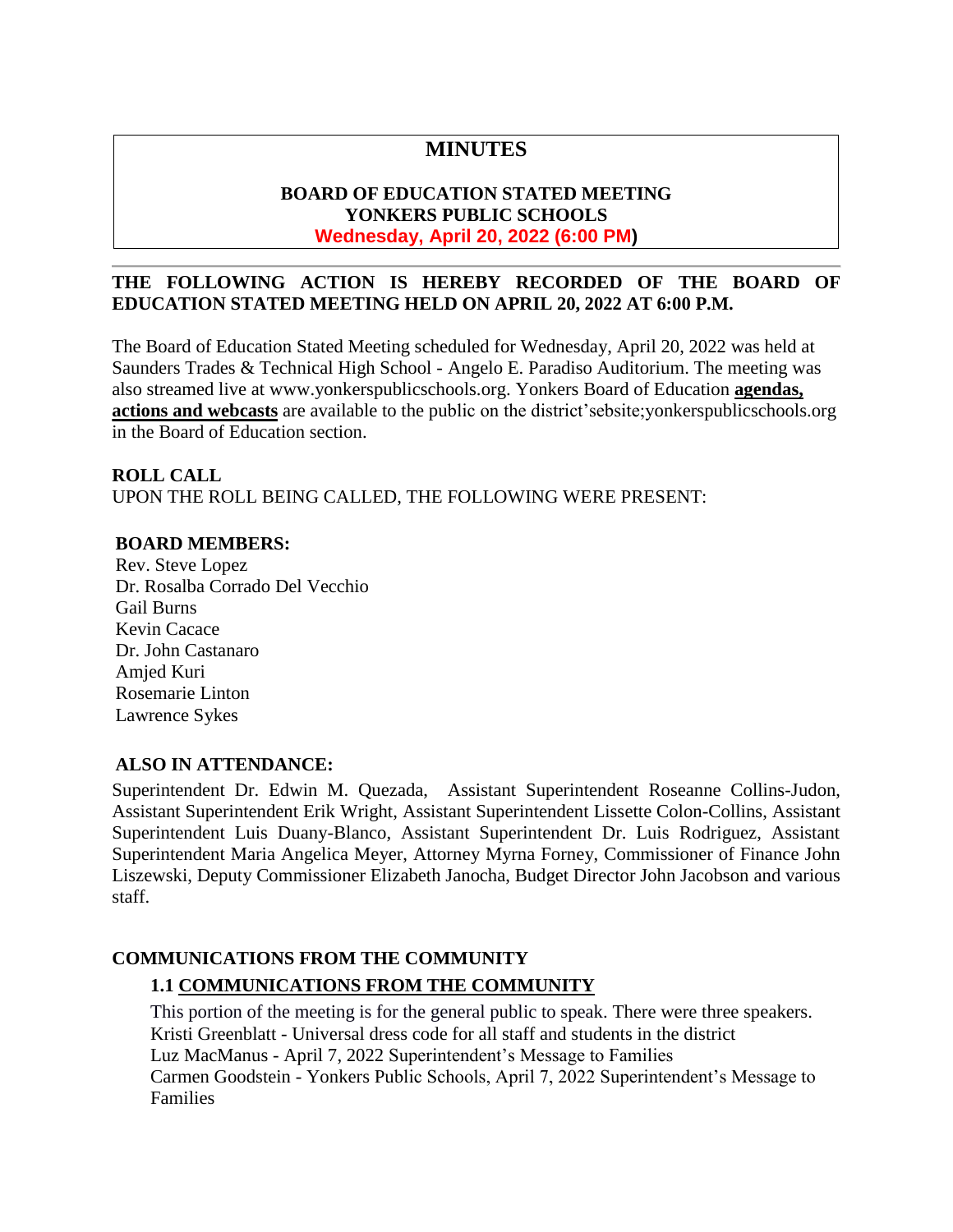# **MINUTES**

# **BOARD OF EDUCATION STATED MEETING YONKERS PUBLIC SCHOOLS Wednesday, April 20, 2022 (6:00 PM)**

# **THE FOLLOWING ACTION IS HEREBY RECORDED OF THE BOARD OF EDUCATION STATED MEETING HELD ON APRIL 20, 2022 AT 6:00 P.M.**

The Board of Education Stated Meeting scheduled for Wednesday, April 20, 2022 was held at Saunders Trades & Technical High School - Angelo E. Paradiso Auditorium. The meeting was also streamed live at [www.yonkerspublicschools.org.](http://www.yonkerspublicschools.org/) Yonkers Board of Education **agendas, actions and webcasts** are available to the public on the district'sebsite;yonkerspublicschools.org in the Board of Education section.

### **ROLL CALL**

UPON THE ROLL BEING CALLED, THE FOLLOWING WERE PRESENT:

### **BOARD MEMBERS:**

Rev. Steve Lopez Dr. Rosalba Corrado Del Vecchio Gail Burns Kevin Cacace Dr. John Castanaro Amjed Kuri Rosemarie Linton Lawrence Sykes

# **ALSO IN ATTENDANCE:**

Superintendent Dr. Edwin M. Quezada, Assistant Superintendent Roseanne Collins-Judon, Assistant Superintendent Erik Wright, Assistant Superintendent Lissette Colon-Collins, Assistant Superintendent Luis Duany-Blanco, Assistant Superintendent Dr. Luis Rodriguez, Assistant Superintendent Maria Angelica Meyer, Attorney Myrna Forney, Commissioner of Finance John Liszewski, Deputy Commissioner Elizabeth Janocha, Budget Director John Jacobson and various staff.

# **COMMUNICATIONS FROM THE COMMUNITY**

# **1.1 COMMUNICATIONS FROM THE COMMUNITY**

This portion of the meeting is for the general public to speak. There were three speakers. Kristi Greenblatt - Universal dress code for all staff and students in the district Luz MacManus - April 7, 2022 Superintendent's Message to Families Carmen Goodstein - Yonkers Public Schools, April 7, 2022 Superintendent's Message to Families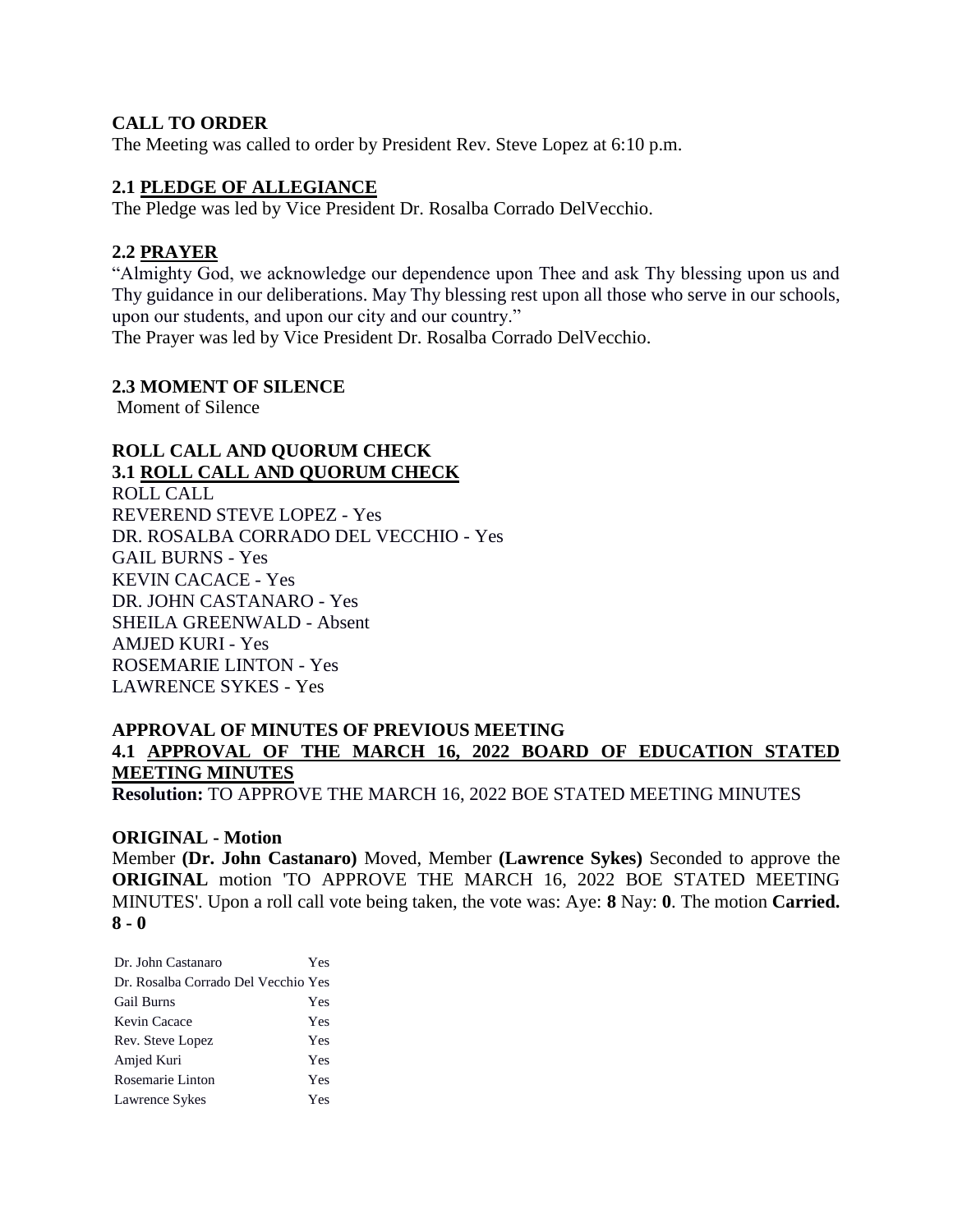### **CALL TO ORDER**

The Meeting was called to order by President Rev. Steve Lopez at 6:10 p.m.

#### **2.1 PLEDGE OF ALLEGIANCE**

The Pledge was led by Vice President Dr. Rosalba Corrado DelVecchio.

#### **2.2 PRAYER**

"Almighty God, we acknowledge our dependence upon Thee and ask Thy blessing upon us and Thy guidance in our deliberations. May Thy blessing rest upon all those who serve in our schools, upon our students, and upon our city and our country." The Prayer was led by Vice President Dr. Rosalba Corrado DelVecchio.

#### **2.3 MOMENT OF SILENCE**

Moment of Silence

# **ROLL CALL AND QUORUM CHECK 3.1 ROLL CALL AND QUORUM CHECK**

ROLL CALL REVEREND STEVE LOPEZ - Yes DR. ROSALBA CORRADO DEL VECCHIO - Yes GAIL BURNS - Yes KEVIN CACACE - Yes DR. JOHN CASTANARO - Yes SHEILA GREENWALD - Absent AMJED KURI - Yes ROSEMARIE LINTON - Yes LAWRENCE SYKES - Yes

# **APPROVAL OF MINUTES OF PREVIOUS MEETING 4.1 APPROVAL OF THE MARCH 16, 2022 BOARD OF EDUCATION STATED MEETING MINUTES**

**Resolution:** TO APPROVE THE MARCH 16, 2022 BOE STATED MEETING MINUTES

#### **ORIGINAL - Motion**

Member **(Dr. John Castanaro)** Moved, Member **(Lawrence Sykes)** Seconded to approve the **ORIGINAL** motion 'TO APPROVE THE MARCH 16, 2022 BOE STATED MEETING MINUTES'. Upon a roll call vote being taken, the vote was: Aye: **8** Nay: **0**. The motion **Carried. 8 - 0** 

| Dr. John Castanaro                  | Yes |
|-------------------------------------|-----|
| Dr. Rosalba Corrado Del Vecchio Yes |     |
| <b>Gail Burns</b>                   | Yes |
| Kevin Cacace                        | Yes |
| Rev. Steve Lopez                    | Yes |
| Amjed Kuri                          | Yes |
| Rosemarie Linton                    | Yes |
| Lawrence Sykes                      | Yes |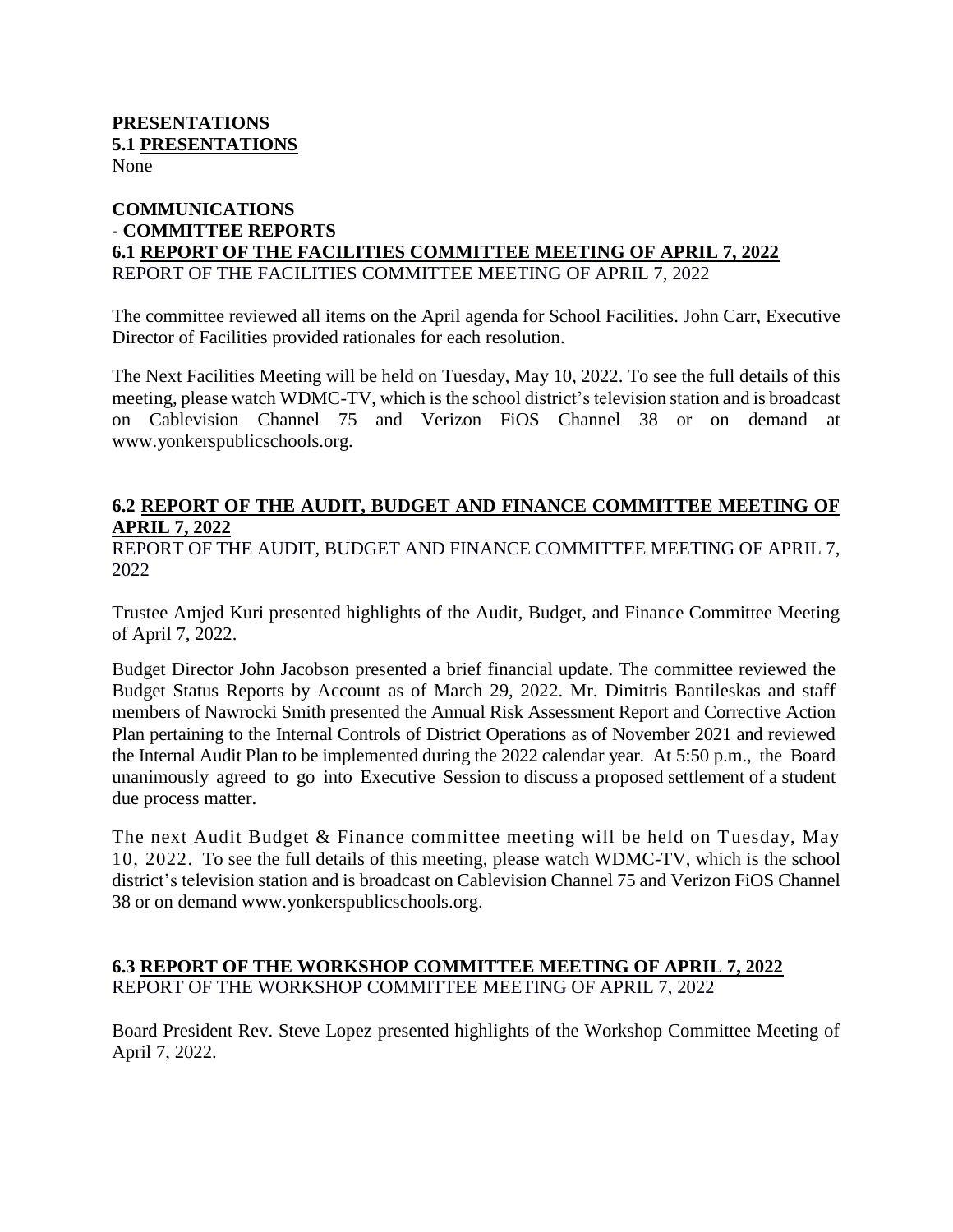#### **PRESENTATIONS 5.1 PRESENTATIONS** None

### **COMMUNICATIONS - COMMITTEE REPORTS 6.1 REPORT OF THE FACILITIES COMMITTEE MEETING OF APRIL 7, 2022** REPORT OF THE FACILITIES COMMITTEE MEETING OF APRIL 7, 2022

The committee reviewed all items on the April agenda for School Facilities. John Carr, Executive Director of Facilities provided rationales for each resolution.

The Next Facilities Meeting will be held on Tuesday, May 10, 2022. To see the full details of this meeting, please watch WDMC-TV, which is the school district's television station and is broadcast on Cablevision Channel 75 and Verizon FiOS Channel 38 or on demand at [www.yonkerspublicschools.org.](http://www.yonkerspublicschools.org/)

# **6.2 REPORT OF THE AUDIT, BUDGET AND FINANCE COMMITTEE MEETING OF APRIL 7, 2022**

REPORT OF THE AUDIT, BUDGET AND FINANCE COMMITTEE MEETING OF APRIL 7, 2022

Trustee Amjed Kuri presented highlights of the Audit, Budget, and Finance Committee Meeting of April 7, 2022.

Budget Director John Jacobson presented a brief financial update. The committee reviewed the Budget Status Reports by Account as of March 29, 2022. Mr. Dimitris Bantileskas and staff members of Nawrocki Smith presented the Annual Risk Assessment Report and Corrective Action Plan pertaining to the Internal Controls of District Operations as of November 2021 and reviewed the Internal Audit Plan to be implemented during the 2022 calendar year. At 5:50 p.m., the Board unanimously agreed to go into Executive Session to discuss a proposed settlement of a student due process matter.

The next Audit Budget & Finance committee meeting will be held on Tuesday, May 10, 2022. To see the full details of this meeting, please watch WDMC-TV, which is the school district's television station and is broadcast on Cablevision Channel 75 and Verizon FiOS Channel 38 or on demand [www.yonkerspublicschools.org.](http://www.yonkerspublicschools.org/)

### **6.3 REPORT OF THE WORKSHOP COMMITTEE MEETING OF APRIL 7, 2022** REPORT OF THE WORKSHOP COMMITTEE MEETING OF APRIL 7, 2022

Board President Rev. Steve Lopez presented highlights of the Workshop Committee Meeting of April 7, 2022.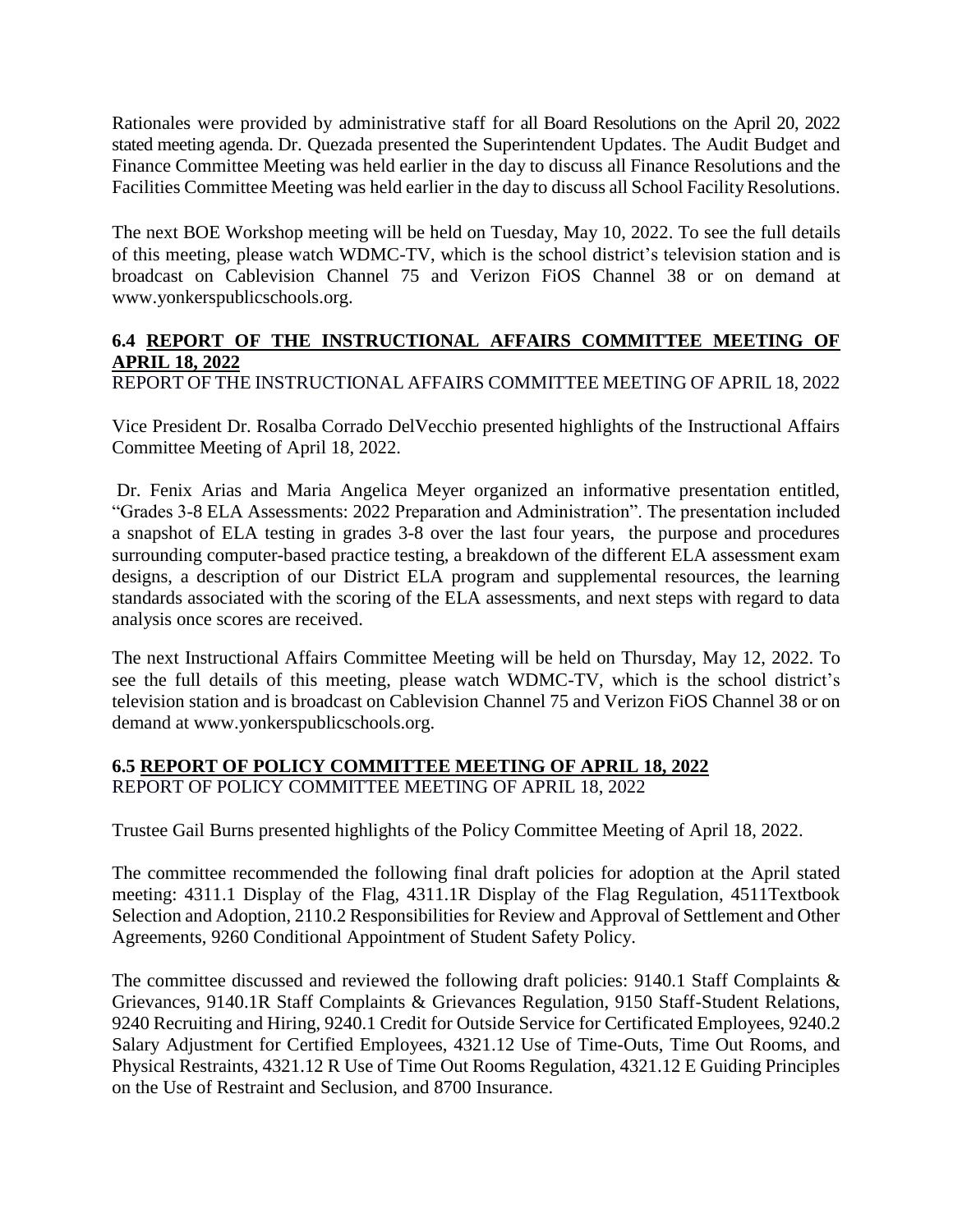Rationales were provided by administrative staff for all Board Resolutions on the April 20, 2022 stated meeting agenda. Dr. Quezada presented the Superintendent Updates. The Audit Budget and Finance Committee Meeting was held earlier in the day to discuss all Finance Resolutions and the Facilities Committee Meeting was held earlier in the day to discuss all School Facility Resolutions.

The next BOE Workshop meeting will be held on Tuesday, May 10, 2022. To see the full details of this meeting, please watch WDMC-TV, which is the school district's television station and is broadcast on Cablevision Channel 75 and Verizon FiOS Channel 38 or on demand at [www.yonkerspublicschools.org.](http://www.yonkerspublicschools.org/)

# **6.4 REPORT OF THE INSTRUCTIONAL AFFAIRS COMMITTEE MEETING OF APRIL 18, 2022**

REPORT OF THE INSTRUCTIONAL AFFAIRS COMMITTEE MEETING OF APRIL 18, 2022

Vice President Dr. Rosalba Corrado DelVecchio presented highlights of the Instructional Affairs Committee Meeting of April 18, 2022.

Dr. Fenix Arias and Maria Angelica Meyer organized an informative presentation entitled, "Grades 3-8 ELA Assessments: 2022 Preparation and Administration". The presentation included a snapshot of ELA testing in grades 3-8 over the last four years, the purpose and procedures surrounding computer-based practice testing, a breakdown of the different ELA assessment exam designs, a description of our District ELA program and supplemental resources, the learning standards associated with the scoring of the ELA assessments, and next steps with regard to data analysis once scores are received.

The next Instructional Affairs Committee Meeting will be held on Thursday, May 12, 2022. To see the full details of this meeting, please watch WDMC-TV, which is the school district's television station and is broadcast on Cablevision Channel 75 and Verizon FiOS Channel 38 or on demand at [www.yonkerspublicschools.org.](http://www.yonkerspublicschools.org/)

### **6.5 REPORT OF POLICY COMMITTEE MEETING OF APRIL 18, 2022** REPORT OF POLICY COMMITTEE MEETING OF APRIL 18, 2022

Trustee Gail Burns presented highlights of the Policy Committee Meeting of April 18, 2022.

The committee recommended the following final draft policies for adoption at the April stated meeting: 4311.1 Display of the Flag, 4311.1R Display of the Flag Regulation, 4511Textbook Selection and Adoption, 2110.2 Responsibilities for Review and Approval of Settlement and Other Agreements, 9260 Conditional Appointment of Student Safety Policy.

The committee discussed and reviewed the following draft policies: 9140.1 Staff Complaints & Grievances, 9140.1R Staff Complaints & Grievances Regulation, 9150 Staff-Student Relations, 9240 Recruiting and Hiring, 9240.1 Credit for Outside Service for Certificated Employees, 9240.2 Salary Adjustment for Certified Employees, 4321.12 Use of Time-Outs, Time Out Rooms, and Physical Restraints, 4321.12 R Use of Time Out Rooms Regulation, 4321.12 E Guiding Principles on the Use of Restraint and Seclusion, and 8700 Insurance.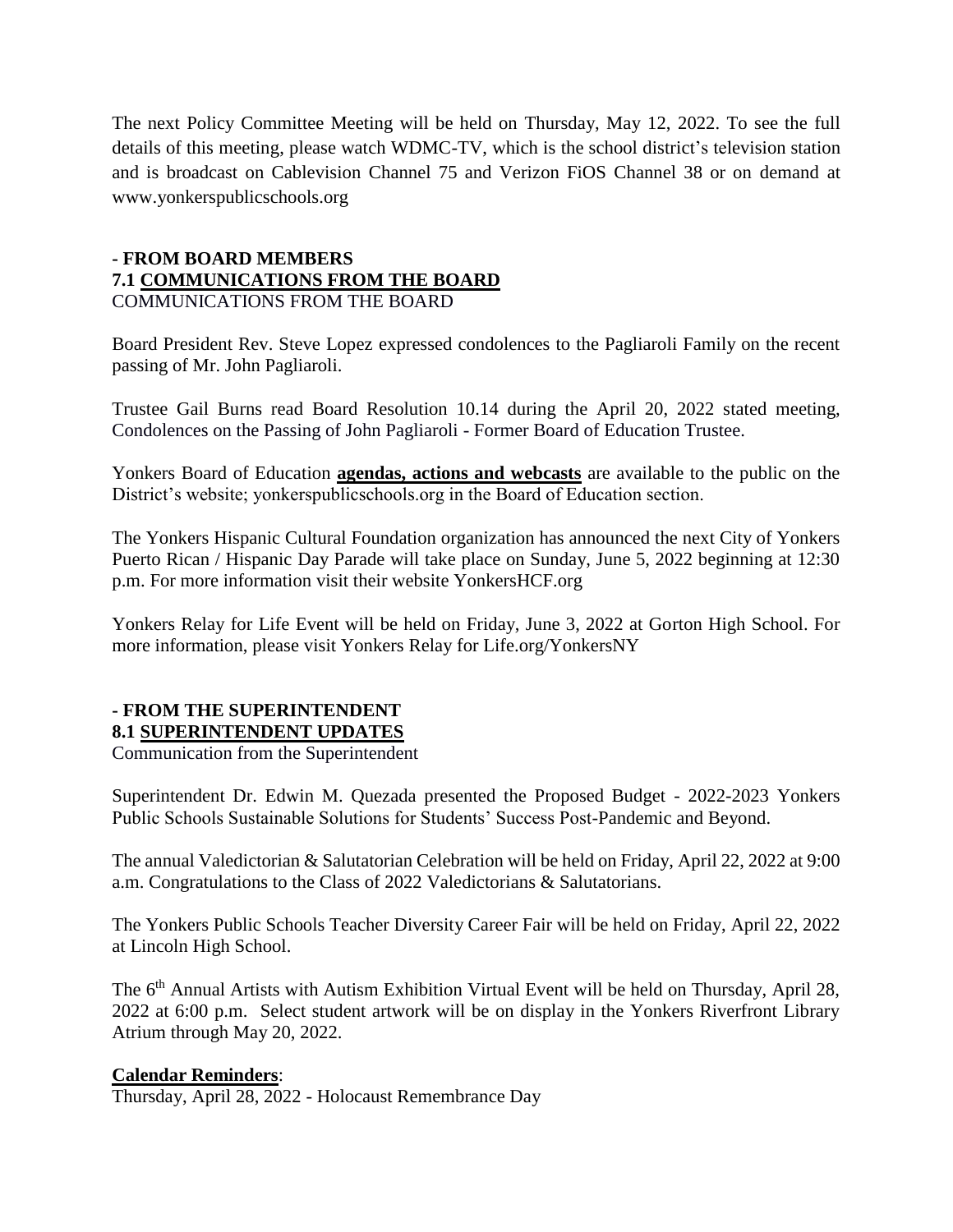The next Policy Committee Meeting will be held on Thursday, May 12, 2022. To see the full details of this meeting, please watch WDMC-TV, which is the school district's television station and is broadcast on Cablevision Channel 75 and Verizon FiOS Channel 38 or on demand at [www.yonkerspublicschools.org](http://www.yonkerspublicschools.org/)

# **- FROM BOARD MEMBERS 7.1 COMMUNICATIONS FROM THE BOARD** COMMUNICATIONS FROM THE BOARD

Board President Rev. Steve Lopez expressed condolences to the Pagliaroli Family on the recent passing of Mr. John Pagliaroli.

Trustee Gail Burns read Board Resolution 10.14 during the April 20, 2022 stated meeting, Condolences on the Passing of John Pagliaroli - Former Board of Education Trustee.

Yonkers Board of Education **agendas, actions and webcasts** are available to the public on the District's website; yonkerspublicschools.org in the Board of Education section.

The Yonkers Hispanic Cultural Foundation organization has announced the next City of Yonkers Puerto Rican / Hispanic Day Parade will take place on Sunday, June 5, 2022 beginning at 12:30 p.m. For more information visit their website YonkersHCF.org

Yonkers Relay for Life Event will be held on Friday, June 3, 2022 at Gorton High School. For more information, please visit Yonkers Relay for Life.org/YonkersNY

# **- FROM THE SUPERINTENDENT 8.1 SUPERINTENDENT UPDATES**

Communication from the Superintendent

Superintendent Dr. Edwin M. Quezada presented the Proposed Budget - 2022-2023 Yonkers Public Schools Sustainable Solutions for Students' Success Post-Pandemic and Beyond.

The annual Valedictorian & Salutatorian Celebration will be held on Friday, April 22, 2022 at 9:00 a.m. Congratulations to the Class of 2022 Valedictorians & Salutatorians.

The Yonkers Public Schools Teacher Diversity Career Fair will be held on Friday, April 22, 2022 at Lincoln High School.

The 6<sup>th</sup> Annual Artists with Autism Exhibition Virtual Event will be held on Thursday, April 28, 2022 at 6:00 p.m. Select student artwork will be on display in the Yonkers Riverfront Library Atrium through May 20, 2022.

### **Calendar Reminders**:

Thursday, April 28, 2022 - Holocaust Remembrance Day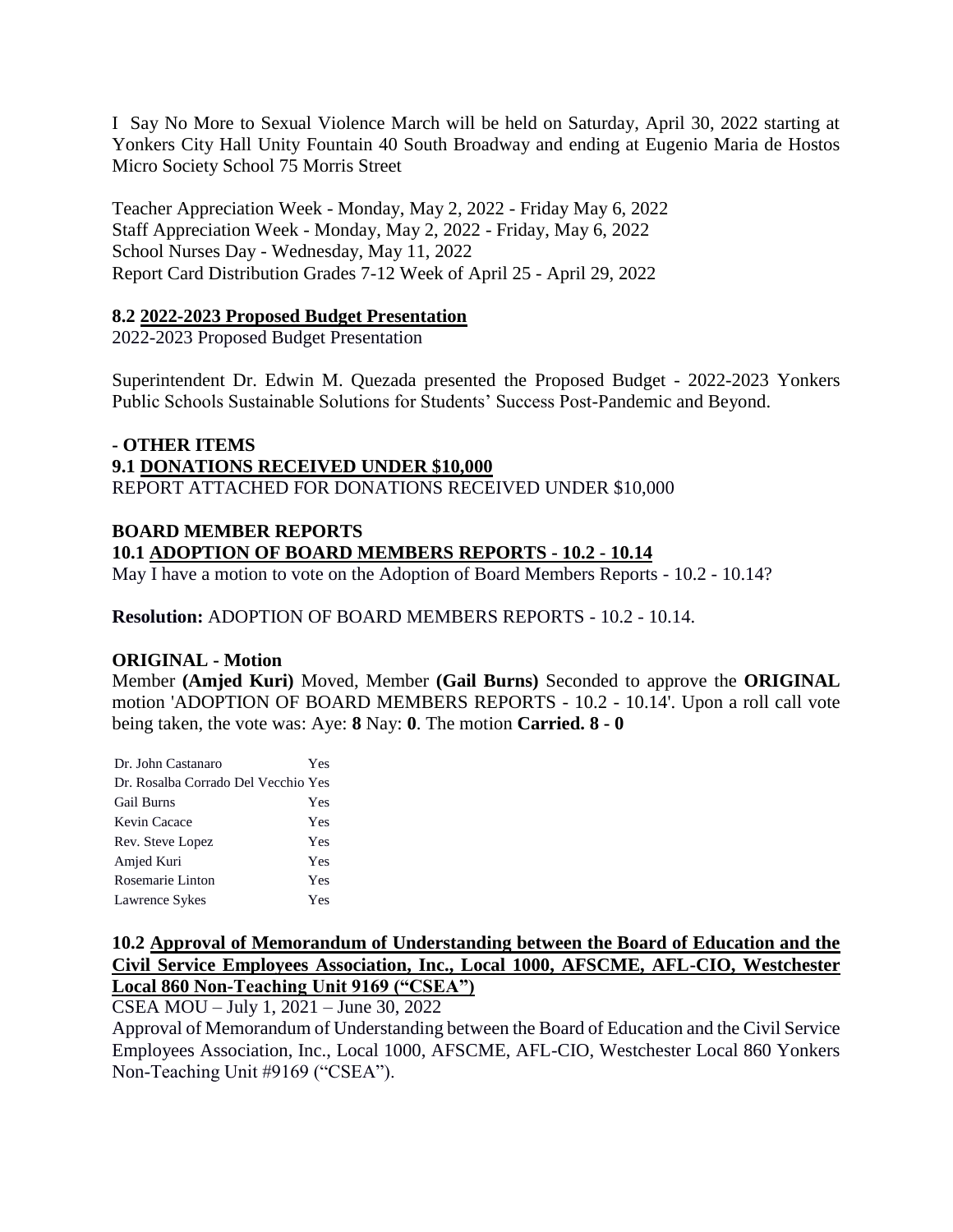I Say No More to Sexual Violence March will be held on Saturday, April 30, 2022 starting at Yonkers City Hall Unity Fountain 40 South Broadway and ending at Eugenio Maria de Hostos Micro Society School 75 Morris Street

Teacher Appreciation Week - Monday, May 2, 2022 - Friday May 6, 2022 Staff Appreciation Week - Monday, May 2, 2022 - Friday, May 6, 2022 School Nurses Day - Wednesday, May 11, 2022 Report Card Distribution Grades 7-12 Week of April 25 - April 29, 2022

### **8.2 2022-2023 Proposed Budget Presentation**

2022-2023 Proposed Budget Presentation

Superintendent Dr. Edwin M. Quezada presented the Proposed Budget - 2022-2023 Yonkers Public Schools Sustainable Solutions for Students' Success Post-Pandemic and Beyond.

#### **- OTHER ITEMS 9.1 DONATIONS RECEIVED UNDER \$10,000** REPORT ATTACHED FOR DONATIONS RECEIVED UNDER \$10,000

# **BOARD MEMBER REPORTS 10.1 ADOPTION OF BOARD MEMBERS REPORTS - 10.2 - 10.14**

May I have a motion to vote on the Adoption of Board Members Reports - 10.2 - 10.14?

**Resolution:** ADOPTION OF BOARD MEMBERS REPORTS - 10.2 - 10.14.

### **ORIGINAL - Motion**

Member **(Amjed Kuri)** Moved, Member **(Gail Burns)** Seconded to approve the **ORIGINAL**  motion 'ADOPTION OF BOARD MEMBERS REPORTS - 10.2 - 10.14'. Upon a roll call vote being taken, the vote was: Aye: **8** Nay: **0**. The motion **Carried. 8 - 0** 

| Dr. John Castanaro                  | Yes |
|-------------------------------------|-----|
| Dr. Rosalba Corrado Del Vecchio Yes |     |
| <b>Gail Burns</b>                   | Yes |
| Kevin Cacace                        | Yes |
| Rev. Steve Lopez                    | Yes |
| Amjed Kuri                          | Yes |
| Rosemarie Linton                    | Yes |
| Lawrence Sykes                      | Yes |

# **10.2 Approval of Memorandum of Understanding between the Board of Education and the Civil Service Employees Association, Inc., Local 1000, AFSCME, AFL-CIO, Westchester Local 860 Non-Teaching Unit 9169 ("CSEA")**

CSEA MOU – July 1, 2021 – June 30, 2022

Approval of Memorandum of Understanding between the Board of Education and the Civil Service Employees Association, Inc., Local 1000, AFSCME, AFL-CIO, Westchester Local 860 Yonkers Non-Teaching Unit #9169 ("CSEA").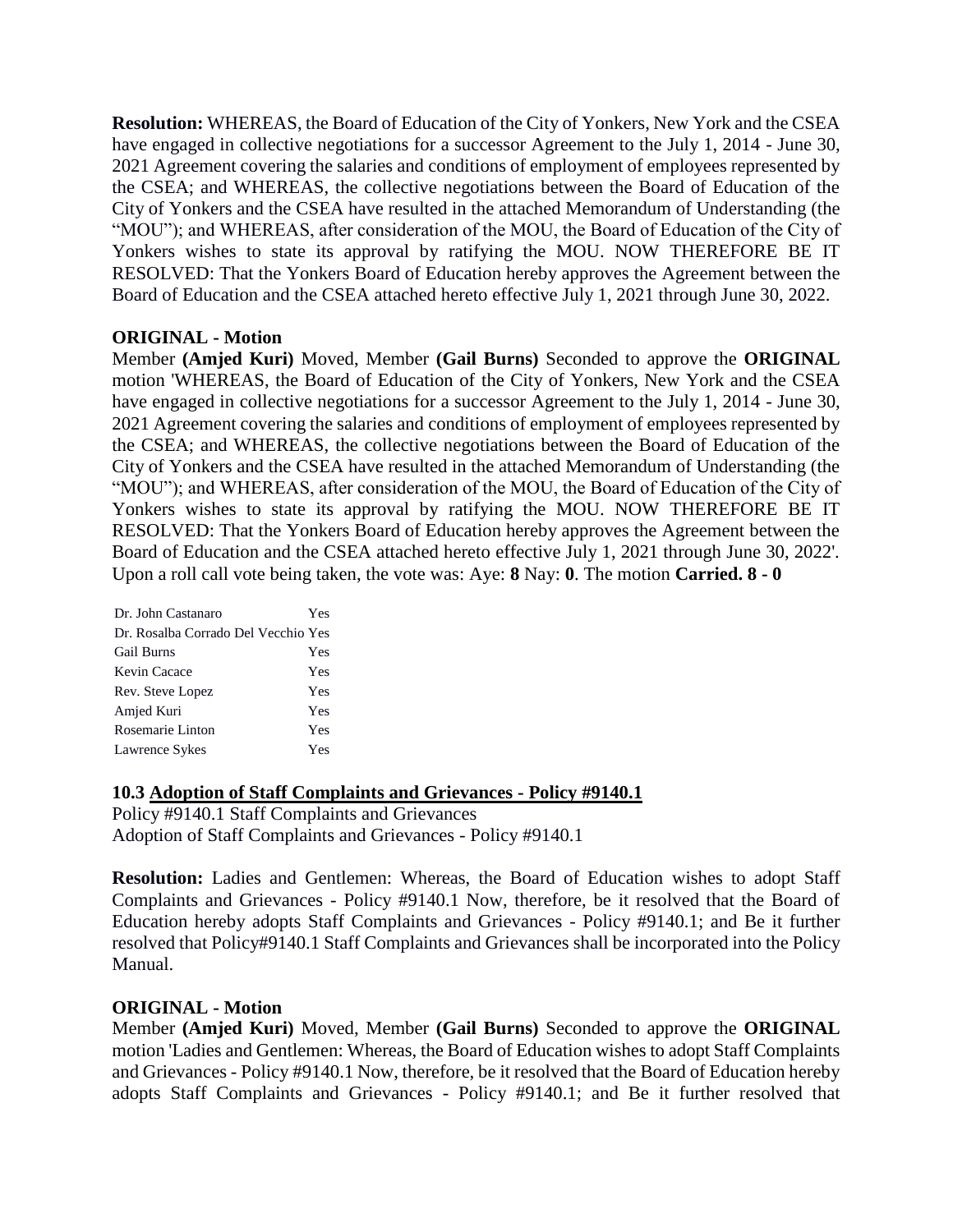**Resolution:** WHEREAS, the Board of Education of the City of Yonkers, New York and the CSEA have engaged in collective negotiations for a successor Agreement to the July 1, 2014 - June 30, 2021 Agreement covering the salaries and conditions of employment of employees represented by the CSEA; and WHEREAS, the collective negotiations between the Board of Education of the City of Yonkers and the CSEA have resulted in the attached Memorandum of Understanding (the "MOU"); and WHEREAS, after consideration of the MOU, the Board of Education of the City of Yonkers wishes to state its approval by ratifying the MOU. NOW THEREFORE BE IT RESOLVED: That the Yonkers Board of Education hereby approves the Agreement between the Board of Education and the CSEA attached hereto effective July 1, 2021 through June 30, 2022.

### **ORIGINAL - Motion**

Member **(Amjed Kuri)** Moved, Member **(Gail Burns)** Seconded to approve the **ORIGINAL**  motion 'WHEREAS, the Board of Education of the City of Yonkers, New York and the CSEA have engaged in collective negotiations for a successor Agreement to the July 1, 2014 - June 30, 2021 Agreement covering the salaries and conditions of employment of employees represented by the CSEA; and WHEREAS, the collective negotiations between the Board of Education of the City of Yonkers and the CSEA have resulted in the attached Memorandum of Understanding (the "MOU"); and WHEREAS, after consideration of the MOU, the Board of Education of the City of Yonkers wishes to state its approval by ratifying the MOU. NOW THEREFORE BE IT RESOLVED: That the Yonkers Board of Education hereby approves the Agreement between the Board of Education and the CSEA attached hereto effective July 1, 2021 through June 30, 2022'. Upon a roll call vote being taken, the vote was: Aye: **8** Nay: **0**. The motion **Carried. 8 - 0** 

| Dr. John Castanaro                  | Yes |
|-------------------------------------|-----|
| Dr. Rosalba Corrado Del Vecchio Yes |     |
| <b>Gail Burns</b>                   | Yes |
| Kevin Cacace                        | Yes |
| Rev. Steve Lopez                    | Yes |
| Amjed Kuri                          | Yes |
| Rosemarie Linton                    | Yes |
| Lawrence Sykes                      | Yes |

### **10.3 Adoption of Staff Complaints and Grievances - Policy #9140.1**

Policy #9140.1 Staff Complaints and Grievances Adoption of Staff Complaints and Grievances - Policy #9140.1

**Resolution:** Ladies and Gentlemen: Whereas, the Board of Education wishes to adopt Staff Complaints and Grievances - Policy #9140.1 Now, therefore, be it resolved that the Board of Education hereby adopts Staff Complaints and Grievances - Policy #9140.1; and Be it further resolved that Policy#9140.1 Staff Complaints and Grievances shall be incorporated into the Policy Manual.

### **ORIGINAL - Motion**

Member **(Amjed Kuri)** Moved, Member **(Gail Burns)** Seconded to approve the **ORIGINAL**  motion 'Ladies and Gentlemen: Whereas, the Board of Education wishes to adopt Staff Complaints and Grievances - Policy #9140.1 Now, therefore, be it resolved that the Board of Education hereby adopts Staff Complaints and Grievances - Policy #9140.1; and Be it further resolved that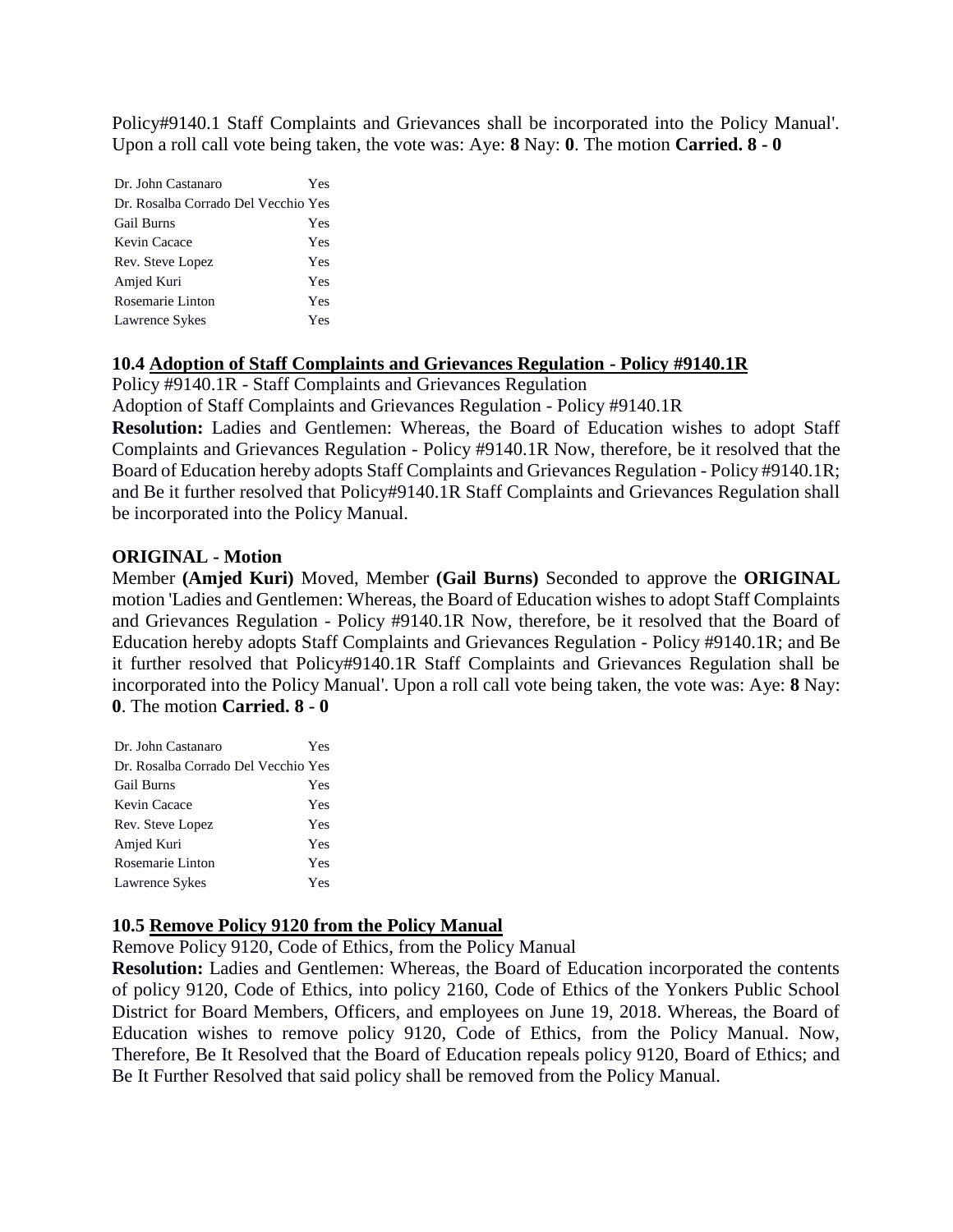Policy#9140.1 Staff Complaints and Grievances shall be incorporated into the Policy Manual'. Upon a roll call vote being taken, the vote was: Aye: **8** Nay: **0**. The motion **Carried. 8 - 0** 

| Dr. John Castanaro                  | Yes |
|-------------------------------------|-----|
| Dr. Rosalba Corrado Del Vecchio Yes |     |
| <b>Gail Burns</b>                   | Yes |
| Kevin Cacace                        | Yes |
| Rev. Steve Lopez                    | Yes |
| Amjed Kuri                          | Yes |
| Rosemarie Linton                    | Yes |
| Lawrence Sykes                      | Yes |

### **10.4 Adoption of Staff Complaints and Grievances Regulation - Policy #9140.1R**

Policy #9140.1R - Staff Complaints and Grievances Regulation

Adoption of Staff Complaints and Grievances Regulation - Policy #9140.1R

Resolution: Ladies and Gentlemen: Whereas, the Board of Education wishes to adopt Staff Complaints and Grievances Regulation - Policy #9140.1R Now, therefore, be it resolved that the Board of Education hereby adopts Staff Complaints and Grievances Regulation - Policy #9140.1R; and Be it further resolved that Policy#9140.1R Staff Complaints and Grievances Regulation shall be incorporated into the Policy Manual.

### **ORIGINAL - Motion**

Member **(Amjed Kuri)** Moved, Member **(Gail Burns)** Seconded to approve the **ORIGINAL**  motion 'Ladies and Gentlemen: Whereas, the Board of Education wishes to adopt Staff Complaints and Grievances Regulation - Policy #9140.1R Now, therefore, be it resolved that the Board of Education hereby adopts Staff Complaints and Grievances Regulation - Policy #9140.1R; and Be it further resolved that Policy#9140.1R Staff Complaints and Grievances Regulation shall be incorporated into the Policy Manual'. Upon a roll call vote being taken, the vote was: Aye: **8** Nay: **0**. The motion **Carried. 8 - 0** 

| Dr. John Castanaro                  | Yes |
|-------------------------------------|-----|
| Dr. Rosalba Corrado Del Vecchio Yes |     |
| <b>Gail Burns</b>                   | Yes |
| Kevin Cacace                        | Yes |
| Rev. Steve Lopez                    | Yes |
| Amjed Kuri                          | Yes |
| Rosemarie Linton                    | Yes |
| Lawrence Sykes                      | Yes |

### **10.5 Remove Policy 9120 from the Policy Manual**

Remove Policy 9120, Code of Ethics, from the Policy Manual

**Resolution:** Ladies and Gentlemen: Whereas, the Board of Education incorporated the contents of policy 9120, Code of Ethics, into policy 2160, Code of Ethics of the Yonkers Public School District for Board Members, Officers, and employees on June 19, 2018. Whereas, the Board of Education wishes to remove policy 9120, Code of Ethics, from the Policy Manual. Now, Therefore, Be It Resolved that the Board of Education repeals policy 9120, Board of Ethics; and Be It Further Resolved that said policy shall be removed from the Policy Manual.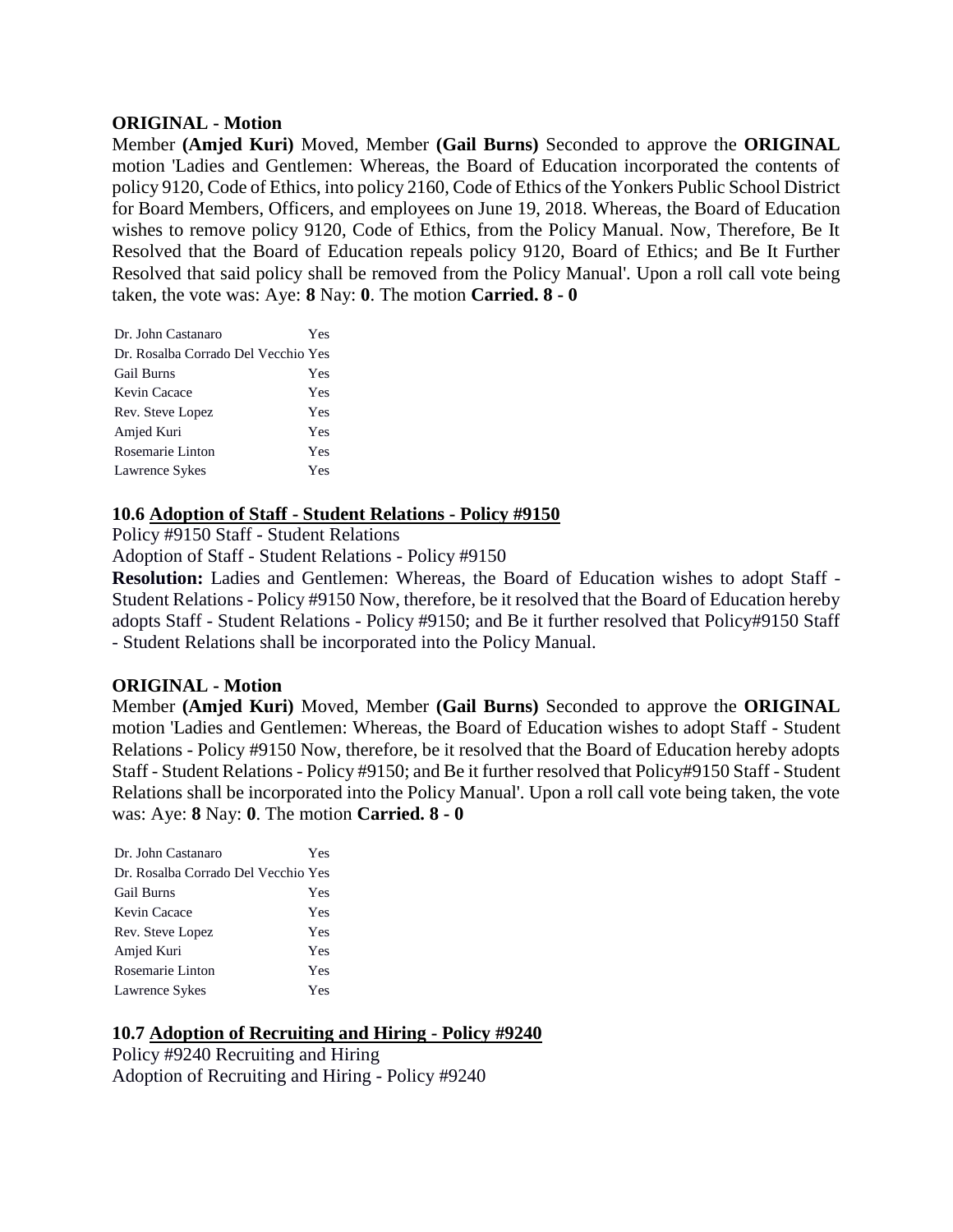#### **ORIGINAL - Motion**

Member **(Amjed Kuri)** Moved, Member **(Gail Burns)** Seconded to approve the **ORIGINAL**  motion 'Ladies and Gentlemen: Whereas, the Board of Education incorporated the contents of policy 9120, Code of Ethics, into policy 2160, Code of Ethics of the Yonkers Public School District for Board Members, Officers, and employees on June 19, 2018. Whereas, the Board of Education wishes to remove policy 9120, Code of Ethics, from the Policy Manual. Now, Therefore, Be It Resolved that the Board of Education repeals policy 9120, Board of Ethics; and Be It Further Resolved that said policy shall be removed from the Policy Manual'. Upon a roll call vote being taken, the vote was: Aye: **8** Nay: **0**. The motion **Carried. 8 - 0** 

| Dr. John Castanaro                  | Yes |
|-------------------------------------|-----|
| Dr. Rosalba Corrado Del Vecchio Yes |     |
| <b>Gail Burns</b>                   | Yes |
| Kevin Cacace                        | Yes |
| Rev. Steve Lopez                    | Yes |
| Amjed Kuri                          | Yes |
| Rosemarie Linton                    | Yes |
| Lawrence Sykes                      | Yes |

### **10.6 Adoption of Staff - Student Relations - Policy #9150**

Policy #9150 Staff - Student Relations

Adoption of Staff - Student Relations - Policy #9150

**Resolution:** Ladies and Gentlemen: Whereas, the Board of Education wishes to adopt Staff - Student Relations - Policy #9150 Now, therefore, be it resolved that the Board of Education hereby adopts Staff - Student Relations - Policy #9150; and Be it further resolved that Policy#9150 Staff - Student Relations shall be incorporated into the Policy Manual.

### **ORIGINAL - Motion**

Member **(Amjed Kuri)** Moved, Member **(Gail Burns)** Seconded to approve the **ORIGINAL**  motion 'Ladies and Gentlemen: Whereas, the Board of Education wishes to adopt Staff - Student Relations - Policy #9150 Now, therefore, be it resolved that the Board of Education hereby adopts Staff - Student Relations - Policy #9150; and Be it further resolved that Policy#9150 Staff - Student Relations shall be incorporated into the Policy Manual'. Upon a roll call vote being taken, the vote was: Aye: **8** Nay: **0**. The motion **Carried. 8 - 0** 

| Dr. John Castanaro                  | Yes |
|-------------------------------------|-----|
| Dr. Rosalba Corrado Del Vecchio Yes |     |
| <b>Gail Burns</b>                   | Yes |
| Kevin Cacace                        | Yes |
| Rev. Steve Lopez                    | Yes |
| Amjed Kuri                          | Yes |
| Rosemarie Linton                    | Yes |
| Lawrence Sykes                      | Yes |

# **10.7 Adoption of Recruiting and Hiring - Policy #9240**

Policy #9240 Recruiting and Hiring Adoption of Recruiting and Hiring - Policy #9240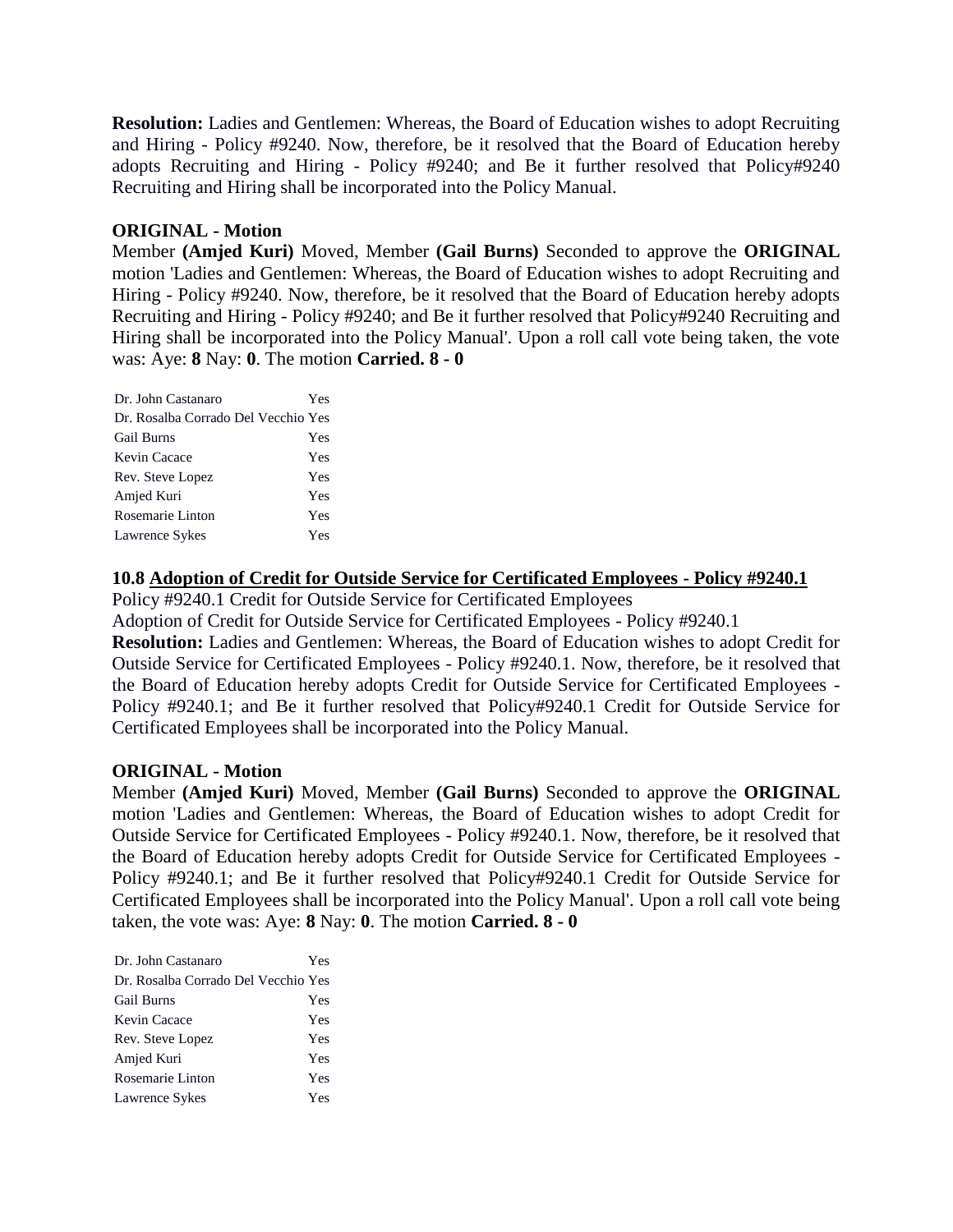**Resolution:** Ladies and Gentlemen: Whereas, the Board of Education wishes to adopt Recruiting and Hiring - Policy #9240. Now, therefore, be it resolved that the Board of Education hereby adopts Recruiting and Hiring - Policy #9240; and Be it further resolved that Policy#9240 Recruiting and Hiring shall be incorporated into the Policy Manual.

# **ORIGINAL - Motion**

Member **(Amjed Kuri)** Moved, Member **(Gail Burns)** Seconded to approve the **ORIGINAL**  motion 'Ladies and Gentlemen: Whereas, the Board of Education wishes to adopt Recruiting and Hiring - Policy #9240. Now, therefore, be it resolved that the Board of Education hereby adopts Recruiting and Hiring - Policy #9240; and Be it further resolved that Policy#9240 Recruiting and Hiring shall be incorporated into the Policy Manual'. Upon a roll call vote being taken, the vote was: Aye: **8** Nay: **0**. The motion **Carried. 8 - 0** 

| Dr. John Castanaro                  | Yes |
|-------------------------------------|-----|
| Dr. Rosalba Corrado Del Vecchio Yes |     |
| <b>Gail Burns</b>                   | Yes |
| Kevin Cacace                        | Yes |
| Rev. Steve Lopez                    | Yes |
| Amjed Kuri                          | Yes |
| Rosemarie Linton                    | Yes |
| Lawrence Sykes                      | Yes |

### **10.8 Adoption of Credit for Outside Service for Certificated Employees - Policy #9240.1**

Policy #9240.1 Credit for Outside Service for Certificated Employees

Adoption of Credit for Outside Service for Certificated Employees - Policy #9240.1

**Resolution:** Ladies and Gentlemen: Whereas, the Board of Education wishes to adopt Credit for Outside Service for Certificated Employees - Policy #9240.1. Now, therefore, be it resolved that the Board of Education hereby adopts Credit for Outside Service for Certificated Employees - Policy #9240.1; and Be it further resolved that Policy#9240.1 Credit for Outside Service for Certificated Employees shall be incorporated into the Policy Manual.

### **ORIGINAL - Motion**

Member **(Amjed Kuri)** Moved, Member **(Gail Burns)** Seconded to approve the **ORIGINAL**  motion 'Ladies and Gentlemen: Whereas, the Board of Education wishes to adopt Credit for Outside Service for Certificated Employees - Policy #9240.1. Now, therefore, be it resolved that the Board of Education hereby adopts Credit for Outside Service for Certificated Employees - Policy #9240.1; and Be it further resolved that Policy#9240.1 Credit for Outside Service for Certificated Employees shall be incorporated into the Policy Manual'. Upon a roll call vote being taken, the vote was: Aye: **8** Nay: **0**. The motion **Carried. 8 - 0** 

| Dr. John Castanaro                  | Yes |
|-------------------------------------|-----|
| Dr. Rosalba Corrado Del Vecchio Yes |     |
| <b>Gail Burns</b>                   | Yes |
| Kevin Cacace                        | Yes |
| Rev. Steve Lopez                    | Yes |
| Amjed Kuri                          | Yes |
| Rosemarie Linton                    | Yes |
| Lawrence Sykes                      | Yes |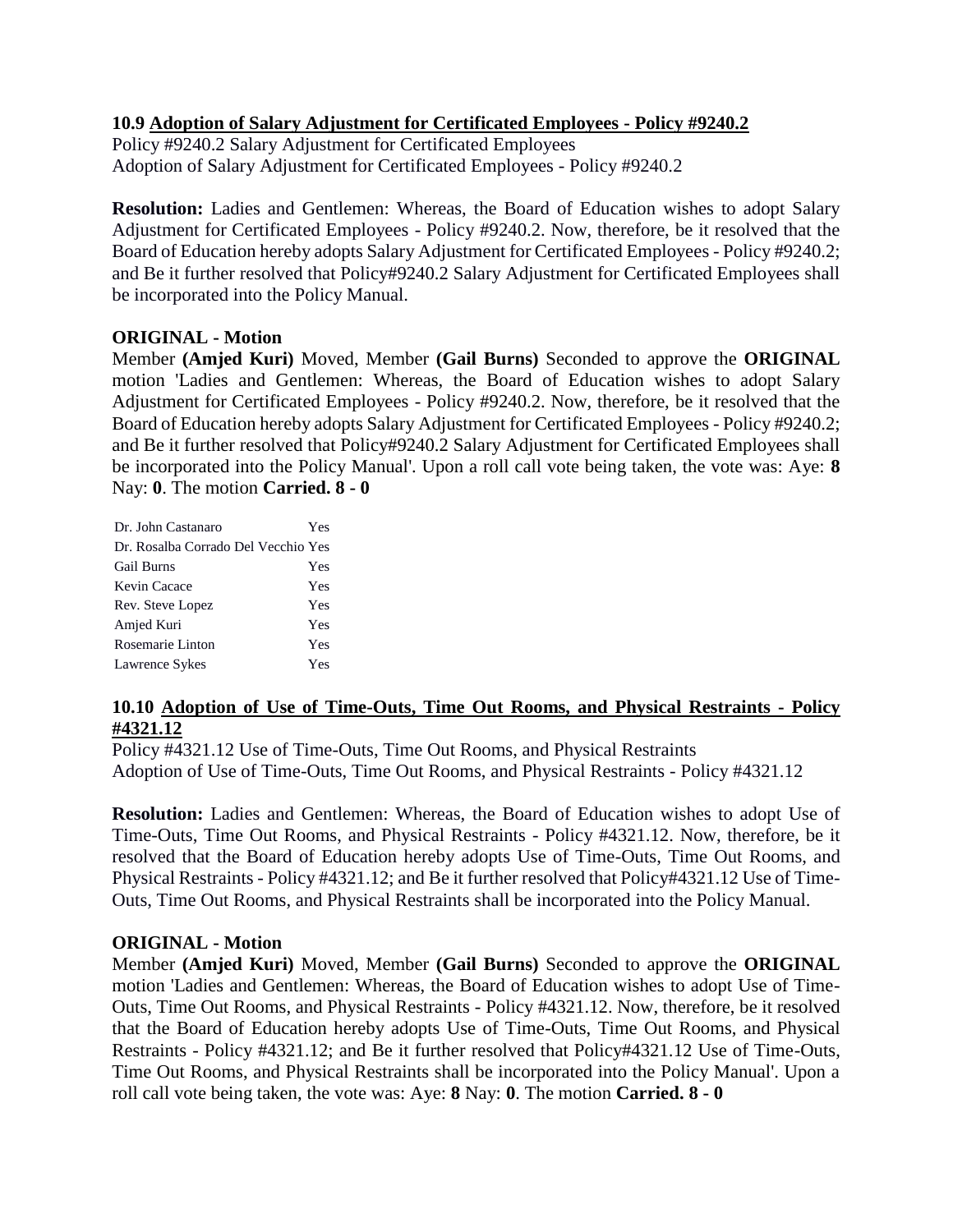# **10.9 Adoption of Salary Adjustment for Certificated Employees - Policy #9240.2**

Policy #9240.2 Salary Adjustment for Certificated Employees Adoption of Salary Adjustment for Certificated Employees - Policy #9240.2

**Resolution:** Ladies and Gentlemen: Whereas, the Board of Education wishes to adopt Salary Adjustment for Certificated Employees - Policy #9240.2. Now, therefore, be it resolved that the Board of Education hereby adopts Salary Adjustment for Certificated Employees - Policy #9240.2; and Be it further resolved that Policy#9240.2 Salary Adjustment for Certificated Employees shall be incorporated into the Policy Manual.

# **ORIGINAL - Motion**

Member **(Amjed Kuri)** Moved, Member **(Gail Burns)** Seconded to approve the **ORIGINAL**  motion 'Ladies and Gentlemen: Whereas, the Board of Education wishes to adopt Salary Adjustment for Certificated Employees - Policy #9240.2. Now, therefore, be it resolved that the Board of Education hereby adopts Salary Adjustment for Certificated Employees - Policy #9240.2; and Be it further resolved that Policy#9240.2 Salary Adjustment for Certificated Employees shall be incorporated into the Policy Manual'. Upon a roll call vote being taken, the vote was: Aye: **8** Nay: **0**. The motion **Carried. 8 - 0** 

| Dr. Rosalba Corrado Del Vecchio Yes |  |
|-------------------------------------|--|
| <b>Gail Burns</b><br>Yes            |  |
| Kevin Cacace<br>Yes                 |  |
| Yes<br>Rev. Steve Lopez             |  |
| Amjed Kuri<br>Yes                   |  |
| Rosemarie Linton<br>Yes             |  |
| Lawrence Sykes<br>Yes               |  |

### **10.10 Adoption of Use of Time-Outs, Time Out Rooms, and Physical Restraints - Policy #4321.12**

Policy #4321.12 Use of Time-Outs, Time Out Rooms, and Physical Restraints Adoption of Use of Time-Outs, Time Out Rooms, and Physical Restraints - Policy #4321.12

**Resolution:** Ladies and Gentlemen: Whereas, the Board of Education wishes to adopt Use of Time-Outs, Time Out Rooms, and Physical Restraints - Policy #4321.12. Now, therefore, be it resolved that the Board of Education hereby adopts Use of Time-Outs, Time Out Rooms, and Physical Restraints - Policy #4321.12; and Be it further resolved that Policy#4321.12 Use of Time-Outs, Time Out Rooms, and Physical Restraints shall be incorporated into the Policy Manual.

# **ORIGINAL - Motion**

Member **(Amjed Kuri)** Moved, Member **(Gail Burns)** Seconded to approve the **ORIGINAL**  motion 'Ladies and Gentlemen: Whereas, the Board of Education wishes to adopt Use of Time-Outs, Time Out Rooms, and Physical Restraints - Policy #4321.12. Now, therefore, be it resolved that the Board of Education hereby adopts Use of Time-Outs, Time Out Rooms, and Physical Restraints - Policy #4321.12; and Be it further resolved that Policy#4321.12 Use of Time-Outs, Time Out Rooms, and Physical Restraints shall be incorporated into the Policy Manual'. Upon a roll call vote being taken, the vote was: Aye: **8** Nay: **0**. The motion **Carried. 8 - 0**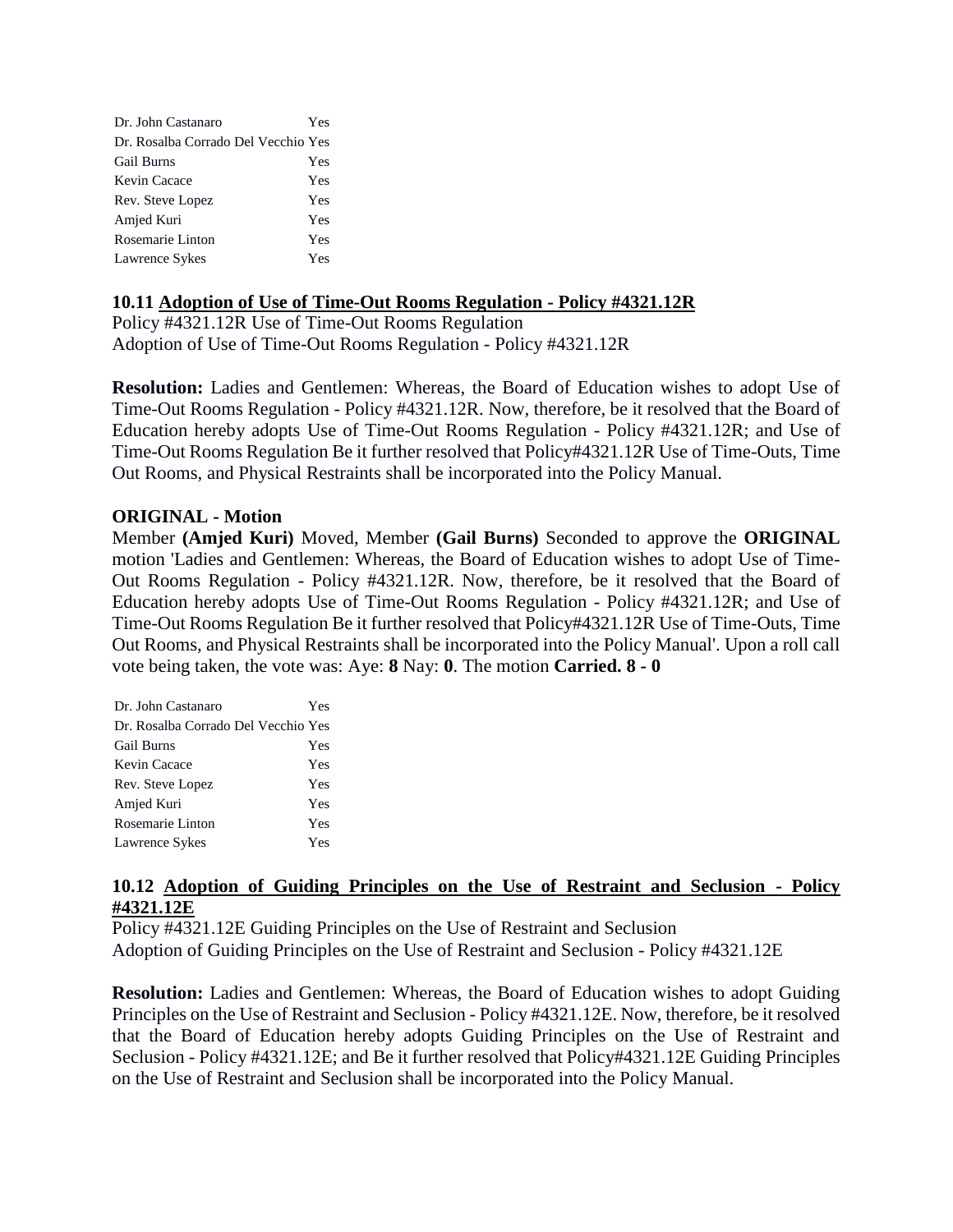| Dr. John Castanaro                  | <b>Yes</b> |
|-------------------------------------|------------|
| Dr. Rosalba Corrado Del Vecchio Yes |            |
| <b>Gail Burns</b>                   | Yes        |
| Kevin Cacace                        | Yes        |
| Rev. Steve Lopez                    | Yes        |
| Amjed Kuri                          | <b>Yes</b> |
| Rosemarie Linton                    | Yes        |
| Lawrence Sykes                      | Yes        |

### **10.11 Adoption of Use of Time-Out Rooms Regulation - Policy #4321.12R**

Policy #4321.12R Use of Time-Out Rooms Regulation Adoption of Use of Time-Out Rooms Regulation - Policy #4321.12R

**Resolution:** Ladies and Gentlemen: Whereas, the Board of Education wishes to adopt Use of Time-Out Rooms Regulation - Policy #4321.12R. Now, therefore, be it resolved that the Board of Education hereby adopts Use of Time-Out Rooms Regulation - Policy #4321.12R; and Use of Time-Out Rooms Regulation Be it further resolved that Policy#4321.12R Use of Time-Outs, Time Out Rooms, and Physical Restraints shall be incorporated into the Policy Manual.

### **ORIGINAL - Motion**

Member **(Amjed Kuri)** Moved, Member **(Gail Burns)** Seconded to approve the **ORIGINAL**  motion 'Ladies and Gentlemen: Whereas, the Board of Education wishes to adopt Use of Time-Out Rooms Regulation - Policy #4321.12R. Now, therefore, be it resolved that the Board of Education hereby adopts Use of Time-Out Rooms Regulation - Policy #4321.12R; and Use of Time-Out Rooms Regulation Be it further resolved that Policy#4321.12R Use of Time-Outs, Time Out Rooms, and Physical Restraints shall be incorporated into the Policy Manual'. Upon a roll call vote being taken, the vote was: Aye: **8** Nay: **0**. The motion **Carried. 8 - 0** 

| Dr. John Castanaro                  | Yes |
|-------------------------------------|-----|
| Dr. Rosalba Corrado Del Vecchio Yes |     |
| <b>Gail Burns</b>                   | Yes |
| Kevin Cacace                        | Yes |
| Rev. Steve Lopez                    | Yes |
| Amjed Kuri                          | Yes |
| Rosemarie Linton                    | Yes |
| Lawrence Sykes                      | Yes |

### **10.12 Adoption of Guiding Principles on the Use of Restraint and Seclusion - Policy #4321.12E**

Policy #4321.12E Guiding Principles on the Use of Restraint and Seclusion Adoption of Guiding Principles on the Use of Restraint and Seclusion - Policy #4321.12E

**Resolution:** Ladies and Gentlemen: Whereas, the Board of Education wishes to adopt Guiding Principles on the Use of Restraint and Seclusion - Policy #4321.12E. Now, therefore, be it resolved that the Board of Education hereby adopts Guiding Principles on the Use of Restraint and Seclusion - Policy #4321.12E; and Be it further resolved that Policy#4321.12E Guiding Principles on the Use of Restraint and Seclusion shall be incorporated into the Policy Manual.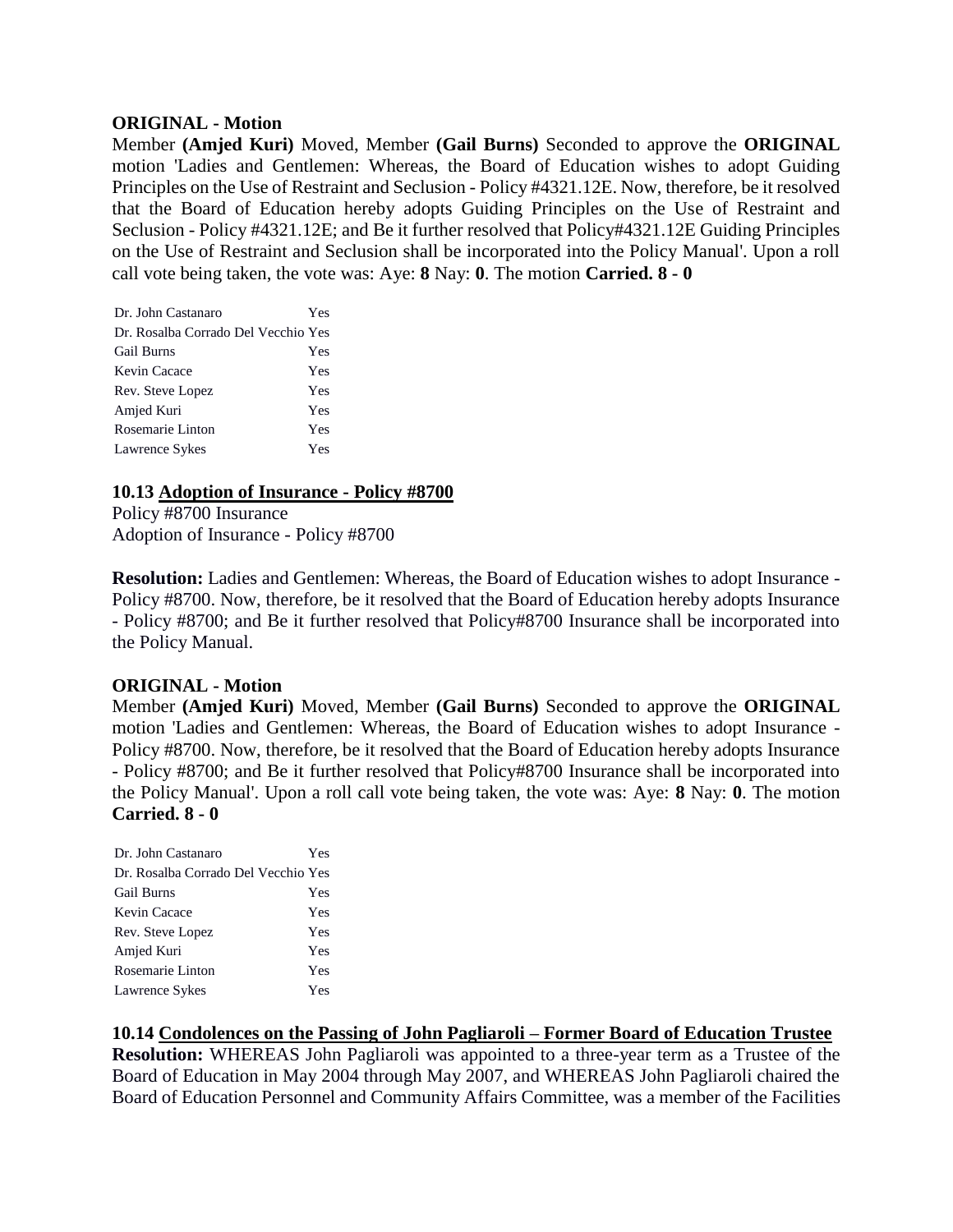#### **ORIGINAL - Motion**

Member **(Amjed Kuri)** Moved, Member **(Gail Burns)** Seconded to approve the **ORIGINAL**  motion 'Ladies and Gentlemen: Whereas, the Board of Education wishes to adopt Guiding Principles on the Use of Restraint and Seclusion - Policy #4321.12E. Now, therefore, be it resolved that the Board of Education hereby adopts Guiding Principles on the Use of Restraint and Seclusion - Policy #4321.12E; and Be it further resolved that Policy#4321.12E Guiding Principles on the Use of Restraint and Seclusion shall be incorporated into the Policy Manual'. Upon a roll call vote being taken, the vote was: Aye: **8** Nay: **0**. The motion **Carried. 8 - 0** 

| Dr. John Castanaro                  | Yes |
|-------------------------------------|-----|
| Dr. Rosalba Corrado Del Vecchio Yes |     |
| <b>Gail Burns</b>                   | Yes |
| Kevin Cacace                        | Yes |
| Rev. Steve Lopez                    | Yes |
| Amjed Kuri                          | Yes |
| Rosemarie Linton                    | Yes |
| Lawrence Sykes                      | Yes |

### **10.13 Adoption of Insurance - Policy #8700**

Policy #8700 Insurance Adoption of Insurance - Policy #8700

**Resolution:** Ladies and Gentlemen: Whereas, the Board of Education wishes to adopt Insurance -Policy #8700. Now, therefore, be it resolved that the Board of Education hereby adopts Insurance - Policy #8700; and Be it further resolved that Policy#8700 Insurance shall be incorporated into the Policy Manual.

### **ORIGINAL - Motion**

Member **(Amjed Kuri)** Moved, Member **(Gail Burns)** Seconded to approve the **ORIGINAL**  motion 'Ladies and Gentlemen: Whereas, the Board of Education wishes to adopt Insurance - Policy #8700. Now, therefore, be it resolved that the Board of Education hereby adopts Insurance - Policy #8700; and Be it further resolved that Policy#8700 Insurance shall be incorporated into the Policy Manual'. Upon a roll call vote being taken, the vote was: Aye: **8** Nay: **0**. The motion **Carried. 8 - 0** 

| Dr. John Castanaro                  | Yes |
|-------------------------------------|-----|
| Dr. Rosalba Corrado Del Vecchio Yes |     |
| <b>Gail Burns</b>                   | Yes |
| Kevin Cacace                        | Yes |
| Rev. Steve Lopez                    | Yes |
| Amjed Kuri                          | Yes |
| Rosemarie Linton                    | Yes |
| Lawrence Sykes                      | Yes |

# **10.14 Condolences on the Passing of John Pagliaroli – Former Board of Education Trustee**

**Resolution:** WHEREAS John Pagliaroli was appointed to a three-year term as a Trustee of the Board of Education in May 2004 through May 2007, and WHEREAS John Pagliaroli chaired the Board of Education Personnel and Community Affairs Committee, was a member of the Facilities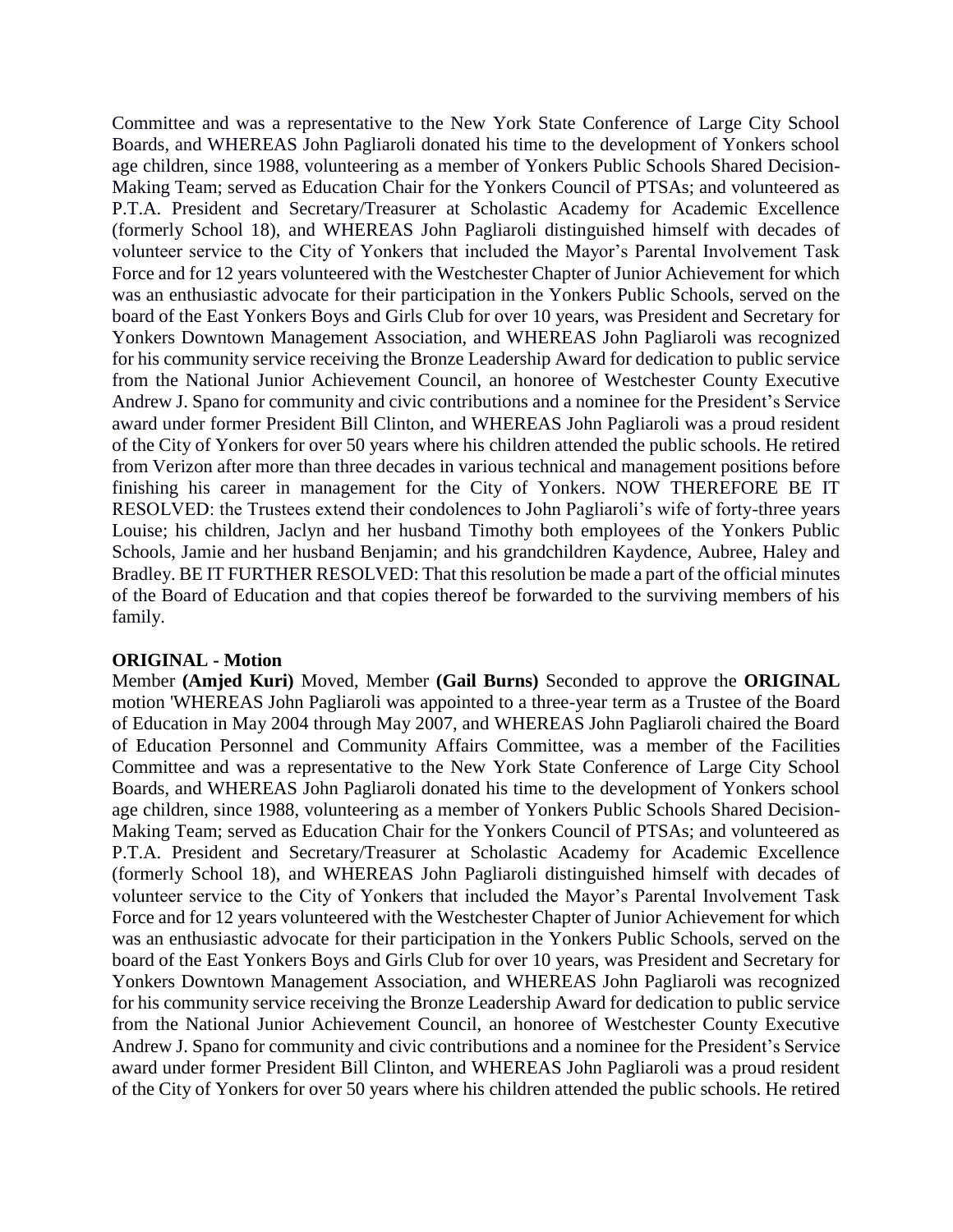Committee and was a representative to the New York State Conference of Large City School Boards, and WHEREAS John Pagliaroli donated his time to the development of Yonkers school age children, since 1988, volunteering as a member of Yonkers Public Schools Shared Decision-Making Team; served as Education Chair for the Yonkers Council of PTSAs; and volunteered as P.T.A. President and Secretary/Treasurer at Scholastic Academy for Academic Excellence (formerly School 18), and WHEREAS John Pagliaroli distinguished himself with decades of volunteer service to the City of Yonkers that included the Mayor's Parental Involvement Task Force and for 12 years volunteered with the Westchester Chapter of Junior Achievement for which was an enthusiastic advocate for their participation in the Yonkers Public Schools, served on the board of the East Yonkers Boys and Girls Club for over 10 years, was President and Secretary for Yonkers Downtown Management Association, and WHEREAS John Pagliaroli was recognized for his community service receiving the Bronze Leadership Award for dedication to public service from the National Junior Achievement Council, an honoree of Westchester County Executive Andrew J. Spano for community and civic contributions and a nominee for the President's Service award under former President Bill Clinton, and WHEREAS John Pagliaroli was a proud resident of the City of Yonkers for over 50 years where his children attended the public schools. He retired from Verizon after more than three decades in various technical and management positions before finishing his career in management for the City of Yonkers. NOW THEREFORE BE IT RESOLVED: the Trustees extend their condolences to John Pagliaroli's wife of forty-three years Louise; his children, Jaclyn and her husband Timothy both employees of the Yonkers Public Schools, Jamie and her husband Benjamin; and his grandchildren Kaydence, Aubree, Haley and Bradley. BE IT FURTHER RESOLVED: That this resolution be made a part of the official minutes of the Board of Education and that copies thereof be forwarded to the surviving members of his family.

#### **ORIGINAL - Motion**

Member **(Amjed Kuri)** Moved, Member **(Gail Burns)** Seconded to approve the **ORIGINAL**  motion 'WHEREAS John Pagliaroli was appointed to a three-year term as a Trustee of the Board of Education in May 2004 through May 2007, and WHEREAS John Pagliaroli chaired the Board of Education Personnel and Community Affairs Committee, was a member of the Facilities Committee and was a representative to the New York State Conference of Large City School Boards, and WHEREAS John Pagliaroli donated his time to the development of Yonkers school age children, since 1988, volunteering as a member of Yonkers Public Schools Shared Decision-Making Team; served as Education Chair for the Yonkers Council of PTSAs; and volunteered as P.T.A. President and Secretary/Treasurer at Scholastic Academy for Academic Excellence (formerly School 18), and WHEREAS John Pagliaroli distinguished himself with decades of volunteer service to the City of Yonkers that included the Mayor's Parental Involvement Task Force and for 12 years volunteered with the Westchester Chapter of Junior Achievement for which was an enthusiastic advocate for their participation in the Yonkers Public Schools, served on the board of the East Yonkers Boys and Girls Club for over 10 years, was President and Secretary for Yonkers Downtown Management Association, and WHEREAS John Pagliaroli was recognized for his community service receiving the Bronze Leadership Award for dedication to public service from the National Junior Achievement Council, an honoree of Westchester County Executive Andrew J. Spano for community and civic contributions and a nominee for the President's Service award under former President Bill Clinton, and WHEREAS John Pagliaroli was a proud resident of the City of Yonkers for over 50 years where his children attended the public schools. He retired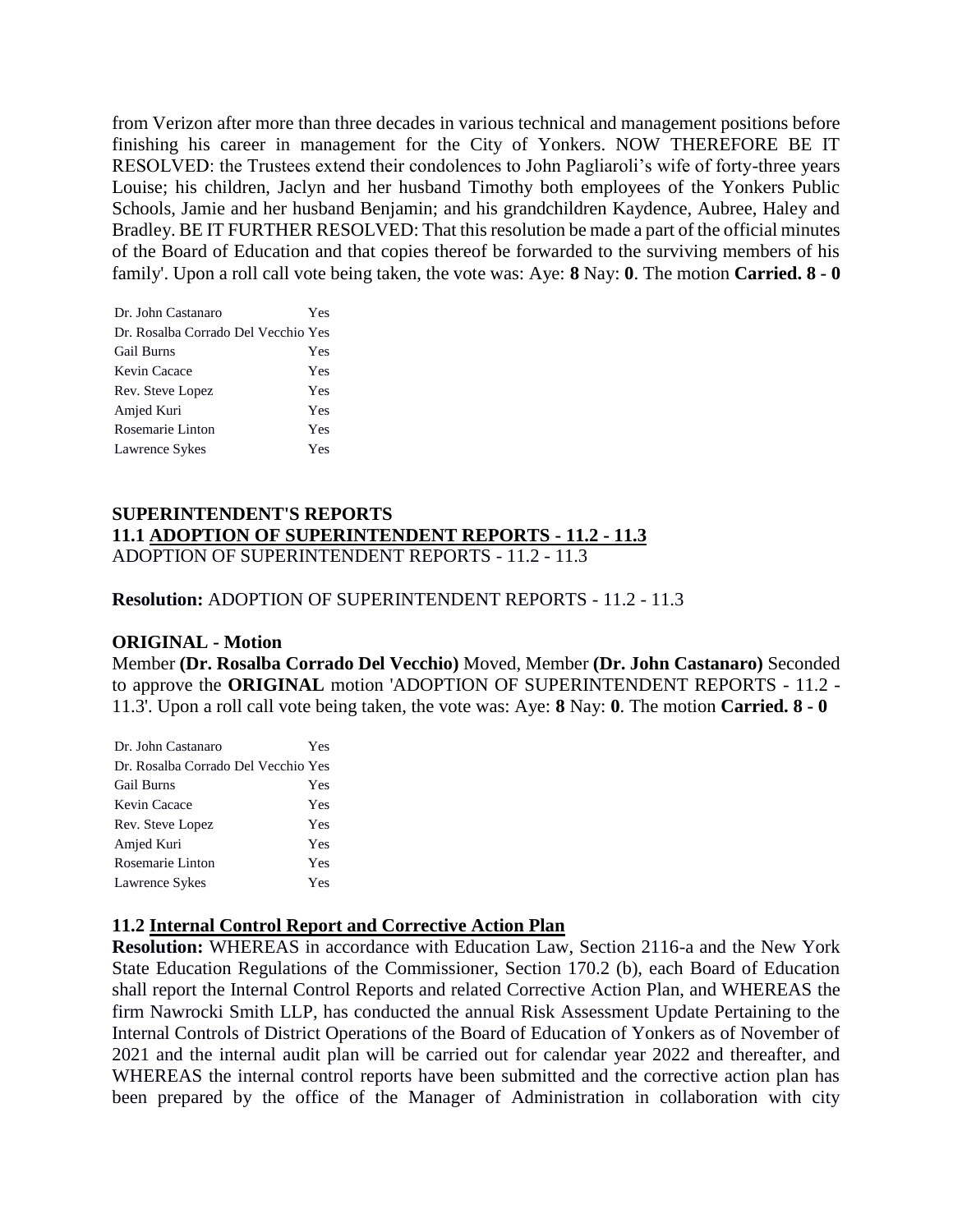from Verizon after more than three decades in various technical and management positions before finishing his career in management for the City of Yonkers. NOW THEREFORE BE IT RESOLVED: the Trustees extend their condolences to John Pagliaroli's wife of forty-three years Louise; his children, Jaclyn and her husband Timothy both employees of the Yonkers Public Schools, Jamie and her husband Benjamin; and his grandchildren Kaydence, Aubree, Haley and Bradley. BE IT FURTHER RESOLVED: That this resolution be made a part of the official minutes of the Board of Education and that copies thereof be forwarded to the surviving members of his family'. Upon a roll call vote being taken, the vote was: Aye: **8** Nay: **0**. The motion **Carried. 8 - 0** 

| Dr. John Castanaro                  | Yes |
|-------------------------------------|-----|
| Dr. Rosalba Corrado Del Vecchio Yes |     |
| <b>Gail Burns</b>                   | Yes |
| Kevin Cacace                        | Yes |
| Rev. Steve Lopez                    | Yes |
| Amjed Kuri                          | Yes |
| Rosemarie Linton                    | Yes |
| Lawrence Sykes                      | Yes |

#### **SUPERINTENDENT'S REPORTS 11.1 ADOPTION OF SUPERINTENDENT REPORTS - 11.2 - 11.3** ADOPTION OF SUPERINTENDENT REPORTS - 11.2 - 11.3

#### **Resolution:** ADOPTION OF SUPERINTENDENT REPORTS - 11.2 - 11.3

#### **ORIGINAL - Motion**

Member **(Dr. Rosalba Corrado Del Vecchio)** Moved, Member **(Dr. John Castanaro)** Seconded to approve the **ORIGINAL** motion 'ADOPTION OF SUPERINTENDENT REPORTS - 11.2 - 11.3'. Upon a roll call vote being taken, the vote was: Aye: **8** Nay: **0**. The motion **Carried. 8 - 0** 

| Dr. John Castanaro                  | Yes |
|-------------------------------------|-----|
| Dr. Rosalba Corrado Del Vecchio Yes |     |
| <b>Gail Burns</b>                   | Yes |
| Kevin Cacace                        | Yes |
| Rev. Steve Lopez                    | Yes |
| Amjed Kuri                          | Yes |
| Rosemarie Linton                    | Yes |
| Lawrence Sykes                      | Yes |

### **11.2 Internal Control Report and Corrective Action Plan**

**Resolution:** WHEREAS in accordance with Education Law, Section 2116-a and the New York State Education Regulations of the Commissioner, Section 170.2 (b), each Board of Education shall report the Internal Control Reports and related Corrective Action Plan, and WHEREAS the firm Nawrocki Smith LLP, has conducted the annual Risk Assessment Update Pertaining to the Internal Controls of District Operations of the Board of Education of Yonkers as of November of 2021 and the internal audit plan will be carried out for calendar year 2022 and thereafter, and WHEREAS the internal control reports have been submitted and the corrective action plan has been prepared by the office of the Manager of Administration in collaboration with city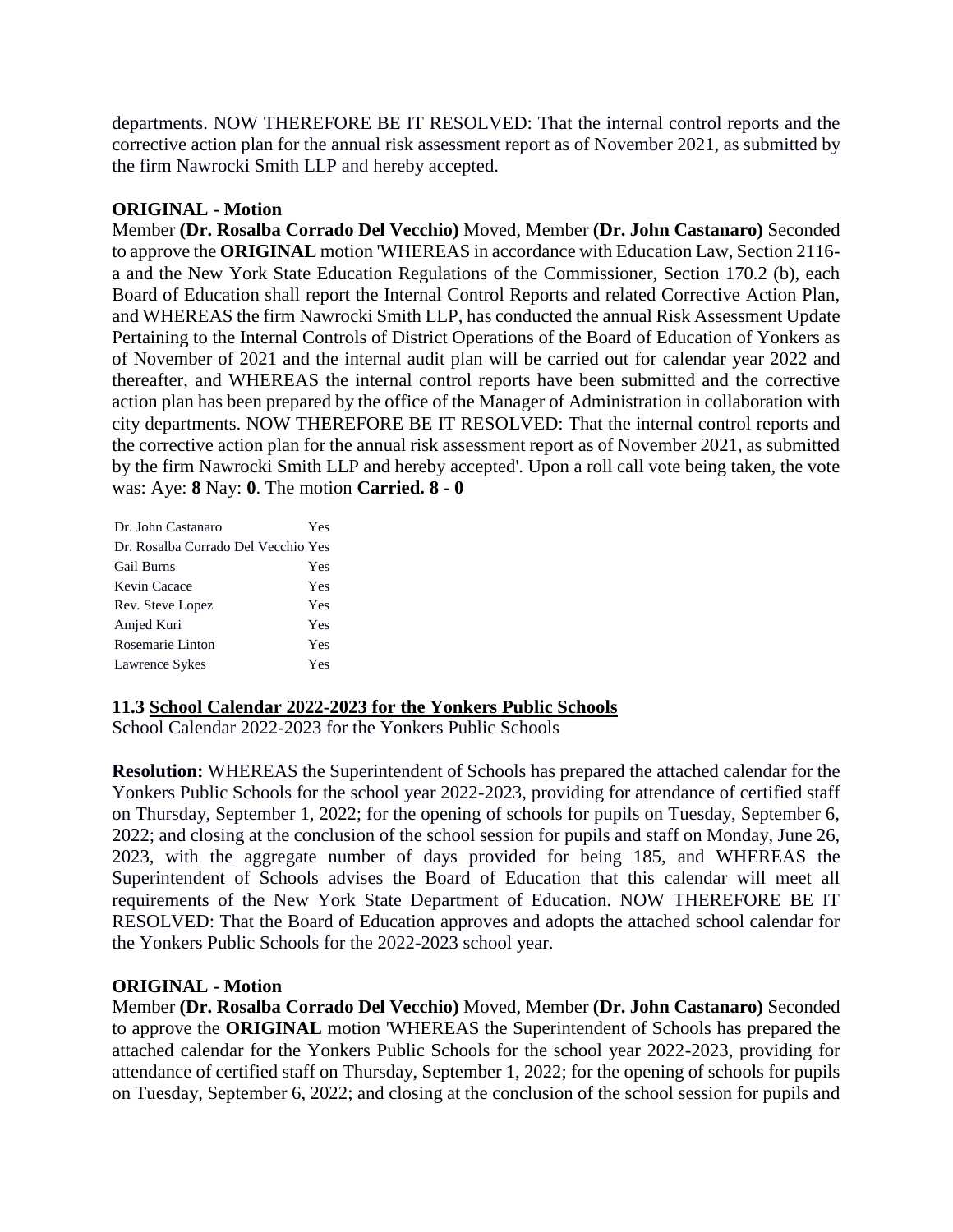departments. NOW THEREFORE BE IT RESOLVED: That the internal control reports and the corrective action plan for the annual risk assessment report as of November 2021, as submitted by the firm Nawrocki Smith LLP and hereby accepted.

# **ORIGINAL - Motion**

Member **(Dr. Rosalba Corrado Del Vecchio)** Moved, Member **(Dr. John Castanaro)** Seconded to approve the **ORIGINAL** motion 'WHEREAS in accordance with Education Law, Section 2116 a and the New York State Education Regulations of the Commissioner, Section 170.2 (b), each Board of Education shall report the Internal Control Reports and related Corrective Action Plan, and WHEREAS the firm Nawrocki Smith LLP, has conducted the annual Risk Assessment Update Pertaining to the Internal Controls of District Operations of the Board of Education of Yonkers as of November of 2021 and the internal audit plan will be carried out for calendar year 2022 and thereafter, and WHEREAS the internal control reports have been submitted and the corrective action plan has been prepared by the office of the Manager of Administration in collaboration with city departments. NOW THEREFORE BE IT RESOLVED: That the internal control reports and the corrective action plan for the annual risk assessment report as of November 2021, as submitted by the firm Nawrocki Smith LLP and hereby accepted'. Upon a roll call vote being taken, the vote was: Aye: **8** Nay: **0**. The motion **Carried. 8 - 0** 

| Dr. John Castanaro                  | Yes |
|-------------------------------------|-----|
| Dr. Rosalba Corrado Del Vecchio Yes |     |
| <b>Gail Burns</b>                   | Yes |
| Kevin Cacace                        | Yes |
| Rev. Steve Lopez                    | Yes |
| Amjed Kuri                          | Yes |
| Rosemarie Linton                    | Yes |
| Lawrence Sykes                      | Yes |

### **11.3 School Calendar 2022-2023 for the Yonkers Public Schools**

School Calendar 2022-2023 for the Yonkers Public Schools

**Resolution:** WHEREAS the Superintendent of Schools has prepared the attached calendar for the Yonkers Public Schools for the school year 2022-2023, providing for attendance of certified staff on Thursday, September 1, 2022; for the opening of schools for pupils on Tuesday, September 6, 2022; and closing at the conclusion of the school session for pupils and staff on Monday, June 26, 2023, with the aggregate number of days provided for being 185, and WHEREAS the Superintendent of Schools advises the Board of Education that this calendar will meet all requirements of the New York State Department of Education. NOW THEREFORE BE IT RESOLVED: That the Board of Education approves and adopts the attached school calendar for the Yonkers Public Schools for the 2022-2023 school year.

### **ORIGINAL - Motion**

Member **(Dr. Rosalba Corrado Del Vecchio)** Moved, Member **(Dr. John Castanaro)** Seconded to approve the **ORIGINAL** motion 'WHEREAS the Superintendent of Schools has prepared the attached calendar for the Yonkers Public Schools for the school year 2022-2023, providing for attendance of certified staff on Thursday, September 1, 2022; for the opening of schools for pupils on Tuesday, September 6, 2022; and closing at the conclusion of the school session for pupils and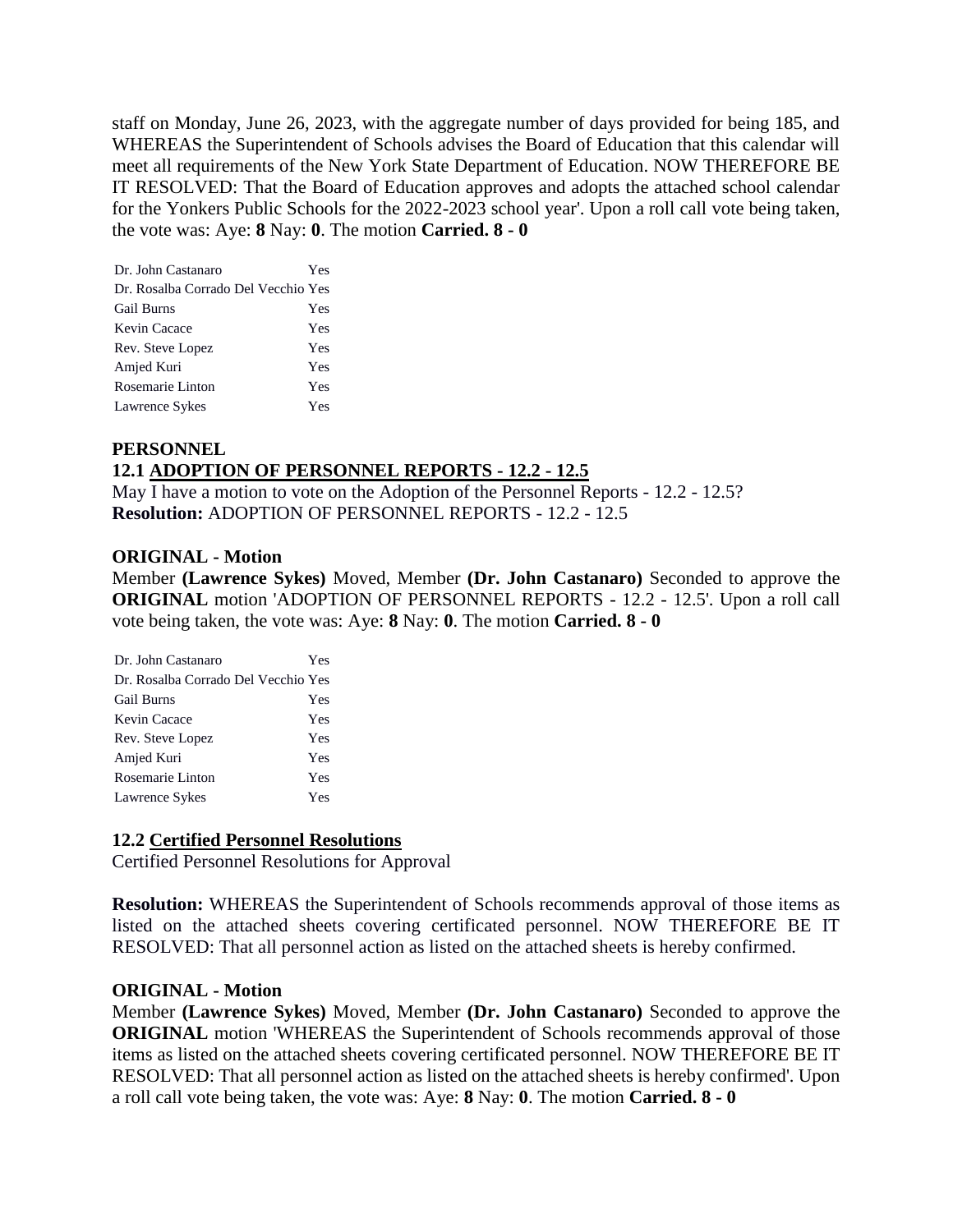staff on Monday, June 26, 2023, with the aggregate number of days provided for being 185, and WHEREAS the Superintendent of Schools advises the Board of Education that this calendar will meet all requirements of the New York State Department of Education. NOW THEREFORE BE IT RESOLVED: That the Board of Education approves and adopts the attached school calendar for the Yonkers Public Schools for the 2022-2023 school year'. Upon a roll call vote being taken, the vote was: Aye: **8** Nay: **0**. The motion **Carried. 8 - 0** 

| Dr. John Castanaro                  | Yes |
|-------------------------------------|-----|
| Dr. Rosalba Corrado Del Vecchio Yes |     |
| <b>Gail Burns</b>                   | Yes |
| Kevin Cacace                        | Yes |
| Rev. Steve Lopez                    | Yes |
| Amjed Kuri                          | Yes |
| Rosemarie Linton                    | Yes |
| Lawrence Sykes                      | Yes |

# **PERSONNEL 12.1 ADOPTION OF PERSONNEL REPORTS - 12.2 - 12.5**

May I have a motion to vote on the Adoption of the Personnel Reports - 12.2 - 12.5? **Resolution:** ADOPTION OF PERSONNEL REPORTS - 12.2 - 12.5

### **ORIGINAL - Motion**

Member **(Lawrence Sykes)** Moved, Member **(Dr. John Castanaro)** Seconded to approve the **ORIGINAL** motion 'ADOPTION OF PERSONNEL REPORTS - 12.2 - 12.5'. Upon a roll call vote being taken, the vote was: Aye: **8** Nay: **0**. The motion **Carried. 8 - 0** 

| Dr. John Castanaro                  | Yes |
|-------------------------------------|-----|
| Dr. Rosalba Corrado Del Vecchio Yes |     |
| <b>Gail Burns</b>                   | Yes |
| Kevin Cacace                        | Yes |
| Rev. Steve Lopez                    | Yes |
| Amjed Kuri                          | Yes |
| Rosemarie Linton                    | Yes |
| Lawrence Sykes                      | Yes |

### **12.2 Certified Personnel Resolutions**

Certified Personnel Resolutions for Approval

**Resolution:** WHEREAS the Superintendent of Schools recommends approval of those items as listed on the attached sheets covering certificated personnel. NOW THEREFORE BE IT RESOLVED: That all personnel action as listed on the attached sheets is hereby confirmed.

#### **ORIGINAL - Motion**

Member **(Lawrence Sykes)** Moved, Member **(Dr. John Castanaro)** Seconded to approve the **ORIGINAL** motion 'WHEREAS the Superintendent of Schools recommends approval of those items as listed on the attached sheets covering certificated personnel. NOW THEREFORE BE IT RESOLVED: That all personnel action as listed on the attached sheets is hereby confirmed'. Upon a roll call vote being taken, the vote was: Aye: **8** Nay: **0**. The motion **Carried. 8 - 0**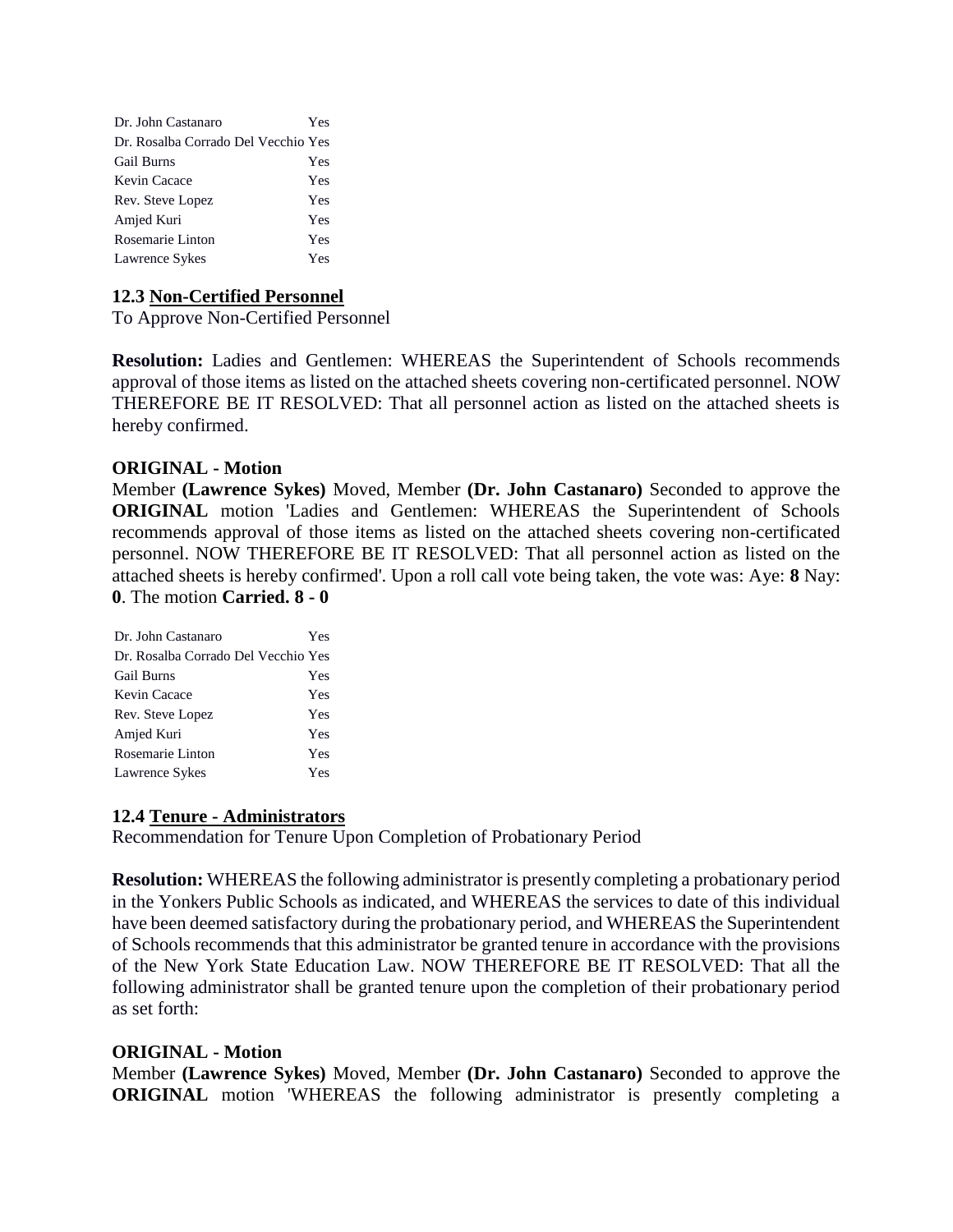| Dr. John Castanaro                  | Yes |
|-------------------------------------|-----|
| Dr. Rosalba Corrado Del Vecchio Yes |     |
| Gail Burns                          | Yes |
| Kevin Cacace                        | Yes |
| Rev. Steve Lopez                    | Yes |
| Amjed Kuri                          | Yes |
| Rosemarie Linton                    | Yes |
| Lawrence Sykes                      | Yes |

### **12.3 Non-Certified Personnel**

To Approve Non-Certified Personnel

**Resolution:** Ladies and Gentlemen: WHEREAS the Superintendent of Schools recommends approval of those items as listed on the attached sheets covering non-certificated personnel. NOW THEREFORE BE IT RESOLVED: That all personnel action as listed on the attached sheets is hereby confirmed.

#### **ORIGINAL - Motion**

Member **(Lawrence Sykes)** Moved, Member **(Dr. John Castanaro)** Seconded to approve the **ORIGINAL** motion 'Ladies and Gentlemen: WHEREAS the Superintendent of Schools recommends approval of those items as listed on the attached sheets covering non-certificated personnel. NOW THEREFORE BE IT RESOLVED: That all personnel action as listed on the attached sheets is hereby confirmed'. Upon a roll call vote being taken, the vote was: Aye: **8** Nay: **0**. The motion **Carried. 8 - 0** 

| Dr. John Castanaro                  | Yes |
|-------------------------------------|-----|
| Dr. Rosalba Corrado Del Vecchio Yes |     |
| <b>Gail Burns</b>                   | Yes |
| Kevin Cacace                        | Yes |
| Rev. Steve Lopez                    | Yes |
| Amjed Kuri                          | Yes |
| Rosemarie Linton                    | Yes |
| Lawrence Sykes                      | Yes |

### **12.4 Tenure - Administrators**

Recommendation for Tenure Upon Completion of Probationary Period

**Resolution:** WHEREAS the following administrator is presently completing a probationary period in the Yonkers Public Schools as indicated, and WHEREAS the services to date of this individual have been deemed satisfactory during the probationary period, and WHEREAS the Superintendent of Schools recommends that this administrator be granted tenure in accordance with the provisions of the New York State Education Law. NOW THEREFORE BE IT RESOLVED: That all the following administrator shall be granted tenure upon the completion of their probationary period as set forth:

### **ORIGINAL - Motion**

Member **(Lawrence Sykes)** Moved, Member **(Dr. John Castanaro)** Seconded to approve the **ORIGINAL** motion 'WHEREAS the following administrator is presently completing a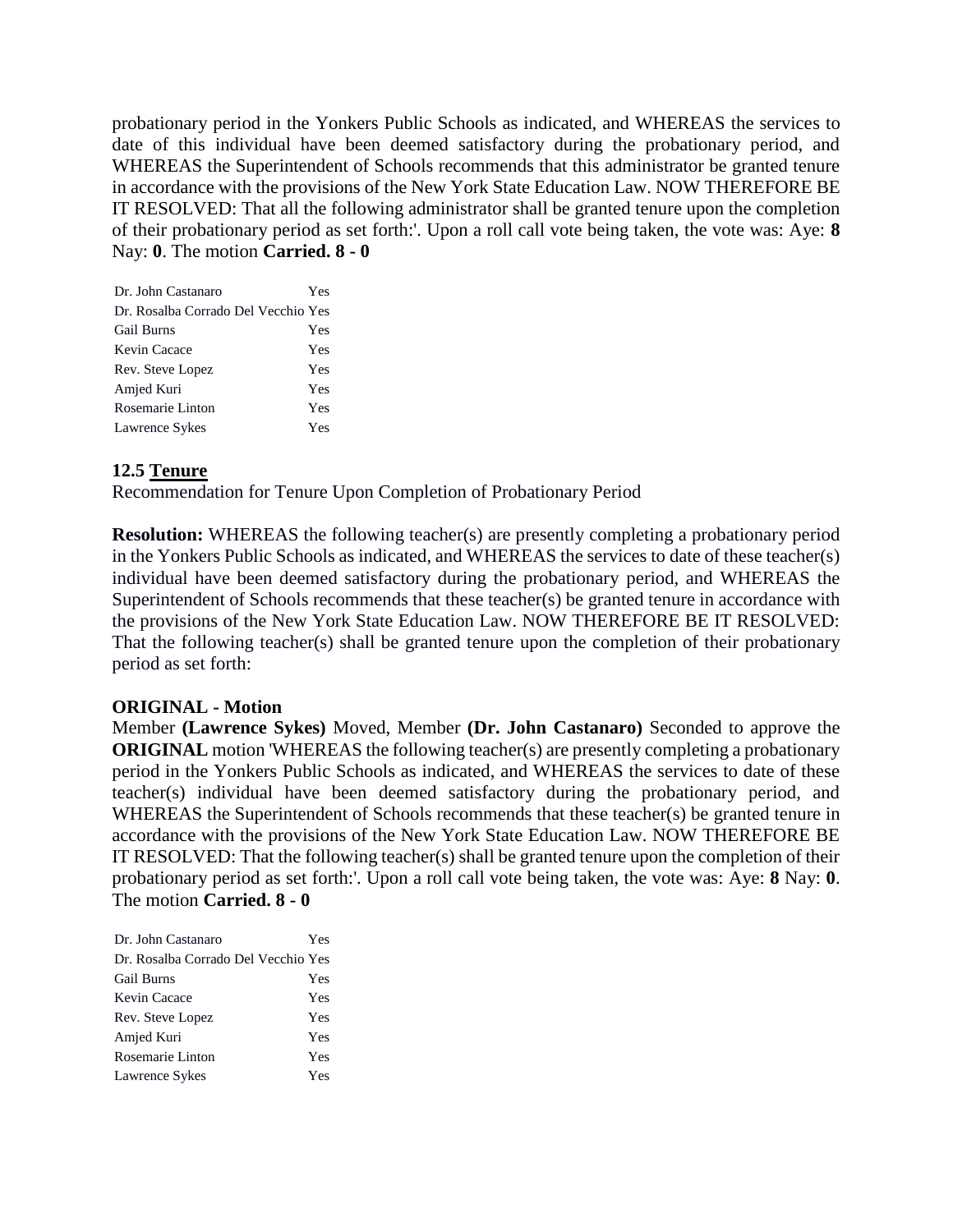probationary period in the Yonkers Public Schools as indicated, and WHEREAS the services to date of this individual have been deemed satisfactory during the probationary period, and WHEREAS the Superintendent of Schools recommends that this administrator be granted tenure in accordance with the provisions of the New York State Education Law. NOW THEREFORE BE IT RESOLVED: That all the following administrator shall be granted tenure upon the completion of their probationary period as set forth:'. Upon a roll call vote being taken, the vote was: Aye: **8** Nay: **0**. The motion **Carried. 8 - 0** 

| Dr. John Castanaro                  | Yes |
|-------------------------------------|-----|
| Dr. Rosalba Corrado Del Vecchio Yes |     |
| Gail Burns                          | Yes |
| Kevin Cacace                        | Yes |
| Rev. Steve Lopez                    | Yes |
| Amjed Kuri                          | Yes |
| Rosemarie Linton                    | Yes |
| Lawrence Sykes                      | Yes |

### **12.5 Tenure**

Recommendation for Tenure Upon Completion of Probationary Period

**Resolution:** WHEREAS the following teacher(s) are presently completing a probationary period in the Yonkers Public Schools as indicated, and WHEREAS the services to date of these teacher(s) individual have been deemed satisfactory during the probationary period, and WHEREAS the Superintendent of Schools recommends that these teacher(s) be granted tenure in accordance with the provisions of the New York State Education Law. NOW THEREFORE BE IT RESOLVED: That the following teacher(s) shall be granted tenure upon the completion of their probationary period as set forth:

### **ORIGINAL - Motion**

Member **(Lawrence Sykes)** Moved, Member **(Dr. John Castanaro)** Seconded to approve the **ORIGINAL** motion 'WHEREAS the following teacher(s) are presently completing a probationary period in the Yonkers Public Schools as indicated, and WHEREAS the services to date of these teacher(s) individual have been deemed satisfactory during the probationary period, and WHEREAS the Superintendent of Schools recommends that these teacher(s) be granted tenure in accordance with the provisions of the New York State Education Law. NOW THEREFORE BE IT RESOLVED: That the following teacher(s) shall be granted tenure upon the completion of their probationary period as set forth:'. Upon a roll call vote being taken, the vote was: Aye: **8** Nay: **0**. The motion **Carried. 8 - 0** 

| Dr. John Castanaro                  | Yes |
|-------------------------------------|-----|
| Dr. Rosalba Corrado Del Vecchio Yes |     |
| <b>Gail Burns</b>                   | Yes |
| Kevin Cacace                        | Yes |
| Rev. Steve Lopez                    | Yes |
| Amjed Kuri                          | Yes |
| Rosemarie Linton                    | Yes |
| Lawrence Sykes                      | Yes |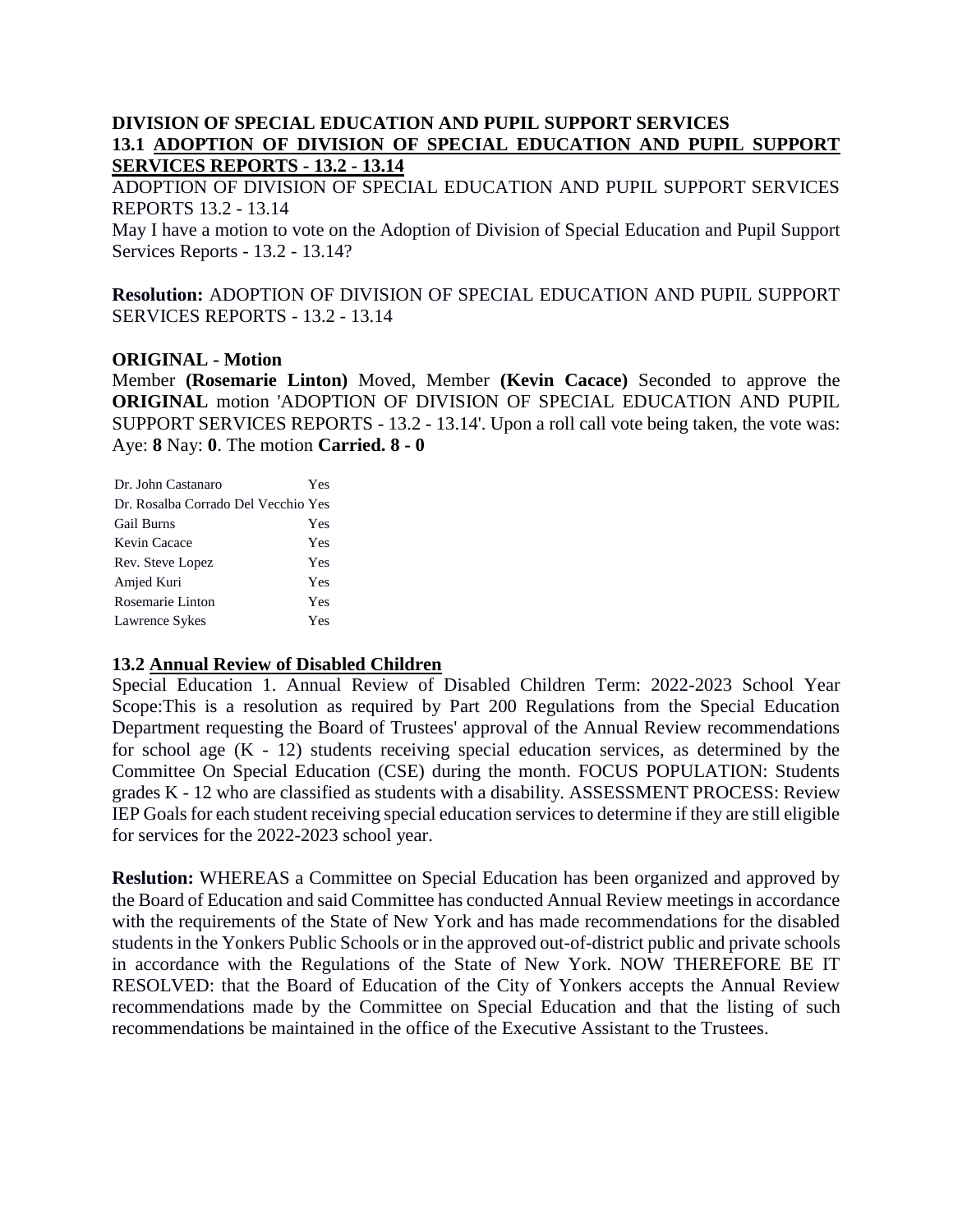### **DIVISION OF SPECIAL EDUCATION AND PUPIL SUPPORT SERVICES 13.1 ADOPTION OF DIVISION OF SPECIAL EDUCATION AND PUPIL SUPPORT SERVICES REPORTS - 13.2 - 13.14**

ADOPTION OF DIVISION OF SPECIAL EDUCATION AND PUPIL SUPPORT SERVICES REPORTS 13.2 - 13.14

May I have a motion to vote on the Adoption of Division of Special Education and Pupil Support Services Reports - 13.2 - 13.14?

**Resolution:** ADOPTION OF DIVISION OF SPECIAL EDUCATION AND PUPIL SUPPORT SERVICES REPORTS - 13.2 - 13.14

### **ORIGINAL - Motion**

Member **(Rosemarie Linton)** Moved, Member **(Kevin Cacace)** Seconded to approve the **ORIGINAL** motion 'ADOPTION OF DIVISION OF SPECIAL EDUCATION AND PUPIL SUPPORT SERVICES REPORTS - 13.2 - 13.14'. Upon a roll call vote being taken, the vote was: Aye: **8** Nay: **0**. The motion **Carried. 8 - 0** 

| Dr. John Castanaro                  | Yes |
|-------------------------------------|-----|
| Dr. Rosalba Corrado Del Vecchio Yes |     |
| Gail Burns                          | Yes |
| Kevin Cacace                        | Yes |
| Rev. Steve Lopez                    | Yes |
| Amjed Kuri                          | Yes |
| Rosemarie Linton                    | Yes |
| Lawrence Sykes                      | Yes |

# **13.2 Annual Review of Disabled Children**

Special Education 1. Annual Review of Disabled Children Term: 2022-2023 School Year Scope:This is a resolution as required by Part 200 Regulations from the Special Education Department requesting the Board of Trustees' approval of the Annual Review recommendations for school age (K - 12) students receiving special education services, as determined by the Committee On Special Education (CSE) during the month. FOCUS POPULATION: Students grades K - 12 who are classified as students with a disability. ASSESSMENT PROCESS: Review IEP Goals for each student receiving special education services to determine if they are still eligible for services for the 2022-2023 school year.

**Reslution:** WHEREAS a Committee on Special Education has been organized and approved by the Board of Education and said Committee has conducted Annual Review meetings in accordance with the requirements of the State of New York and has made recommendations for the disabled students in the Yonkers Public Schools or in the approved out-of-district public and private schools in accordance with the Regulations of the State of New York. NOW THEREFORE BE IT RESOLVED: that the Board of Education of the City of Yonkers accepts the Annual Review recommendations made by the Committee on Special Education and that the listing of such recommendations be maintained in the office of the Executive Assistant to the Trustees.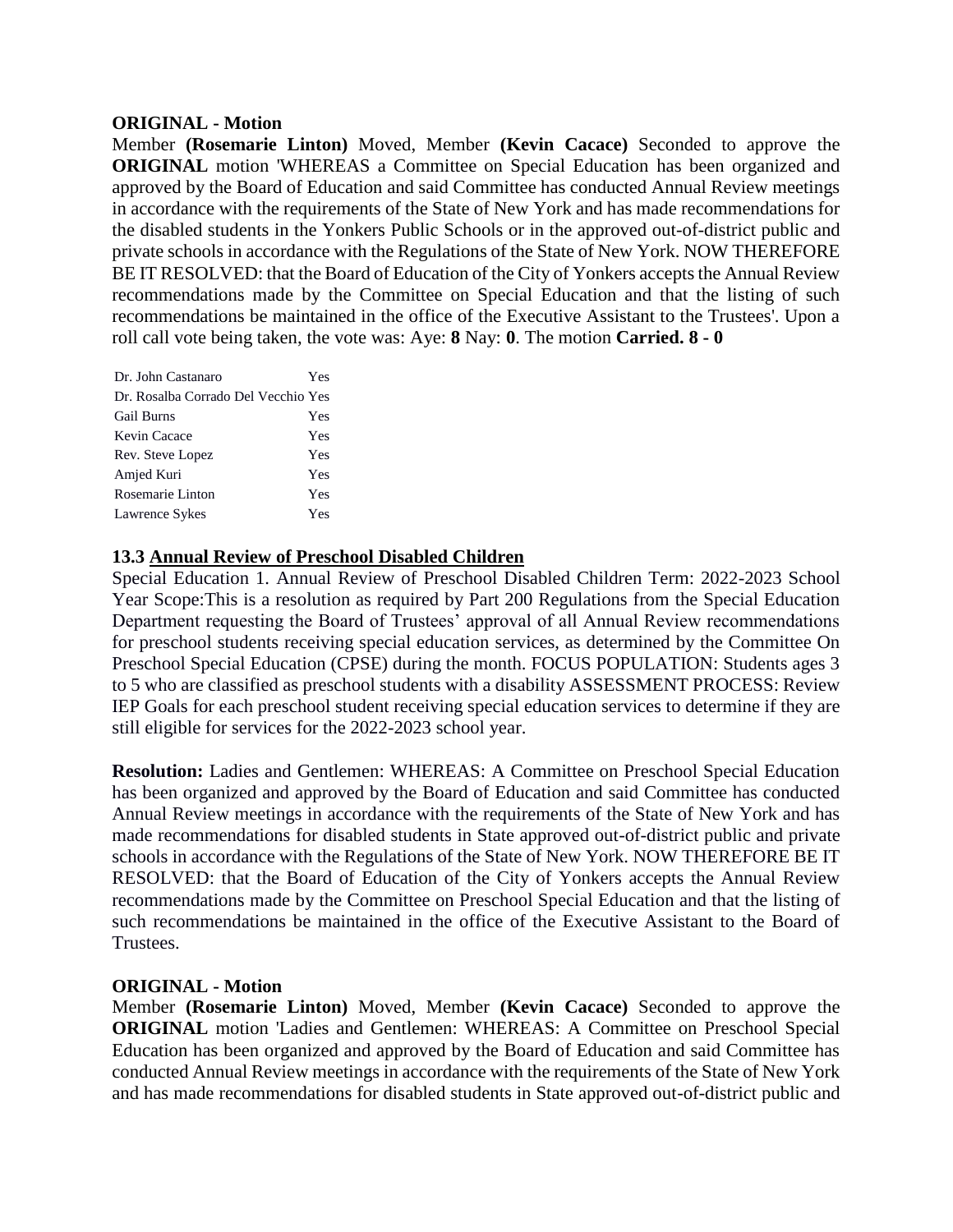#### **ORIGINAL - Motion**

Member **(Rosemarie Linton)** Moved, Member **(Kevin Cacace)** Seconded to approve the **ORIGINAL** motion 'WHEREAS a Committee on Special Education has been organized and approved by the Board of Education and said Committee has conducted Annual Review meetings in accordance with the requirements of the State of New York and has made recommendations for the disabled students in the Yonkers Public Schools or in the approved out-of-district public and private schools in accordance with the Regulations of the State of New York. NOW THEREFORE BE IT RESOLVED: that the Board of Education of the City of Yonkers accepts the Annual Review recommendations made by the Committee on Special Education and that the listing of such recommendations be maintained in the office of the Executive Assistant to the Trustees'. Upon a roll call vote being taken, the vote was: Aye: **8** Nay: **0**. The motion **Carried. 8 - 0** 

| Dr. John Castanaro                  | Yes |
|-------------------------------------|-----|
| Dr. Rosalba Corrado Del Vecchio Yes |     |
| <b>Gail Burns</b>                   | Yes |
| Kevin Cacace                        | Yes |
| Rev. Steve Lopez                    | Yes |
| Amjed Kuri                          | Yes |
| Rosemarie Linton                    | Yes |
| Lawrence Sykes                      | Yes |

### **13.3 Annual Review of Preschool Disabled Children**

Special Education 1. Annual Review of Preschool Disabled Children Term: 2022-2023 School Year Scope:This is a resolution as required by Part 200 Regulations from the Special Education Department requesting the Board of Trustees' approval of all Annual Review recommendations for preschool students receiving special education services, as determined by the Committee On Preschool Special Education (CPSE) during the month. FOCUS POPULATION: Students ages 3 to 5 who are classified as preschool students with a disability ASSESSMENT PROCESS: Review IEP Goals for each preschool student receiving special education services to determine if they are still eligible for services for the 2022-2023 school year.

**Resolution:** Ladies and Gentlemen: WHEREAS: A Committee on Preschool Special Education has been organized and approved by the Board of Education and said Committee has conducted Annual Review meetings in accordance with the requirements of the State of New York and has made recommendations for disabled students in State approved out-of-district public and private schools in accordance with the Regulations of the State of New York. NOW THEREFORE BE IT RESOLVED: that the Board of Education of the City of Yonkers accepts the Annual Review recommendations made by the Committee on Preschool Special Education and that the listing of such recommendations be maintained in the office of the Executive Assistant to the Board of Trustees.

### **ORIGINAL - Motion**

Member **(Rosemarie Linton)** Moved, Member **(Kevin Cacace)** Seconded to approve the **ORIGINAL** motion 'Ladies and Gentlemen: WHEREAS: A Committee on Preschool Special Education has been organized and approved by the Board of Education and said Committee has conducted Annual Review meetings in accordance with the requirements of the State of New York and has made recommendations for disabled students in State approved out-of-district public and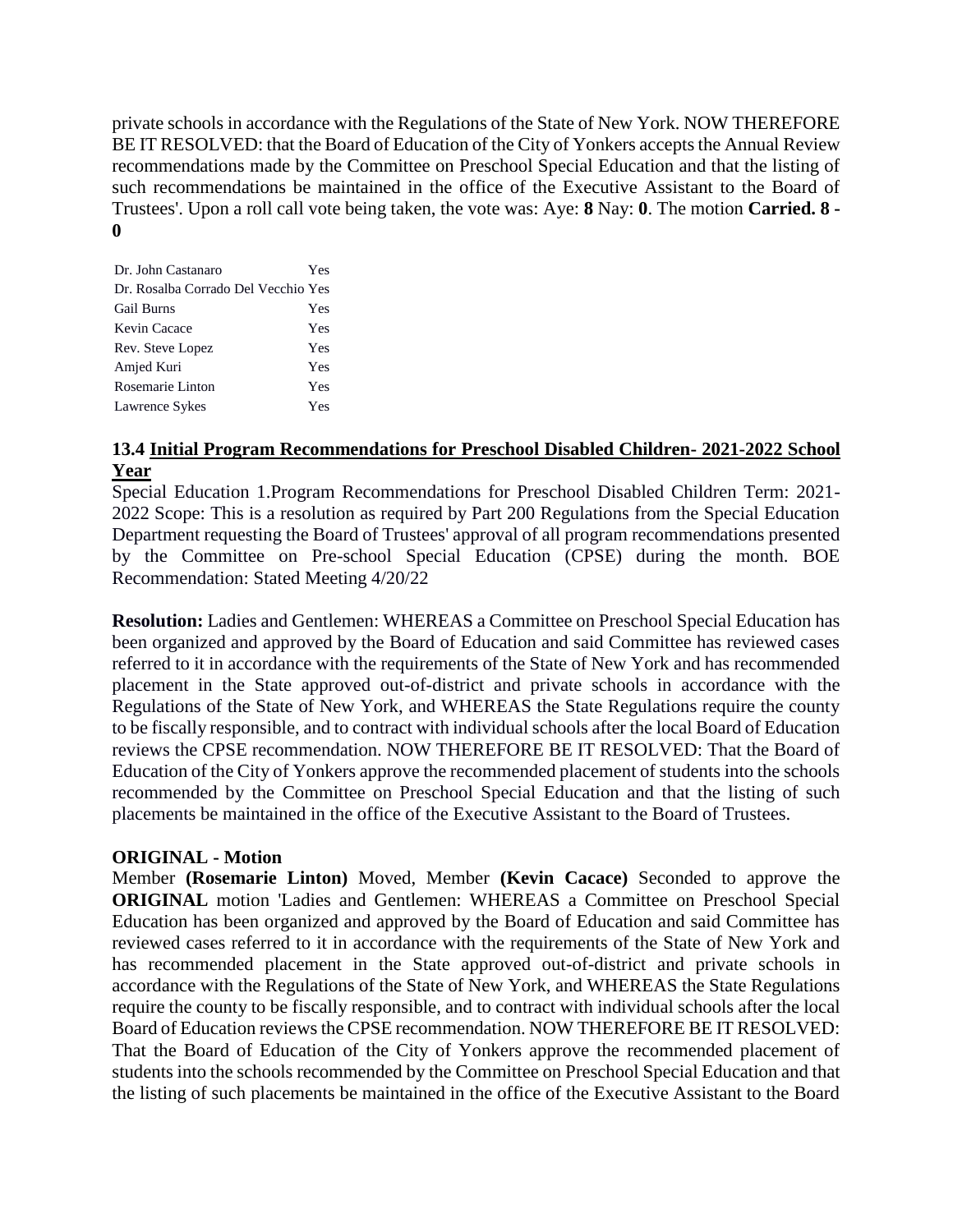private schools in accordance with the Regulations of the State of New York. NOW THEREFORE BE IT RESOLVED: that the Board of Education of the City of Yonkers accepts the Annual Review recommendations made by the Committee on Preschool Special Education and that the listing of such recommendations be maintained in the office of the Executive Assistant to the Board of Trustees'. Upon a roll call vote being taken, the vote was: Aye: **8** Nay: **0**. The motion **Carried. 8 - 0** 

| Dr. John Castanaro                  | Yes |
|-------------------------------------|-----|
| Dr. Rosalba Corrado Del Vecchio Yes |     |
| <b>Gail Burns</b>                   | Yes |
| Kevin Cacace                        | Yes |
| Rev. Steve Lopez                    | Yes |
| Amjed Kuri                          | Yes |
| Rosemarie Linton                    | Yes |
| Lawrence Sykes                      | Yes |

### **13.4 Initial Program Recommendations for Preschool Disabled Children- 2021-2022 School Year**

Special Education 1.Program Recommendations for Preschool Disabled Children Term: 2021- 2022 Scope: This is a resolution as required by Part 200 Regulations from the Special Education Department requesting the Board of Trustees' approval of all program recommendations presented by the Committee on Pre-school Special Education (CPSE) during the month. BOE Recommendation: Stated Meeting 4/20/22

**Resolution:** Ladies and Gentlemen: WHEREAS a Committee on Preschool Special Education has been organized and approved by the Board of Education and said Committee has reviewed cases referred to it in accordance with the requirements of the State of New York and has recommended placement in the State approved out-of-district and private schools in accordance with the Regulations of the State of New York, and WHEREAS the State Regulations require the county to be fiscally responsible, and to contract with individual schools after the local Board of Education reviews the CPSE recommendation. NOW THEREFORE BE IT RESOLVED: That the Board of Education of the City of Yonkers approve the recommended placement of students into the schools recommended by the Committee on Preschool Special Education and that the listing of such placements be maintained in the office of the Executive Assistant to the Board of Trustees.

### **ORIGINAL - Motion**

Member **(Rosemarie Linton)** Moved, Member **(Kevin Cacace)** Seconded to approve the **ORIGINAL** motion 'Ladies and Gentlemen: WHEREAS a Committee on Preschool Special Education has been organized and approved by the Board of Education and said Committee has reviewed cases referred to it in accordance with the requirements of the State of New York and has recommended placement in the State approved out-of-district and private schools in accordance with the Regulations of the State of New York, and WHEREAS the State Regulations require the county to be fiscally responsible, and to contract with individual schools after the local Board of Education reviews the CPSE recommendation. NOW THEREFORE BE IT RESOLVED: That the Board of Education of the City of Yonkers approve the recommended placement of students into the schools recommended by the Committee on Preschool Special Education and that the listing of such placements be maintained in the office of the Executive Assistant to the Board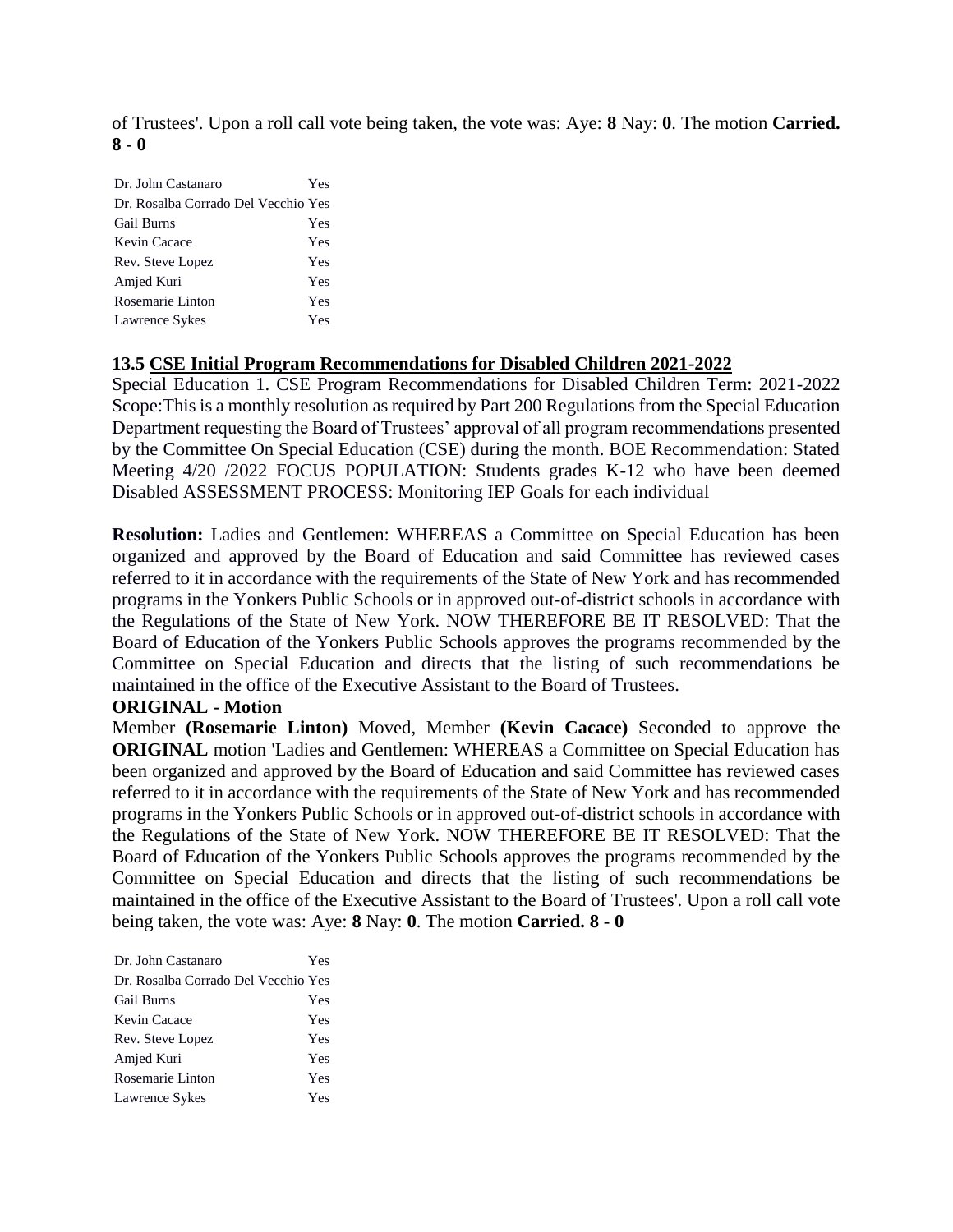of Trustees'. Upon a roll call vote being taken, the vote was: Aye: **8** Nay: **0**. The motion **Carried. 8 - 0** 

| Dr. John Castanaro                  | Yes |
|-------------------------------------|-----|
| Dr. Rosalba Corrado Del Vecchio Yes |     |
| <b>Gail Burns</b>                   | Yes |
| Kevin Cacace                        | Yes |
| Rev. Steve Lopez                    | Yes |
| Amjed Kuri                          | Yes |
| Rosemarie Linton                    | Yes |
| Lawrence Sykes                      | Yes |

### **13.5 CSE Initial Program Recommendations for Disabled Children 2021-2022**

Special Education 1. CSE Program Recommendations for Disabled Children Term: 2021-2022 Scope:This is a monthly resolution as required by Part 200 Regulations from the Special Education Department requesting the Board of Trustees' approval of all program recommendations presented by the Committee On Special Education (CSE) during the month. BOE Recommendation: Stated Meeting 4/20 /2022 FOCUS POPULATION: Students grades K-12 who have been deemed Disabled ASSESSMENT PROCESS: Monitoring IEP Goals for each individual

**Resolution:** Ladies and Gentlemen: WHEREAS a Committee on Special Education has been organized and approved by the Board of Education and said Committee has reviewed cases referred to it in accordance with the requirements of the State of New York and has recommended programs in the Yonkers Public Schools or in approved out-of-district schools in accordance with the Regulations of the State of New York. NOW THEREFORE BE IT RESOLVED: That the Board of Education of the Yonkers Public Schools approves the programs recommended by the Committee on Special Education and directs that the listing of such recommendations be maintained in the office of the Executive Assistant to the Board of Trustees.

#### **ORIGINAL - Motion**

Member **(Rosemarie Linton)** Moved, Member **(Kevin Cacace)** Seconded to approve the **ORIGINAL** motion 'Ladies and Gentlemen: WHEREAS a Committee on Special Education has been organized and approved by the Board of Education and said Committee has reviewed cases referred to it in accordance with the requirements of the State of New York and has recommended programs in the Yonkers Public Schools or in approved out-of-district schools in accordance with the Regulations of the State of New York. NOW THEREFORE BE IT RESOLVED: That the Board of Education of the Yonkers Public Schools approves the programs recommended by the Committee on Special Education and directs that the listing of such recommendations be maintained in the office of the Executive Assistant to the Board of Trustees'. Upon a roll call vote being taken, the vote was: Aye: **8** Nay: **0**. The motion **Carried. 8 - 0** 

| Dr. John Castanaro                  | Yes |
|-------------------------------------|-----|
| Dr. Rosalba Corrado Del Vecchio Yes |     |
| <b>Gail Burns</b>                   | Yes |
| Kevin Cacace                        | Yes |
| Rev. Steve Lopez                    | Yes |
| Amjed Kuri                          | Yes |
| Rosemarie Linton                    | Yes |
| Lawrence Sykes                      | Yes |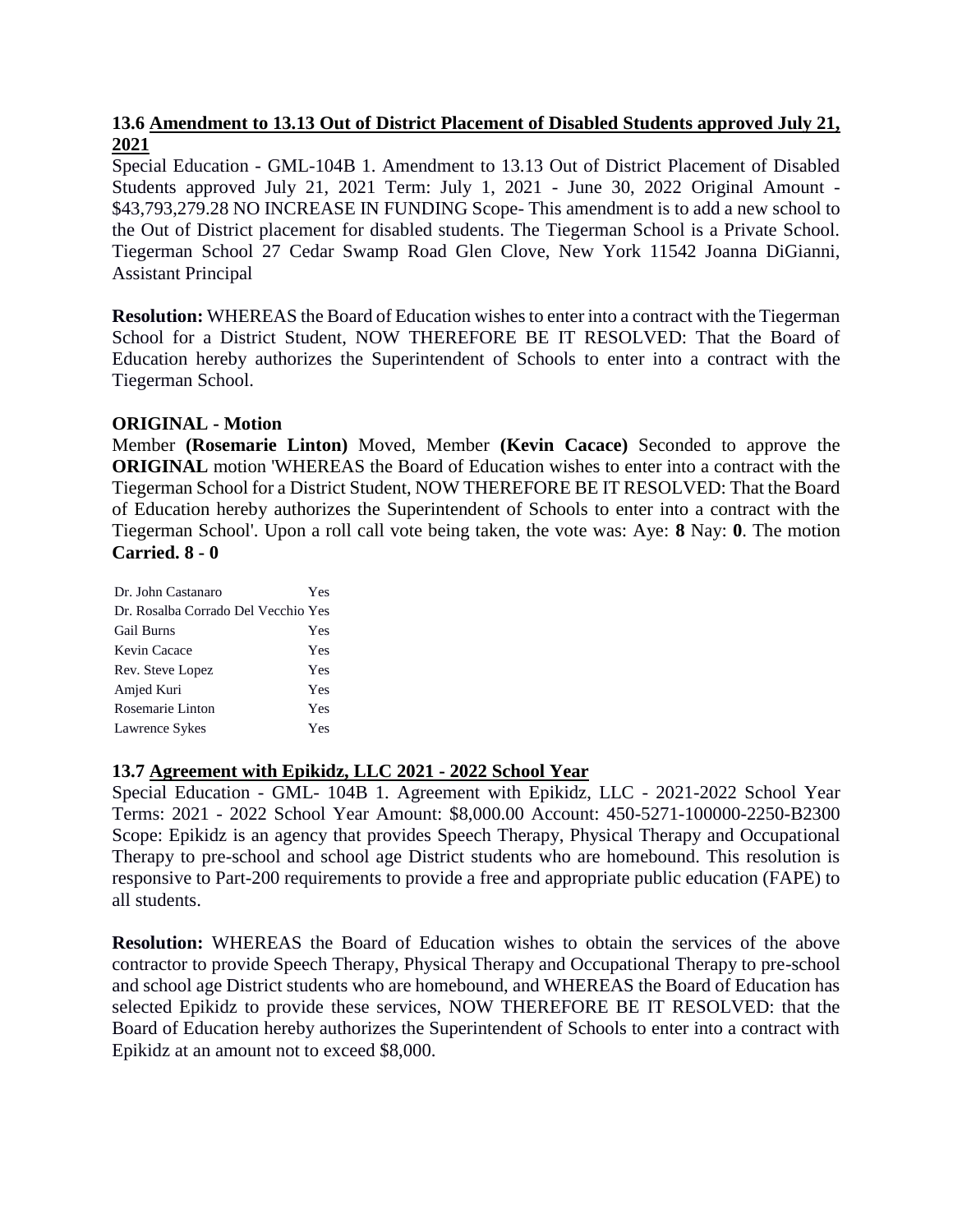# **13.6 Amendment to 13.13 Out of District Placement of Disabled Students approved July 21, 2021**

Special Education - GML-104B 1. Amendment to 13.13 Out of District Placement of Disabled Students approved July 21, 2021 Term: July 1, 2021 - June 30, 2022 Original Amount - \$43,793,279.28 NO INCREASE IN FUNDING Scope- This amendment is to add a new school to the Out of District placement for disabled students. The Tiegerman School is a Private School. Tiegerman School 27 Cedar Swamp Road Glen Clove, New York 11542 Joanna DiGianni, Assistant Principal

**Resolution:** WHEREAS the Board of Education wishes to enter into a contract with the Tiegerman School for a District Student, NOW THEREFORE BE IT RESOLVED: That the Board of Education hereby authorizes the Superintendent of Schools to enter into a contract with the Tiegerman School.

### **ORIGINAL - Motion**

Member **(Rosemarie Linton)** Moved, Member **(Kevin Cacace)** Seconded to approve the **ORIGINAL** motion 'WHEREAS the Board of Education wishes to enter into a contract with the Tiegerman School for a District Student, NOW THEREFORE BE IT RESOLVED: That the Board of Education hereby authorizes the Superintendent of Schools to enter into a contract with the Tiegerman School'. Upon a roll call vote being taken, the vote was: Aye: **8** Nay: **0**. The motion **Carried. 8 - 0** 

| Dr. John Castanaro                  | Yes |
|-------------------------------------|-----|
| Dr. Rosalba Corrado Del Vecchio Yes |     |
| <b>Gail Burns</b>                   | Yes |
| Kevin Cacace                        | Yes |
| Rev. Steve Lopez                    | Yes |
| Amjed Kuri                          | Yes |
| Rosemarie Linton                    | Yes |
| Lawrence Sykes                      | Yes |

# **13.7 Agreement with Epikidz, LLC 2021 - 2022 School Year**

Special Education - GML- 104B 1. Agreement with Epikidz, LLC - 2021-2022 School Year Terms: 2021 - 2022 School Year Amount: \$8,000.00 Account: 450-5271-100000-2250-B2300 Scope: Epikidz is an agency that provides Speech Therapy, Physical Therapy and Occupational Therapy to pre-school and school age District students who are homebound. This resolution is responsive to Part-200 requirements to provide a free and appropriate public education (FAPE) to all students.

**Resolution:** WHEREAS the Board of Education wishes to obtain the services of the above contractor to provide Speech Therapy, Physical Therapy and Occupational Therapy to pre-school and school age District students who are homebound, and WHEREAS the Board of Education has selected Epikidz to provide these services, NOW THEREFORE BE IT RESOLVED: that the Board of Education hereby authorizes the Superintendent of Schools to enter into a contract with Epikidz at an amount not to exceed \$8,000.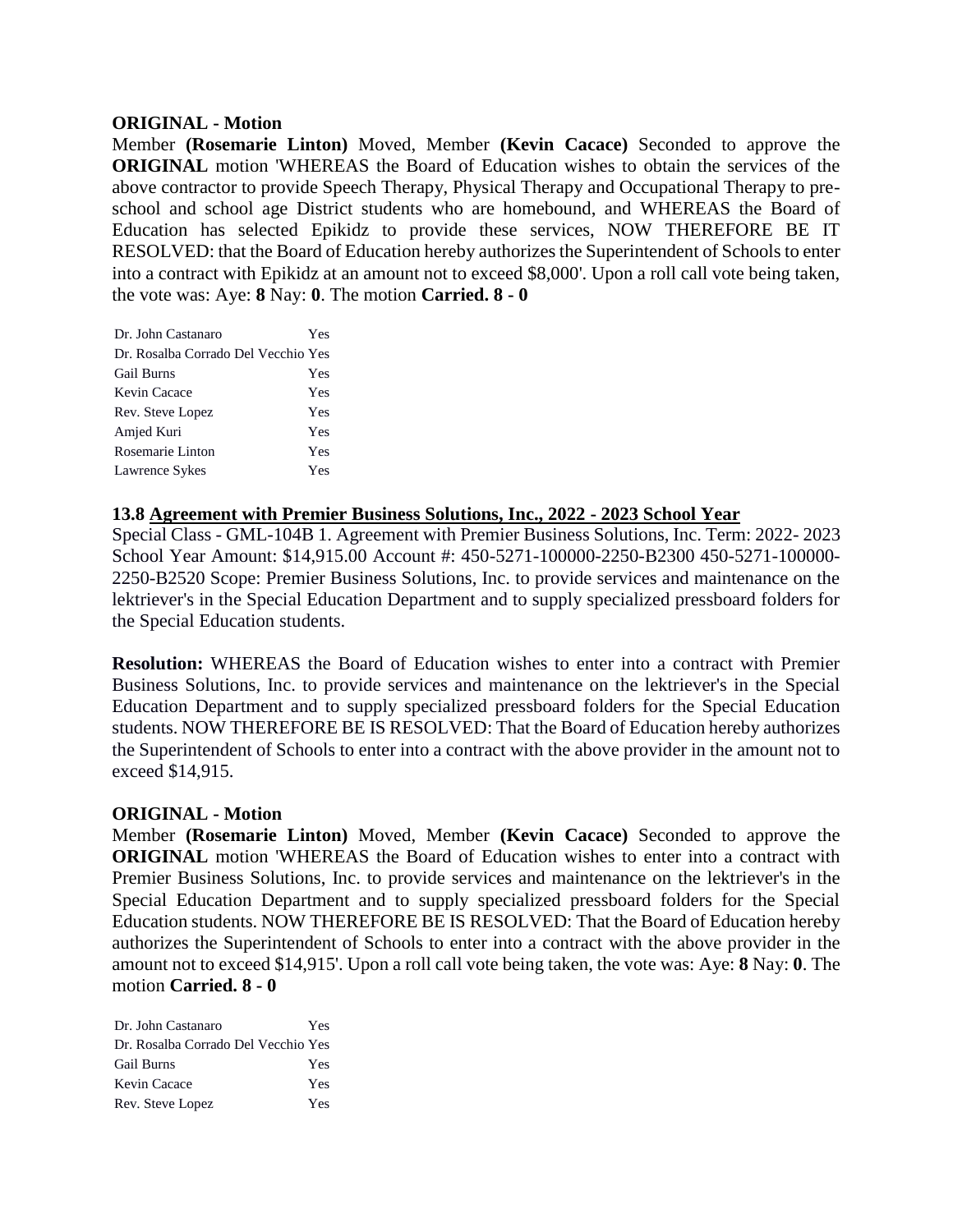#### **ORIGINAL - Motion**

Member **(Rosemarie Linton)** Moved, Member **(Kevin Cacace)** Seconded to approve the **ORIGINAL** motion 'WHEREAS the Board of Education wishes to obtain the services of the above contractor to provide Speech Therapy, Physical Therapy and Occupational Therapy to preschool and school age District students who are homebound, and WHEREAS the Board of Education has selected Epikidz to provide these services, NOW THEREFORE BE IT RESOLVED: that the Board of Education hereby authorizes the Superintendent of Schools to enter into a contract with Epikidz at an amount not to exceed \$8,000'. Upon a roll call vote being taken, the vote was: Aye: **8** Nay: **0**. The motion **Carried. 8 - 0** 

| Dr. John Castanaro                  | Yes |
|-------------------------------------|-----|
| Dr. Rosalba Corrado Del Vecchio Yes |     |
| <b>Gail Burns</b>                   | Yes |
| Kevin Cacace                        | Yes |
| Rev. Steve Lopez                    | Yes |
| Amjed Kuri                          | Yes |
| Rosemarie Linton                    | Yes |
| Lawrence Sykes                      | Yes |

### **13.8 Agreement with Premier Business Solutions, Inc., 2022 - 2023 School Year**

Special Class - GML-104B 1. Agreement with Premier Business Solutions, Inc. Term: 2022- 2023 School Year Amount: \$14,915.00 Account #: 450-5271-100000-2250-B2300 450-5271-100000- 2250-B2520 Scope: Premier Business Solutions, Inc. to provide services and maintenance on the lektriever's in the Special Education Department and to supply specialized pressboard folders for the Special Education students.

**Resolution:** WHEREAS the Board of Education wishes to enter into a contract with Premier Business Solutions, Inc. to provide services and maintenance on the lektriever's in the Special Education Department and to supply specialized pressboard folders for the Special Education students. NOW THEREFORE BE IS RESOLVED: That the Board of Education hereby authorizes the Superintendent of Schools to enter into a contract with the above provider in the amount not to exceed \$14,915.

### **ORIGINAL - Motion**

Member **(Rosemarie Linton)** Moved, Member **(Kevin Cacace)** Seconded to approve the **ORIGINAL** motion 'WHEREAS the Board of Education wishes to enter into a contract with Premier Business Solutions, Inc. to provide services and maintenance on the lektriever's in the Special Education Department and to supply specialized pressboard folders for the Special Education students. NOW THEREFORE BE IS RESOLVED: That the Board of Education hereby authorizes the Superintendent of Schools to enter into a contract with the above provider in the amount not to exceed \$14,915'. Upon a roll call vote being taken, the vote was: Aye: **8** Nay: **0**. The motion **Carried. 8 - 0** 

| Dr. John Castanaro                  | Yes |
|-------------------------------------|-----|
| Dr. Rosalba Corrado Del Vecchio Yes |     |
| Gail Burns                          | Yes |
| Kevin Cacace                        | Yes |
| Rev. Steve Lopez                    | Yes |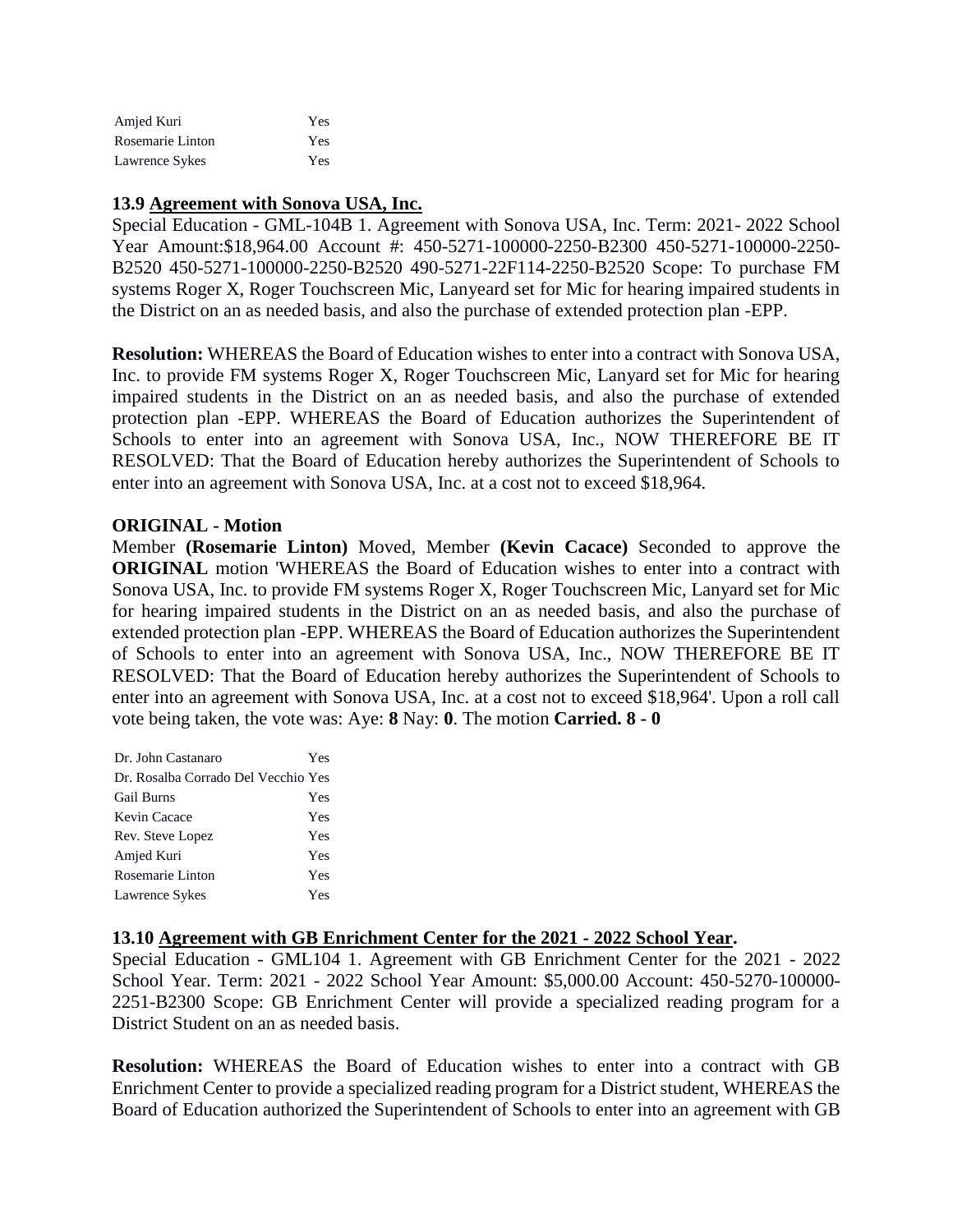| Amjed Kuri       | Yes |
|------------------|-----|
| Rosemarie Linton | Yes |
| Lawrence Sykes   | Yes |

### **13.9 Agreement with Sonova USA, Inc.**

Special Education - GML-104B 1. Agreement with Sonova USA, Inc. Term: 2021- 2022 School Year Amount:\$18,964.00 Account #: 450-5271-100000-2250-B2300 450-5271-100000-2250-B2520 450-5271-100000-2250-B2520 490-5271-22F114-2250-B2520 Scope: To purchase FM systems Roger X, Roger Touchscreen Mic, Lanyeard set for Mic for hearing impaired students in the District on an as needed basis, and also the purchase of extended protection plan -EPP.

**Resolution:** WHEREAS the Board of Education wishes to enter into a contract with Sonova USA, Inc. to provide FM systems Roger X, Roger Touchscreen Mic, Lanyard set for Mic for hearing impaired students in the District on an as needed basis, and also the purchase of extended protection plan -EPP. WHEREAS the Board of Education authorizes the Superintendent of Schools to enter into an agreement with Sonova USA, Inc., NOW THEREFORE BE IT RESOLVED: That the Board of Education hereby authorizes the Superintendent of Schools to enter into an agreement with Sonova USA, Inc. at a cost not to exceed \$18,964.

#### **ORIGINAL - Motion**

Member **(Rosemarie Linton)** Moved, Member **(Kevin Cacace)** Seconded to approve the **ORIGINAL** motion 'WHEREAS the Board of Education wishes to enter into a contract with Sonova USA, Inc. to provide FM systems Roger X, Roger Touchscreen Mic, Lanyard set for Mic for hearing impaired students in the District on an as needed basis, and also the purchase of extended protection plan -EPP. WHEREAS the Board of Education authorizes the Superintendent of Schools to enter into an agreement with Sonova USA, Inc., NOW THEREFORE BE IT RESOLVED: That the Board of Education hereby authorizes the Superintendent of Schools to enter into an agreement with Sonova USA, Inc. at a cost not to exceed \$18,964'. Upon a roll call vote being taken, the vote was: Aye: **8** Nay: **0**. The motion **Carried. 8 - 0** 

| Dr. John Castanaro                  | Yes |
|-------------------------------------|-----|
| Dr. Rosalba Corrado Del Vecchio Yes |     |
| <b>Gail Burns</b>                   | Yes |
| Kevin Cacace                        | Yes |
| Rev. Steve Lopez                    | Yes |
| Amjed Kuri                          | Yes |
| Rosemarie Linton                    | Yes |
| Lawrence Sykes                      | Yes |

### **13.10 Agreement with GB Enrichment Center for the 2021 - 2022 School Year.**

Special Education - GML104 1. Agreement with GB Enrichment Center for the 2021 - 2022 School Year. Term: 2021 - 2022 School Year Amount: \$5,000.00 Account: 450-5270-100000- 2251-B2300 Scope: GB Enrichment Center will provide a specialized reading program for a District Student on an as needed basis.

**Resolution:** WHEREAS the Board of Education wishes to enter into a contract with GB Enrichment Center to provide a specialized reading program for a District student, WHEREAS the Board of Education authorized the Superintendent of Schools to enter into an agreement with GB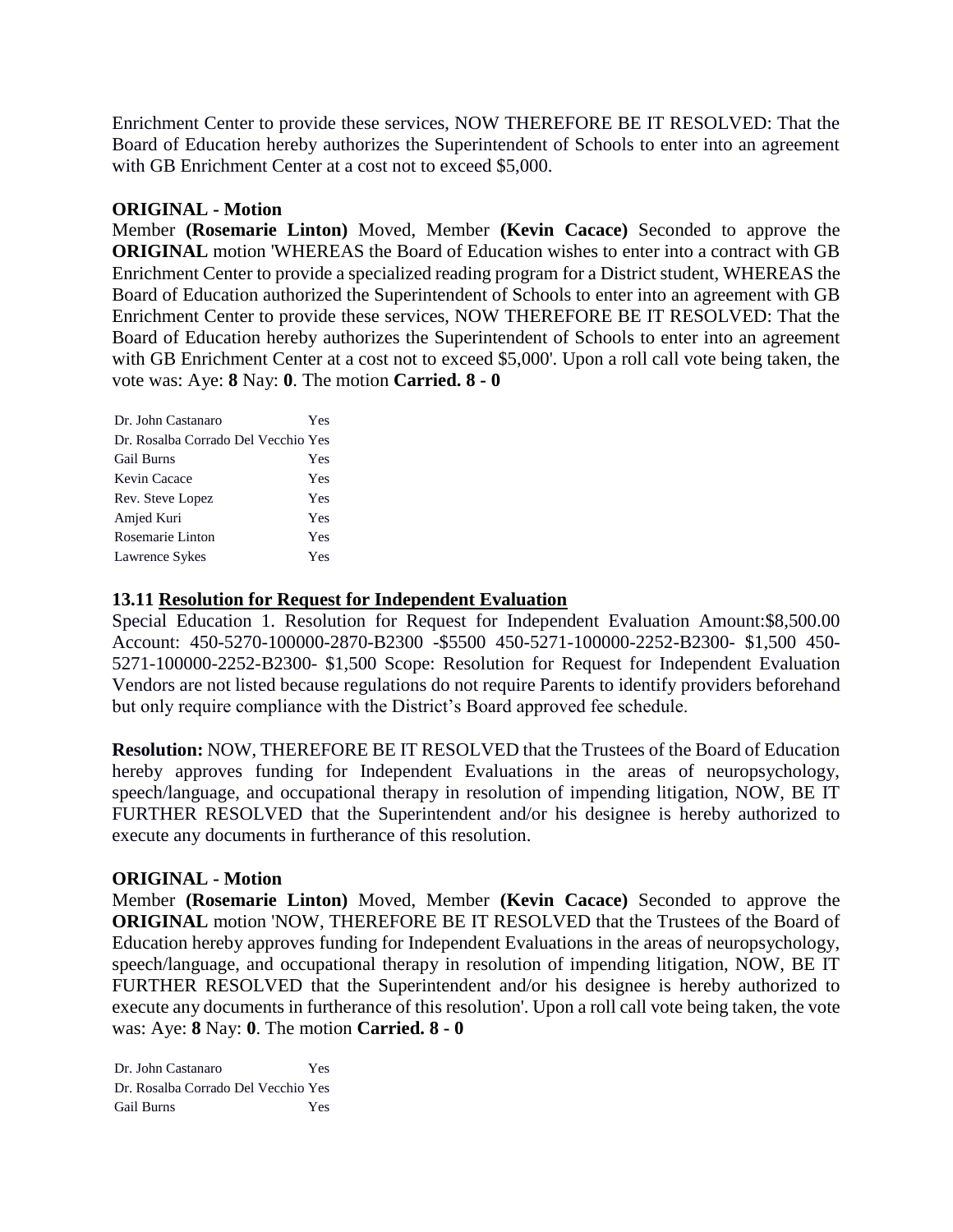Enrichment Center to provide these services, NOW THEREFORE BE IT RESOLVED: That the Board of Education hereby authorizes the Superintendent of Schools to enter into an agreement with GB Enrichment Center at a cost not to exceed \$5,000.

#### **ORIGINAL - Motion**

Member **(Rosemarie Linton)** Moved, Member **(Kevin Cacace)** Seconded to approve the **ORIGINAL** motion 'WHEREAS the Board of Education wishes to enter into a contract with GB Enrichment Center to provide a specialized reading program for a District student, WHEREAS the Board of Education authorized the Superintendent of Schools to enter into an agreement with GB Enrichment Center to provide these services, NOW THEREFORE BE IT RESOLVED: That the Board of Education hereby authorizes the Superintendent of Schools to enter into an agreement with GB Enrichment Center at a cost not to exceed \$5,000'. Upon a roll call vote being taken, the vote was: Aye: **8** Nay: **0**. The motion **Carried. 8 - 0** 

| Dr. John Castanaro                  | Yes |
|-------------------------------------|-----|
| Dr. Rosalba Corrado Del Vecchio Yes |     |
| <b>Gail Burns</b>                   | Yes |
| Kevin Cacace                        | Yes |
| Rev. Steve Lopez                    | Yes |
| Amjed Kuri                          | Yes |
| Rosemarie Linton                    | Yes |
| Lawrence Sykes                      | Yes |

#### **13.11 Resolution for Request for Independent Evaluation**

Special Education 1. Resolution for Request for Independent Evaluation Amount:\$8,500.00 Account: 450-5270-100000-2870-B2300 -\$5500 450-5271-100000-2252-B2300- \$1,500 450- 5271-100000-2252-B2300- \$1,500 Scope: Resolution for Request for Independent Evaluation Vendors are not listed because regulations do not require Parents to identify providers beforehand but only require compliance with the District's Board approved fee schedule.

**Resolution:** NOW, THEREFORE BE IT RESOLVED that the Trustees of the Board of Education hereby approves funding for Independent Evaluations in the areas of neuropsychology, speech/language, and occupational therapy in resolution of impending litigation, NOW, BE IT FURTHER RESOLVED that the Superintendent and/or his designee is hereby authorized to execute any documents in furtherance of this resolution.

#### **ORIGINAL - Motion**

Member **(Rosemarie Linton)** Moved, Member **(Kevin Cacace)** Seconded to approve the **ORIGINAL** motion 'NOW, THEREFORE BE IT RESOLVED that the Trustees of the Board of Education hereby approves funding for Independent Evaluations in the areas of neuropsychology, speech/language, and occupational therapy in resolution of impending litigation, NOW, BE IT FURTHER RESOLVED that the Superintendent and/or his designee is hereby authorized to execute any documents in furtherance of this resolution'. Upon a roll call vote being taken, the vote was: Aye: **8** Nay: **0**. The motion **Carried. 8 - 0** 

Dr. John Castanaro Yes Dr. Rosalba Corrado Del Vecchio Yes Gail Burns Yes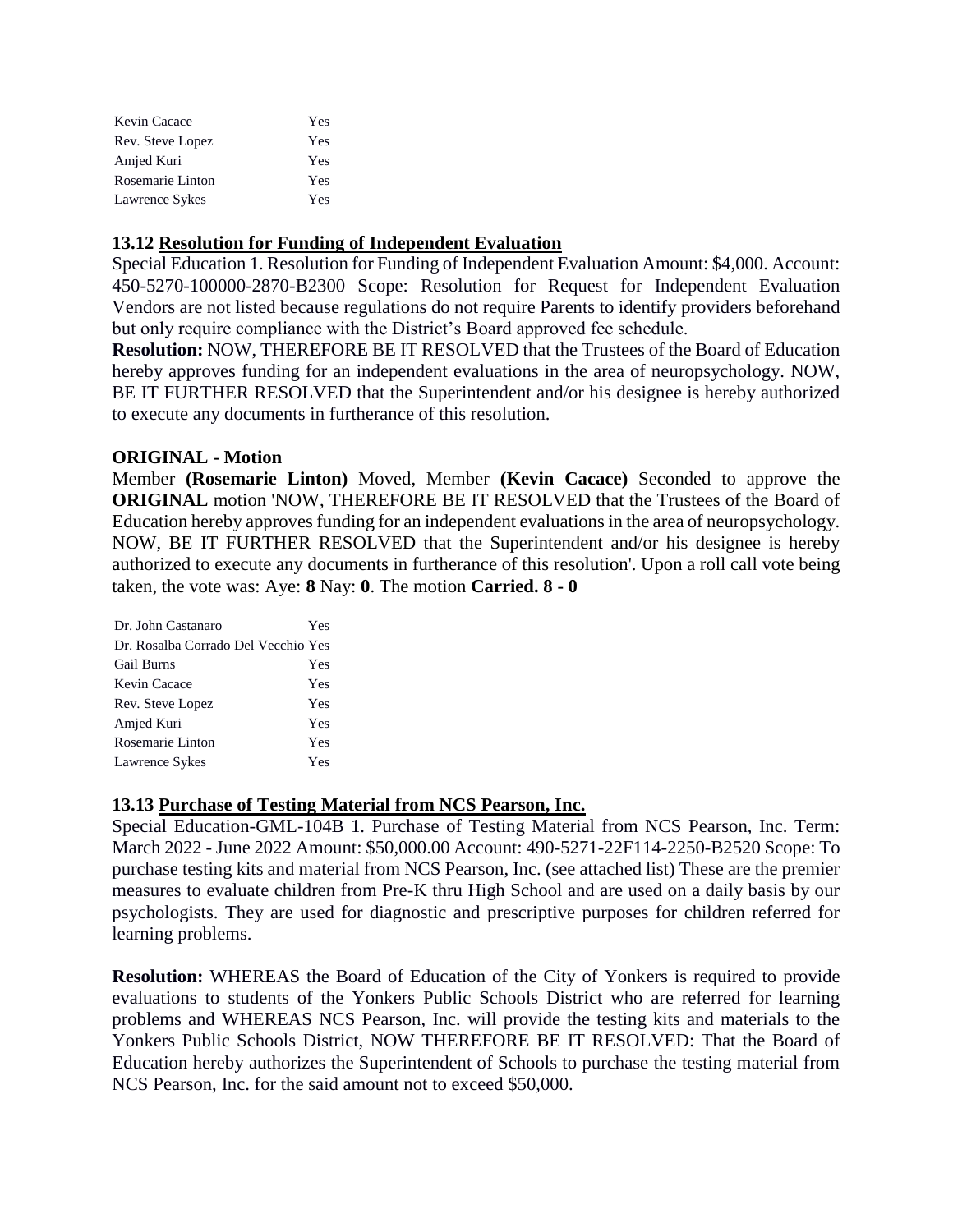| Kevin Cacace     | Yes.       |
|------------------|------------|
| Rev. Steve Lopez | <b>Yes</b> |
| Amjed Kuri       | Yes        |
| Rosemarie Linton | Yes        |
| Lawrence Sykes   | Yes        |

### **13.12 Resolution for Funding of Independent Evaluation**

Special Education 1. Resolution for Funding of Independent Evaluation Amount: \$4,000. Account: 450-5270-100000-2870-B2300 Scope: Resolution for Request for Independent Evaluation Vendors are not listed because regulations do not require Parents to identify providers beforehand but only require compliance with the District's Board approved fee schedule.

**Resolution:** NOW, THEREFORE BE IT RESOLVED that the Trustees of the Board of Education hereby approves funding for an independent evaluations in the area of neuropsychology. NOW, BE IT FURTHER RESOLVED that the Superintendent and/or his designee is hereby authorized to execute any documents in furtherance of this resolution.

### **ORIGINAL - Motion**

Member **(Rosemarie Linton)** Moved, Member **(Kevin Cacace)** Seconded to approve the **ORIGINAL** motion 'NOW, THEREFORE BE IT RESOLVED that the Trustees of the Board of Education hereby approves funding for an independent evaluations in the area of neuropsychology. NOW, BE IT FURTHER RESOLVED that the Superintendent and/or his designee is hereby authorized to execute any documents in furtherance of this resolution'. Upon a roll call vote being taken, the vote was: Aye: **8** Nay: **0**. The motion **Carried. 8 - 0** 

| Dr. John Castanaro                  | Yes |
|-------------------------------------|-----|
| Dr. Rosalba Corrado Del Vecchio Yes |     |
| <b>Gail Burns</b>                   | Yes |
| Kevin Cacace                        | Yes |
| Rev. Steve Lopez                    | Yes |
| Amjed Kuri                          | Yes |
| Rosemarie Linton                    | Yes |
| Lawrence Sykes                      | Yes |

### **13.13 Purchase of Testing Material from NCS Pearson, Inc.**

Special Education-GML-104B 1. Purchase of Testing Material from NCS Pearson, Inc. Term: March 2022 - June 2022 Amount: \$50,000.00 Account: 490-5271-22F114-2250-B2520 Scope: To purchase testing kits and material from NCS Pearson, Inc. (see attached list) These are the premier measures to evaluate children from Pre-K thru High School and are used on a daily basis by our psychologists. They are used for diagnostic and prescriptive purposes for children referred for learning problems.

**Resolution:** WHEREAS the Board of Education of the City of Yonkers is required to provide evaluations to students of the Yonkers Public Schools District who are referred for learning problems and WHEREAS NCS Pearson, Inc. will provide the testing kits and materials to the Yonkers Public Schools District, NOW THEREFORE BE IT RESOLVED: That the Board of Education hereby authorizes the Superintendent of Schools to purchase the testing material from NCS Pearson, Inc. for the said amount not to exceed \$50,000.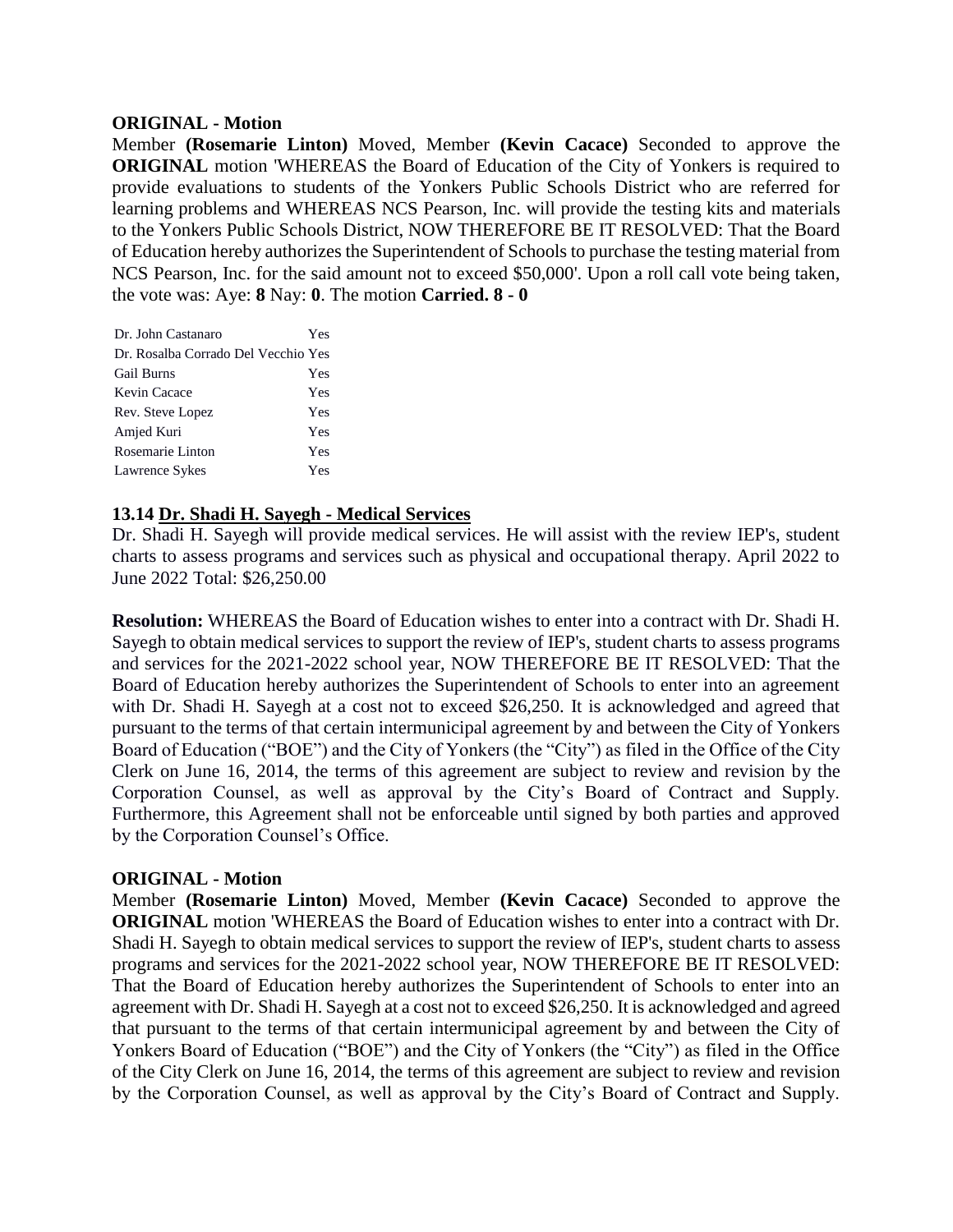#### **ORIGINAL - Motion**

Member **(Rosemarie Linton)** Moved, Member **(Kevin Cacace)** Seconded to approve the **ORIGINAL** motion 'WHEREAS the Board of Education of the City of Yonkers is required to provide evaluations to students of the Yonkers Public Schools District who are referred for learning problems and WHEREAS NCS Pearson, Inc. will provide the testing kits and materials to the Yonkers Public Schools District, NOW THEREFORE BE IT RESOLVED: That the Board of Education hereby authorizes the Superintendent of Schools to purchase the testing material from NCS Pearson, Inc. for the said amount not to exceed \$50,000'. Upon a roll call vote being taken, the vote was: Aye: **8** Nay: **0**. The motion **Carried. 8 - 0** 

| Dr. John Castanaro                  | Yes |
|-------------------------------------|-----|
| Dr. Rosalba Corrado Del Vecchio Yes |     |
| <b>Gail Burns</b>                   | Yes |
| Kevin Cacace                        | Yes |
| Rev. Steve Lopez                    | Yes |
| Amjed Kuri                          | Yes |
| Rosemarie Linton                    | Yes |
| Lawrence Sykes                      | Yes |

### **13.14 Dr. Shadi H. Sayegh - Medical Services**

Dr. Shadi H. Sayegh will provide medical services. He will assist with the review IEP's, student charts to assess programs and services such as physical and occupational therapy. April 2022 to June 2022 Total: \$26,250.00

**Resolution:** WHEREAS the Board of Education wishes to enter into a contract with Dr. Shadi H. Sayegh to obtain medical services to support the review of IEP's, student charts to assess programs and services for the 2021-2022 school year, NOW THEREFORE BE IT RESOLVED: That the Board of Education hereby authorizes the Superintendent of Schools to enter into an agreement with Dr. Shadi H. Sayegh at a cost not to exceed \$26,250. It is acknowledged and agreed that pursuant to the terms of that certain intermunicipal agreement by and between the City of Yonkers Board of Education ("BOE") and the City of Yonkers (the "City") as filed in the Office of the City Clerk on June 16, 2014, the terms of this agreement are subject to review and revision by the Corporation Counsel, as well as approval by the City's Board of Contract and Supply. Furthermore, this Agreement shall not be enforceable until signed by both parties and approved by the Corporation Counsel's Office.

### **ORIGINAL - Motion**

Member **(Rosemarie Linton)** Moved, Member **(Kevin Cacace)** Seconded to approve the **ORIGINAL** motion 'WHEREAS the Board of Education wishes to enter into a contract with Dr. Shadi H. Sayegh to obtain medical services to support the review of IEP's, student charts to assess programs and services for the 2021-2022 school year, NOW THEREFORE BE IT RESOLVED: That the Board of Education hereby authorizes the Superintendent of Schools to enter into an agreement with Dr. Shadi H. Sayegh at a cost not to exceed \$26,250. It is acknowledged and agreed that pursuant to the terms of that certain intermunicipal agreement by and between the City of Yonkers Board of Education ("BOE") and the City of Yonkers (the "City") as filed in the Office of the City Clerk on June 16, 2014, the terms of this agreement are subject to review and revision by the Corporation Counsel, as well as approval by the City's Board of Contract and Supply.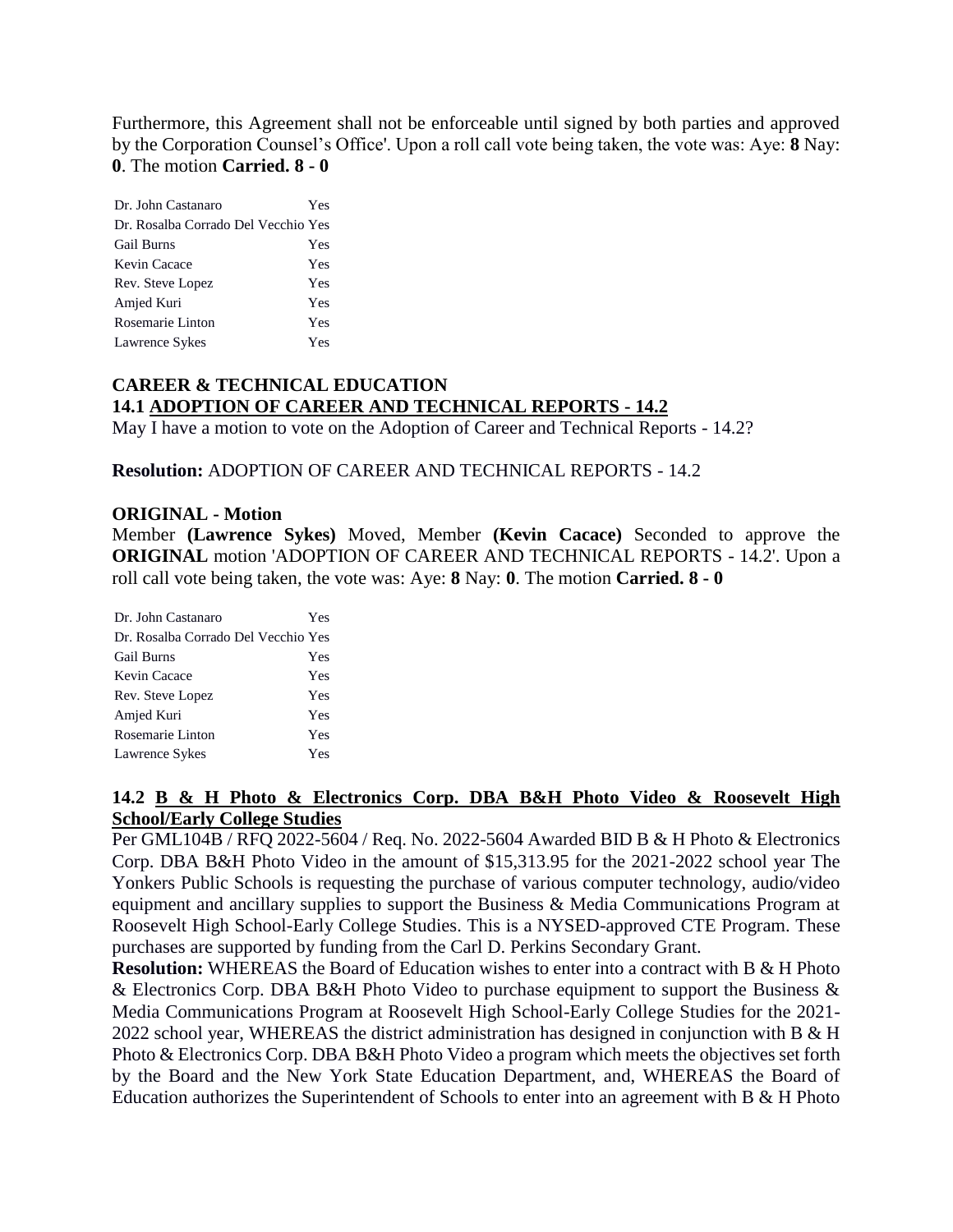Furthermore, this Agreement shall not be enforceable until signed by both parties and approved by the Corporation Counsel's Office'. Upon a roll call vote being taken, the vote was: Aye: **8** Nay: **0**. The motion **Carried. 8 - 0** 

| Dr. John Castanaro                  | Yes |
|-------------------------------------|-----|
| Dr. Rosalba Corrado Del Vecchio Yes |     |
| <b>Gail Burns</b>                   | Yes |
| Kevin Cacace                        | Yes |
| Rev. Steve Lopez                    | Yes |
| Amjed Kuri                          | Yes |
| Rosemarie Linton                    | Yes |
| Lawrence Sykes                      | Yes |

# **CAREER & TECHNICAL EDUCATION 14.1 ADOPTION OF CAREER AND TECHNICAL REPORTS - 14.2**

May I have a motion to vote on the Adoption of Career and Technical Reports - 14.2?

**Resolution:** ADOPTION OF CAREER AND TECHNICAL REPORTS - 14.2

#### **ORIGINAL - Motion**

Member **(Lawrence Sykes)** Moved, Member **(Kevin Cacace)** Seconded to approve the **ORIGINAL** motion 'ADOPTION OF CAREER AND TECHNICAL REPORTS - 14.2'. Upon a roll call vote being taken, the vote was: Aye: **8** Nay: **0**. The motion **Carried. 8 - 0** 

| Dr. John Castanaro                  | Yes |
|-------------------------------------|-----|
| Dr. Rosalba Corrado Del Vecchio Yes |     |
| <b>Gail Burns</b>                   | Yes |
| Kevin Cacace                        | Yes |
| Rev. Steve Lopez                    | Yes |
| Amjed Kuri                          | Yes |
| Rosemarie Linton                    | Yes |
| Lawrence Sykes                      | Yes |

### **14.2 B & H Photo & Electronics Corp. DBA B&H Photo Video & Roosevelt High School/Early College Studies**

Per GML104B / RFQ 2022-5604 / Req. No. 2022-5604 Awarded BID B & H Photo & Electronics Corp. DBA B&H Photo Video in the amount of \$15,313.95 for the 2021-2022 school year The Yonkers Public Schools is requesting the purchase of various computer technology, audio/video equipment and ancillary supplies to support the Business & Media Communications Program at Roosevelt High School-Early College Studies. This is a NYSED-approved CTE Program. These purchases are supported by funding from the Carl D. Perkins Secondary Grant.

**Resolution:** WHEREAS the Board of Education wishes to enter into a contract with B & H Photo & Electronics Corp. DBA B&H Photo Video to purchase equipment to support the Business & Media Communications Program at Roosevelt High School-Early College Studies for the 2021- 2022 school year, WHEREAS the district administration has designed in conjunction with B & H Photo & Electronics Corp. DBA B&H Photo Video a program which meets the objectives set forth by the Board and the New York State Education Department, and, WHEREAS the Board of Education authorizes the Superintendent of Schools to enter into an agreement with B  $\&$  H Photo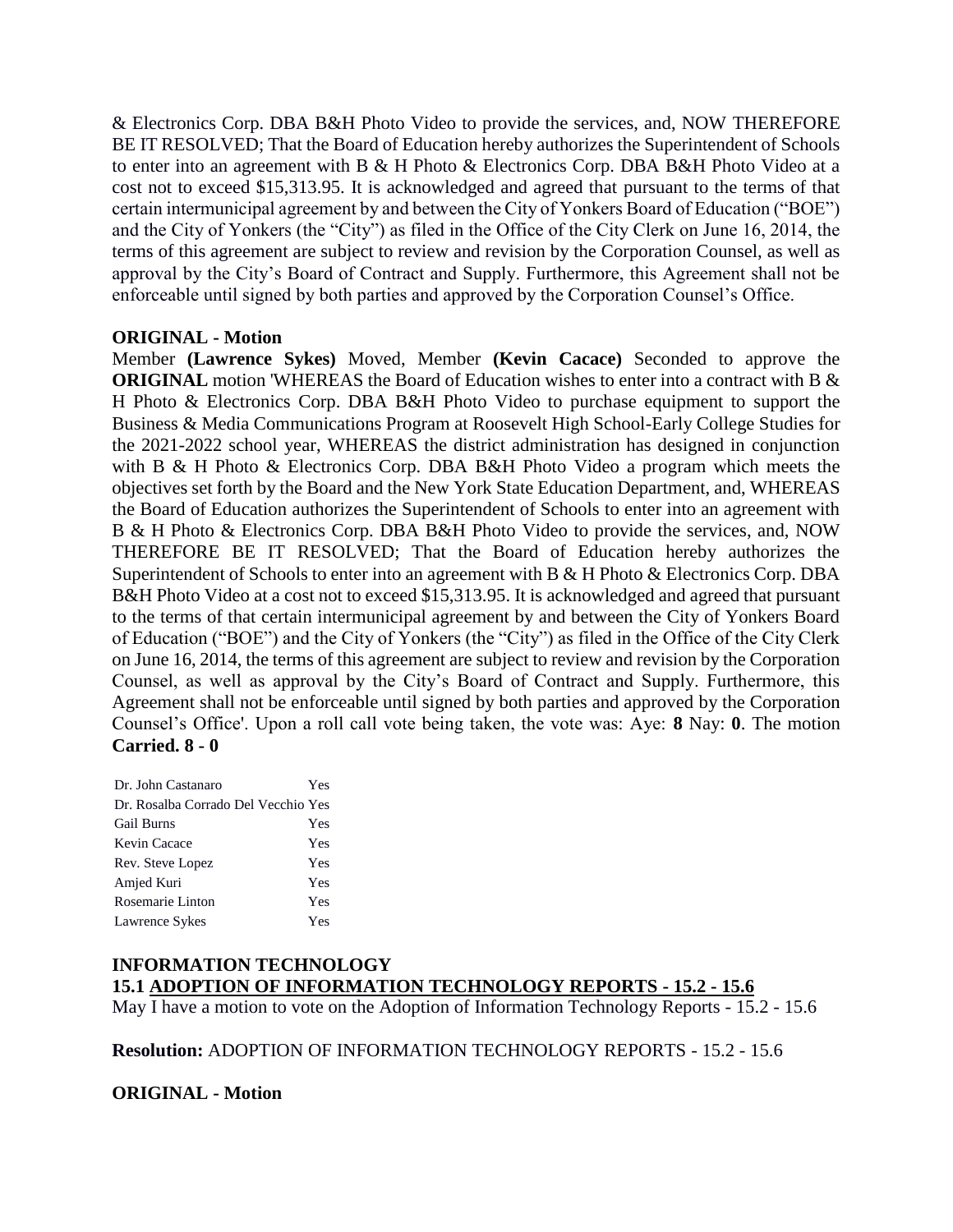& Electronics Corp. DBA B&H Photo Video to provide the services, and, NOW THEREFORE BE IT RESOLVED; That the Board of Education hereby authorizes the Superintendent of Schools to enter into an agreement with B & H Photo & Electronics Corp. DBA B&H Photo Video at a cost not to exceed \$15,313.95. It is acknowledged and agreed that pursuant to the terms of that certain intermunicipal agreement by and between the City of Yonkers Board of Education ("BOE") and the City of Yonkers (the "City") as filed in the Office of the City Clerk on June 16, 2014, the terms of this agreement are subject to review and revision by the Corporation Counsel, as well as approval by the City's Board of Contract and Supply. Furthermore, this Agreement shall not be enforceable until signed by both parties and approved by the Corporation Counsel's Office.

### **ORIGINAL - Motion**

Member **(Lawrence Sykes)** Moved, Member **(Kevin Cacace)** Seconded to approve the **ORIGINAL** motion 'WHEREAS the Board of Education wishes to enter into a contract with B & H Photo & Electronics Corp. DBA B&H Photo Video to purchase equipment to support the Business & Media Communications Program at Roosevelt High School-Early College Studies for the 2021-2022 school year, WHEREAS the district administration has designed in conjunction with B & H Photo & Electronics Corp. DBA B&H Photo Video a program which meets the objectives set forth by the Board and the New York State Education Department, and, WHEREAS the Board of Education authorizes the Superintendent of Schools to enter into an agreement with B & H Photo & Electronics Corp. DBA B&H Photo Video to provide the services, and, NOW THEREFORE BE IT RESOLVED; That the Board of Education hereby authorizes the Superintendent of Schools to enter into an agreement with B & H Photo & Electronics Corp. DBA B&H Photo Video at a cost not to exceed \$15,313.95. It is acknowledged and agreed that pursuant to the terms of that certain intermunicipal agreement by and between the City of Yonkers Board of Education ("BOE") and the City of Yonkers (the "City") as filed in the Office of the City Clerk on June 16, 2014, the terms of this agreement are subject to review and revision by the Corporation Counsel, as well as approval by the City's Board of Contract and Supply. Furthermore, this Agreement shall not be enforceable until signed by both parties and approved by the Corporation Counsel's Office'. Upon a roll call vote being taken, the vote was: Aye: **8** Nay: **0**. The motion **Carried. 8 - 0** 

| Dr. John Castanaro                  | Yes |
|-------------------------------------|-----|
| Dr. Rosalba Corrado Del Vecchio Yes |     |
| <b>Gail Burns</b>                   | Yes |
| Kevin Cacace                        | Yes |
| Rev. Steve Lopez                    | Yes |
| Amjed Kuri                          | Yes |
| Rosemarie Linton                    | Yes |
| Lawrence Sykes                      | Yes |

# **INFORMATION TECHNOLOGY 15.1 ADOPTION OF INFORMATION TECHNOLOGY REPORTS - 15.2 - 15.6**

May I have a motion to vote on the Adoption of Information Technology Reports - 15.2 - 15.6

**Resolution:** ADOPTION OF INFORMATION TECHNOLOGY REPORTS - 15.2 - 15.6

**ORIGINAL - Motion**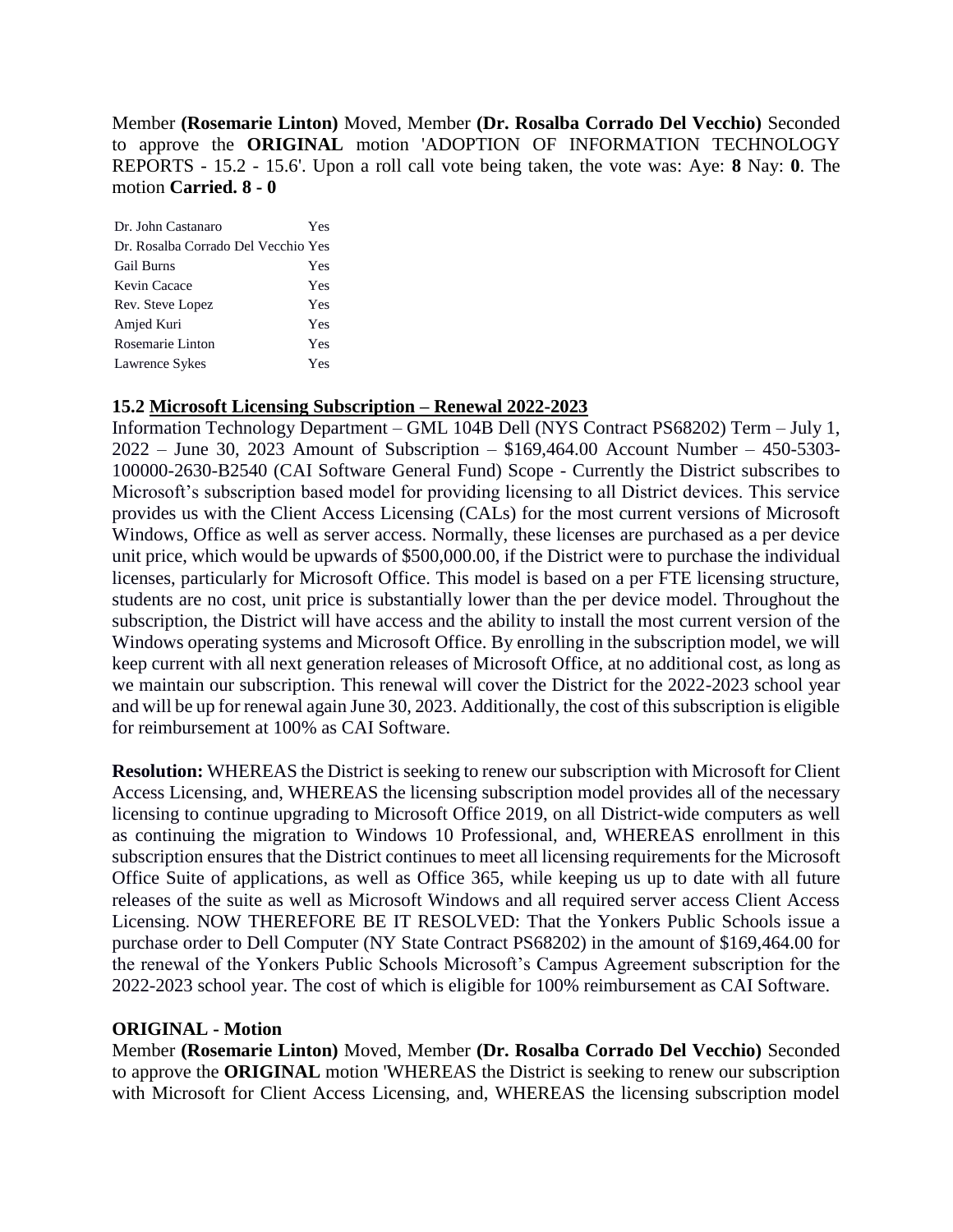Member **(Rosemarie Linton)** Moved, Member **(Dr. Rosalba Corrado Del Vecchio)** Seconded to approve the **ORIGINAL** motion 'ADOPTION OF INFORMATION TECHNOLOGY REPORTS - 15.2 - 15.6'. Upon a roll call vote being taken, the vote was: Aye: **8** Nay: **0**. The motion **Carried. 8 - 0** 

| Dr. Rosalba Corrado Del Vecchio Yes<br><b>Gail Burns</b><br>Yes<br>Kevin Cacace<br>Yes |
|----------------------------------------------------------------------------------------|
|                                                                                        |
|                                                                                        |
|                                                                                        |
| Rev. Steve Lopez<br>Yes                                                                |
| Amjed Kuri<br>Yes                                                                      |
| Rosemarie Linton<br>Yes                                                                |
| Lawrence Sykes<br>Yes                                                                  |

### **15.2 Microsoft Licensing Subscription – Renewal 2022-2023**

Information Technology Department – GML 104B Dell (NYS Contract PS68202) Term – July 1, 2022 – June 30, 2023 Amount of Subscription – \$169,464.00 Account Number – 450-5303- 100000-2630-B2540 (CAI Software General Fund) Scope - Currently the District subscribes to Microsoft's subscription based model for providing licensing to all District devices. This service provides us with the Client Access Licensing (CALs) for the most current versions of Microsoft Windows, Office as well as server access. Normally, these licenses are purchased as a per device unit price, which would be upwards of \$500,000.00, if the District were to purchase the individual licenses, particularly for Microsoft Office. This model is based on a per FTE licensing structure, students are no cost, unit price is substantially lower than the per device model. Throughout the subscription, the District will have access and the ability to install the most current version of the Windows operating systems and Microsoft Office. By enrolling in the subscription model, we will keep current with all next generation releases of Microsoft Office, at no additional cost, as long as we maintain our subscription. This renewal will cover the District for the 2022-2023 school year and will be up for renewal again June 30, 2023. Additionally, the cost of this subscription is eligible for reimbursement at 100% as CAI Software.

**Resolution:** WHEREAS the District is seeking to renew our subscription with Microsoft for Client Access Licensing, and, WHEREAS the licensing subscription model provides all of the necessary licensing to continue upgrading to Microsoft Office 2019, on all District-wide computers as well as continuing the migration to Windows 10 Professional, and, WHEREAS enrollment in this subscription ensures that the District continues to meet all licensing requirements for the Microsoft Office Suite of applications, as well as Office 365, while keeping us up to date with all future releases of the suite as well as Microsoft Windows and all required server access Client Access Licensing. NOW THEREFORE BE IT RESOLVED: That the Yonkers Public Schools issue a purchase order to Dell Computer (NY State Contract PS68202) in the amount of \$169,464.00 for the renewal of the Yonkers Public Schools Microsoft's Campus Agreement subscription for the 2022-2023 school year. The cost of which is eligible for 100% reimbursement as CAI Software.

### **ORIGINAL - Motion**

Member **(Rosemarie Linton)** Moved, Member **(Dr. Rosalba Corrado Del Vecchio)** Seconded to approve the **ORIGINAL** motion 'WHEREAS the District is seeking to renew our subscription with Microsoft for Client Access Licensing, and, WHEREAS the licensing subscription model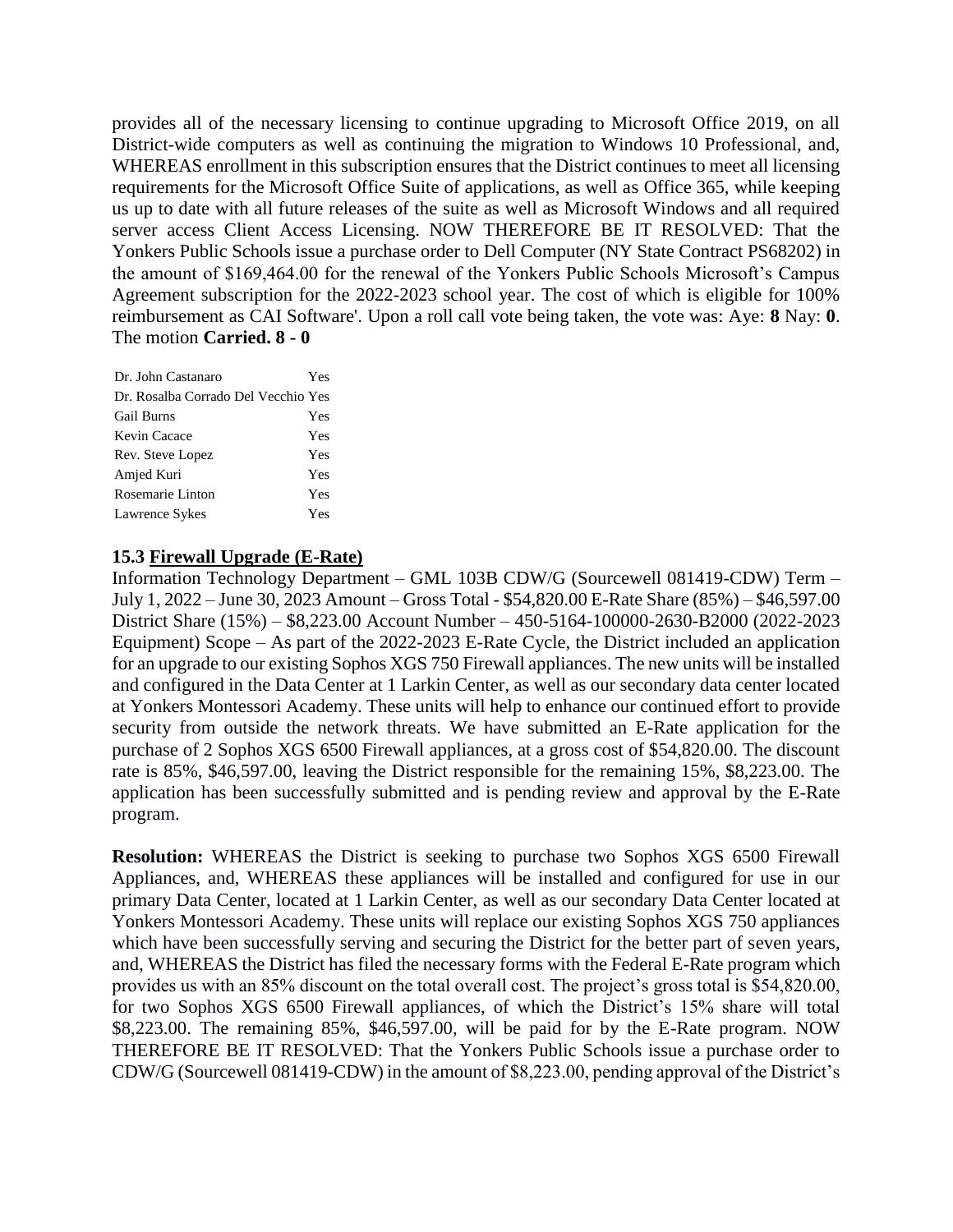provides all of the necessary licensing to continue upgrading to Microsoft Office 2019, on all District-wide computers as well as continuing the migration to Windows 10 Professional, and, WHEREAS enrollment in this subscription ensures that the District continues to meet all licensing requirements for the Microsoft Office Suite of applications, as well as Office 365, while keeping us up to date with all future releases of the suite as well as Microsoft Windows and all required server access Client Access Licensing. NOW THEREFORE BE IT RESOLVED: That the Yonkers Public Schools issue a purchase order to Dell Computer (NY State Contract PS68202) in the amount of \$169,464.00 for the renewal of the Yonkers Public Schools Microsoft's Campus Agreement subscription for the 2022-2023 school year. The cost of which is eligible for 100% reimbursement as CAI Software'. Upon a roll call vote being taken, the vote was: Aye: **8** Nay: **0**. The motion **Carried. 8 - 0** 

| Dr. John Castanaro                  | Yes |
|-------------------------------------|-----|
| Dr. Rosalba Corrado Del Vecchio Yes |     |
| <b>Gail Burns</b>                   | Yes |
| Kevin Cacace                        | Yes |
| Rev. Steve Lopez                    | Yes |
| Amjed Kuri                          | Yes |
| Rosemarie Linton                    | Yes |
| Lawrence Sykes                      | Yes |

#### **15.3 Firewall Upgrade (E-Rate)**

Information Technology Department – GML 103B CDW/G (Sourcewell 081419-CDW) Term – July 1, 2022 – June 30, 2023 Amount – Gross Total - \$54,820.00 E-Rate Share (85%) – \$46,597.00 District Share (15%) – \$8,223.00 Account Number – 450-5164-100000-2630-B2000 (2022-2023 Equipment) Scope – As part of the 2022-2023 E-Rate Cycle, the District included an application for an upgrade to our existing Sophos XGS 750 Firewall appliances. The new units will be installed and configured in the Data Center at 1 Larkin Center, as well as our secondary data center located at Yonkers Montessori Academy. These units will help to enhance our continued effort to provide security from outside the network threats. We have submitted an E-Rate application for the purchase of 2 Sophos XGS 6500 Firewall appliances, at a gross cost of \$54,820.00. The discount rate is 85%, \$46,597.00, leaving the District responsible for the remaining 15%, \$8,223.00. The application has been successfully submitted and is pending review and approval by the E-Rate program.

**Resolution:** WHEREAS the District is seeking to purchase two Sophos XGS 6500 Firewall Appliances, and, WHEREAS these appliances will be installed and configured for use in our primary Data Center, located at 1 Larkin Center, as well as our secondary Data Center located at Yonkers Montessori Academy. These units will replace our existing Sophos XGS 750 appliances which have been successfully serving and securing the District for the better part of seven years, and, WHEREAS the District has filed the necessary forms with the Federal E-Rate program which provides us with an 85% discount on the total overall cost. The project's gross total is \$54,820.00, for two Sophos XGS 6500 Firewall appliances, of which the District's 15% share will total \$8,223.00. The remaining 85%, \$46,597.00, will be paid for by the E-Rate program. NOW THEREFORE BE IT RESOLVED: That the Yonkers Public Schools issue a purchase order to CDW/G (Sourcewell 081419-CDW) in the amount of \$8,223.00, pending approval of the District's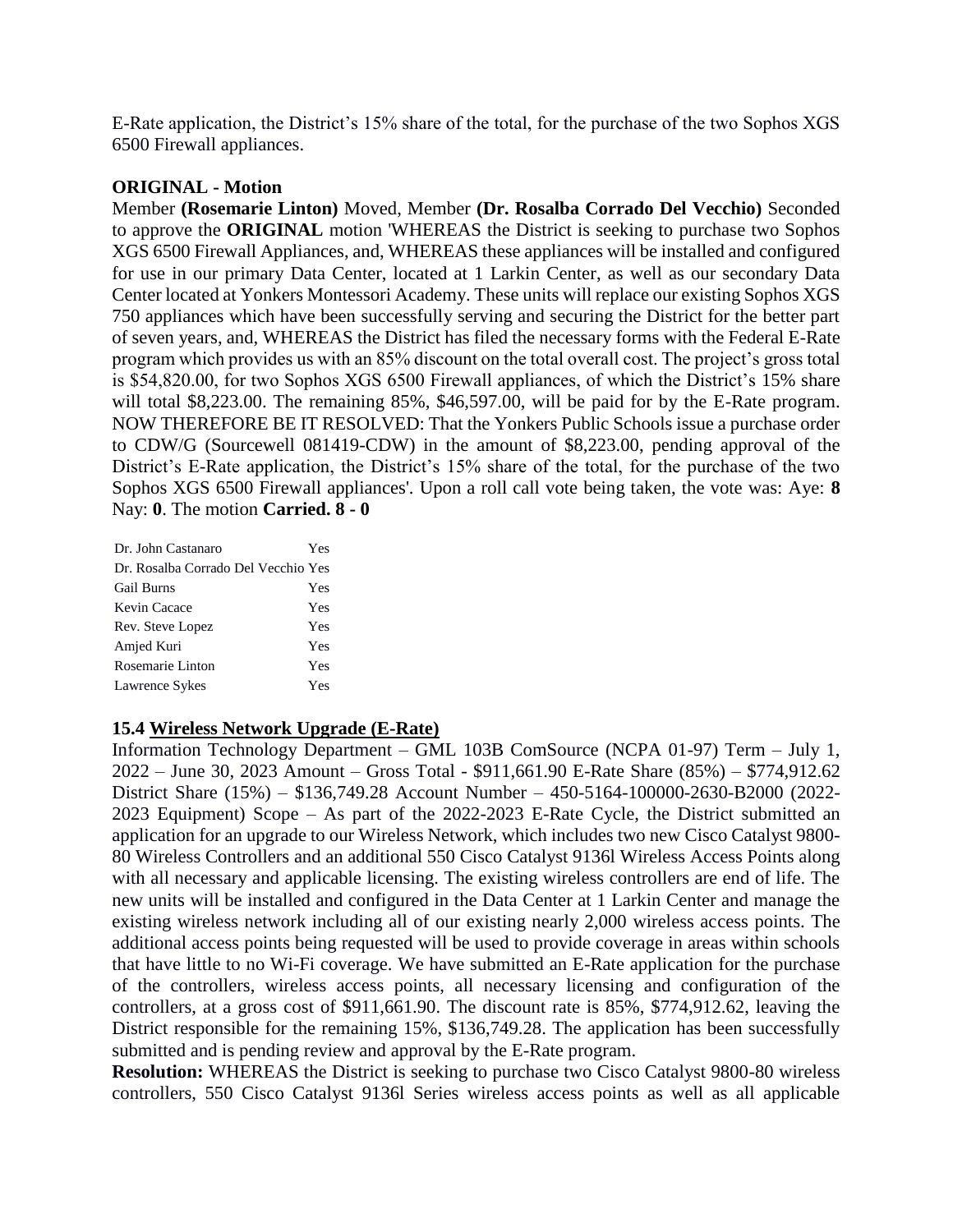E-Rate application, the District's 15% share of the total, for the purchase of the two Sophos XGS 6500 Firewall appliances.

### **ORIGINAL - Motion**

Member **(Rosemarie Linton)** Moved, Member **(Dr. Rosalba Corrado Del Vecchio)** Seconded to approve the **ORIGINAL** motion 'WHEREAS the District is seeking to purchase two Sophos XGS 6500 Firewall Appliances, and, WHEREAS these appliances will be installed and configured for use in our primary Data Center, located at 1 Larkin Center, as well as our secondary Data Center located at Yonkers Montessori Academy. These units will replace our existing Sophos XGS 750 appliances which have been successfully serving and securing the District for the better part of seven years, and, WHEREAS the District has filed the necessary forms with the Federal E-Rate program which provides us with an 85% discount on the total overall cost. The project's gross total is \$54,820.00, for two Sophos XGS 6500 Firewall appliances, of which the District's 15% share will total \$8,223.00. The remaining 85%, \$46,597.00, will be paid for by the E-Rate program. NOW THEREFORE BE IT RESOLVED: That the Yonkers Public Schools issue a purchase order to CDW/G (Sourcewell 081419-CDW) in the amount of \$8,223.00, pending approval of the District's E-Rate application, the District's 15% share of the total, for the purchase of the two Sophos XGS 6500 Firewall appliances'. Upon a roll call vote being taken, the vote was: Aye: **8** Nay: **0**. The motion **Carried. 8 - 0** 

| Dr. John Castanaro                  | Yes |
|-------------------------------------|-----|
| Dr. Rosalba Corrado Del Vecchio Yes |     |
| <b>Gail Burns</b>                   | Yes |
| Kevin Cacace                        | Yes |
| Rev. Steve Lopez                    | Yes |
| Amjed Kuri                          | Yes |
| Rosemarie Linton                    | Yes |
| Lawrence Sykes                      | Yes |

### **15.4 Wireless Network Upgrade (E-Rate)**

Information Technology Department – GML 103B ComSource (NCPA 01-97) Term – July 1, 2022 – June 30, 2023 Amount – Gross Total - \$911,661.90 E-Rate Share (85%) – \$774,912.62 District Share (15%) – \$136,749.28 Account Number – 450-5164-100000-2630-B2000 (2022- 2023 Equipment) Scope – As part of the 2022-2023 E-Rate Cycle, the District submitted an application for an upgrade to our Wireless Network, which includes two new Cisco Catalyst 9800- 80 Wireless Controllers and an additional 550 Cisco Catalyst 9136l Wireless Access Points along with all necessary and applicable licensing. The existing wireless controllers are end of life. The new units will be installed and configured in the Data Center at 1 Larkin Center and manage the existing wireless network including all of our existing nearly 2,000 wireless access points. The additional access points being requested will be used to provide coverage in areas within schools that have little to no Wi-Fi coverage. We have submitted an E-Rate application for the purchase of the controllers, wireless access points, all necessary licensing and configuration of the controllers, at a gross cost of \$911,661.90. The discount rate is 85%, \$774,912.62, leaving the District responsible for the remaining 15%, \$136,749.28. The application has been successfully submitted and is pending review and approval by the E-Rate program.

**Resolution:** WHEREAS the District is seeking to purchase two Cisco Catalyst 9800-80 wireless controllers, 550 Cisco Catalyst 9136l Series wireless access points as well as all applicable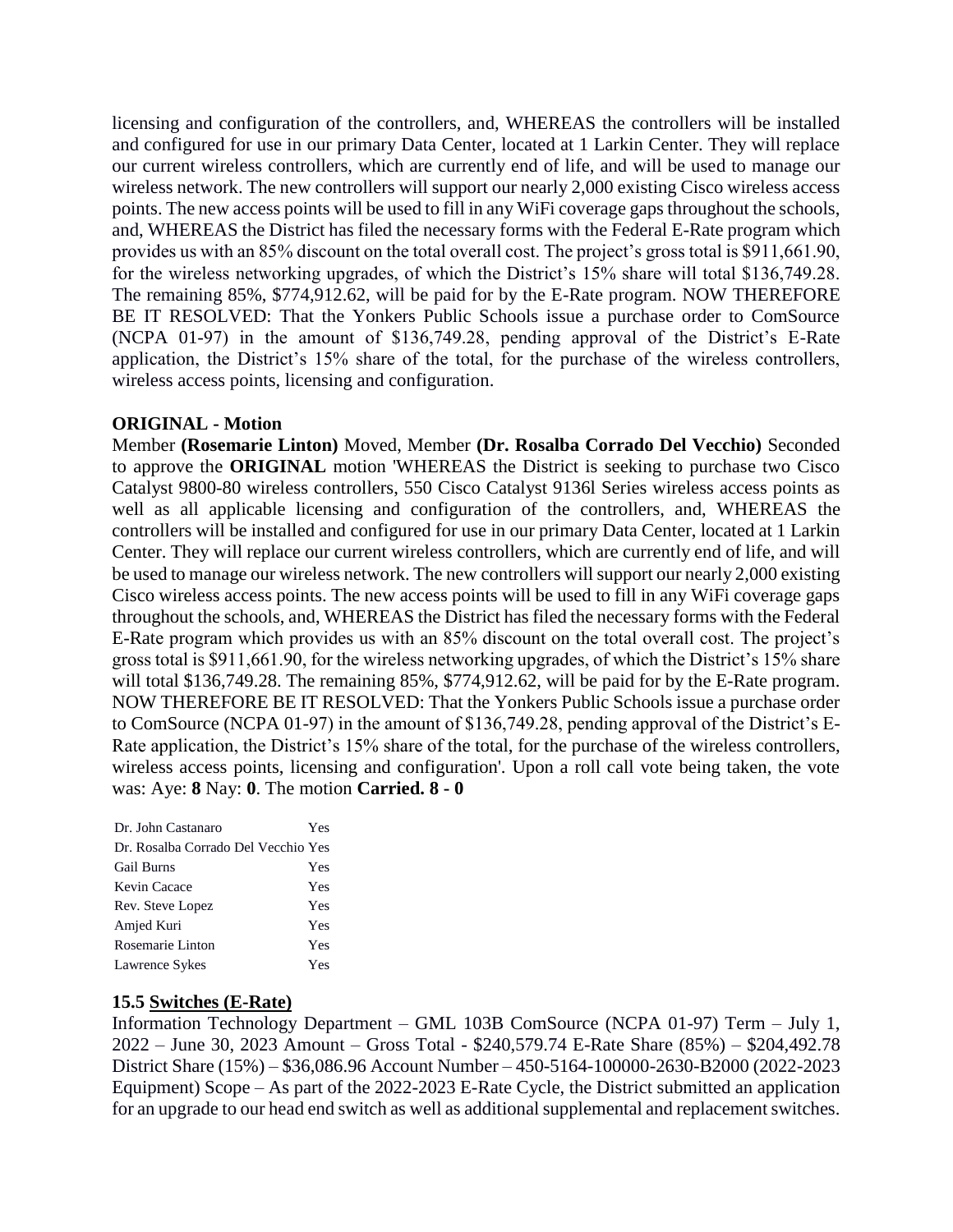licensing and configuration of the controllers, and, WHEREAS the controllers will be installed and configured for use in our primary Data Center, located at 1 Larkin Center. They will replace our current wireless controllers, which are currently end of life, and will be used to manage our wireless network. The new controllers will support our nearly 2,000 existing Cisco wireless access points. The new access points will be used to fill in any WiFi coverage gaps throughout the schools, and, WHEREAS the District has filed the necessary forms with the Federal E-Rate program which provides us with an 85% discount on the total overall cost. The project's gross total is \$911,661.90, for the wireless networking upgrades, of which the District's 15% share will total \$136,749.28. The remaining 85%, \$774,912.62, will be paid for by the E-Rate program. NOW THEREFORE BE IT RESOLVED: That the Yonkers Public Schools issue a purchase order to ComSource (NCPA 01-97) in the amount of \$136,749.28, pending approval of the District's E-Rate application, the District's 15% share of the total, for the purchase of the wireless controllers, wireless access points, licensing and configuration.

#### **ORIGINAL - Motion**

Member **(Rosemarie Linton)** Moved, Member **(Dr. Rosalba Corrado Del Vecchio)** Seconded to approve the **ORIGINAL** motion 'WHEREAS the District is seeking to purchase two Cisco Catalyst 9800-80 wireless controllers, 550 Cisco Catalyst 9136l Series wireless access points as well as all applicable licensing and configuration of the controllers, and, WHEREAS the controllers will be installed and configured for use in our primary Data Center, located at 1 Larkin Center. They will replace our current wireless controllers, which are currently end of life, and will be used to manage our wireless network. The new controllers will support our nearly 2,000 existing Cisco wireless access points. The new access points will be used to fill in any WiFi coverage gaps throughout the schools, and, WHEREAS the District has filed the necessary forms with the Federal E-Rate program which provides us with an 85% discount on the total overall cost. The project's gross total is \$911,661.90, for the wireless networking upgrades, of which the District's 15% share will total \$136,749.28. The remaining 85%, \$774,912.62, will be paid for by the E-Rate program. NOW THEREFORE BE IT RESOLVED: That the Yonkers Public Schools issue a purchase order to ComSource (NCPA 01-97) in the amount of \$136,749.28, pending approval of the District's E-Rate application, the District's 15% share of the total, for the purchase of the wireless controllers, wireless access points, licensing and configuration'. Upon a roll call vote being taken, the vote was: Aye: **8** Nay: **0**. The motion **Carried. 8 - 0** 

| Dr. John Castanaro                  | Yes |
|-------------------------------------|-----|
| Dr. Rosalba Corrado Del Vecchio Yes |     |
| <b>Gail Burns</b>                   | Yes |
| Kevin Cacace                        | Yes |
| Rev. Steve Lopez                    | Yes |
| Amjed Kuri                          | Yes |
| Rosemarie Linton                    | Yes |
| Lawrence Sykes                      | Yes |

#### **15.5 Switches (E-Rate)**

Information Technology Department – GML 103B ComSource (NCPA 01-97) Term – July 1, 2022 – June 30, 2023 Amount – Gross Total - \$240,579.74 E-Rate Share (85%) – \$204,492.78 District Share (15%) – \$36,086.96 Account Number – 450-5164-100000-2630-B2000 (2022-2023 Equipment) Scope – As part of the 2022-2023 E-Rate Cycle, the District submitted an application for an upgrade to our head end switch as well as additional supplemental and replacement switches.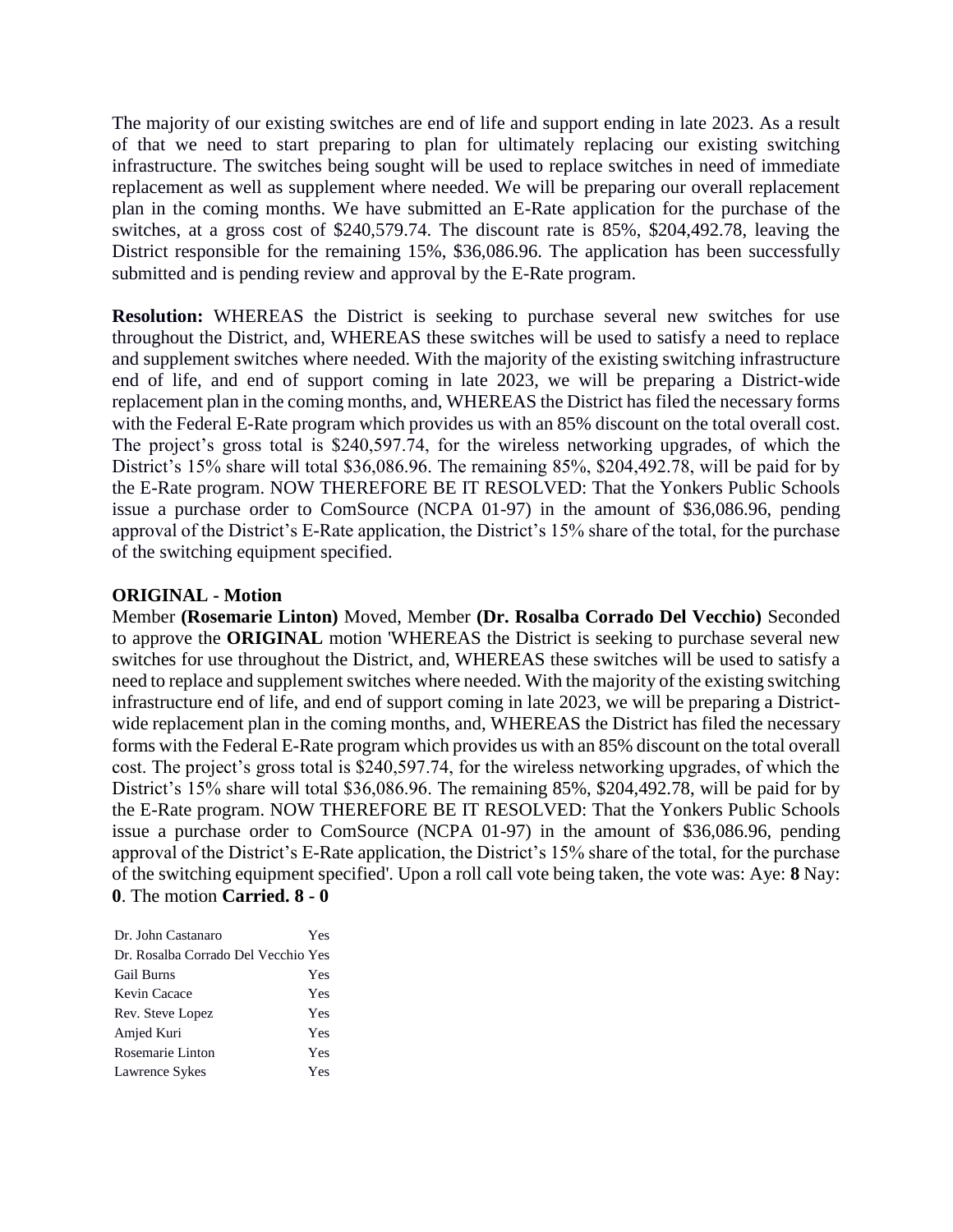The majority of our existing switches are end of life and support ending in late 2023. As a result of that we need to start preparing to plan for ultimately replacing our existing switching infrastructure. The switches being sought will be used to replace switches in need of immediate replacement as well as supplement where needed. We will be preparing our overall replacement plan in the coming months. We have submitted an E-Rate application for the purchase of the switches, at a gross cost of \$240,579.74. The discount rate is 85%, \$204,492.78, leaving the District responsible for the remaining 15%, \$36,086.96. The application has been successfully submitted and is pending review and approval by the E-Rate program.

**Resolution:** WHEREAS the District is seeking to purchase several new switches for use throughout the District, and, WHEREAS these switches will be used to satisfy a need to replace and supplement switches where needed. With the majority of the existing switching infrastructure end of life, and end of support coming in late 2023, we will be preparing a District-wide replacement plan in the coming months, and, WHEREAS the District has filed the necessary forms with the Federal E-Rate program which provides us with an 85% discount on the total overall cost. The project's gross total is \$240,597.74, for the wireless networking upgrades, of which the District's 15% share will total \$36,086.96. The remaining 85%, \$204,492.78, will be paid for by the E-Rate program. NOW THEREFORE BE IT RESOLVED: That the Yonkers Public Schools issue a purchase order to ComSource (NCPA 01-97) in the amount of \$36,086.96, pending approval of the District's E-Rate application, the District's 15% share of the total, for the purchase of the switching equipment specified.

### **ORIGINAL - Motion**

Member **(Rosemarie Linton)** Moved, Member **(Dr. Rosalba Corrado Del Vecchio)** Seconded to approve the **ORIGINAL** motion 'WHEREAS the District is seeking to purchase several new switches for use throughout the District, and, WHEREAS these switches will be used to satisfy a need to replace and supplement switches where needed. With the majority of the existing switching infrastructure end of life, and end of support coming in late 2023, we will be preparing a Districtwide replacement plan in the coming months, and, WHEREAS the District has filed the necessary forms with the Federal E-Rate program which provides us with an 85% discount on the total overall cost. The project's gross total is \$240,597.74, for the wireless networking upgrades, of which the District's 15% share will total \$36,086.96. The remaining 85%, \$204,492.78, will be paid for by the E-Rate program. NOW THEREFORE BE IT RESOLVED: That the Yonkers Public Schools issue a purchase order to ComSource (NCPA 01-97) in the amount of \$36,086.96, pending approval of the District's E-Rate application, the District's 15% share of the total, for the purchase of the switching equipment specified'. Upon a roll call vote being taken, the vote was: Aye: **8** Nay: **0**. The motion **Carried. 8 - 0** 

| Dr. John Castanaro                  | Yes |
|-------------------------------------|-----|
| Dr. Rosalba Corrado Del Vecchio Yes |     |
| <b>Gail Burns</b>                   | Yes |
| Kevin Cacace                        | Yes |
| Rev. Steve Lopez                    | Yes |
| Amjed Kuri                          | Yes |
| Rosemarie Linton                    | Yes |
| Lawrence Sykes                      | Yes |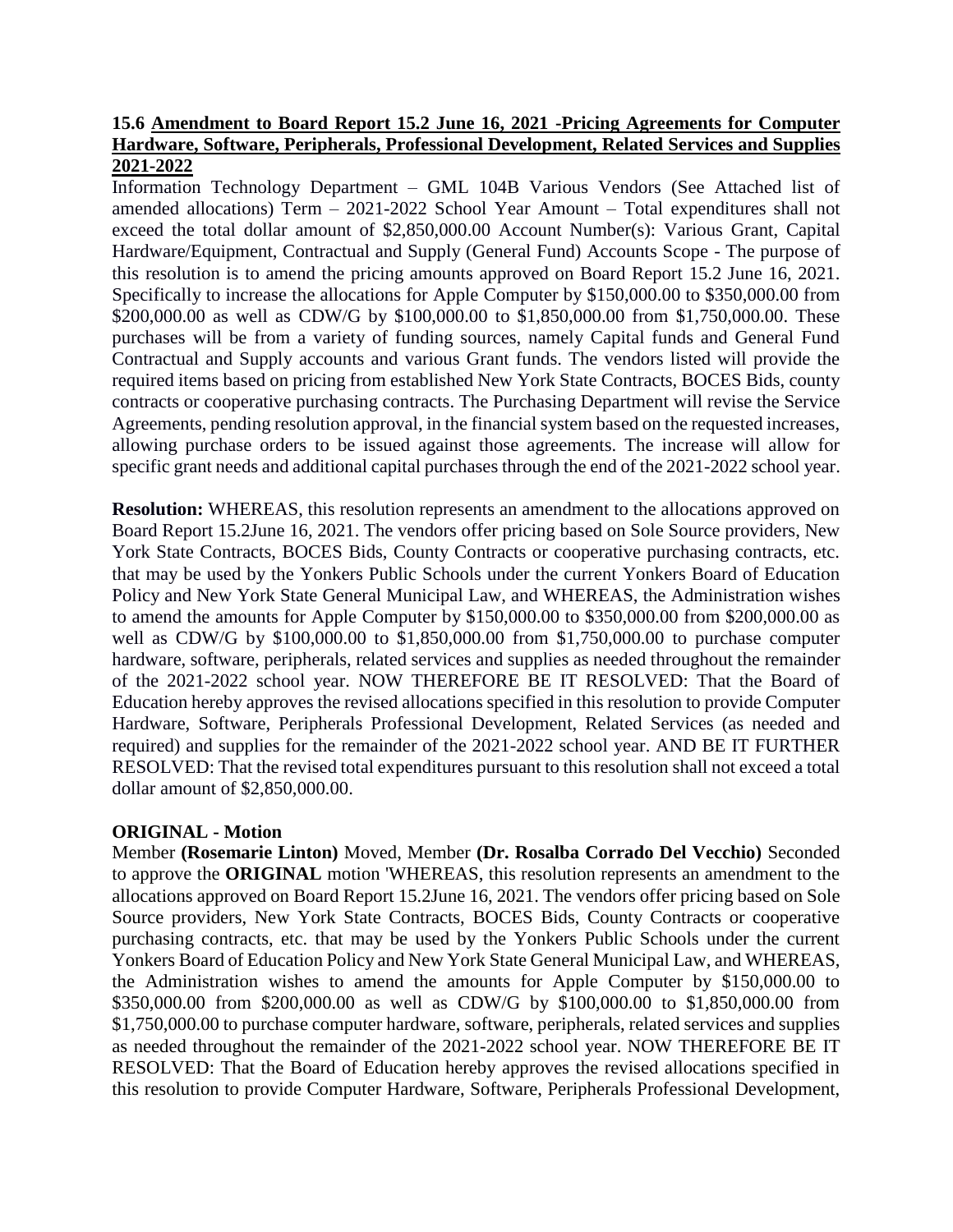# **15.6 Amendment to Board Report 15.2 June 16, 2021 -Pricing Agreements for Computer Hardware, Software, Peripherals, Professional Development, Related Services and Supplies 2021-2022**

Information Technology Department – GML 104B Various Vendors (See Attached list of amended allocations) Term – 2021-2022 School Year Amount – Total expenditures shall not exceed the total dollar amount of \$2,850,000.00 Account Number(s): Various Grant, Capital Hardware/Equipment, Contractual and Supply (General Fund) Accounts Scope - The purpose of this resolution is to amend the pricing amounts approved on Board Report 15.2 June 16, 2021. Specifically to increase the allocations for Apple Computer by \$150,000.00 to \$350,000.00 from \$200,000.00 as well as CDW/G by \$100,000.00 to \$1,850,000.00 from \$1,750,000.00. These purchases will be from a variety of funding sources, namely Capital funds and General Fund Contractual and Supply accounts and various Grant funds. The vendors listed will provide the required items based on pricing from established New York State Contracts, BOCES Bids, county contracts or cooperative purchasing contracts. The Purchasing Department will revise the Service Agreements, pending resolution approval, in the financial system based on the requested increases, allowing purchase orders to be issued against those agreements. The increase will allow for specific grant needs and additional capital purchases through the end of the 2021-2022 school year.

**Resolution:** WHEREAS, this resolution represents an amendment to the allocations approved on Board Report 15.2June 16, 2021. The vendors offer pricing based on Sole Source providers, New York State Contracts, BOCES Bids, County Contracts or cooperative purchasing contracts, etc. that may be used by the Yonkers Public Schools under the current Yonkers Board of Education Policy and New York State General Municipal Law, and WHEREAS, the Administration wishes to amend the amounts for Apple Computer by \$150,000.00 to \$350,000.00 from \$200,000.00 as well as CDW/G by \$100,000.00 to \$1,850,000.00 from \$1,750,000.00 to purchase computer hardware, software, peripherals, related services and supplies as needed throughout the remainder of the 2021-2022 school year. NOW THEREFORE BE IT RESOLVED: That the Board of Education hereby approves the revised allocations specified in this resolution to provide Computer Hardware, Software, Peripherals Professional Development, Related Services (as needed and required) and supplies for the remainder of the 2021-2022 school year. AND BE IT FURTHER RESOLVED: That the revised total expenditures pursuant to this resolution shall not exceed a total dollar amount of \$2,850,000.00.

# **ORIGINAL - Motion**

Member **(Rosemarie Linton)** Moved, Member **(Dr. Rosalba Corrado Del Vecchio)** Seconded to approve the **ORIGINAL** motion 'WHEREAS, this resolution represents an amendment to the allocations approved on Board Report 15.2June 16, 2021. The vendors offer pricing based on Sole Source providers, New York State Contracts, BOCES Bids, County Contracts or cooperative purchasing contracts, etc. that may be used by the Yonkers Public Schools under the current Yonkers Board of Education Policy and New York State General Municipal Law, and WHEREAS, the Administration wishes to amend the amounts for Apple Computer by \$150,000.00 to \$350,000.00 from \$200,000.00 as well as CDW/G by \$100,000.00 to \$1,850,000.00 from \$1,750,000.00 to purchase computer hardware, software, peripherals, related services and supplies as needed throughout the remainder of the 2021-2022 school year. NOW THEREFORE BE IT RESOLVED: That the Board of Education hereby approves the revised allocations specified in this resolution to provide Computer Hardware, Software, Peripherals Professional Development,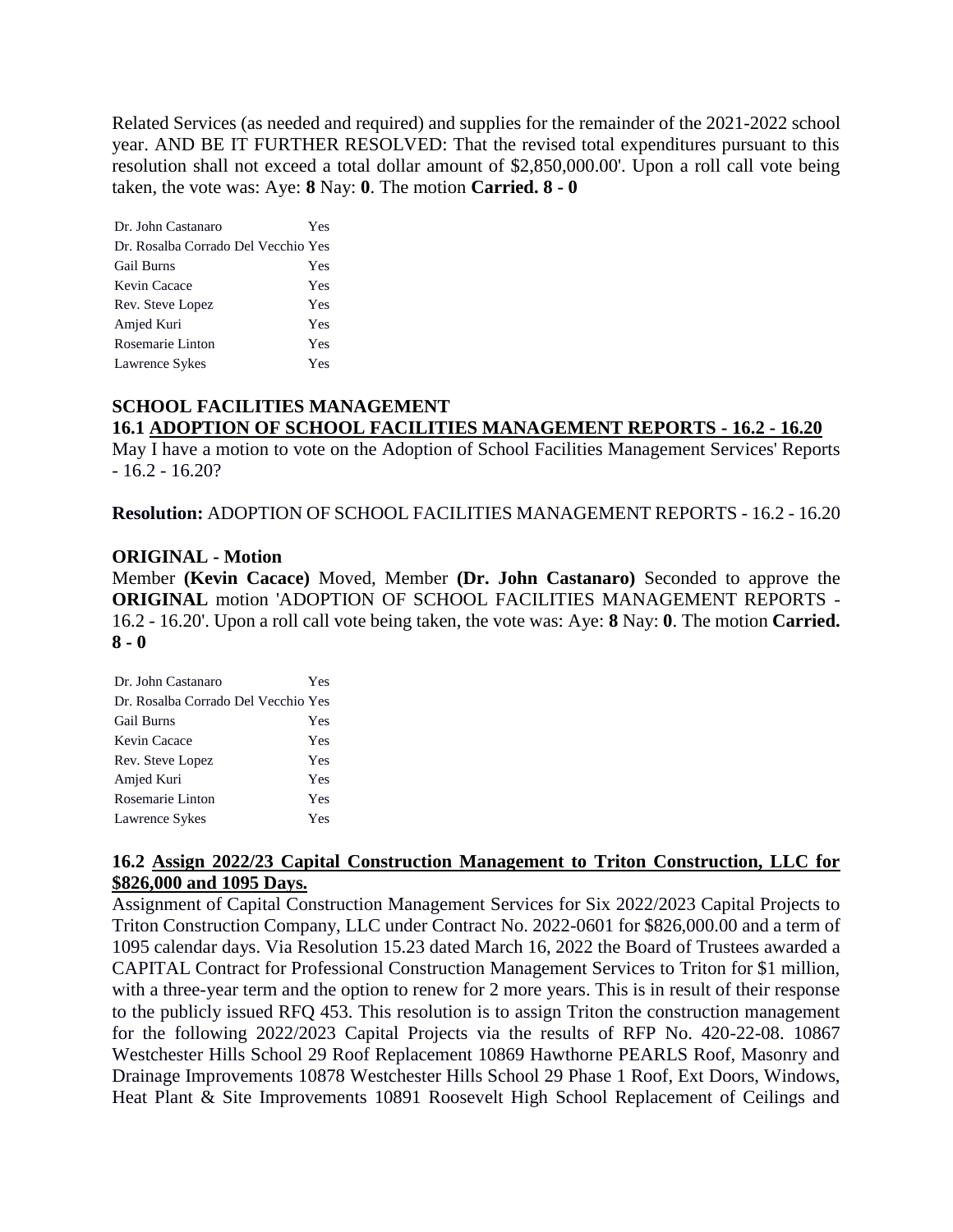Related Services (as needed and required) and supplies for the remainder of the 2021-2022 school year. AND BE IT FURTHER RESOLVED: That the revised total expenditures pursuant to this resolution shall not exceed a total dollar amount of \$2,850,000.00'. Upon a roll call vote being taken, the vote was: Aye: **8** Nay: **0**. The motion **Carried. 8 - 0** 

Dr. John Castanaro Yes Dr. Rosalba Corrado Del Vecchio Yes Gail Burns Yes Kevin Cacace Yes Rev. Steve Lopez Yes Amjed Kuri Yes Rosemarie Linton Yes Lawrence Sykes Yes

# **SCHOOL FACILITIES MANAGEMENT 16.1 ADOPTION OF SCHOOL FACILITIES MANAGEMENT REPORTS - 16.2 - 16.20**

May I have a motion to vote on the Adoption of School Facilities Management Services' Reports - 16.2 - 16.20?

**Resolution:** ADOPTION OF SCHOOL FACILITIES MANAGEMENT REPORTS - 16.2 - 16.20

# **ORIGINAL - Motion**

Member **(Kevin Cacace)** Moved, Member **(Dr. John Castanaro)** Seconded to approve the **ORIGINAL** motion 'ADOPTION OF SCHOOL FACILITIES MANAGEMENT REPORTS - 16.2 - 16.20'. Upon a roll call vote being taken, the vote was: Aye: **8** Nay: **0**. The motion **Carried. 8 - 0** 

| Dr. John Castanaro                  | Yes |
|-------------------------------------|-----|
| Dr. Rosalba Corrado Del Vecchio Yes |     |
| <b>Gail Burns</b>                   | Yes |
| Kevin Cacace                        | Yes |
| Rev. Steve Lopez                    | Yes |
| Amjed Kuri                          | Yes |
| Rosemarie Linton                    | Yes |
| Lawrence Sykes                      | Yes |

# **16.2 Assign 2022/23 Capital Construction Management to Triton Construction, LLC for \$826,000 and 1095 Days.**

Assignment of Capital Construction Management Services for Six 2022/2023 Capital Projects to Triton Construction Company, LLC under Contract No. 2022-0601 for \$826,000.00 and a term of 1095 calendar days. Via Resolution 15.23 dated March 16, 2022 the Board of Trustees awarded a CAPITAL Contract for Professional Construction Management Services to Triton for \$1 million, with a three-year term and the option to renew for 2 more years. This is in result of their response to the publicly issued RFQ 453. This resolution is to assign Triton the construction management for the following 2022/2023 Capital Projects via the results of RFP No. 420-22-08. 10867 Westchester Hills School 29 Roof Replacement 10869 Hawthorne PEARLS Roof, Masonry and Drainage Improvements 10878 Westchester Hills School 29 Phase 1 Roof, Ext Doors, Windows, Heat Plant & Site Improvements 10891 Roosevelt High School Replacement of Ceilings and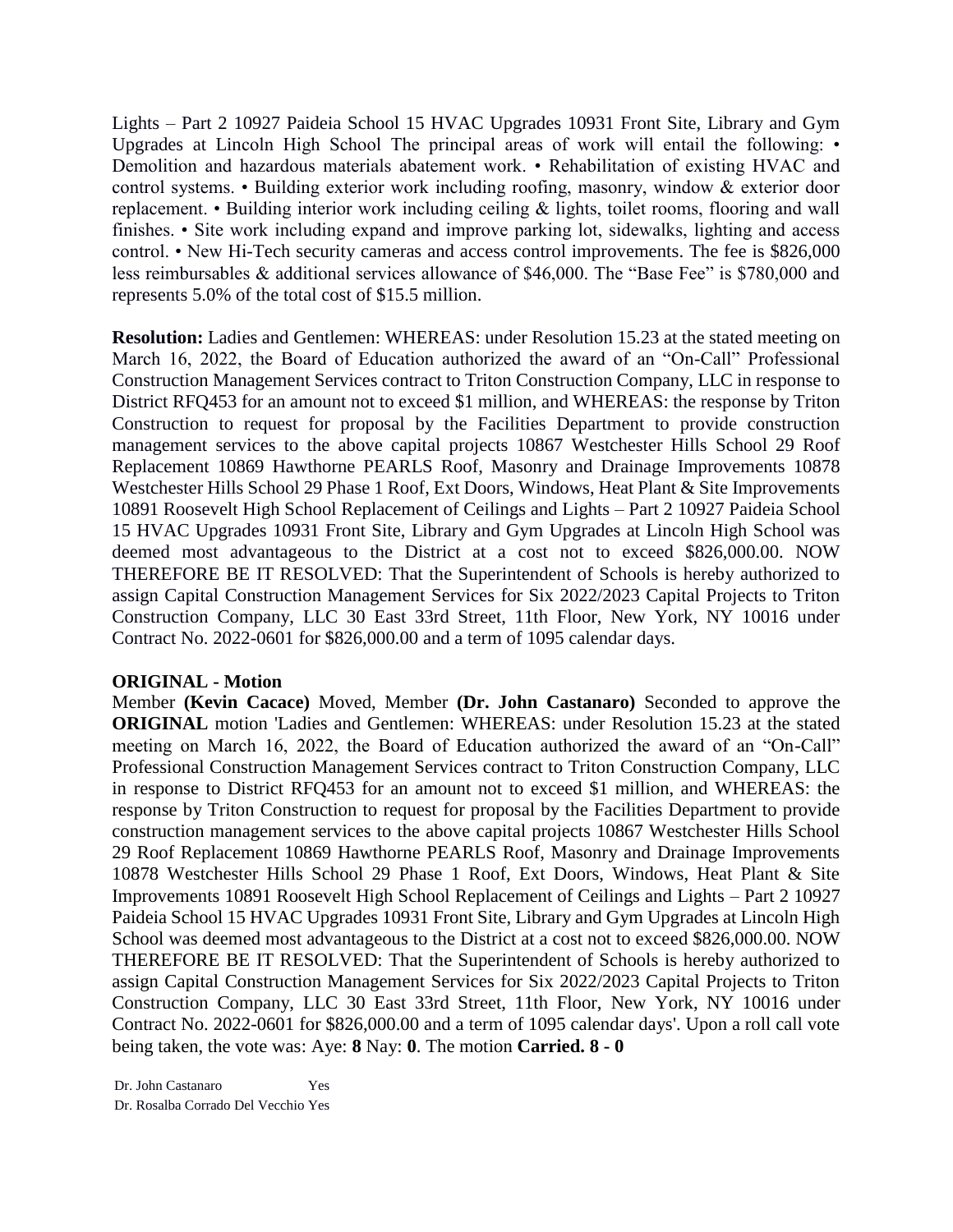Lights – Part 2 10927 Paideia School 15 HVAC Upgrades 10931 Front Site, Library and Gym Upgrades at Lincoln High School The principal areas of work will entail the following: • Demolition and hazardous materials abatement work. • Rehabilitation of existing HVAC and control systems. • Building exterior work including roofing, masonry, window & exterior door replacement. • Building interior work including ceiling & lights, toilet rooms, flooring and wall finishes. • Site work including expand and improve parking lot, sidewalks, lighting and access control. • New Hi-Tech security cameras and access control improvements. The fee is \$826,000 less reimbursables & additional services allowance of \$46,000. The "Base Fee" is \$780,000 and represents 5.0% of the total cost of \$15.5 million.

**Resolution:** Ladies and Gentlemen: WHEREAS: under Resolution 15.23 at the stated meeting on March 16, 2022, the Board of Education authorized the award of an "On-Call" Professional Construction Management Services contract to Triton Construction Company, LLC in response to District RFQ453 for an amount not to exceed \$1 million, and WHEREAS: the response by Triton Construction to request for proposal by the Facilities Department to provide construction management services to the above capital projects 10867 Westchester Hills School 29 Roof Replacement 10869 Hawthorne PEARLS Roof, Masonry and Drainage Improvements 10878 Westchester Hills School 29 Phase 1 Roof, Ext Doors, Windows, Heat Plant & Site Improvements 10891 Roosevelt High School Replacement of Ceilings and Lights – Part 2 10927 Paideia School 15 HVAC Upgrades 10931 Front Site, Library and Gym Upgrades at Lincoln High School was deemed most advantageous to the District at a cost not to exceed \$826,000.00. NOW THEREFORE BE IT RESOLVED: That the Superintendent of Schools is hereby authorized to assign Capital Construction Management Services for Six 2022/2023 Capital Projects to Triton Construction Company, LLC 30 East 33rd Street, 11th Floor, New York, NY 10016 under Contract No. 2022-0601 for \$826,000.00 and a term of 1095 calendar days.

# **ORIGINAL - Motion**

Member **(Kevin Cacace)** Moved, Member **(Dr. John Castanaro)** Seconded to approve the **ORIGINAL** motion 'Ladies and Gentlemen: WHEREAS: under Resolution 15.23 at the stated meeting on March 16, 2022, the Board of Education authorized the award of an "On-Call" Professional Construction Management Services contract to Triton Construction Company, LLC in response to District RFQ453 for an amount not to exceed \$1 million, and WHEREAS: the response by Triton Construction to request for proposal by the Facilities Department to provide construction management services to the above capital projects 10867 Westchester Hills School 29 Roof Replacement 10869 Hawthorne PEARLS Roof, Masonry and Drainage Improvements 10878 Westchester Hills School 29 Phase 1 Roof, Ext Doors, Windows, Heat Plant & Site Improvements 10891 Roosevelt High School Replacement of Ceilings and Lights – Part 2 10927 Paideia School 15 HVAC Upgrades 10931 Front Site, Library and Gym Upgrades at Lincoln High School was deemed most advantageous to the District at a cost not to exceed \$826,000.00. NOW THEREFORE BE IT RESOLVED: That the Superintendent of Schools is hereby authorized to assign Capital Construction Management Services for Six 2022/2023 Capital Projects to Triton Construction Company, LLC 30 East 33rd Street, 11th Floor, New York, NY 10016 under Contract No. 2022-0601 for \$826,000.00 and a term of 1095 calendar days'. Upon a roll call vote being taken, the vote was: Aye: **8** Nay: **0**. The motion **Carried. 8 - 0** 

Dr. John Castanaro Yes Dr. Rosalba Corrado Del Vecchio Yes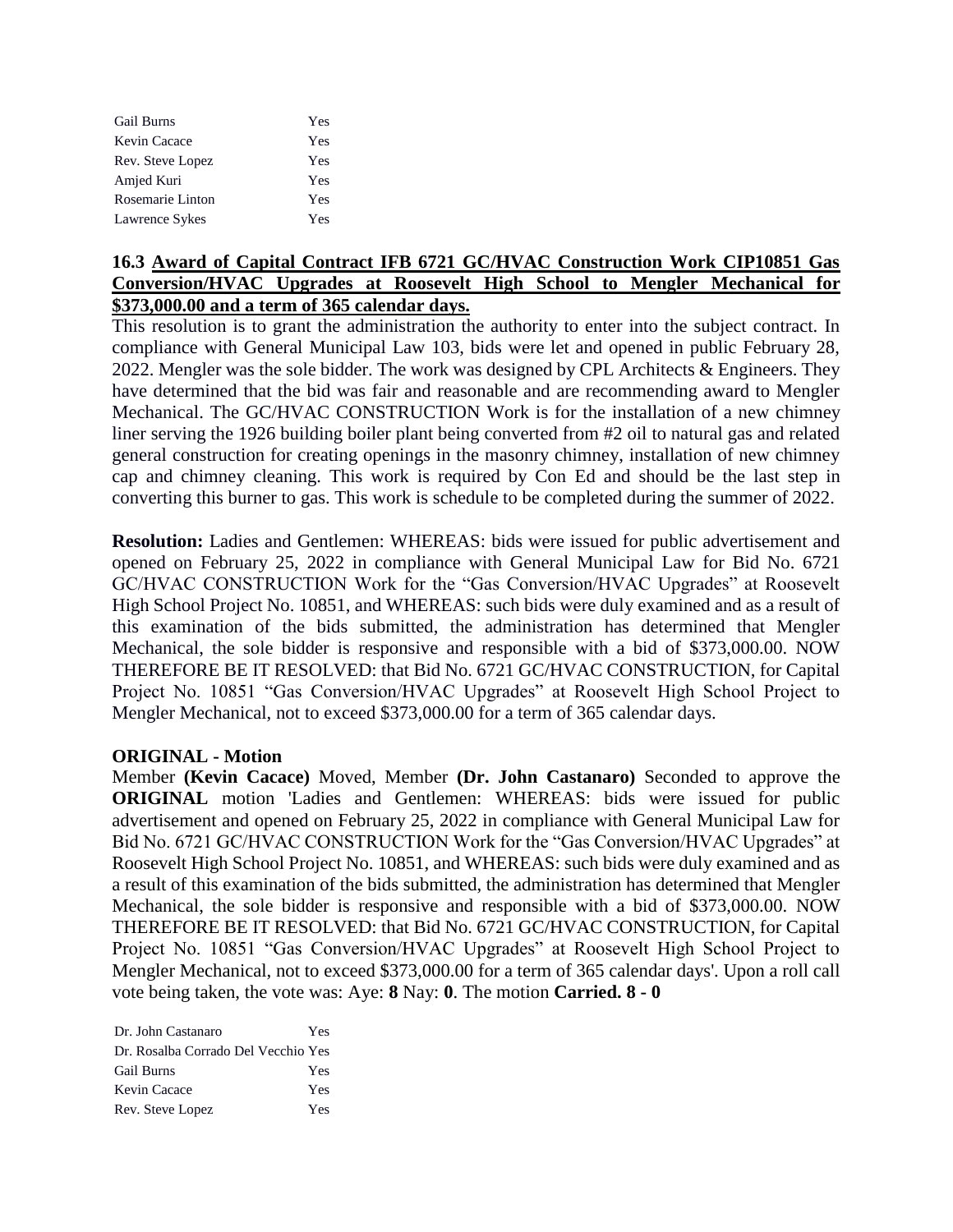| Gail Burns       | Yes |
|------------------|-----|
| Kevin Cacace     | Yes |
| Rev. Steve Lopez | Yes |
| Amjed Kuri       | Yes |
| Rosemarie Linton | Yes |
| Lawrence Sykes   | Yes |

# **16.3 Award of Capital Contract IFB 6721 GC/HVAC Construction Work CIP10851 Gas Conversion/HVAC Upgrades at Roosevelt High School to Mengler Mechanical for \$373,000.00 and a term of 365 calendar days.**

This resolution is to grant the administration the authority to enter into the subject contract. In compliance with General Municipal Law 103, bids were let and opened in public February 28, 2022. Mengler was the sole bidder. The work was designed by CPL Architects & Engineers. They have determined that the bid was fair and reasonable and are recommending award to Mengler Mechanical. The GC/HVAC CONSTRUCTION Work is for the installation of a new chimney liner serving the 1926 building boiler plant being converted from #2 oil to natural gas and related general construction for creating openings in the masonry chimney, installation of new chimney cap and chimney cleaning. This work is required by Con Ed and should be the last step in converting this burner to gas. This work is schedule to be completed during the summer of 2022.

**Resolution:** Ladies and Gentlemen: WHEREAS: bids were issued for public advertisement and opened on February 25, 2022 in compliance with General Municipal Law for Bid No. 6721 GC/HVAC CONSTRUCTION Work for the "Gas Conversion/HVAC Upgrades" at Roosevelt High School Project No. 10851, and WHEREAS: such bids were duly examined and as a result of this examination of the bids submitted, the administration has determined that Mengler Mechanical, the sole bidder is responsive and responsible with a bid of \$373,000.00. NOW THEREFORE BE IT RESOLVED: that Bid No. 6721 GC/HVAC CONSTRUCTION, for Capital Project No. 10851 "Gas Conversion/HVAC Upgrades" at Roosevelt High School Project to Mengler Mechanical, not to exceed \$373,000.00 for a term of 365 calendar days.

# **ORIGINAL - Motion**

Member **(Kevin Cacace)** Moved, Member **(Dr. John Castanaro)** Seconded to approve the **ORIGINAL** motion 'Ladies and Gentlemen: WHEREAS: bids were issued for public advertisement and opened on February 25, 2022 in compliance with General Municipal Law for Bid No. 6721 GC/HVAC CONSTRUCTION Work for the "Gas Conversion/HVAC Upgrades" at Roosevelt High School Project No. 10851, and WHEREAS: such bids were duly examined and as a result of this examination of the bids submitted, the administration has determined that Mengler Mechanical, the sole bidder is responsive and responsible with a bid of \$373,000.00. NOW THEREFORE BE IT RESOLVED: that Bid No. 6721 GC/HVAC CONSTRUCTION, for Capital Project No. 10851 "Gas Conversion/HVAC Upgrades" at Roosevelt High School Project to Mengler Mechanical, not to exceed \$373,000.00 for a term of 365 calendar days'. Upon a roll call vote being taken, the vote was: Aye: **8** Nay: **0**. The motion **Carried. 8 - 0** 

| Dr. John Castanaro                  | Yes |
|-------------------------------------|-----|
| Dr. Rosalba Corrado Del Vecchio Yes |     |
| <b>Gail Burns</b>                   | Yes |
| Kevin Cacace                        | Yes |
| Rev. Steve Lopez                    | Yes |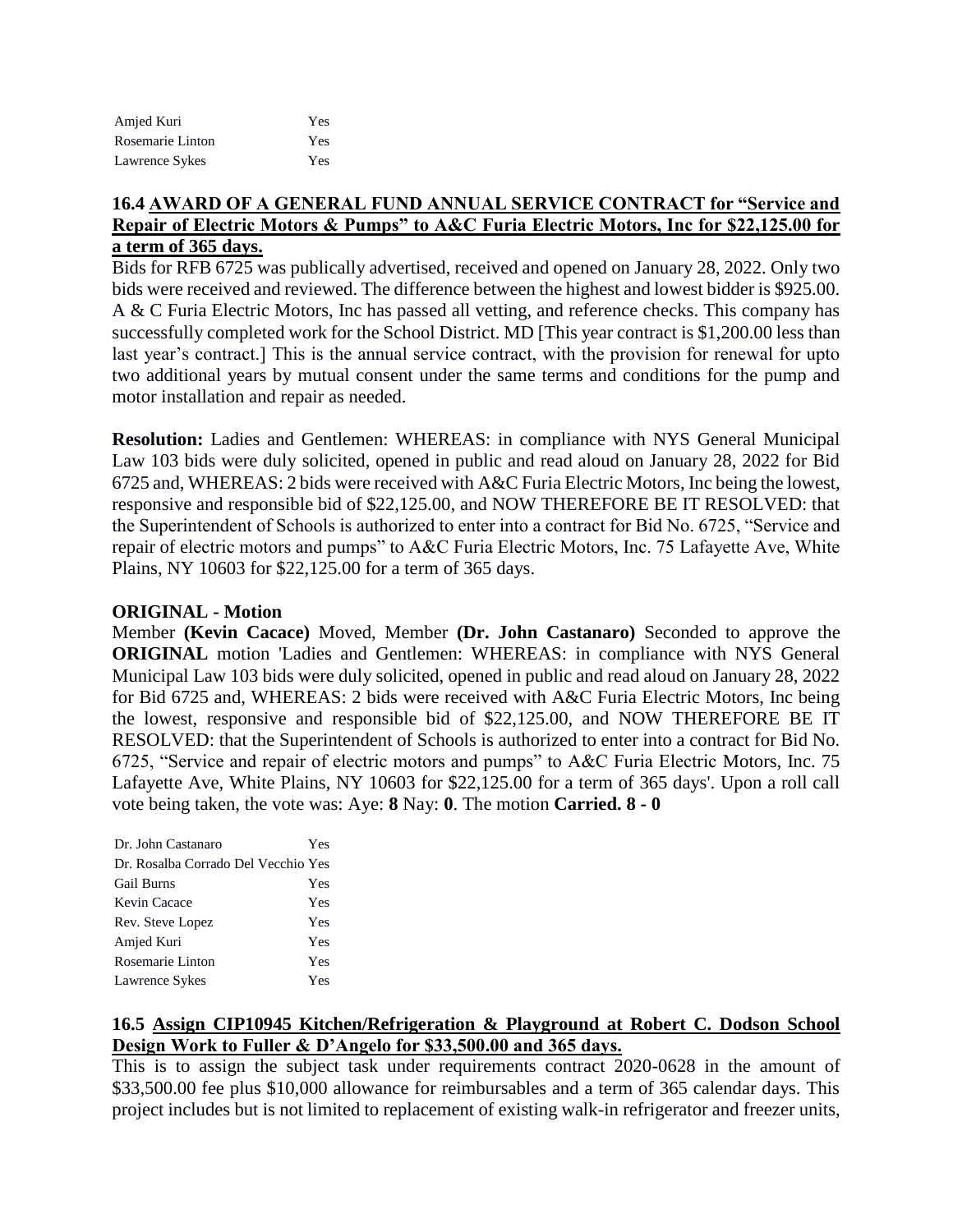| Amjed Kuri       | Yes |
|------------------|-----|
| Rosemarie Linton | Yes |
| Lawrence Sykes   | Yes |

# **16.4 AWARD OF A GENERAL FUND ANNUAL SERVICE CONTRACT for "Service and Repair of Electric Motors & Pumps" to A&C Furia Electric Motors, Inc for \$22,125.00 for a term of 365 days.**

Bids for RFB 6725 was publically advertised, received and opened on January 28, 2022. Only two bids were received and reviewed. The difference between the highest and lowest bidder is \$925.00. A & C Furia Electric Motors, Inc has passed all vetting, and reference checks. This company has successfully completed work for the School District. MD [This year contract is \$1,200.00 less than last year's contract.] This is the annual service contract, with the provision for renewal for upto two additional years by mutual consent under the same terms and conditions for the pump and motor installation and repair as needed.

**Resolution:** Ladies and Gentlemen: WHEREAS: in compliance with NYS General Municipal Law 103 bids were duly solicited, opened in public and read aloud on January 28, 2022 for Bid 6725 and, WHEREAS: 2 bids were received with A&C Furia Electric Motors, Inc being the lowest, responsive and responsible bid of \$22,125.00, and NOW THEREFORE BE IT RESOLVED: that the Superintendent of Schools is authorized to enter into a contract for Bid No. 6725, "Service and repair of electric motors and pumps" to A&C Furia Electric Motors, Inc. 75 Lafayette Ave, White Plains, NY 10603 for \$22,125.00 for a term of 365 days.

# **ORIGINAL - Motion**

Member **(Kevin Cacace)** Moved, Member **(Dr. John Castanaro)** Seconded to approve the **ORIGINAL** motion 'Ladies and Gentlemen: WHEREAS: in compliance with NYS General Municipal Law 103 bids were duly solicited, opened in public and read aloud on January 28, 2022 for Bid 6725 and, WHEREAS: 2 bids were received with A&C Furia Electric Motors, Inc being the lowest, responsive and responsible bid of \$22,125.00, and NOW THEREFORE BE IT RESOLVED: that the Superintendent of Schools is authorized to enter into a contract for Bid No. 6725, "Service and repair of electric motors and pumps" to A&C Furia Electric Motors, Inc. 75 Lafayette Ave, White Plains, NY 10603 for \$22,125.00 for a term of 365 days'. Upon a roll call vote being taken, the vote was: Aye: **8** Nay: **0**. The motion **Carried. 8 - 0** 

| Dr. John Castanaro                  | Yes |
|-------------------------------------|-----|
| Dr. Rosalba Corrado Del Vecchio Yes |     |
| <b>Gail Burns</b>                   | Yes |
| Kevin Cacace                        | Yes |
| Rev. Steve Lopez                    | Yes |
| Amjed Kuri                          | Yes |
| Rosemarie Linton                    | Yes |
| Lawrence Sykes                      | Yes |

# **16.5 Assign CIP10945 Kitchen/Refrigeration & Playground at Robert C. Dodson School Design Work to Fuller & D'Angelo for \$33,500.00 and 365 days.**

This is to assign the subject task under requirements contract 2020-0628 in the amount of \$33,500.00 fee plus \$10,000 allowance for reimbursables and a term of 365 calendar days. This project includes but is not limited to replacement of existing walk-in refrigerator and freezer units,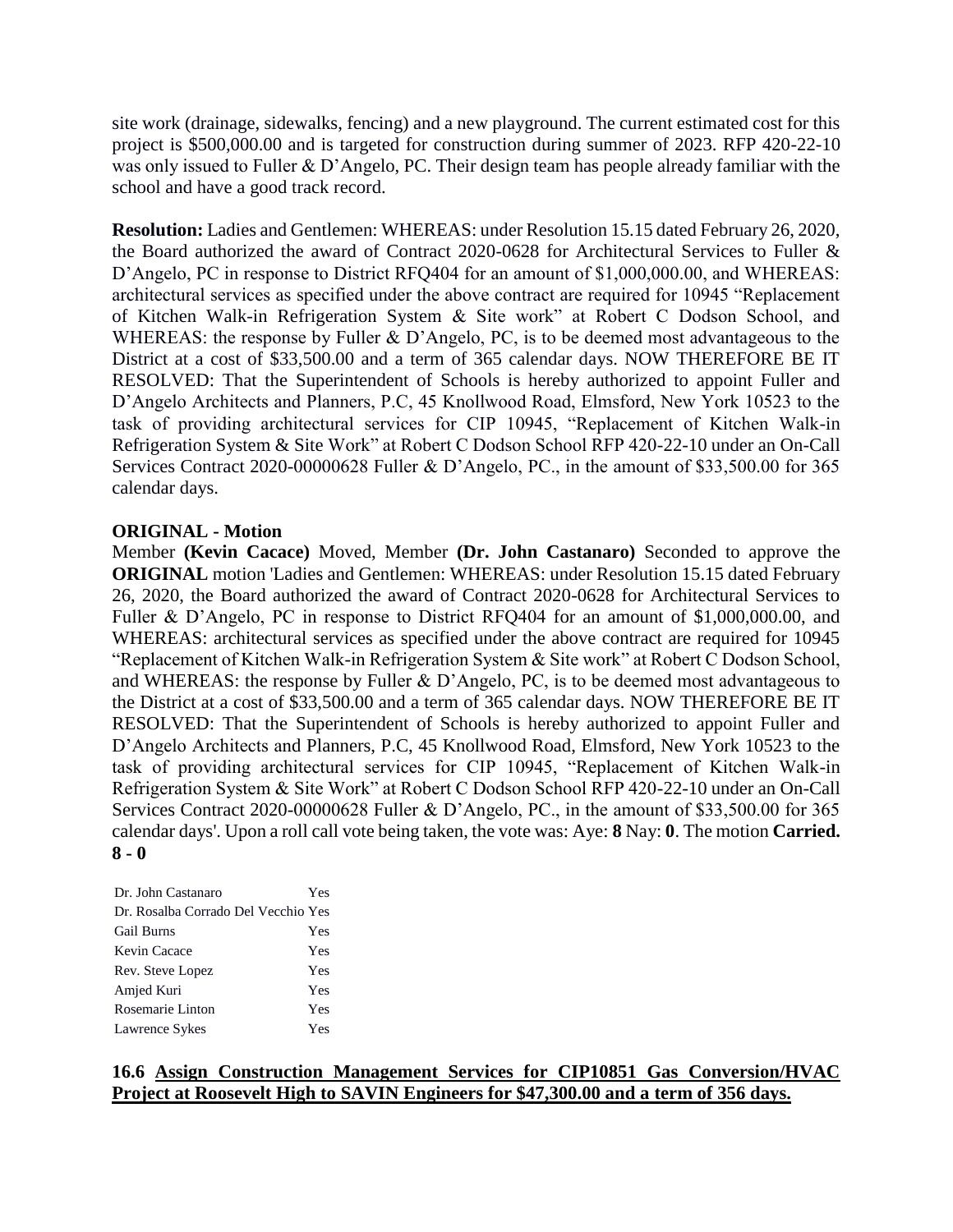site work (drainage, sidewalks, fencing) and a new playground. The current estimated cost for this project is \$500,000.00 and is targeted for construction during summer of 2023. RFP 420-22-10 was only issued to Fuller & D'Angelo, PC. Their design team has people already familiar with the school and have a good track record.

**Resolution:** Ladies and Gentlemen: WHEREAS: under Resolution 15.15 dated February 26, 2020, the Board authorized the award of Contract 2020-0628 for Architectural Services to Fuller & D'Angelo, PC in response to District RFQ404 for an amount of \$1,000,000.00, and WHEREAS: architectural services as specified under the above contract are required for 10945 "Replacement of Kitchen Walk-in Refrigeration System & Site work" at Robert C Dodson School, and WHEREAS: the response by Fuller & D'Angelo, PC, is to be deemed most advantageous to the District at a cost of \$33,500.00 and a term of 365 calendar days. NOW THEREFORE BE IT RESOLVED: That the Superintendent of Schools is hereby authorized to appoint Fuller and D'Angelo Architects and Planners, P.C, 45 Knollwood Road, Elmsford, New York 10523 to the task of providing architectural services for CIP 10945, "Replacement of Kitchen Walk-in Refrigeration System & Site Work" at Robert C Dodson School RFP 420-22-10 under an On-Call Services Contract 2020-00000628 Fuller & D'Angelo, PC., in the amount of \$33,500.00 for 365 calendar days.

#### **ORIGINAL - Motion**

Member **(Kevin Cacace)** Moved, Member **(Dr. John Castanaro)** Seconded to approve the **ORIGINAL** motion 'Ladies and Gentlemen: WHEREAS: under Resolution 15.15 dated February 26, 2020, the Board authorized the award of Contract 2020-0628 for Architectural Services to Fuller & D'Angelo, PC in response to District RFQ404 for an amount of \$1,000,000.00, and WHEREAS: architectural services as specified under the above contract are required for 10945 "Replacement of Kitchen Walk-in Refrigeration System & Site work" at Robert C Dodson School, and WHEREAS: the response by Fuller & D'Angelo, PC, is to be deemed most advantageous to the District at a cost of \$33,500.00 and a term of 365 calendar days. NOW THEREFORE BE IT RESOLVED: That the Superintendent of Schools is hereby authorized to appoint Fuller and D'Angelo Architects and Planners, P.C, 45 Knollwood Road, Elmsford, New York 10523 to the task of providing architectural services for CIP 10945, "Replacement of Kitchen Walk-in Refrigeration System & Site Work" at Robert C Dodson School RFP 420-22-10 under an On-Call Services Contract 2020-00000628 Fuller & D'Angelo, PC., in the amount of \$33,500.00 for 365 calendar days'. Upon a roll call vote being taken, the vote was: Aye: **8** Nay: **0**. The motion **Carried. 8 - 0** 

| Dr. John Castanaro                  | Yes |
|-------------------------------------|-----|
| Dr. Rosalba Corrado Del Vecchio Yes |     |
| <b>Gail Burns</b>                   | Yes |
| Kevin Cacace                        | Yes |
| Rev. Steve Lopez                    | Yes |
| Amjed Kuri                          | Yes |
| Rosemarie Linton                    | Yes |
| Lawrence Sykes                      | Yes |

# **16.6 Assign Construction Management Services for CIP10851 Gas Conversion/HVAC Project at Roosevelt High to SAVIN Engineers for \$47,300.00 and a term of 356 days.**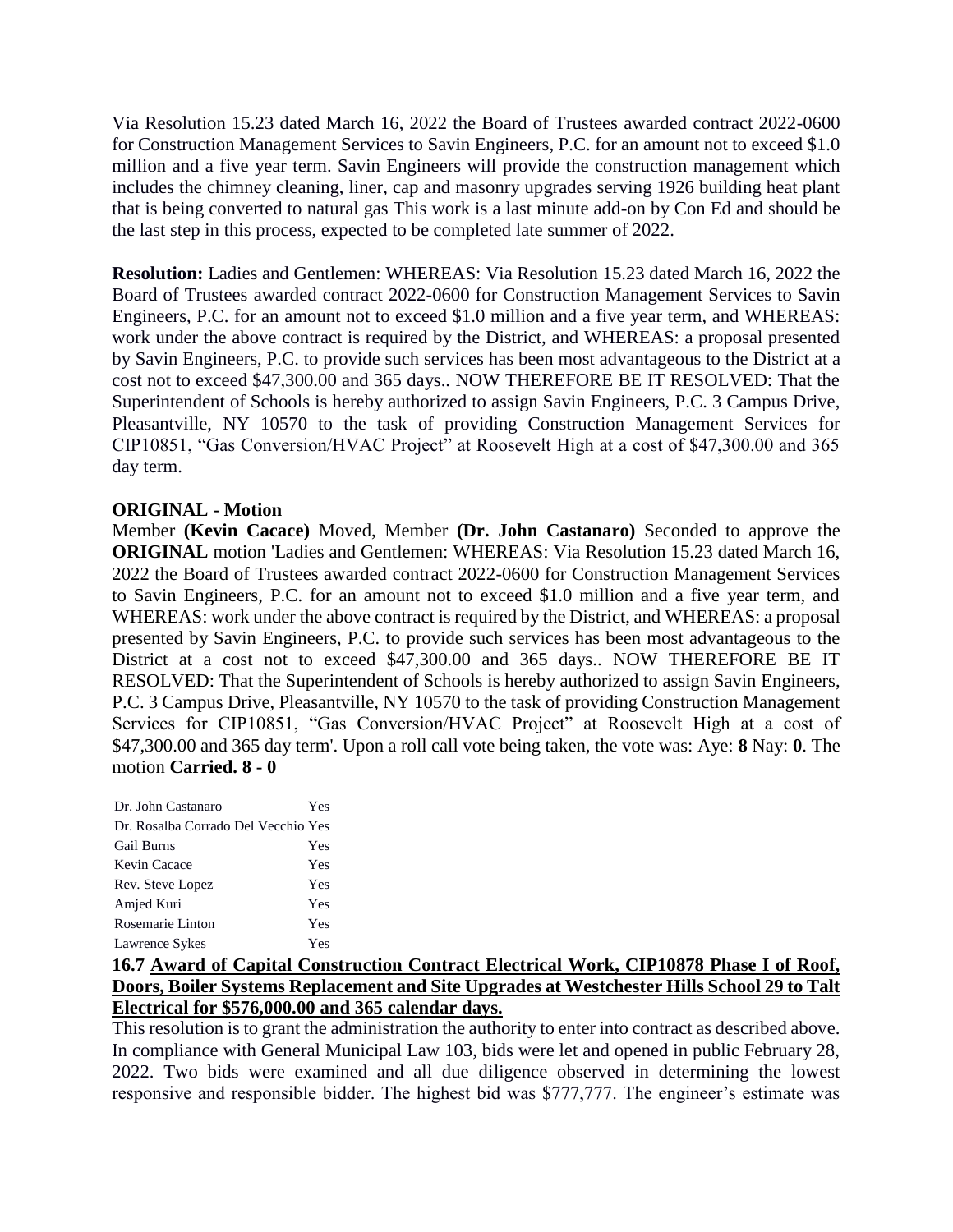Via Resolution 15.23 dated March 16, 2022 the Board of Trustees awarded contract 2022-0600 for Construction Management Services to Savin Engineers, P.C. for an amount not to exceed \$1.0 million and a five year term. Savin Engineers will provide the construction management which includes the chimney cleaning, liner, cap and masonry upgrades serving 1926 building heat plant that is being converted to natural gas This work is a last minute add-on by Con Ed and should be the last step in this process, expected to be completed late summer of 2022.

**Resolution:** Ladies and Gentlemen: WHEREAS: Via Resolution 15.23 dated March 16, 2022 the Board of Trustees awarded contract 2022-0600 for Construction Management Services to Savin Engineers, P.C. for an amount not to exceed \$1.0 million and a five year term, and WHEREAS: work under the above contract is required by the District, and WHEREAS: a proposal presented by Savin Engineers, P.C. to provide such services has been most advantageous to the District at a cost not to exceed \$47,300.00 and 365 days.. NOW THEREFORE BE IT RESOLVED: That the Superintendent of Schools is hereby authorized to assign Savin Engineers, P.C. 3 Campus Drive, Pleasantville, NY 10570 to the task of providing Construction Management Services for CIP10851, "Gas Conversion/HVAC Project" at Roosevelt High at a cost of \$47,300.00 and 365 day term.

# **ORIGINAL - Motion**

Member **(Kevin Cacace)** Moved, Member **(Dr. John Castanaro)** Seconded to approve the **ORIGINAL** motion 'Ladies and Gentlemen: WHEREAS: Via Resolution 15.23 dated March 16, 2022 the Board of Trustees awarded contract 2022-0600 for Construction Management Services to Savin Engineers, P.C. for an amount not to exceed \$1.0 million and a five year term, and WHEREAS: work under the above contract is required by the District, and WHEREAS: a proposal presented by Savin Engineers, P.C. to provide such services has been most advantageous to the District at a cost not to exceed \$47,300.00 and 365 days.. NOW THEREFORE BE IT RESOLVED: That the Superintendent of Schools is hereby authorized to assign Savin Engineers, P.C. 3 Campus Drive, Pleasantville, NY 10570 to the task of providing Construction Management Services for CIP10851, "Gas Conversion/HVAC Project" at Roosevelt High at a cost of \$47,300.00 and 365 day term'. Upon a roll call vote being taken, the vote was: Aye: **8** Nay: **0**. The motion **Carried. 8 - 0** 

| Dr. John Castanaro                  | Yes |
|-------------------------------------|-----|
| Dr. Rosalba Corrado Del Vecchio Yes |     |
| <b>Gail Burns</b>                   | Yes |
| Kevin Cacace                        | Yes |
| Rev. Steve Lopez                    | Yes |
| Amjed Kuri                          | Yes |
| Rosemarie Linton                    | Yes |
| Lawrence Sykes                      | Yes |

# **16.7 Award of Capital Construction Contract Electrical Work, CIP10878 Phase I of Roof, Doors, Boiler Systems Replacement and Site Upgrades at Westchester Hills School 29 to Talt Electrical for \$576,000.00 and 365 calendar days.**

This resolution is to grant the administration the authority to enter into contract as described above. In compliance with General Municipal Law 103, bids were let and opened in public February 28, 2022. Two bids were examined and all due diligence observed in determining the lowest responsive and responsible bidder. The highest bid was \$777,777. The engineer's estimate was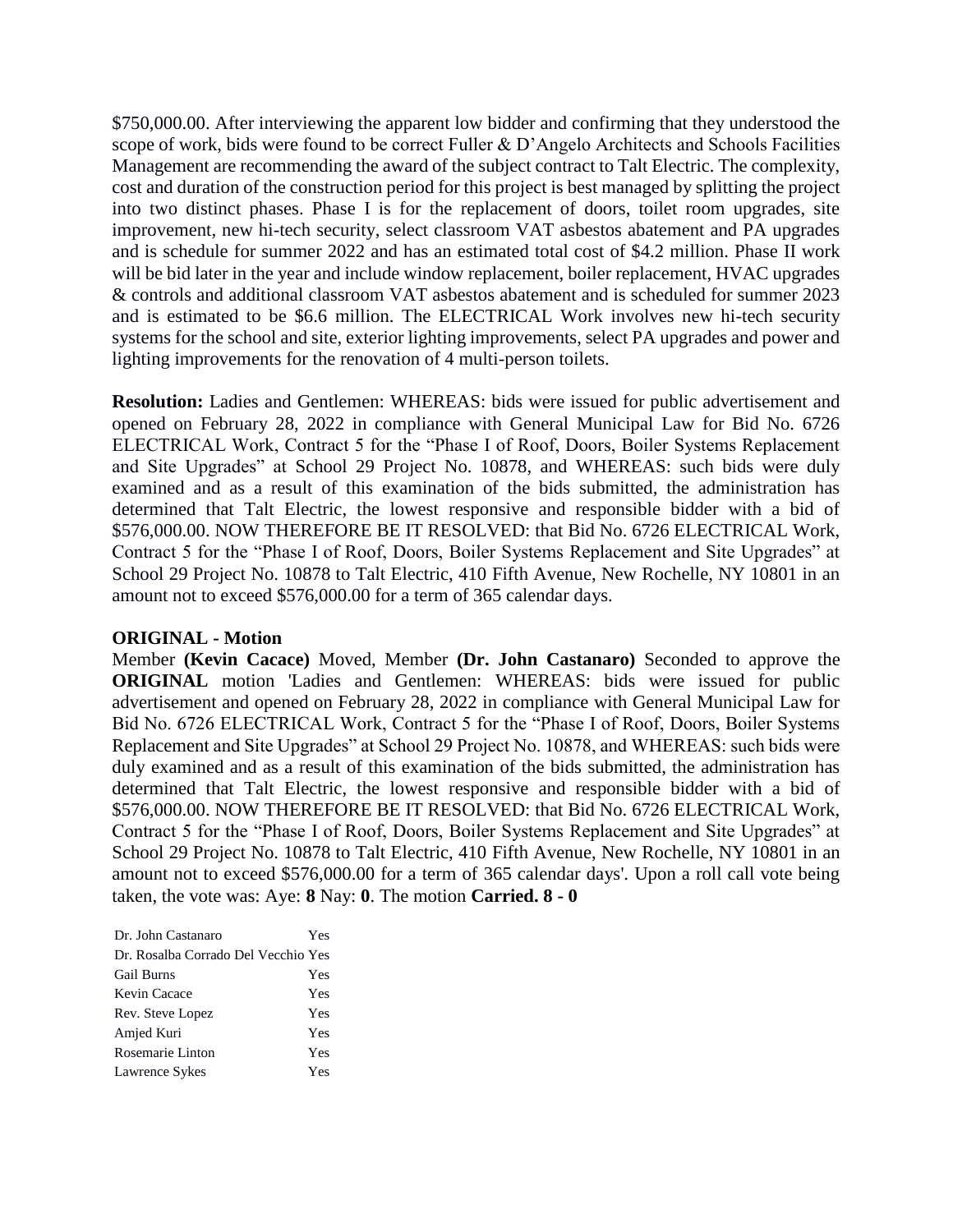\$750,000.00. After interviewing the apparent low bidder and confirming that they understood the scope of work, bids were found to be correct Fuller & D'Angelo Architects and Schools Facilities Management are recommending the award of the subject contract to Talt Electric. The complexity, cost and duration of the construction period for this project is best managed by splitting the project into two distinct phases. Phase I is for the replacement of doors, toilet room upgrades, site improvement, new hi-tech security, select classroom VAT asbestos abatement and PA upgrades and is schedule for summer 2022 and has an estimated total cost of \$4.2 million. Phase II work will be bid later in the year and include window replacement, boiler replacement, HVAC upgrades & controls and additional classroom VAT asbestos abatement and is scheduled for summer 2023 and is estimated to be \$6.6 million. The ELECTRICAL Work involves new hi-tech security systems for the school and site, exterior lighting improvements, select PA upgrades and power and lighting improvements for the renovation of 4 multi-person toilets.

**Resolution:** Ladies and Gentlemen: WHEREAS: bids were issued for public advertisement and opened on February 28, 2022 in compliance with General Municipal Law for Bid No. 6726 ELECTRICAL Work, Contract 5 for the "Phase I of Roof, Doors, Boiler Systems Replacement and Site Upgrades" at School 29 Project No. 10878, and WHEREAS: such bids were duly examined and as a result of this examination of the bids submitted, the administration has determined that Talt Electric, the lowest responsive and responsible bidder with a bid of \$576,000.00. NOW THEREFORE BE IT RESOLVED: that Bid No. 6726 ELECTRICAL Work, Contract 5 for the "Phase I of Roof, Doors, Boiler Systems Replacement and Site Upgrades" at School 29 Project No. 10878 to Talt Electric, 410 Fifth Avenue, New Rochelle, NY 10801 in an amount not to exceed \$576,000.00 for a term of 365 calendar days.

# **ORIGINAL - Motion**

Member **(Kevin Cacace)** Moved, Member **(Dr. John Castanaro)** Seconded to approve the **ORIGINAL** motion 'Ladies and Gentlemen: WHEREAS: bids were issued for public advertisement and opened on February 28, 2022 in compliance with General Municipal Law for Bid No. 6726 ELECTRICAL Work, Contract 5 for the "Phase I of Roof, Doors, Boiler Systems Replacement and Site Upgrades" at School 29 Project No. 10878, and WHEREAS: such bids were duly examined and as a result of this examination of the bids submitted, the administration has determined that Talt Electric, the lowest responsive and responsible bidder with a bid of \$576,000.00. NOW THEREFORE BE IT RESOLVED: that Bid No. 6726 ELECTRICAL Work, Contract 5 for the "Phase I of Roof, Doors, Boiler Systems Replacement and Site Upgrades" at School 29 Project No. 10878 to Talt Electric, 410 Fifth Avenue, New Rochelle, NY 10801 in an amount not to exceed \$576,000.00 for a term of 365 calendar days'. Upon a roll call vote being taken, the vote was: Aye: **8** Nay: **0**. The motion **Carried. 8 - 0** 

| Dr. John Castanaro                  | Yes |
|-------------------------------------|-----|
| Dr. Rosalba Corrado Del Vecchio Yes |     |
| <b>Gail Burns</b>                   | Yes |
| Kevin Cacace                        | Yes |
| Rev. Steve Lopez                    | Yes |
| Amjed Kuri                          | Yes |
| Rosemarie Linton                    | Yes |
| Lawrence Sykes                      | Yes |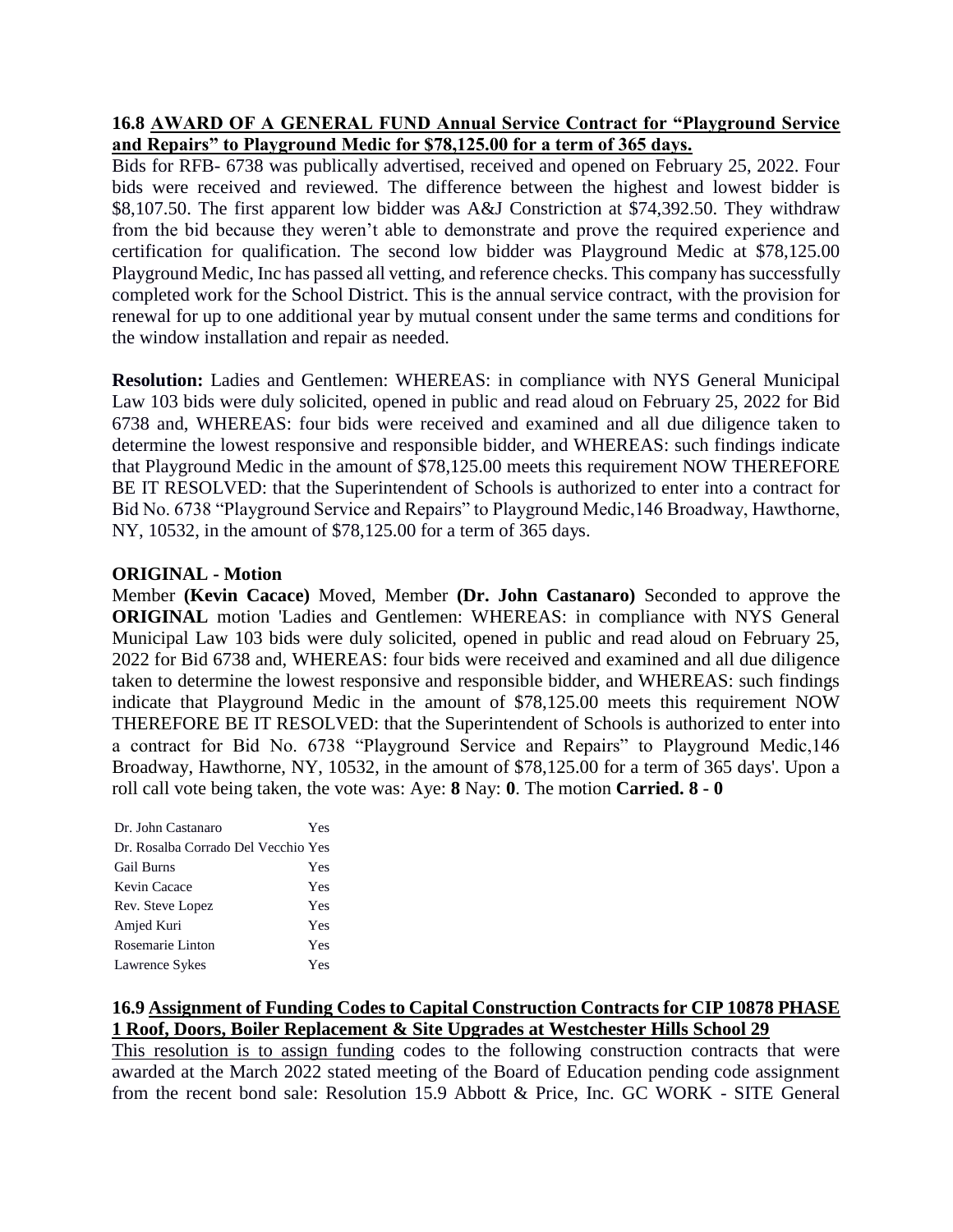# **16.8 AWARD OF A GENERAL FUND Annual Service Contract for "Playground Service and Repairs" to Playground Medic for \$78,125.00 for a term of 365 days.**

Bids for RFB- 6738 was publically advertised, received and opened on February 25, 2022. Four bids were received and reviewed. The difference between the highest and lowest bidder is \$8,107.50. The first apparent low bidder was A&J Constriction at \$74,392.50. They withdraw from the bid because they weren't able to demonstrate and prove the required experience and certification for qualification. The second low bidder was Playground Medic at \$78,125.00 Playground Medic, Inc has passed all vetting, and reference checks. This company has successfully completed work for the School District. This is the annual service contract, with the provision for renewal for up to one additional year by mutual consent under the same terms and conditions for the window installation and repair as needed.

**Resolution:** Ladies and Gentlemen: WHEREAS: in compliance with NYS General Municipal Law 103 bids were duly solicited, opened in public and read aloud on February 25, 2022 for Bid 6738 and, WHEREAS: four bids were received and examined and all due diligence taken to determine the lowest responsive and responsible bidder, and WHEREAS: such findings indicate that Playground Medic in the amount of \$78,125.00 meets this requirement NOW THEREFORE BE IT RESOLVED: that the Superintendent of Schools is authorized to enter into a contract for Bid No. 6738 "Playground Service and Repairs" to Playground Medic,146 Broadway, Hawthorne, NY, 10532, in the amount of \$78,125.00 for a term of 365 days.

# **ORIGINAL - Motion**

Member **(Kevin Cacace)** Moved, Member **(Dr. John Castanaro)** Seconded to approve the **ORIGINAL** motion 'Ladies and Gentlemen: WHEREAS: in compliance with NYS General Municipal Law 103 bids were duly solicited, opened in public and read aloud on February 25, 2022 for Bid 6738 and, WHEREAS: four bids were received and examined and all due diligence taken to determine the lowest responsive and responsible bidder, and WHEREAS: such findings indicate that Playground Medic in the amount of \$78,125.00 meets this requirement NOW THEREFORE BE IT RESOLVED: that the Superintendent of Schools is authorized to enter into a contract for Bid No. 6738 "Playground Service and Repairs" to Playground Medic,146 Broadway, Hawthorne, NY, 10532, in the amount of \$78,125.00 for a term of 365 days'. Upon a roll call vote being taken, the vote was: Aye: **8** Nay: **0**. The motion **Carried. 8 - 0** 

| Dr. John Castanaro                  | Yes |
|-------------------------------------|-----|
| Dr. Rosalba Corrado Del Vecchio Yes |     |
| <b>Gail Burns</b>                   | Yes |
| Kevin Cacace                        | Yes |
| Rev. Steve Lopez                    | Yes |
| Amjed Kuri                          | Yes |
| Rosemarie Linton                    | Yes |
| Lawrence Sykes                      | Yes |

# **16.9 Assignment of Funding Codes to Capital Construction Contracts for CIP 10878 PHASE 1 Roof, Doors, Boiler Replacement & Site Upgrades at Westchester Hills School 29**

This resolution is to assign funding codes to the following construction contracts that were awarded at the March 2022 stated meeting of the Board of Education pending code assignment from the recent bond sale: Resolution 15.9 Abbott & Price, Inc. GC WORK - SITE General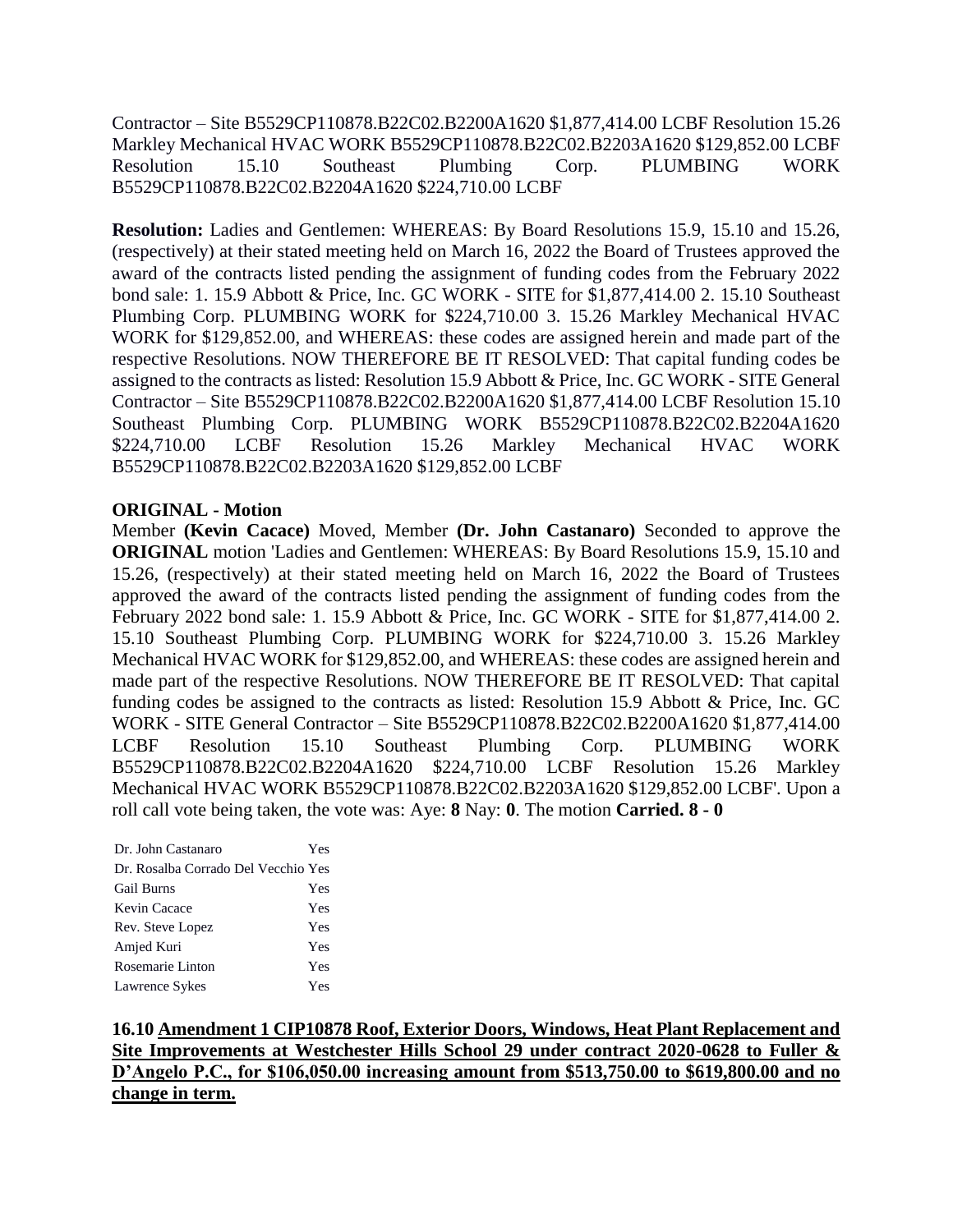Contractor – Site B5529CP110878.B22C02.B2200A1620 \$1,877,414.00 LCBF Resolution 15.26 Markley Mechanical HVAC WORK B5529CP110878.B22C02.B2203A1620 \$129,852.00 LCBF Resolution 15.10 Southeast Plumbing Corp. PLUMBING WORK B5529CP110878.B22C02.B2204A1620 \$224,710.00 LCBF

**Resolution:** Ladies and Gentlemen: WHEREAS: By Board Resolutions 15.9, 15.10 and 15.26, (respectively) at their stated meeting held on March 16, 2022 the Board of Trustees approved the award of the contracts listed pending the assignment of funding codes from the February 2022 bond sale: 1. 15.9 Abbott & Price, Inc. GC WORK - SITE for \$1,877,414.00 2. 15.10 Southeast Plumbing Corp. PLUMBING WORK for \$224,710.00 3. 15.26 Markley Mechanical HVAC WORK for \$129,852.00, and WHEREAS: these codes are assigned herein and made part of the respective Resolutions. NOW THEREFORE BE IT RESOLVED: That capital funding codes be assigned to the contracts as listed: Resolution 15.9 Abbott & Price, Inc. GC WORK - SITE General Contractor – Site B5529CP110878.B22C02.B2200A1620 \$1,877,414.00 LCBF Resolution 15.10 Southeast Plumbing Corp. PLUMBING WORK B5529CP110878.B22C02.B2204A1620 \$224,710.00 LCBF Resolution 15.26 Markley Mechanical HVAC WORK B5529CP110878.B22C02.B2203A1620 \$129,852.00 LCBF

# **ORIGINAL - Motion**

Member **(Kevin Cacace)** Moved, Member **(Dr. John Castanaro)** Seconded to approve the **ORIGINAL** motion 'Ladies and Gentlemen: WHEREAS: By Board Resolutions 15.9, 15.10 and 15.26, (respectively) at their stated meeting held on March 16, 2022 the Board of Trustees approved the award of the contracts listed pending the assignment of funding codes from the February 2022 bond sale: 1. 15.9 Abbott & Price, Inc. GC WORK - SITE for \$1,877,414.00 2. 15.10 Southeast Plumbing Corp. PLUMBING WORK for \$224,710.00 3. 15.26 Markley Mechanical HVAC WORK for \$129,852.00, and WHEREAS: these codes are assigned herein and made part of the respective Resolutions. NOW THEREFORE BE IT RESOLVED: That capital funding codes be assigned to the contracts as listed: Resolution 15.9 Abbott & Price, Inc. GC WORK - SITE General Contractor – Site B5529CP110878.B22C02.B2200A1620 \$1,877,414.00 LCBF Resolution 15.10 Southeast Plumbing Corp. PLUMBING WORK B5529CP110878.B22C02.B2204A1620 \$224,710.00 LCBF Resolution 15.26 Markley Mechanical HVAC WORK B5529CP110878.B22C02.B2203A1620 \$129,852.00 LCBF'. Upon a roll call vote being taken, the vote was: Aye: **8** Nay: **0**. The motion **Carried. 8 - 0** 

| Dr. John Castanaro                  | Yes |
|-------------------------------------|-----|
| Dr. Rosalba Corrado Del Vecchio Yes |     |
| <b>Gail Burns</b>                   | Yes |
| Kevin Cacace                        | Yes |
| Rev. Steve Lopez                    | Yes |
| Amjed Kuri                          | Yes |
| Rosemarie Linton                    | Yes |
| Lawrence Sykes                      | Yes |

**16.10 Amendment 1 CIP10878 Roof, Exterior Doors, Windows, Heat Plant Replacement and Site Improvements at Westchester Hills School 29 under contract 2020-0628 to Fuller & D'Angelo P.C., for \$106,050.00 increasing amount from \$513,750.00 to \$619,800.00 and no change in term.**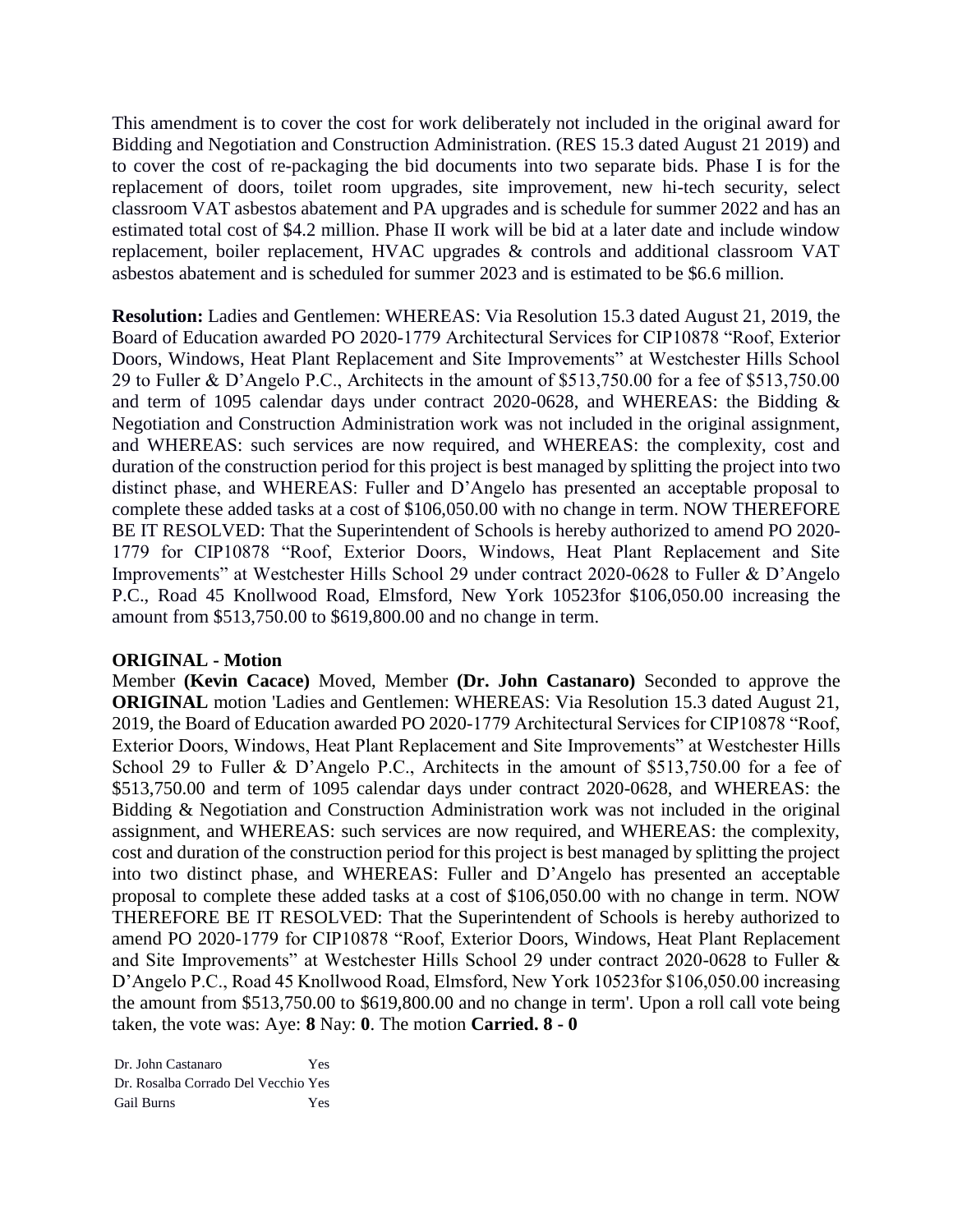This amendment is to cover the cost for work deliberately not included in the original award for Bidding and Negotiation and Construction Administration. (RES 15.3 dated August 21 2019) and to cover the cost of re-packaging the bid documents into two separate bids. Phase I is for the replacement of doors, toilet room upgrades, site improvement, new hi-tech security, select classroom VAT asbestos abatement and PA upgrades and is schedule for summer 2022 and has an estimated total cost of \$4.2 million. Phase II work will be bid at a later date and include window replacement, boiler replacement, HVAC upgrades & controls and additional classroom VAT asbestos abatement and is scheduled for summer 2023 and is estimated to be \$6.6 million.

**Resolution:** Ladies and Gentlemen: WHEREAS: Via Resolution 15.3 dated August 21, 2019, the Board of Education awarded PO 2020-1779 Architectural Services for CIP10878 "Roof, Exterior Doors, Windows, Heat Plant Replacement and Site Improvements" at Westchester Hills School 29 to Fuller & D'Angelo P.C., Architects in the amount of \$513,750.00 for a fee of \$513,750.00 and term of 1095 calendar days under contract 2020-0628, and WHEREAS: the Bidding & Negotiation and Construction Administration work was not included in the original assignment, and WHEREAS: such services are now required, and WHEREAS: the complexity, cost and duration of the construction period for this project is best managed by splitting the project into two distinct phase, and WHEREAS: Fuller and D'Angelo has presented an acceptable proposal to complete these added tasks at a cost of \$106,050.00 with no change in term. NOW THEREFORE BE IT RESOLVED: That the Superintendent of Schools is hereby authorized to amend PO 2020- 1779 for CIP10878 "Roof, Exterior Doors, Windows, Heat Plant Replacement and Site Improvements" at Westchester Hills School 29 under contract 2020-0628 to Fuller & D'Angelo P.C., Road 45 Knollwood Road, Elmsford, New York 10523for \$106,050.00 increasing the amount from \$513,750.00 to \$619,800.00 and no change in term.

# **ORIGINAL - Motion**

Member **(Kevin Cacace)** Moved, Member **(Dr. John Castanaro)** Seconded to approve the **ORIGINAL** motion 'Ladies and Gentlemen: WHEREAS: Via Resolution 15.3 dated August 21, 2019, the Board of Education awarded PO 2020-1779 Architectural Services for CIP10878 "Roof, Exterior Doors, Windows, Heat Plant Replacement and Site Improvements" at Westchester Hills School 29 to Fuller & D'Angelo P.C., Architects in the amount of \$513,750.00 for a fee of \$513,750.00 and term of 1095 calendar days under contract 2020-0628, and WHEREAS: the Bidding & Negotiation and Construction Administration work was not included in the original assignment, and WHEREAS: such services are now required, and WHEREAS: the complexity, cost and duration of the construction period for this project is best managed by splitting the project into two distinct phase, and WHEREAS: Fuller and D'Angelo has presented an acceptable proposal to complete these added tasks at a cost of \$106,050.00 with no change in term. NOW THEREFORE BE IT RESOLVED: That the Superintendent of Schools is hereby authorized to amend PO 2020-1779 for CIP10878 "Roof, Exterior Doors, Windows, Heat Plant Replacement and Site Improvements" at Westchester Hills School 29 under contract 2020-0628 to Fuller & D'Angelo P.C., Road 45 Knollwood Road, Elmsford, New York 10523for \$106,050.00 increasing the amount from \$513,750.00 to \$619,800.00 and no change in term'. Upon a roll call vote being taken, the vote was: Aye: **8** Nay: **0**. The motion **Carried. 8 - 0** 

Dr. John Castanaro Yes Dr. Rosalba Corrado Del Vecchio Yes Gail Burns Yes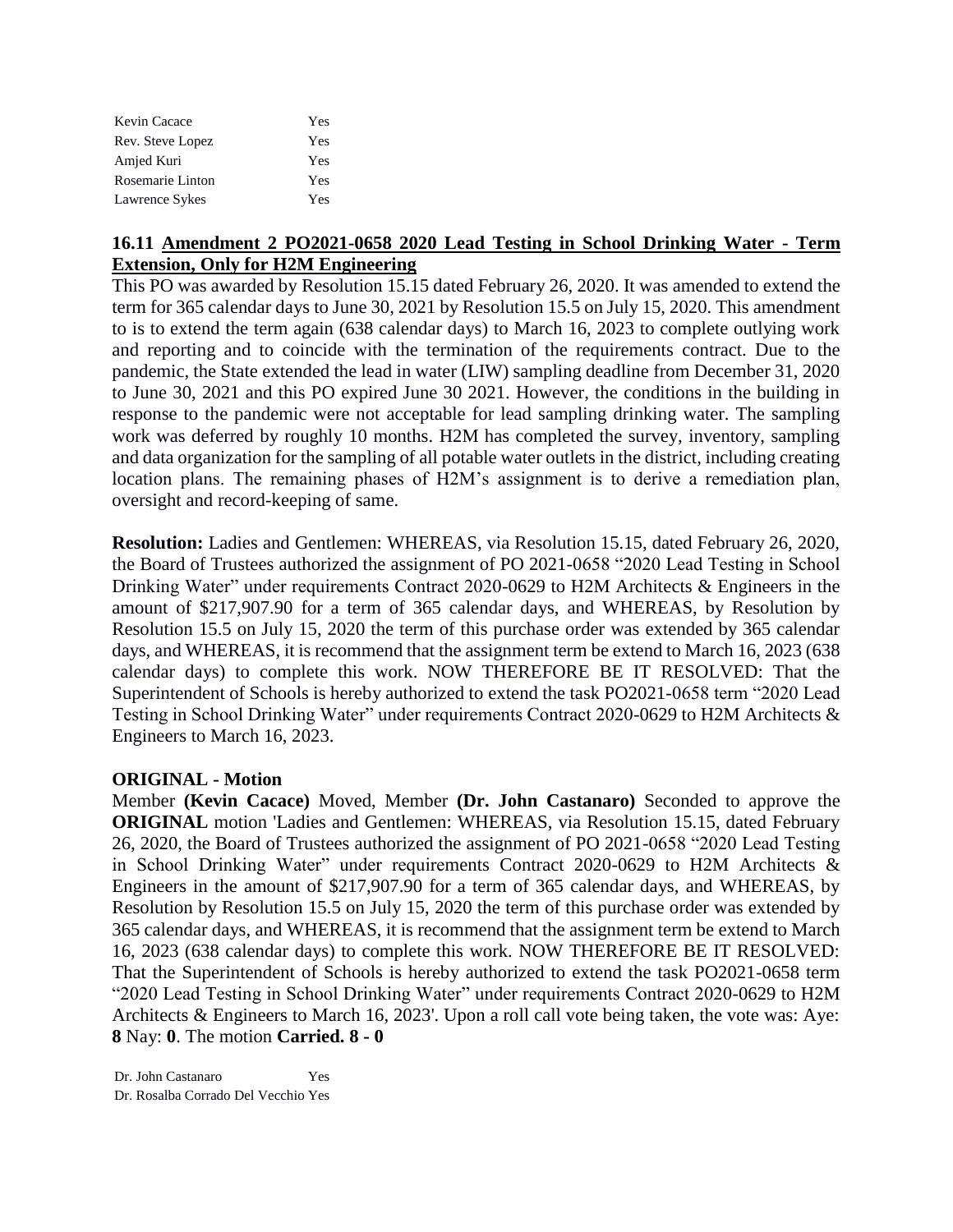| Kevin Cacace     | Yes |
|------------------|-----|
| Rev. Steve Lopez | Yes |
| Amjed Kuri       | Yes |
| Rosemarie Linton | Yes |
| Lawrence Sykes   | Yes |

# **16.11 Amendment 2 PO2021-0658 2020 Lead Testing in School Drinking Water - Term Extension, Only for H2M Engineering**

This PO was awarded by Resolution 15.15 dated February 26, 2020. It was amended to extend the term for 365 calendar days to June 30, 2021 by Resolution 15.5 on July 15, 2020. This amendment to is to extend the term again (638 calendar days) to March 16, 2023 to complete outlying work and reporting and to coincide with the termination of the requirements contract. Due to the pandemic, the State extended the lead in water (LIW) sampling deadline from December 31, 2020 to June 30, 2021 and this PO expired June 30 2021. However, the conditions in the building in response to the pandemic were not acceptable for lead sampling drinking water. The sampling work was deferred by roughly 10 months. H2M has completed the survey, inventory, sampling and data organization for the sampling of all potable water outlets in the district, including creating location plans. The remaining phases of H2M's assignment is to derive a remediation plan, oversight and record-keeping of same.

**Resolution:** Ladies and Gentlemen: WHEREAS, via Resolution 15.15, dated February 26, 2020, the Board of Trustees authorized the assignment of PO 2021-0658 "2020 Lead Testing in School Drinking Water" under requirements Contract 2020-0629 to H2M Architects & Engineers in the amount of \$217,907.90 for a term of 365 calendar days, and WHEREAS, by Resolution by Resolution 15.5 on July 15, 2020 the term of this purchase order was extended by 365 calendar days, and WHEREAS, it is recommend that the assignment term be extend to March 16, 2023 (638 calendar days) to complete this work. NOW THEREFORE BE IT RESOLVED: That the Superintendent of Schools is hereby authorized to extend the task PO2021-0658 term "2020 Lead Testing in School Drinking Water" under requirements Contract 2020-0629 to H2M Architects & Engineers to March 16, 2023.

# **ORIGINAL - Motion**

Member **(Kevin Cacace)** Moved, Member **(Dr. John Castanaro)** Seconded to approve the **ORIGINAL** motion 'Ladies and Gentlemen: WHEREAS, via Resolution 15.15, dated February 26, 2020, the Board of Trustees authorized the assignment of PO 2021-0658 "2020 Lead Testing in School Drinking Water" under requirements Contract 2020-0629 to H2M Architects & Engineers in the amount of \$217,907.90 for a term of 365 calendar days, and WHEREAS, by Resolution by Resolution 15.5 on July 15, 2020 the term of this purchase order was extended by 365 calendar days, and WHEREAS, it is recommend that the assignment term be extend to March 16, 2023 (638 calendar days) to complete this work. NOW THEREFORE BE IT RESOLVED: That the Superintendent of Schools is hereby authorized to extend the task PO2021-0658 term "2020 Lead Testing in School Drinking Water" under requirements Contract 2020-0629 to H2M Architects & Engineers to March 16, 2023'. Upon a roll call vote being taken, the vote was: Aye: **8** Nay: **0**. The motion **Carried. 8 - 0**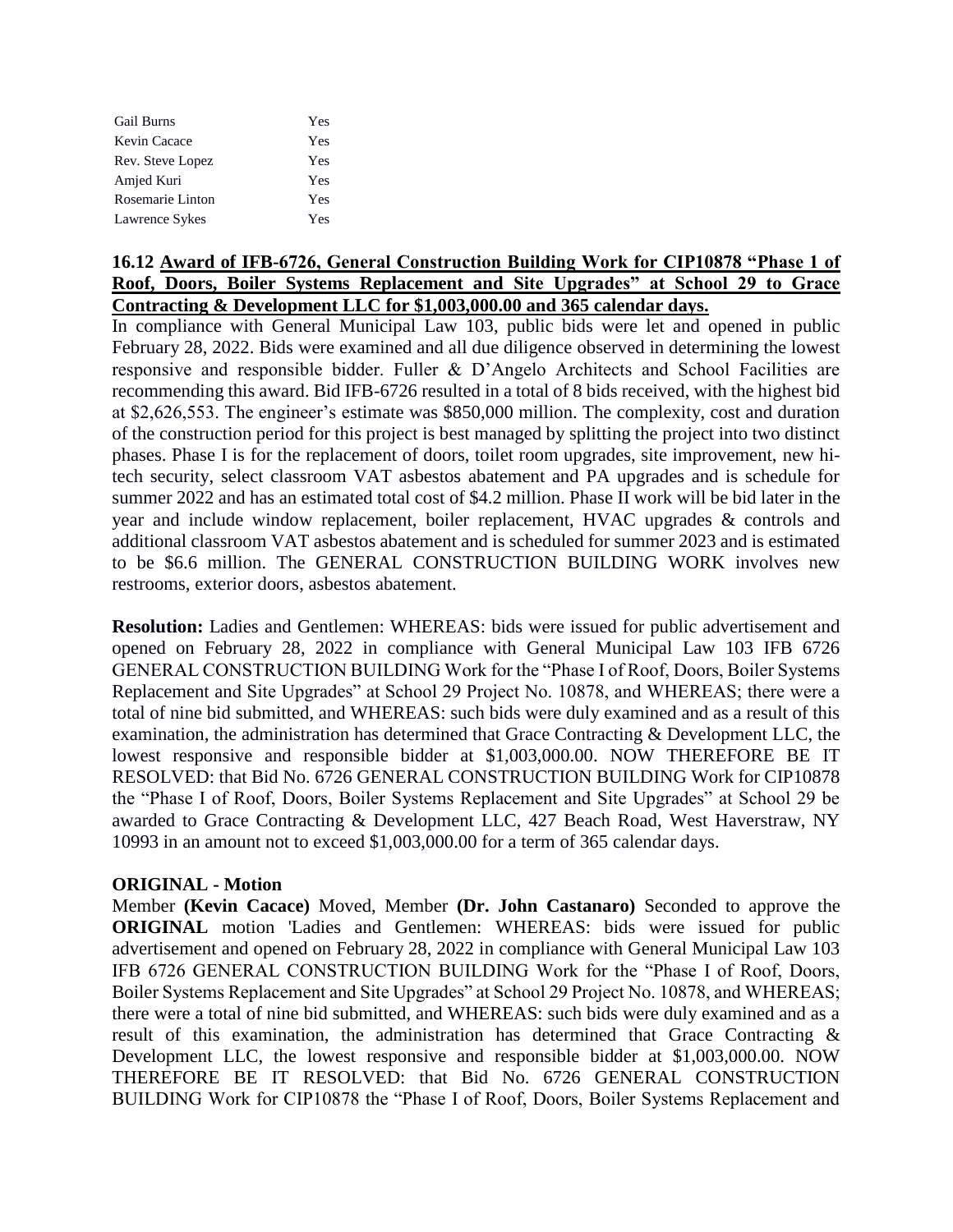| Gail Burns       | Yes |
|------------------|-----|
| Kevin Cacace     | Yes |
| Rev. Steve Lopez | Yes |
| Amjed Kuri       | Yes |
| Rosemarie Linton | Yes |
| Lawrence Sykes   | Yes |

# **16.12 Award of IFB-6726, General Construction Building Work for CIP10878 "Phase 1 of Roof, Doors, Boiler Systems Replacement and Site Upgrades" at School 29 to Grace Contracting & Development LLC for \$1,003,000.00 and 365 calendar days.**

In compliance with General Municipal Law 103, public bids were let and opened in public February 28, 2022. Bids were examined and all due diligence observed in determining the lowest responsive and responsible bidder. Fuller & D'Angelo Architects and School Facilities are recommending this award. Bid IFB-6726 resulted in a total of 8 bids received, with the highest bid at \$2,626,553. The engineer's estimate was \$850,000 million. The complexity, cost and duration of the construction period for this project is best managed by splitting the project into two distinct phases. Phase I is for the replacement of doors, toilet room upgrades, site improvement, new hitech security, select classroom VAT asbestos abatement and PA upgrades and is schedule for summer 2022 and has an estimated total cost of \$4.2 million. Phase II work will be bid later in the year and include window replacement, boiler replacement, HVAC upgrades & controls and additional classroom VAT asbestos abatement and is scheduled for summer 2023 and is estimated to be \$6.6 million. The GENERAL CONSTRUCTION BUILDING WORK involves new restrooms, exterior doors, asbestos abatement.

**Resolution:** Ladies and Gentlemen: WHEREAS: bids were issued for public advertisement and opened on February 28, 2022 in compliance with General Municipal Law 103 IFB 6726 GENERAL CONSTRUCTION BUILDING Work for the "Phase I of Roof, Doors, Boiler Systems Replacement and Site Upgrades" at School 29 Project No. 10878, and WHEREAS; there were a total of nine bid submitted, and WHEREAS: such bids were duly examined and as a result of this examination, the administration has determined that Grace Contracting & Development LLC, the lowest responsive and responsible bidder at \$1,003,000.00. NOW THEREFORE BE IT RESOLVED: that Bid No. 6726 GENERAL CONSTRUCTION BUILDING Work for CIP10878 the "Phase I of Roof, Doors, Boiler Systems Replacement and Site Upgrades" at School 29 be awarded to Grace Contracting & Development LLC, 427 Beach Road, West Haverstraw, NY 10993 in an amount not to exceed \$1,003,000.00 for a term of 365 calendar days.

# **ORIGINAL - Motion**

Member **(Kevin Cacace)** Moved, Member **(Dr. John Castanaro)** Seconded to approve the **ORIGINAL** motion 'Ladies and Gentlemen: WHEREAS: bids were issued for public advertisement and opened on February 28, 2022 in compliance with General Municipal Law 103 IFB 6726 GENERAL CONSTRUCTION BUILDING Work for the "Phase I of Roof, Doors, Boiler Systems Replacement and Site Upgrades" at School 29 Project No. 10878, and WHEREAS; there were a total of nine bid submitted, and WHEREAS: such bids were duly examined and as a result of this examination, the administration has determined that Grace Contracting & Development LLC, the lowest responsive and responsible bidder at \$1,003,000.00. NOW THEREFORE BE IT RESOLVED: that Bid No. 6726 GENERAL CONSTRUCTION BUILDING Work for CIP10878 the "Phase I of Roof, Doors, Boiler Systems Replacement and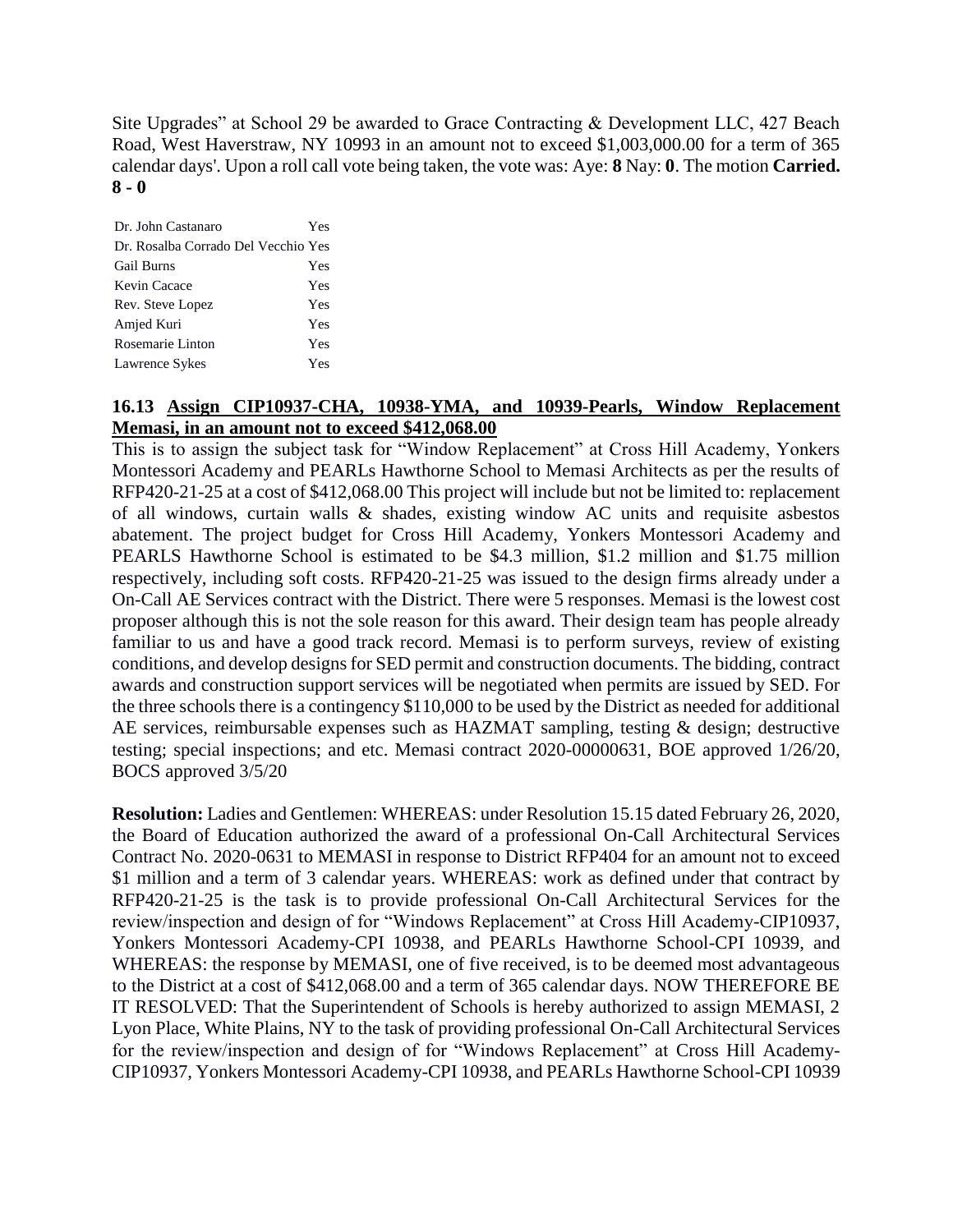Site Upgrades" at School 29 be awarded to Grace Contracting & Development LLC, 427 Beach Road, West Haverstraw, NY 10993 in an amount not to exceed \$1,003,000.00 for a term of 365 calendar days'. Upon a roll call vote being taken, the vote was: Aye: **8** Nay: **0**. The motion **Carried. 8 - 0** 

| Dr. John Castanaro                  | Yes |
|-------------------------------------|-----|
| Dr. Rosalba Corrado Del Vecchio Yes |     |
| <b>Gail Burns</b>                   | Yes |
| Kevin Cacace                        | Yes |
| Rev. Steve Lopez                    | Yes |
| Amjed Kuri                          | Yes |
| Rosemarie Linton                    | Yes |
| Lawrence Sykes                      | Yes |
|                                     |     |

# **16.13 Assign CIP10937-CHA, 10938-YMA, and 10939-Pearls, Window Replacement Memasi, in an amount not to exceed \$412,068.00**

This is to assign the subject task for "Window Replacement" at Cross Hill Academy, Yonkers Montessori Academy and PEARLs Hawthorne School to Memasi Architects as per the results of RFP420-21-25 at a cost of \$412,068.00 This project will include but not be limited to: replacement of all windows, curtain walls & shades, existing window AC units and requisite asbestos abatement. The project budget for Cross Hill Academy, Yonkers Montessori Academy and PEARLS Hawthorne School is estimated to be \$4.3 million, \$1.2 million and \$1.75 million respectively, including soft costs. RFP420-21-25 was issued to the design firms already under a On-Call AE Services contract with the District. There were 5 responses. Memasi is the lowest cost proposer although this is not the sole reason for this award. Their design team has people already familiar to us and have a good track record. Memasi is to perform surveys, review of existing conditions, and develop designs for SED permit and construction documents. The bidding, contract awards and construction support services will be negotiated when permits are issued by SED. For the three schools there is a contingency \$110,000 to be used by the District as needed for additional AE services, reimbursable expenses such as HAZMAT sampling, testing & design; destructive testing; special inspections; and etc. Memasi contract 2020-00000631, BOE approved 1/26/20, BOCS approved 3/5/20

**Resolution:** Ladies and Gentlemen: WHEREAS: under Resolution 15.15 dated February 26, 2020, the Board of Education authorized the award of a professional On-Call Architectural Services Contract No. 2020-0631 to MEMASI in response to District RFP404 for an amount not to exceed \$1 million and a term of 3 calendar years. WHEREAS: work as defined under that contract by RFP420-21-25 is the task is to provide professional On-Call Architectural Services for the review/inspection and design of for "Windows Replacement" at Cross Hill Academy-CIP10937, Yonkers Montessori Academy-CPI 10938, and PEARLs Hawthorne School-CPI 10939, and WHEREAS: the response by MEMASI, one of five received, is to be deemed most advantageous to the District at a cost of \$412,068.00 and a term of 365 calendar days. NOW THEREFORE BE IT RESOLVED: That the Superintendent of Schools is hereby authorized to assign MEMASI, 2 Lyon Place, White Plains, NY to the task of providing professional On-Call Architectural Services for the review/inspection and design of for "Windows Replacement" at Cross Hill Academy-CIP10937, Yonkers Montessori Academy-CPI 10938, and PEARLs Hawthorne School-CPI 10939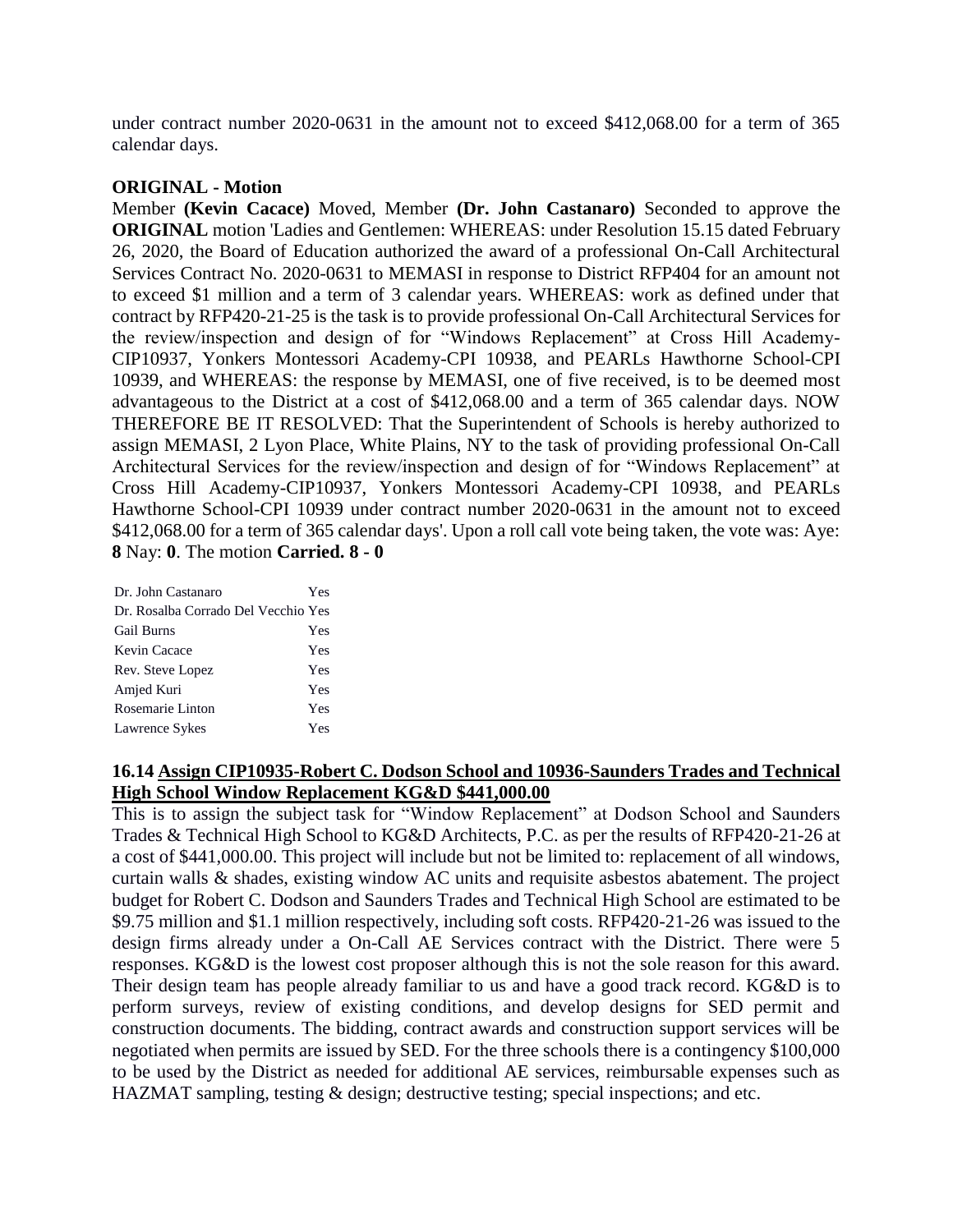under contract number 2020-0631 in the amount not to exceed \$412,068.00 for a term of 365 calendar days.

### **ORIGINAL - Motion**

Member **(Kevin Cacace)** Moved, Member **(Dr. John Castanaro)** Seconded to approve the **ORIGINAL** motion 'Ladies and Gentlemen: WHEREAS: under Resolution 15.15 dated February 26, 2020, the Board of Education authorized the award of a professional On-Call Architectural Services Contract No. 2020-0631 to MEMASI in response to District RFP404 for an amount not to exceed \$1 million and a term of 3 calendar years. WHEREAS: work as defined under that contract by RFP420-21-25 is the task is to provide professional On-Call Architectural Services for the review/inspection and design of for "Windows Replacement" at Cross Hill Academy-CIP10937, Yonkers Montessori Academy-CPI 10938, and PEARLs Hawthorne School-CPI 10939, and WHEREAS: the response by MEMASI, one of five received, is to be deemed most advantageous to the District at a cost of \$412,068.00 and a term of 365 calendar days. NOW THEREFORE BE IT RESOLVED: That the Superintendent of Schools is hereby authorized to assign MEMASI, 2 Lyon Place, White Plains, NY to the task of providing professional On-Call Architectural Services for the review/inspection and design of for "Windows Replacement" at Cross Hill Academy-CIP10937, Yonkers Montessori Academy-CPI 10938, and PEARLs Hawthorne School-CPI 10939 under contract number 2020-0631 in the amount not to exceed \$412,068.00 for a term of 365 calendar days'. Upon a roll call vote being taken, the vote was: Aye: **8** Nay: **0**. The motion **Carried. 8 - 0** 

| Dr. John Castanaro                  | Yes |
|-------------------------------------|-----|
| Dr. Rosalba Corrado Del Vecchio Yes |     |
| <b>Gail Burns</b>                   | Yes |
| Kevin Cacace                        | Yes |
| Rev. Steve Lopez                    | Yes |
| Amjed Kuri                          | Yes |
| Rosemarie Linton                    | Yes |
| Lawrence Sykes                      | Yes |
|                                     |     |

# **16.14 Assign CIP10935-Robert C. Dodson School and 10936-Saunders Trades and Technical High School Window Replacement KG&D \$441,000.00**

This is to assign the subject task for "Window Replacement" at Dodson School and Saunders Trades & Technical High School to KG&D Architects, P.C. as per the results of RFP420-21-26 at a cost of \$441,000.00. This project will include but not be limited to: replacement of all windows, curtain walls & shades, existing window AC units and requisite asbestos abatement. The project budget for Robert C. Dodson and Saunders Trades and Technical High School are estimated to be \$9.75 million and \$1.1 million respectively, including soft costs. RFP420-21-26 was issued to the design firms already under a On-Call AE Services contract with the District. There were 5 responses. KG&D is the lowest cost proposer although this is not the sole reason for this award. Their design team has people already familiar to us and have a good track record. KG&D is to perform surveys, review of existing conditions, and develop designs for SED permit and construction documents. The bidding, contract awards and construction support services will be negotiated when permits are issued by SED. For the three schools there is a contingency \$100,000 to be used by the District as needed for additional AE services, reimbursable expenses such as HAZMAT sampling, testing & design; destructive testing; special inspections; and etc.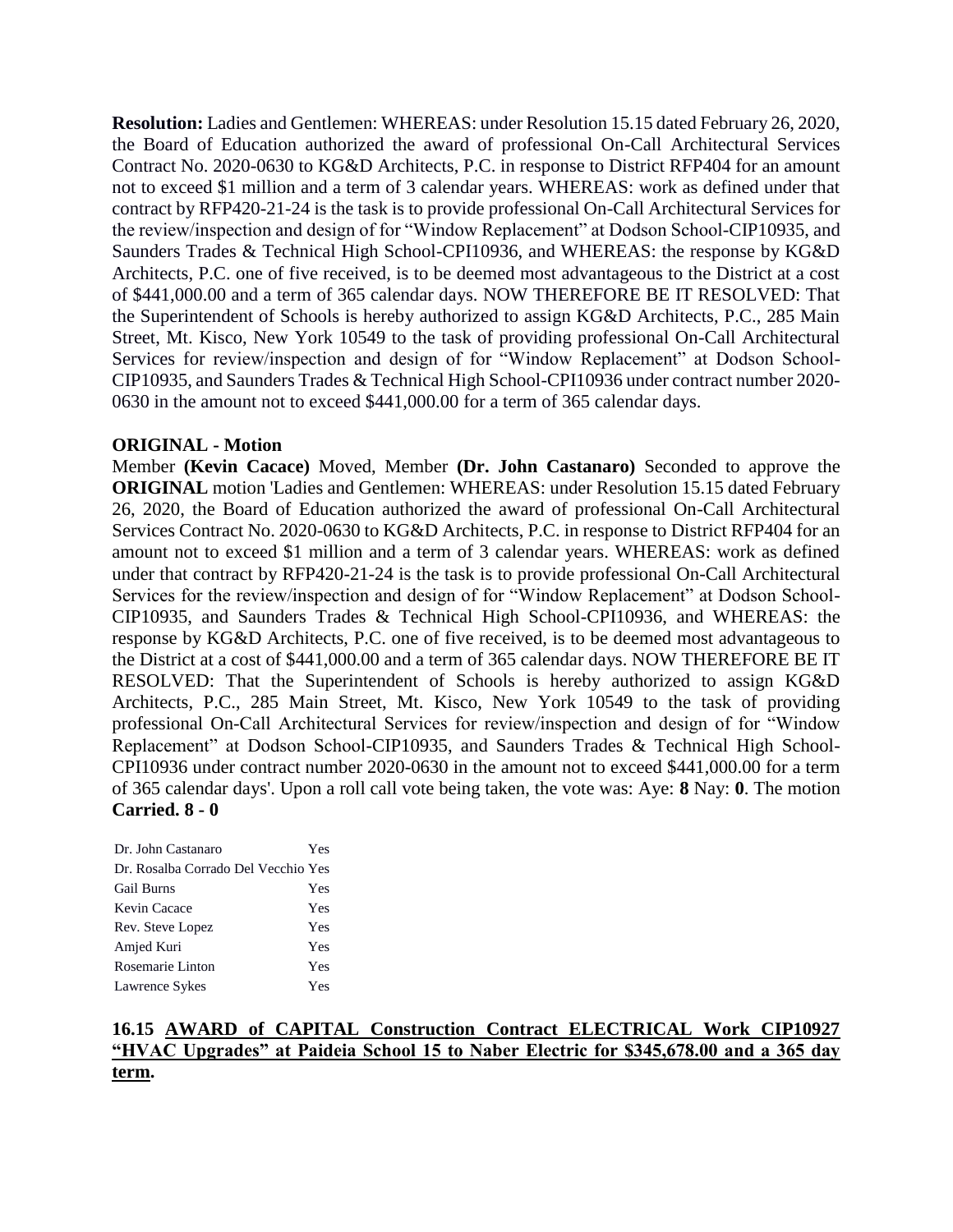**Resolution:** Ladies and Gentlemen: WHEREAS: under Resolution 15.15 dated February 26, 2020, the Board of Education authorized the award of professional On-Call Architectural Services Contract No. 2020-0630 to KG&D Architects, P.C. in response to District RFP404 for an amount not to exceed \$1 million and a term of 3 calendar years. WHEREAS: work as defined under that contract by RFP420-21-24 is the task is to provide professional On-Call Architectural Services for the review/inspection and design of for "Window Replacement" at Dodson School-CIP10935, and Saunders Trades & Technical High School-CPI10936, and WHEREAS: the response by KG&D Architects, P.C. one of five received, is to be deemed most advantageous to the District at a cost of \$441,000.00 and a term of 365 calendar days. NOW THEREFORE BE IT RESOLVED: That the Superintendent of Schools is hereby authorized to assign KG&D Architects, P.C., 285 Main Street, Mt. Kisco, New York 10549 to the task of providing professional On-Call Architectural Services for review/inspection and design of for "Window Replacement" at Dodson School-CIP10935, and Saunders Trades & Technical High School-CPI10936 under contract number 2020- 0630 in the amount not to exceed \$441,000.00 for a term of 365 calendar days.

# **ORIGINAL - Motion**

Member **(Kevin Cacace)** Moved, Member **(Dr. John Castanaro)** Seconded to approve the **ORIGINAL** motion 'Ladies and Gentlemen: WHEREAS: under Resolution 15.15 dated February 26, 2020, the Board of Education authorized the award of professional On-Call Architectural Services Contract No. 2020-0630 to KG&D Architects, P.C. in response to District RFP404 for an amount not to exceed \$1 million and a term of 3 calendar years. WHEREAS: work as defined under that contract by RFP420-21-24 is the task is to provide professional On-Call Architectural Services for the review/inspection and design of for "Window Replacement" at Dodson School-CIP10935, and Saunders Trades & Technical High School-CPI10936, and WHEREAS: the response by KG&D Architects, P.C. one of five received, is to be deemed most advantageous to the District at a cost of \$441,000.00 and a term of 365 calendar days. NOW THEREFORE BE IT RESOLVED: That the Superintendent of Schools is hereby authorized to assign KG&D Architects, P.C., 285 Main Street, Mt. Kisco, New York 10549 to the task of providing professional On-Call Architectural Services for review/inspection and design of for "Window Replacement" at Dodson School-CIP10935, and Saunders Trades & Technical High School-CPI10936 under contract number 2020-0630 in the amount not to exceed \$441,000.00 for a term of 365 calendar days'. Upon a roll call vote being taken, the vote was: Aye: **8** Nay: **0**. The motion **Carried. 8 - 0** 

| Dr. John Castanaro                  | Yes |
|-------------------------------------|-----|
| Dr. Rosalba Corrado Del Vecchio Yes |     |
| <b>Gail Burns</b>                   | Yes |
| Kevin Cacace                        | Yes |
| Rev. Steve Lopez                    | Yes |
| Amjed Kuri                          | Yes |
| Rosemarie Linton                    | Yes |
| Lawrence Sykes                      | Yes |

# **16.15 AWARD of CAPITAL Construction Contract ELECTRICAL Work CIP10927 "HVAC Upgrades" at Paideia School 15 to Naber Electric for \$345,678.00 and a 365 day term.**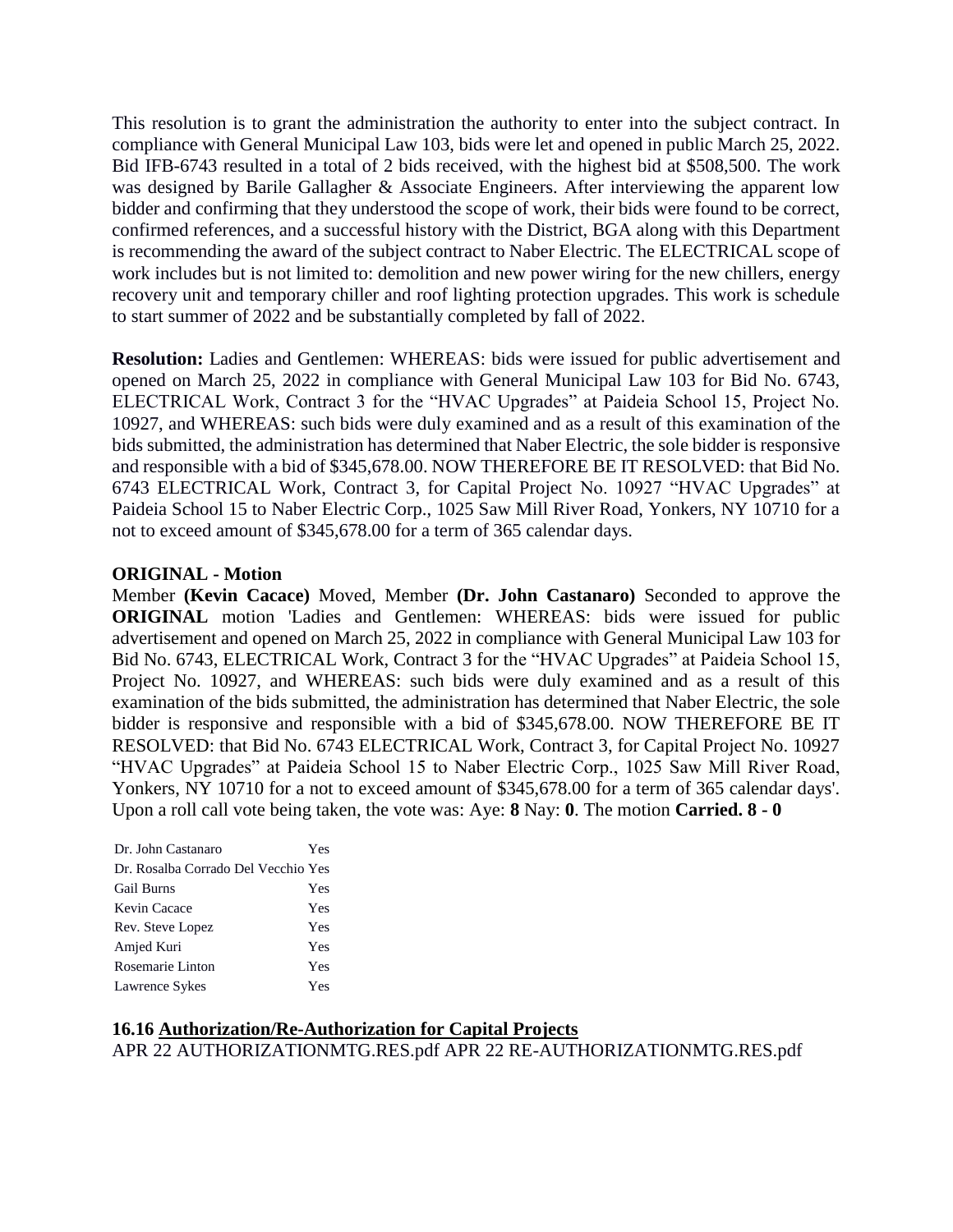This resolution is to grant the administration the authority to enter into the subject contract. In compliance with General Municipal Law 103, bids were let and opened in public March 25, 2022. Bid IFB-6743 resulted in a total of 2 bids received, with the highest bid at \$508,500. The work was designed by Barile Gallagher & Associate Engineers. After interviewing the apparent low bidder and confirming that they understood the scope of work, their bids were found to be correct, confirmed references, and a successful history with the District, BGA along with this Department is recommending the award of the subject contract to Naber Electric. The ELECTRICAL scope of work includes but is not limited to: demolition and new power wiring for the new chillers, energy recovery unit and temporary chiller and roof lighting protection upgrades. This work is schedule to start summer of 2022 and be substantially completed by fall of 2022.

**Resolution:** Ladies and Gentlemen: WHEREAS: bids were issued for public advertisement and opened on March 25, 2022 in compliance with General Municipal Law 103 for Bid No. 6743, ELECTRICAL Work, Contract 3 for the "HVAC Upgrades" at Paideia School 15, Project No. 10927, and WHEREAS: such bids were duly examined and as a result of this examination of the bids submitted, the administration has determined that Naber Electric, the sole bidder is responsive and responsible with a bid of \$345,678.00. NOW THEREFORE BE IT RESOLVED: that Bid No. 6743 ELECTRICAL Work, Contract 3, for Capital Project No. 10927 "HVAC Upgrades" at Paideia School 15 to Naber Electric Corp., 1025 Saw Mill River Road, Yonkers, NY 10710 for a not to exceed amount of \$345,678.00 for a term of 365 calendar days.

#### **ORIGINAL - Motion**

Member **(Kevin Cacace)** Moved, Member **(Dr. John Castanaro)** Seconded to approve the **ORIGINAL** motion 'Ladies and Gentlemen: WHEREAS: bids were issued for public advertisement and opened on March 25, 2022 in compliance with General Municipal Law 103 for Bid No. 6743, ELECTRICAL Work, Contract 3 for the "HVAC Upgrades" at Paideia School 15, Project No. 10927, and WHEREAS: such bids were duly examined and as a result of this examination of the bids submitted, the administration has determined that Naber Electric, the sole bidder is responsive and responsible with a bid of \$345,678.00. NOW THEREFORE BE IT RESOLVED: that Bid No. 6743 ELECTRICAL Work, Contract 3, for Capital Project No. 10927 "HVAC Upgrades" at Paideia School 15 to Naber Electric Corp., 1025 Saw Mill River Road, Yonkers, NY 10710 for a not to exceed amount of \$345,678.00 for a term of 365 calendar days'. Upon a roll call vote being taken, the vote was: Aye: **8** Nay: **0**. The motion **Carried. 8 - 0** 

| Dr. John Castanaro                  | Yes |
|-------------------------------------|-----|
| Dr. Rosalba Corrado Del Vecchio Yes |     |
| <b>Gail Burns</b>                   | Yes |
| Kevin Cacace                        | Yes |
| Rev. Steve Lopez                    | Yes |
| Amjed Kuri                          | Yes |
| Rosemarie Linton                    | Yes |
| Lawrence Sykes                      | Yes |

# **16.16 Authorization/Re-Authorization for Capital Projects**

APR 22 AUTHORIZATIONMTG.RES.pdf APR 22 RE-AUTHORIZATIONMTG.RES.pdf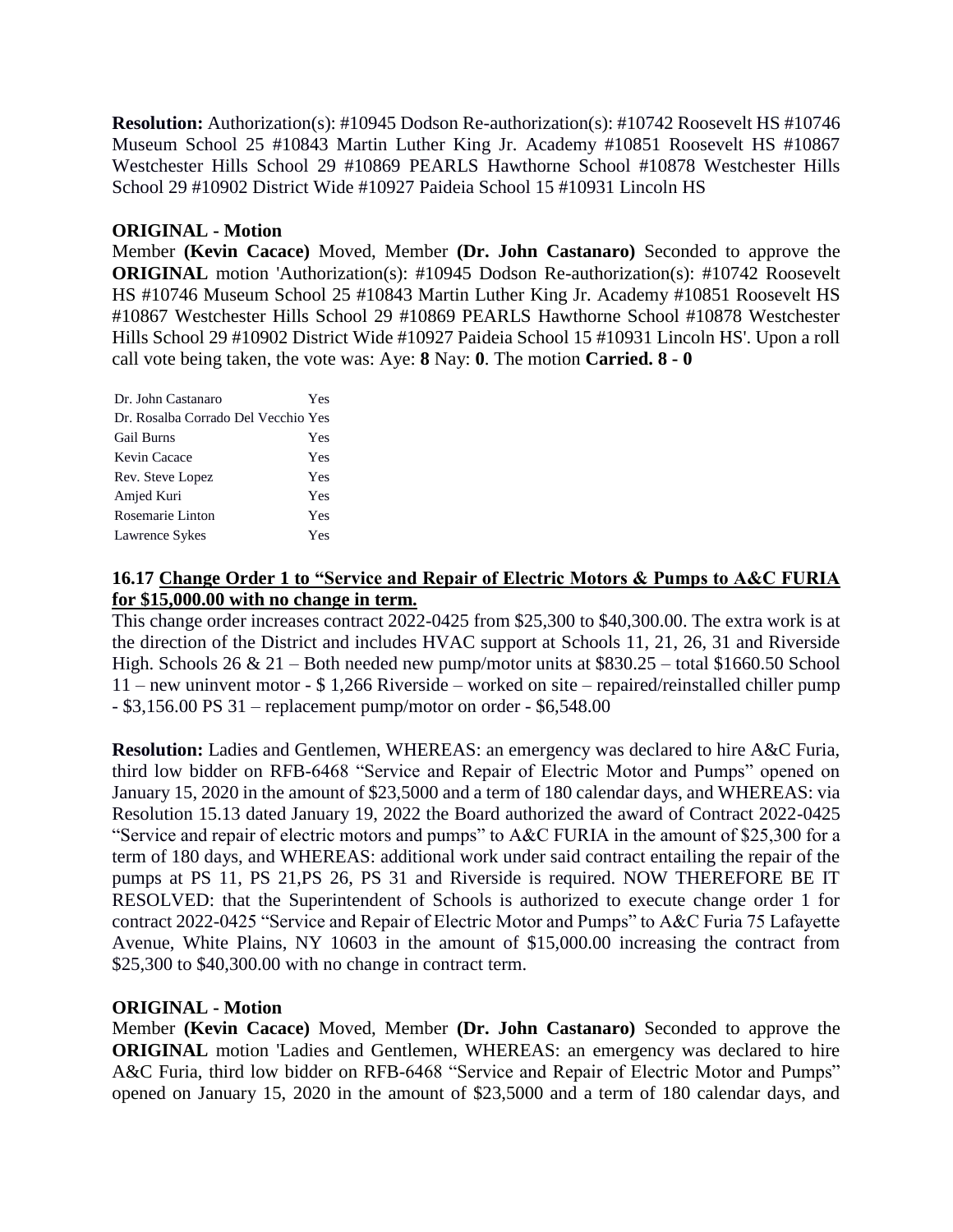**Resolution:** Authorization(s): #10945 Dodson Re-authorization(s): #10742 Roosevelt HS #10746 Museum School 25 #10843 Martin Luther King Jr. Academy #10851 Roosevelt HS #10867 Westchester Hills School 29 #10869 PEARLS Hawthorne School #10878 Westchester Hills School 29 #10902 District Wide #10927 Paideia School 15 #10931 Lincoln HS

# **ORIGINAL - Motion**

Member **(Kevin Cacace)** Moved, Member **(Dr. John Castanaro)** Seconded to approve the **ORIGINAL** motion 'Authorization(s): #10945 Dodson Re-authorization(s): #10742 Roosevelt HS #10746 Museum School 25 #10843 Martin Luther King Jr. Academy #10851 Roosevelt HS #10867 Westchester Hills School 29 #10869 PEARLS Hawthorne School #10878 Westchester Hills School 29 #10902 District Wide #10927 Paideia School 15 #10931 Lincoln HS'. Upon a roll call vote being taken, the vote was: Aye: **8** Nay: **0**. The motion **Carried. 8 - 0** 

| Dr. John Castanaro                  | Yes |
|-------------------------------------|-----|
| Dr. Rosalba Corrado Del Vecchio Yes |     |
| <b>Gail Burns</b>                   | Yes |
| Kevin Cacace                        | Yes |
| Rev. Steve Lopez                    | Yes |
| Amjed Kuri                          | Yes |
| Rosemarie Linton                    | Yes |
| Lawrence Sykes                      | Yes |

# **16.17 Change Order 1 to "Service and Repair of Electric Motors & Pumps to A&C FURIA for \$15,000.00 with no change in term.**

This change order increases contract 2022-0425 from \$25,300 to \$40,300.00. The extra work is at the direction of the District and includes HVAC support at Schools 11, 21, 26, 31 and Riverside High. Schools 26 & 21 – Both needed new pump/motor units at \$830.25 – total \$1660.50 School 11 – new uninvent motor - \$ 1,266 Riverside – worked on site – repaired/reinstalled chiller pump - \$3,156.00 PS 31 – replacement pump/motor on order - \$6,548.00

**Resolution:** Ladies and Gentlemen, WHEREAS: an emergency was declared to hire A&C Furia, third low bidder on RFB-6468 "Service and Repair of Electric Motor and Pumps" opened on January 15, 2020 in the amount of \$23,5000 and a term of 180 calendar days, and WHEREAS: via Resolution 15.13 dated January 19, 2022 the Board authorized the award of Contract 2022-0425 "Service and repair of electric motors and pumps" to A&C FURIA in the amount of \$25,300 for a term of 180 days, and WHEREAS: additional work under said contract entailing the repair of the pumps at PS 11, PS 21,PS 26, PS 31 and Riverside is required. NOW THEREFORE BE IT RESOLVED: that the Superintendent of Schools is authorized to execute change order 1 for contract 2022-0425 "Service and Repair of Electric Motor and Pumps" to A&C Furia 75 Lafayette Avenue, White Plains, NY 10603 in the amount of \$15,000.00 increasing the contract from \$25,300 to \$40,300.00 with no change in contract term.

# **ORIGINAL - Motion**

Member **(Kevin Cacace)** Moved, Member **(Dr. John Castanaro)** Seconded to approve the **ORIGINAL** motion 'Ladies and Gentlemen, WHEREAS: an emergency was declared to hire A&C Furia, third low bidder on RFB-6468 "Service and Repair of Electric Motor and Pumps" opened on January 15, 2020 in the amount of \$23,5000 and a term of 180 calendar days, and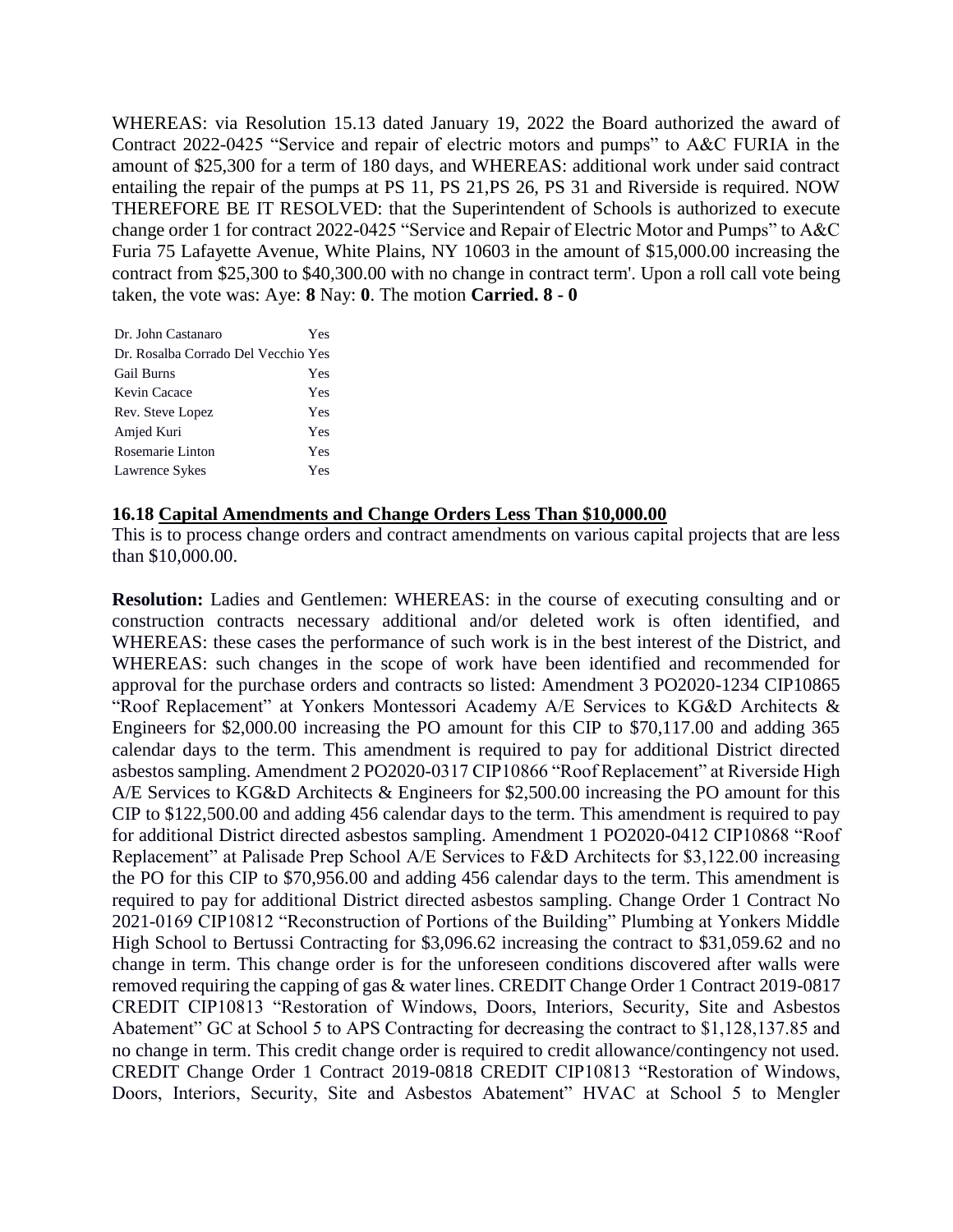WHEREAS: via Resolution 15.13 dated January 19, 2022 the Board authorized the award of Contract 2022-0425 "Service and repair of electric motors and pumps" to A&C FURIA in the amount of \$25,300 for a term of 180 days, and WHEREAS: additional work under said contract entailing the repair of the pumps at PS 11, PS 21,PS 26, PS 31 and Riverside is required. NOW THEREFORE BE IT RESOLVED: that the Superintendent of Schools is authorized to execute change order 1 for contract 2022-0425 "Service and Repair of Electric Motor and Pumps" to A&C Furia 75 Lafayette Avenue, White Plains, NY 10603 in the amount of \$15,000.00 increasing the contract from \$25,300 to \$40,300.00 with no change in contract term'. Upon a roll call vote being taken, the vote was: Aye: **8** Nay: **0**. The motion **Carried. 8 - 0** 

| Dr. John Castanaro                  | Yes |
|-------------------------------------|-----|
| Dr. Rosalba Corrado Del Vecchio Yes |     |
| <b>Gail Burns</b>                   | Yes |
| Kevin Cacace                        | Yes |
| Rev. Steve Lopez                    | Yes |
| Amjed Kuri                          | Yes |
| Rosemarie Linton                    | Yes |
| Lawrence Sykes                      | Yes |

#### **16.18 Capital Amendments and Change Orders Less Than \$10,000.00**

This is to process change orders and contract amendments on various capital projects that are less than \$10,000.00.

**Resolution:** Ladies and Gentlemen: WHEREAS: in the course of executing consulting and or construction contracts necessary additional and/or deleted work is often identified, and WHEREAS: these cases the performance of such work is in the best interest of the District, and WHEREAS: such changes in the scope of work have been identified and recommended for approval for the purchase orders and contracts so listed: Amendment 3 PO2020-1234 CIP10865 "Roof Replacement" at Yonkers Montessori Academy A/E Services to KG&D Architects & Engineers for \$2,000.00 increasing the PO amount for this CIP to \$70,117.00 and adding 365 calendar days to the term. This amendment is required to pay for additional District directed asbestos sampling. Amendment 2 PO2020-0317 CIP10866 "Roof Replacement" at Riverside High A/E Services to KG&D Architects & Engineers for \$2,500.00 increasing the PO amount for this CIP to \$122,500.00 and adding 456 calendar days to the term. This amendment is required to pay for additional District directed asbestos sampling. Amendment 1 PO2020-0412 CIP10868 "Roof Replacement" at Palisade Prep School A/E Services to F&D Architects for \$3,122.00 increasing the PO for this CIP to \$70,956.00 and adding 456 calendar days to the term. This amendment is required to pay for additional District directed asbestos sampling. Change Order 1 Contract No 2021-0169 CIP10812 "Reconstruction of Portions of the Building" Plumbing at Yonkers Middle High School to Bertussi Contracting for \$3,096.62 increasing the contract to \$31,059.62 and no change in term. This change order is for the unforeseen conditions discovered after walls were removed requiring the capping of gas & water lines. CREDIT Change Order 1 Contract 2019-0817 CREDIT CIP10813 "Restoration of Windows, Doors, Interiors, Security, Site and Asbestos Abatement" GC at School 5 to APS Contracting for decreasing the contract to \$1,128,137.85 and no change in term. This credit change order is required to credit allowance/contingency not used. CREDIT Change Order 1 Contract 2019-0818 CREDIT CIP10813 "Restoration of Windows, Doors, Interiors, Security, Site and Asbestos Abatement" HVAC at School 5 to Mengler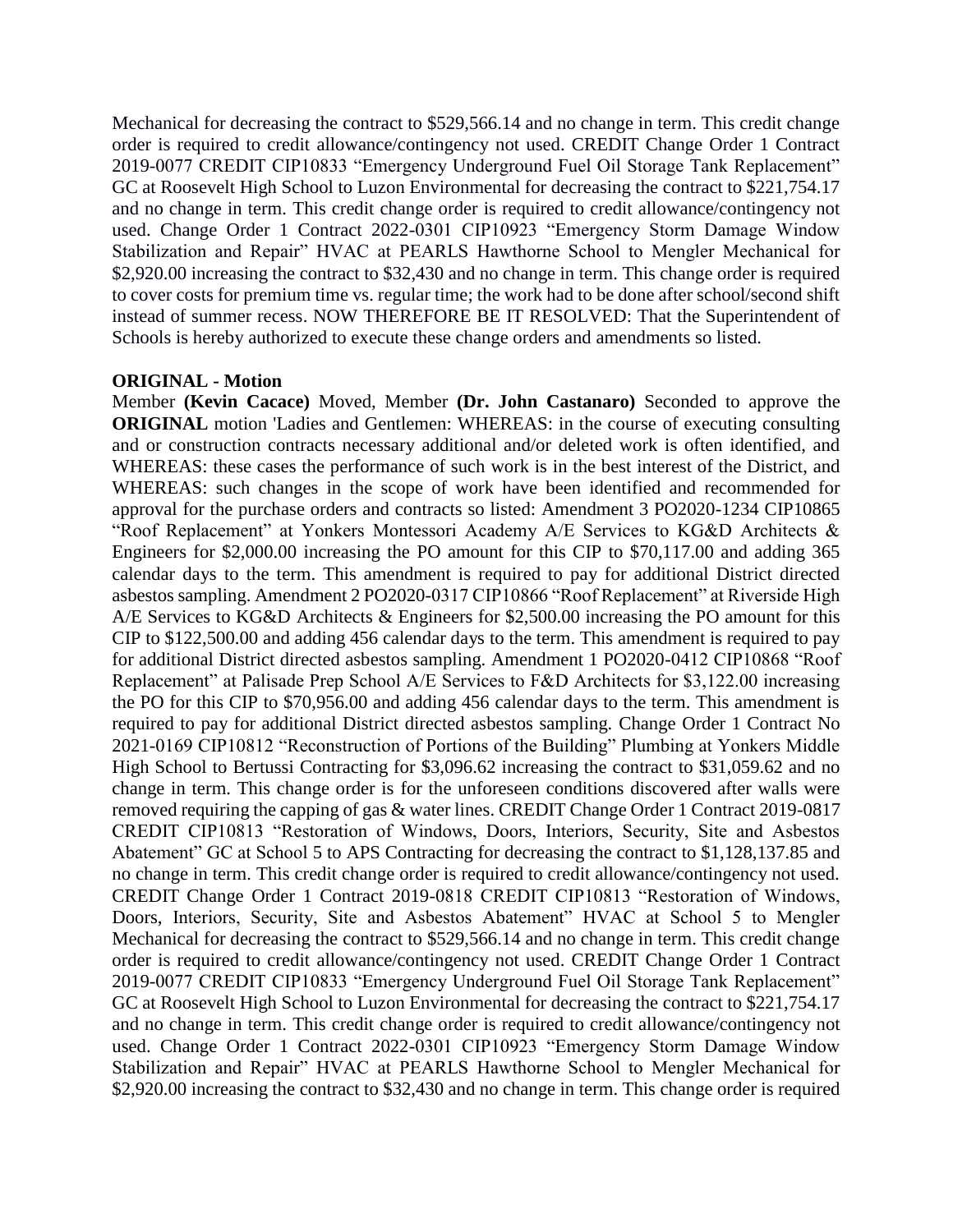Mechanical for decreasing the contract to \$529,566.14 and no change in term. This credit change order is required to credit allowance/contingency not used. CREDIT Change Order 1 Contract 2019-0077 CREDIT CIP10833 "Emergency Underground Fuel Oil Storage Tank Replacement" GC at Roosevelt High School to Luzon Environmental for decreasing the contract to \$221,754.17 and no change in term. This credit change order is required to credit allowance/contingency not used. Change Order 1 Contract 2022-0301 CIP10923 "Emergency Storm Damage Window Stabilization and Repair" HVAC at PEARLS Hawthorne School to Mengler Mechanical for \$2,920.00 increasing the contract to \$32,430 and no change in term. This change order is required to cover costs for premium time vs. regular time; the work had to be done after school/second shift instead of summer recess. NOW THEREFORE BE IT RESOLVED: That the Superintendent of Schools is hereby authorized to execute these change orders and amendments so listed.

#### **ORIGINAL - Motion**

Member **(Kevin Cacace)** Moved, Member **(Dr. John Castanaro)** Seconded to approve the **ORIGINAL** motion 'Ladies and Gentlemen: WHEREAS: in the course of executing consulting and or construction contracts necessary additional and/or deleted work is often identified, and WHEREAS: these cases the performance of such work is in the best interest of the District, and WHEREAS: such changes in the scope of work have been identified and recommended for approval for the purchase orders and contracts so listed: Amendment 3 PO2020-1234 CIP10865 "Roof Replacement" at Yonkers Montessori Academy A/E Services to KG&D Architects & Engineers for \$2,000.00 increasing the PO amount for this CIP to \$70,117.00 and adding 365 calendar days to the term. This amendment is required to pay for additional District directed asbestos sampling. Amendment 2 PO2020-0317 CIP10866 "Roof Replacement" at Riverside High A/E Services to KG&D Architects & Engineers for \$2,500.00 increasing the PO amount for this CIP to \$122,500.00 and adding 456 calendar days to the term. This amendment is required to pay for additional District directed asbestos sampling. Amendment 1 PO2020-0412 CIP10868 "Roof Replacement" at Palisade Prep School A/E Services to F&D Architects for \$3,122.00 increasing the PO for this CIP to \$70,956.00 and adding 456 calendar days to the term. This amendment is required to pay for additional District directed asbestos sampling. Change Order 1 Contract No 2021-0169 CIP10812 "Reconstruction of Portions of the Building" Plumbing at Yonkers Middle High School to Bertussi Contracting for \$3,096.62 increasing the contract to \$31,059.62 and no change in term. This change order is for the unforeseen conditions discovered after walls were removed requiring the capping of gas & water lines. CREDIT Change Order 1 Contract 2019-0817 CREDIT CIP10813 "Restoration of Windows, Doors, Interiors, Security, Site and Asbestos Abatement" GC at School 5 to APS Contracting for decreasing the contract to \$1,128,137.85 and no change in term. This credit change order is required to credit allowance/contingency not used. CREDIT Change Order 1 Contract 2019-0818 CREDIT CIP10813 "Restoration of Windows, Doors, Interiors, Security, Site and Asbestos Abatement" HVAC at School 5 to Mengler Mechanical for decreasing the contract to \$529,566.14 and no change in term. This credit change order is required to credit allowance/contingency not used. CREDIT Change Order 1 Contract 2019-0077 CREDIT CIP10833 "Emergency Underground Fuel Oil Storage Tank Replacement" GC at Roosevelt High School to Luzon Environmental for decreasing the contract to \$221,754.17 and no change in term. This credit change order is required to credit allowance/contingency not used. Change Order 1 Contract 2022-0301 CIP10923 "Emergency Storm Damage Window Stabilization and Repair" HVAC at PEARLS Hawthorne School to Mengler Mechanical for \$2,920.00 increasing the contract to \$32,430 and no change in term. This change order is required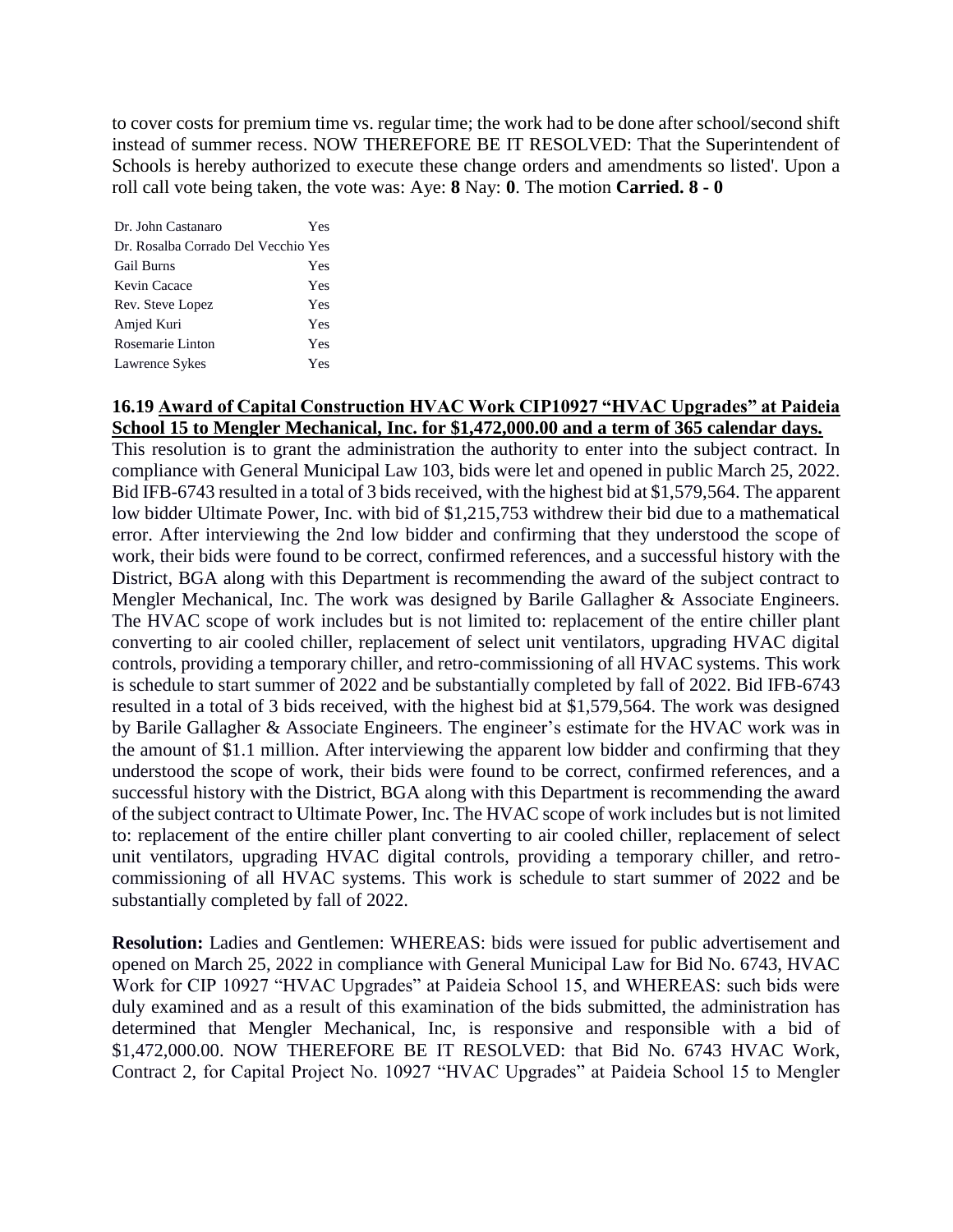to cover costs for premium time vs. regular time; the work had to be done after school/second shift instead of summer recess. NOW THEREFORE BE IT RESOLVED: That the Superintendent of Schools is hereby authorized to execute these change orders and amendments so listed'. Upon a roll call vote being taken, the vote was: Aye: **8** Nay: **0**. The motion **Carried. 8 - 0** 

Dr. John Castanaro Yes Dr. Rosalba Corrado Del Vecchio Yes Gail Burns Yes Kevin Cacace Yes Rev. Steve Lopez Yes Amjed Kuri Yes Rosemarie Linton Yes Lawrence Sykes Yes

# **16.19 Award of Capital Construction HVAC Work CIP10927 "HVAC Upgrades" at Paideia School 15 to Mengler Mechanical, Inc. for \$1,472,000.00 and a term of 365 calendar days.**

This resolution is to grant the administration the authority to enter into the subject contract. In compliance with General Municipal Law 103, bids were let and opened in public March 25, 2022. Bid IFB-6743 resulted in a total of 3 bids received, with the highest bid at \$1,579,564. The apparent low bidder Ultimate Power, Inc. with bid of \$1,215,753 withdrew their bid due to a mathematical error. After interviewing the 2nd low bidder and confirming that they understood the scope of work, their bids were found to be correct, confirmed references, and a successful history with the District, BGA along with this Department is recommending the award of the subject contract to Mengler Mechanical, Inc. The work was designed by Barile Gallagher & Associate Engineers. The HVAC scope of work includes but is not limited to: replacement of the entire chiller plant converting to air cooled chiller, replacement of select unit ventilators, upgrading HVAC digital controls, providing a temporary chiller, and retro-commissioning of all HVAC systems. This work is schedule to start summer of 2022 and be substantially completed by fall of 2022. Bid IFB-6743 resulted in a total of 3 bids received, with the highest bid at \$1,579,564. The work was designed by Barile Gallagher & Associate Engineers. The engineer's estimate for the HVAC work was in the amount of \$1.1 million. After interviewing the apparent low bidder and confirming that they understood the scope of work, their bids were found to be correct, confirmed references, and a successful history with the District, BGA along with this Department is recommending the award of the subject contract to Ultimate Power, Inc. The HVAC scope of work includes but is not limited to: replacement of the entire chiller plant converting to air cooled chiller, replacement of select unit ventilators, upgrading HVAC digital controls, providing a temporary chiller, and retrocommissioning of all HVAC systems. This work is schedule to start summer of 2022 and be substantially completed by fall of 2022.

**Resolution:** Ladies and Gentlemen: WHEREAS: bids were issued for public advertisement and opened on March 25, 2022 in compliance with General Municipal Law for Bid No. 6743, HVAC Work for CIP 10927 "HVAC Upgrades" at Paideia School 15, and WHEREAS: such bids were duly examined and as a result of this examination of the bids submitted, the administration has determined that Mengler Mechanical, Inc, is responsive and responsible with a bid of \$1,472,000.00. NOW THEREFORE BE IT RESOLVED: that Bid No. 6743 HVAC Work, Contract 2, for Capital Project No. 10927 "HVAC Upgrades" at Paideia School 15 to Mengler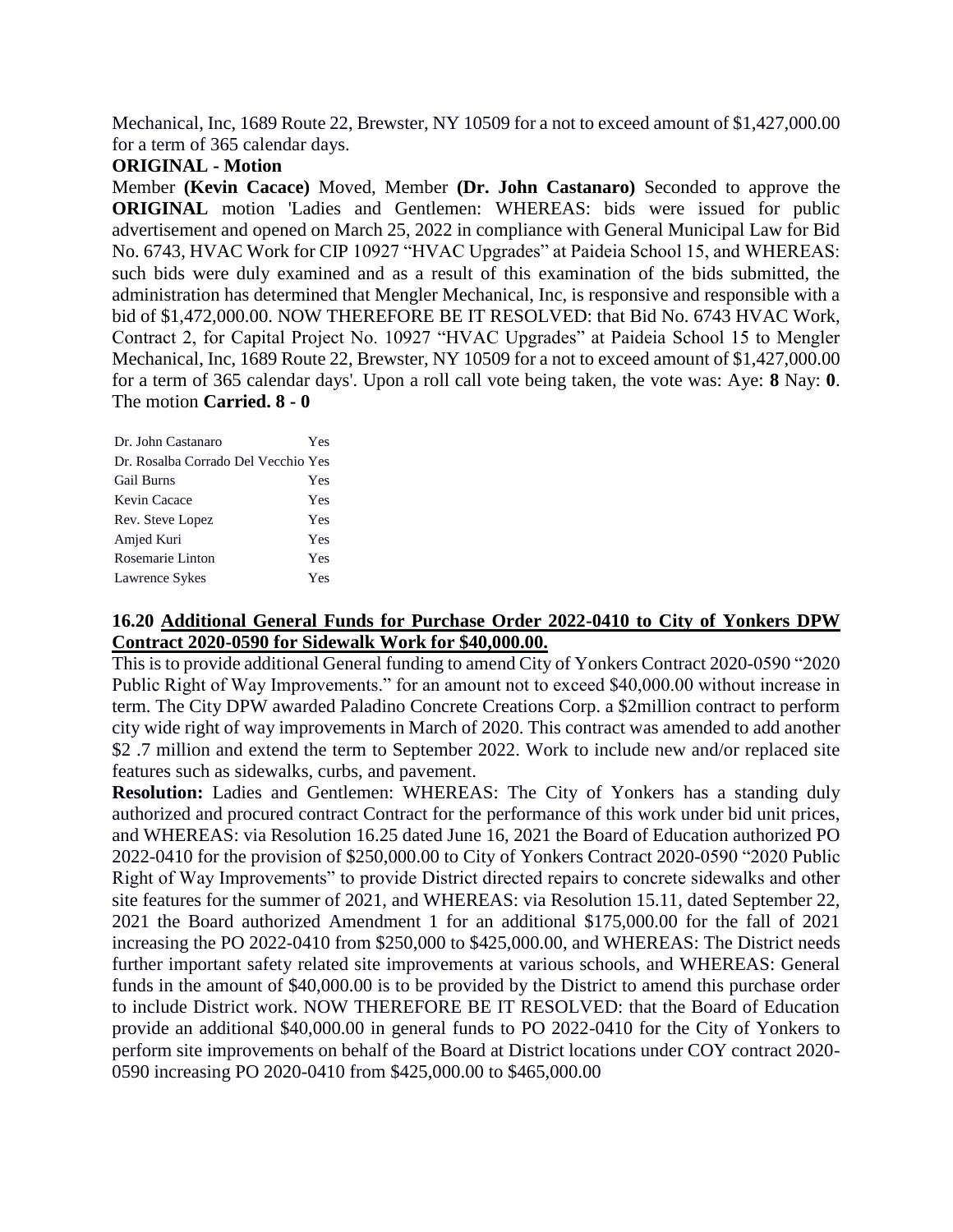Mechanical, Inc, 1689 Route 22, Brewster, NY 10509 for a not to exceed amount of \$1,427,000.00 for a term of 365 calendar days.

#### **ORIGINAL - Motion**

Member **(Kevin Cacace)** Moved, Member **(Dr. John Castanaro)** Seconded to approve the **ORIGINAL** motion 'Ladies and Gentlemen: WHEREAS: bids were issued for public advertisement and opened on March 25, 2022 in compliance with General Municipal Law for Bid No. 6743, HVAC Work for CIP 10927 "HVAC Upgrades" at Paideia School 15, and WHEREAS: such bids were duly examined and as a result of this examination of the bids submitted, the administration has determined that Mengler Mechanical, Inc, is responsive and responsible with a bid of \$1,472,000.00. NOW THEREFORE BE IT RESOLVED: that Bid No. 6743 HVAC Work, Contract 2, for Capital Project No. 10927 "HVAC Upgrades" at Paideia School 15 to Mengler Mechanical, Inc, 1689 Route 22, Brewster, NY 10509 for a not to exceed amount of \$1,427,000.00 for a term of 365 calendar days'. Upon a roll call vote being taken, the vote was: Aye: **8** Nay: **0**. The motion **Carried. 8 - 0** 

| Dr. John Castanaro                  | Yes |
|-------------------------------------|-----|
| Dr. Rosalba Corrado Del Vecchio Yes |     |
| <b>Gail Burns</b>                   | Yes |
| Kevin Cacace                        | Yes |
| Rev. Steve Lopez                    | Yes |
| Amjed Kuri                          | Yes |
| Rosemarie Linton                    | Yes |
| Lawrence Sykes                      | Yes |

# **16.20 Additional General Funds for Purchase Order 2022-0410 to City of Yonkers DPW Contract 2020-0590 for Sidewalk Work for \$40,000.00.**

This is to provide additional General funding to amend City of Yonkers Contract 2020-0590 "2020 Public Right of Way Improvements." for an amount not to exceed \$40,000.00 without increase in term. The City DPW awarded Paladino Concrete Creations Corp. a \$2million contract to perform city wide right of way improvements in March of 2020. This contract was amended to add another \$2.7 million and extend the term to September 2022. Work to include new and/or replaced site features such as sidewalks, curbs, and pavement.

**Resolution:** Ladies and Gentlemen: WHEREAS: The City of Yonkers has a standing duly authorized and procured contract Contract for the performance of this work under bid unit prices, and WHEREAS: via Resolution 16.25 dated June 16, 2021 the Board of Education authorized PO 2022-0410 for the provision of \$250,000.00 to City of Yonkers Contract 2020-0590 "2020 Public Right of Way Improvements" to provide District directed repairs to concrete sidewalks and other site features for the summer of 2021, and WHEREAS: via Resolution 15.11, dated September 22, 2021 the Board authorized Amendment 1 for an additional \$175,000.00 for the fall of 2021 increasing the PO 2022-0410 from \$250,000 to \$425,000.00, and WHEREAS: The District needs further important safety related site improvements at various schools, and WHEREAS: General funds in the amount of \$40,000.00 is to be provided by the District to amend this purchase order to include District work. NOW THEREFORE BE IT RESOLVED: that the Board of Education provide an additional \$40,000.00 in general funds to PO 2022-0410 for the City of Yonkers to perform site improvements on behalf of the Board at District locations under COY contract 2020- 0590 increasing PO 2020-0410 from \$425,000.00 to \$465,000.00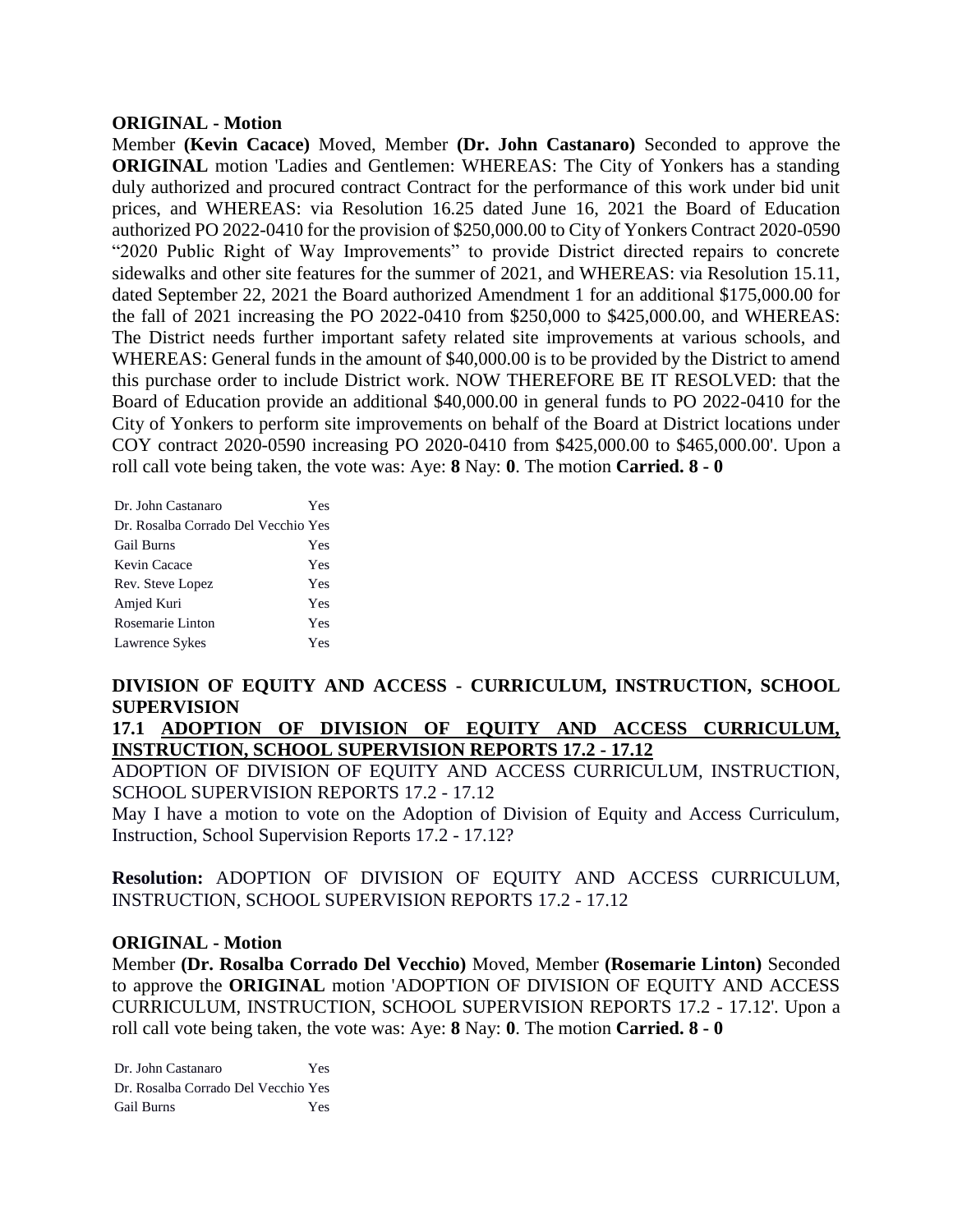#### **ORIGINAL - Motion**

Member **(Kevin Cacace)** Moved, Member **(Dr. John Castanaro)** Seconded to approve the **ORIGINAL** motion 'Ladies and Gentlemen: WHEREAS: The City of Yonkers has a standing duly authorized and procured contract Contract for the performance of this work under bid unit prices, and WHEREAS: via Resolution 16.25 dated June 16, 2021 the Board of Education authorized PO 2022-0410 for the provision of \$250,000.00 to City of Yonkers Contract 2020-0590 "2020 Public Right of Way Improvements" to provide District directed repairs to concrete sidewalks and other site features for the summer of 2021, and WHEREAS: via Resolution 15.11, dated September 22, 2021 the Board authorized Amendment 1 for an additional \$175,000.00 for the fall of 2021 increasing the PO 2022-0410 from \$250,000 to \$425,000.00, and WHEREAS: The District needs further important safety related site improvements at various schools, and WHEREAS: General funds in the amount of \$40,000.00 is to be provided by the District to amend this purchase order to include District work. NOW THEREFORE BE IT RESOLVED: that the Board of Education provide an additional \$40,000.00 in general funds to PO 2022-0410 for the City of Yonkers to perform site improvements on behalf of the Board at District locations under COY contract 2020-0590 increasing PO 2020-0410 from \$425,000.00 to \$465,000.00'. Upon a roll call vote being taken, the vote was: Aye: **8** Nay: **0**. The motion **Carried. 8 - 0** 

| Dr. John Castanaro                  | Yes |
|-------------------------------------|-----|
| Dr. Rosalba Corrado Del Vecchio Yes |     |
| <b>Gail Burns</b>                   | Yes |
| Kevin Cacace                        | Yes |
| Rev. Steve Lopez                    | Yes |
| Amjed Kuri                          | Yes |
| Rosemarie Linton                    | Yes |
| Lawrence Sykes                      | Yes |

# **DIVISION OF EQUITY AND ACCESS - CURRICULUM, INSTRUCTION, SCHOOL SUPERVISION**

**17.1 ADOPTION OF DIVISION OF EQUITY AND ACCESS CURRICULUM, INSTRUCTION, SCHOOL SUPERVISION REPORTS 17.2 - 17.12**

ADOPTION OF DIVISION OF EQUITY AND ACCESS CURRICULUM, INSTRUCTION, SCHOOL SUPERVISION REPORTS 17.2 - 17.12

May I have a motion to vote on the Adoption of Division of Equity and Access Curriculum, Instruction, School Supervision Reports 17.2 - 17.12?

**Resolution:** ADOPTION OF DIVISION OF EQUITY AND ACCESS CURRICULUM, INSTRUCTION, SCHOOL SUPERVISION REPORTS 17.2 - 17.12

#### **ORIGINAL - Motion**

Member **(Dr. Rosalba Corrado Del Vecchio)** Moved, Member **(Rosemarie Linton)** Seconded to approve the **ORIGINAL** motion 'ADOPTION OF DIVISION OF EQUITY AND ACCESS CURRICULUM, INSTRUCTION, SCHOOL SUPERVISION REPORTS 17.2 - 17.12'. Upon a roll call vote being taken, the vote was: Aye: **8** Nay: **0**. The motion **Carried. 8 - 0** 

Dr. John Castanaro Yes Dr. Rosalba Corrado Del Vecchio Yes Gail Burns Yes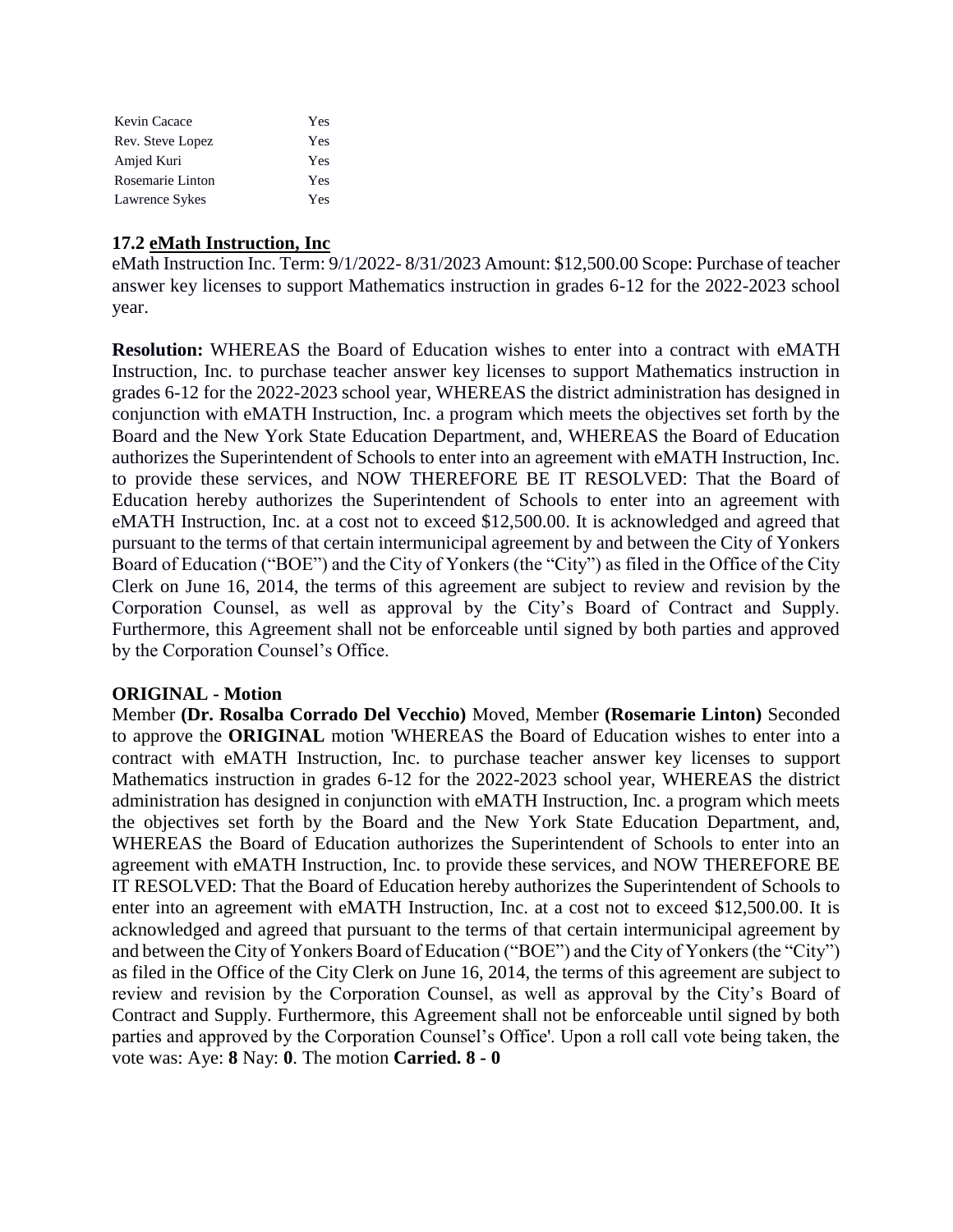| Kevin Cacace     | Yes |
|------------------|-----|
| Rev. Steve Lopez | Yes |
| Amjed Kuri       | Yes |
| Rosemarie Linton | Yes |
| Lawrence Sykes   | Yes |

# **17.2 eMath Instruction, Inc**

eMath Instruction Inc. Term: 9/1/2022- 8/31/2023 Amount: \$12,500.00 Scope: Purchase of teacher answer key licenses to support Mathematics instruction in grades 6-12 for the 2022-2023 school year.

**Resolution:** WHEREAS the Board of Education wishes to enter into a contract with eMATH Instruction, Inc. to purchase teacher answer key licenses to support Mathematics instruction in grades 6-12 for the 2022-2023 school year, WHEREAS the district administration has designed in conjunction with eMATH Instruction, Inc. a program which meets the objectives set forth by the Board and the New York State Education Department, and, WHEREAS the Board of Education authorizes the Superintendent of Schools to enter into an agreement with eMATH Instruction, Inc. to provide these services, and NOW THEREFORE BE IT RESOLVED: That the Board of Education hereby authorizes the Superintendent of Schools to enter into an agreement with eMATH Instruction, Inc. at a cost not to exceed \$12,500.00. It is acknowledged and agreed that pursuant to the terms of that certain intermunicipal agreement by and between the City of Yonkers Board of Education ("BOE") and the City of Yonkers (the "City") as filed in the Office of the City Clerk on June 16, 2014, the terms of this agreement are subject to review and revision by the Corporation Counsel, as well as approval by the City's Board of Contract and Supply. Furthermore, this Agreement shall not be enforceable until signed by both parties and approved by the Corporation Counsel's Office.

# **ORIGINAL - Motion**

Member **(Dr. Rosalba Corrado Del Vecchio)** Moved, Member **(Rosemarie Linton)** Seconded to approve the **ORIGINAL** motion 'WHEREAS the Board of Education wishes to enter into a contract with eMATH Instruction, Inc. to purchase teacher answer key licenses to support Mathematics instruction in grades 6-12 for the 2022-2023 school year, WHEREAS the district administration has designed in conjunction with eMATH Instruction, Inc. a program which meets the objectives set forth by the Board and the New York State Education Department, and, WHEREAS the Board of Education authorizes the Superintendent of Schools to enter into an agreement with eMATH Instruction, Inc. to provide these services, and NOW THEREFORE BE IT RESOLVED: That the Board of Education hereby authorizes the Superintendent of Schools to enter into an agreement with eMATH Instruction, Inc. at a cost not to exceed \$12,500.00. It is acknowledged and agreed that pursuant to the terms of that certain intermunicipal agreement by and between the City of Yonkers Board of Education ("BOE") and the City of Yonkers (the "City") as filed in the Office of the City Clerk on June 16, 2014, the terms of this agreement are subject to review and revision by the Corporation Counsel, as well as approval by the City's Board of Contract and Supply. Furthermore, this Agreement shall not be enforceable until signed by both parties and approved by the Corporation Counsel's Office'. Upon a roll call vote being taken, the vote was: Aye: **8** Nay: **0**. The motion **Carried. 8 - 0**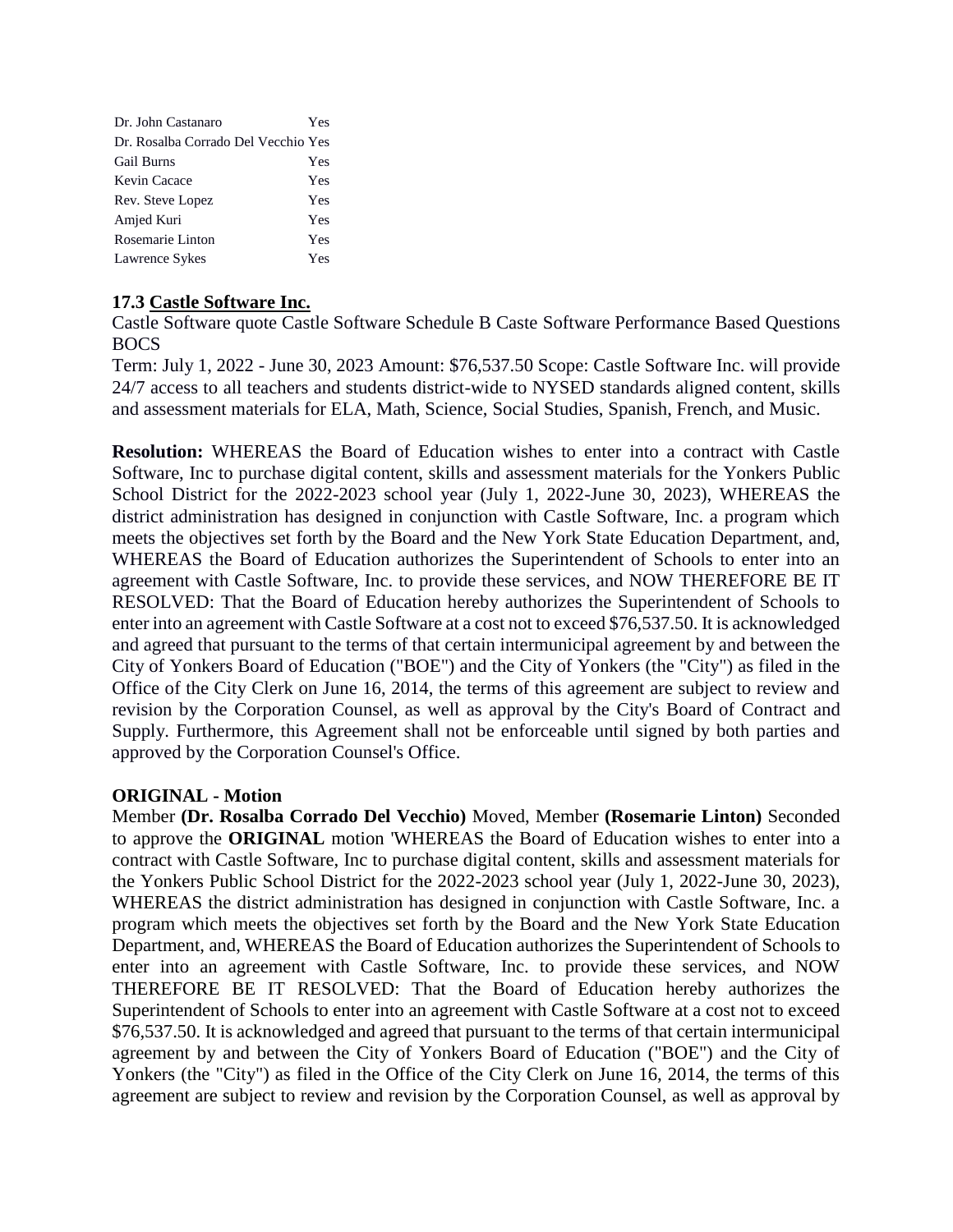| Dr. John Castanaro                  | Yes |
|-------------------------------------|-----|
| Dr. Rosalba Corrado Del Vecchio Yes |     |
| <b>Gail Burns</b>                   | Yes |
| Kevin Cacace                        | Yes |
| Rev. Steve Lopez                    | Yes |
| Amjed Kuri                          | Yes |
| Rosemarie Linton                    | Yes |
| Lawrence Sykes                      | Yes |

# **17.3 Castle Software Inc.**

Castle Software quote Castle Software Schedule B Caste Software Performance Based Questions BOCS

Term: July 1, 2022 - June 30, 2023 Amount: \$76,537.50 Scope: Castle Software Inc. will provide 24/7 access to all teachers and students district-wide to NYSED standards aligned content, skills and assessment materials for ELA, Math, Science, Social Studies, Spanish, French, and Music.

**Resolution:** WHEREAS the Board of Education wishes to enter into a contract with Castle Software, Inc to purchase digital content, skills and assessment materials for the Yonkers Public School District for the 2022-2023 school year (July 1, 2022-June 30, 2023), WHEREAS the district administration has designed in conjunction with Castle Software, Inc. a program which meets the objectives set forth by the Board and the New York State Education Department, and, WHEREAS the Board of Education authorizes the Superintendent of Schools to enter into an agreement with Castle Software, Inc. to provide these services, and NOW THEREFORE BE IT RESOLVED: That the Board of Education hereby authorizes the Superintendent of Schools to enter into an agreement with Castle Software at a cost not to exceed \$76,537.50. It is acknowledged and agreed that pursuant to the terms of that certain intermunicipal agreement by and between the City of Yonkers Board of Education ("BOE") and the City of Yonkers (the "City") as filed in the Office of the City Clerk on June 16, 2014, the terms of this agreement are subject to review and revision by the Corporation Counsel, as well as approval by the City's Board of Contract and Supply. Furthermore, this Agreement shall not be enforceable until signed by both parties and approved by the Corporation Counsel's Office.

# **ORIGINAL - Motion**

Member **(Dr. Rosalba Corrado Del Vecchio)** Moved, Member **(Rosemarie Linton)** Seconded to approve the **ORIGINAL** motion 'WHEREAS the Board of Education wishes to enter into a contract with Castle Software, Inc to purchase digital content, skills and assessment materials for the Yonkers Public School District for the 2022-2023 school year (July 1, 2022-June 30, 2023), WHEREAS the district administration has designed in conjunction with Castle Software, Inc. a program which meets the objectives set forth by the Board and the New York State Education Department, and, WHEREAS the Board of Education authorizes the Superintendent of Schools to enter into an agreement with Castle Software, Inc. to provide these services, and NOW THEREFORE BE IT RESOLVED: That the Board of Education hereby authorizes the Superintendent of Schools to enter into an agreement with Castle Software at a cost not to exceed \$76,537.50. It is acknowledged and agreed that pursuant to the terms of that certain intermunicipal agreement by and between the City of Yonkers Board of Education ("BOE") and the City of Yonkers (the "City") as filed in the Office of the City Clerk on June 16, 2014, the terms of this agreement are subject to review and revision by the Corporation Counsel, as well as approval by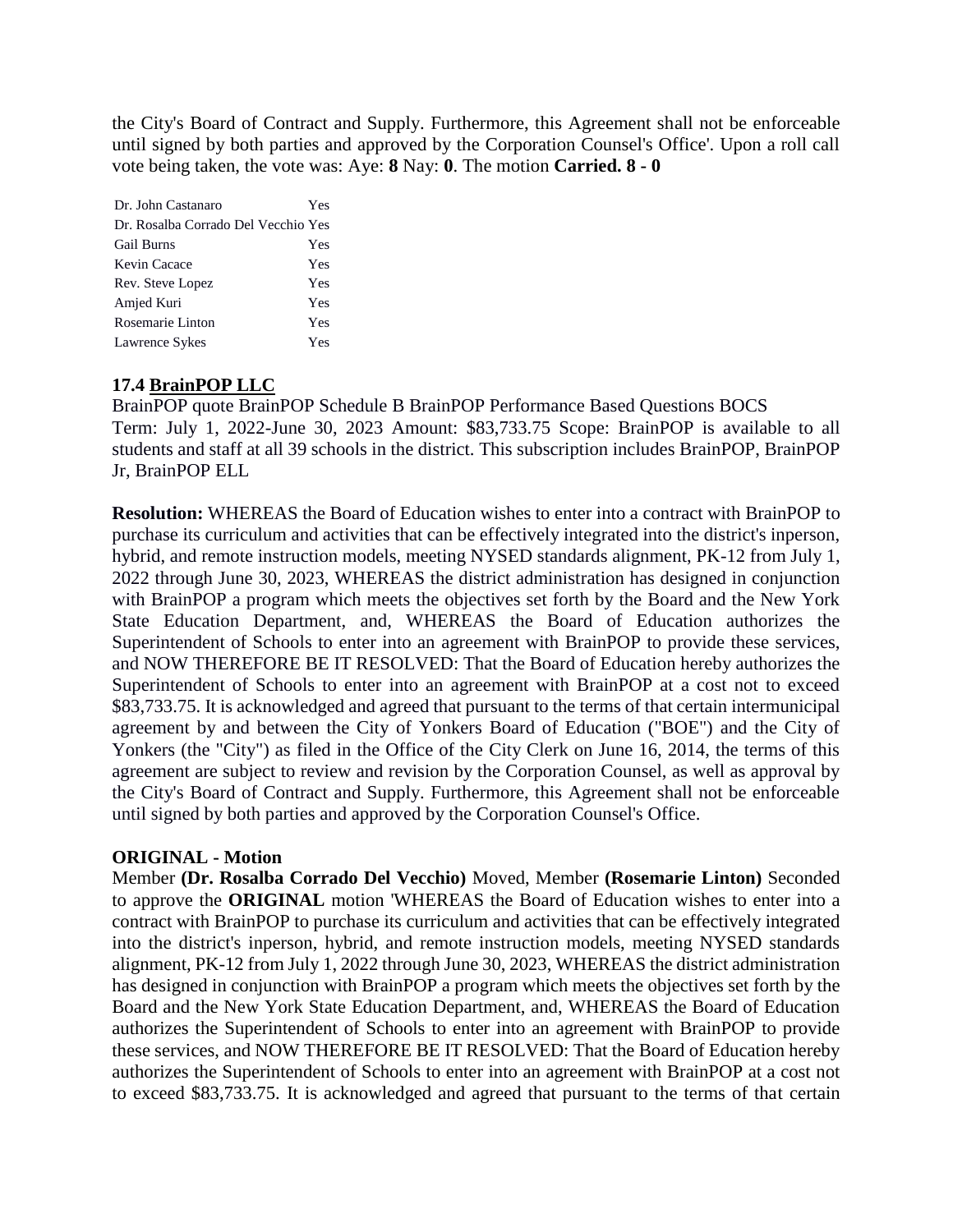the City's Board of Contract and Supply. Furthermore, this Agreement shall not be enforceable until signed by both parties and approved by the Corporation Counsel's Office'. Upon a roll call vote being taken, the vote was: Aye: **8** Nay: **0**. The motion **Carried. 8 - 0** 

| Dr. John Castanaro                  | Yes |
|-------------------------------------|-----|
| Dr. Rosalba Corrado Del Vecchio Yes |     |
| <b>Gail Burns</b>                   | Yes |
| Kevin Cacace                        | Yes |
| Rev. Steve Lopez                    | Yes |
| Amjed Kuri                          | Yes |
| Rosemarie Linton                    | Yes |
| Lawrence Sykes                      | Yes |

# **17.4 BrainPOP LLC**

BrainPOP quote BrainPOP Schedule B BrainPOP Performance Based Questions BOCS Term: July 1, 2022-June 30, 2023 Amount: \$83,733.75 Scope: BrainPOP is available to all students and staff at all 39 schools in the district. This subscription includes BrainPOP, BrainPOP Jr, BrainPOP ELL

**Resolution:** WHEREAS the Board of Education wishes to enter into a contract with BrainPOP to purchase its curriculum and activities that can be effectively integrated into the district's inperson, hybrid, and remote instruction models, meeting NYSED standards alignment, PK-12 from July 1, 2022 through June 30, 2023, WHEREAS the district administration has designed in conjunction with BrainPOP a program which meets the objectives set forth by the Board and the New York State Education Department, and, WHEREAS the Board of Education authorizes the Superintendent of Schools to enter into an agreement with BrainPOP to provide these services, and NOW THEREFORE BE IT RESOLVED: That the Board of Education hereby authorizes the Superintendent of Schools to enter into an agreement with BrainPOP at a cost not to exceed \$83,733.75. It is acknowledged and agreed that pursuant to the terms of that certain intermunicipal agreement by and between the City of Yonkers Board of Education ("BOE") and the City of Yonkers (the "City") as filed in the Office of the City Clerk on June 16, 2014, the terms of this agreement are subject to review and revision by the Corporation Counsel, as well as approval by the City's Board of Contract and Supply. Furthermore, this Agreement shall not be enforceable until signed by both parties and approved by the Corporation Counsel's Office.

#### **ORIGINAL - Motion**

Member **(Dr. Rosalba Corrado Del Vecchio)** Moved, Member **(Rosemarie Linton)** Seconded to approve the **ORIGINAL** motion 'WHEREAS the Board of Education wishes to enter into a contract with BrainPOP to purchase its curriculum and activities that can be effectively integrated into the district's inperson, hybrid, and remote instruction models, meeting NYSED standards alignment, PK-12 from July 1, 2022 through June 30, 2023, WHEREAS the district administration has designed in conjunction with BrainPOP a program which meets the objectives set forth by the Board and the New York State Education Department, and, WHEREAS the Board of Education authorizes the Superintendent of Schools to enter into an agreement with BrainPOP to provide these services, and NOW THEREFORE BE IT RESOLVED: That the Board of Education hereby authorizes the Superintendent of Schools to enter into an agreement with BrainPOP at a cost not to exceed \$83,733.75. It is acknowledged and agreed that pursuant to the terms of that certain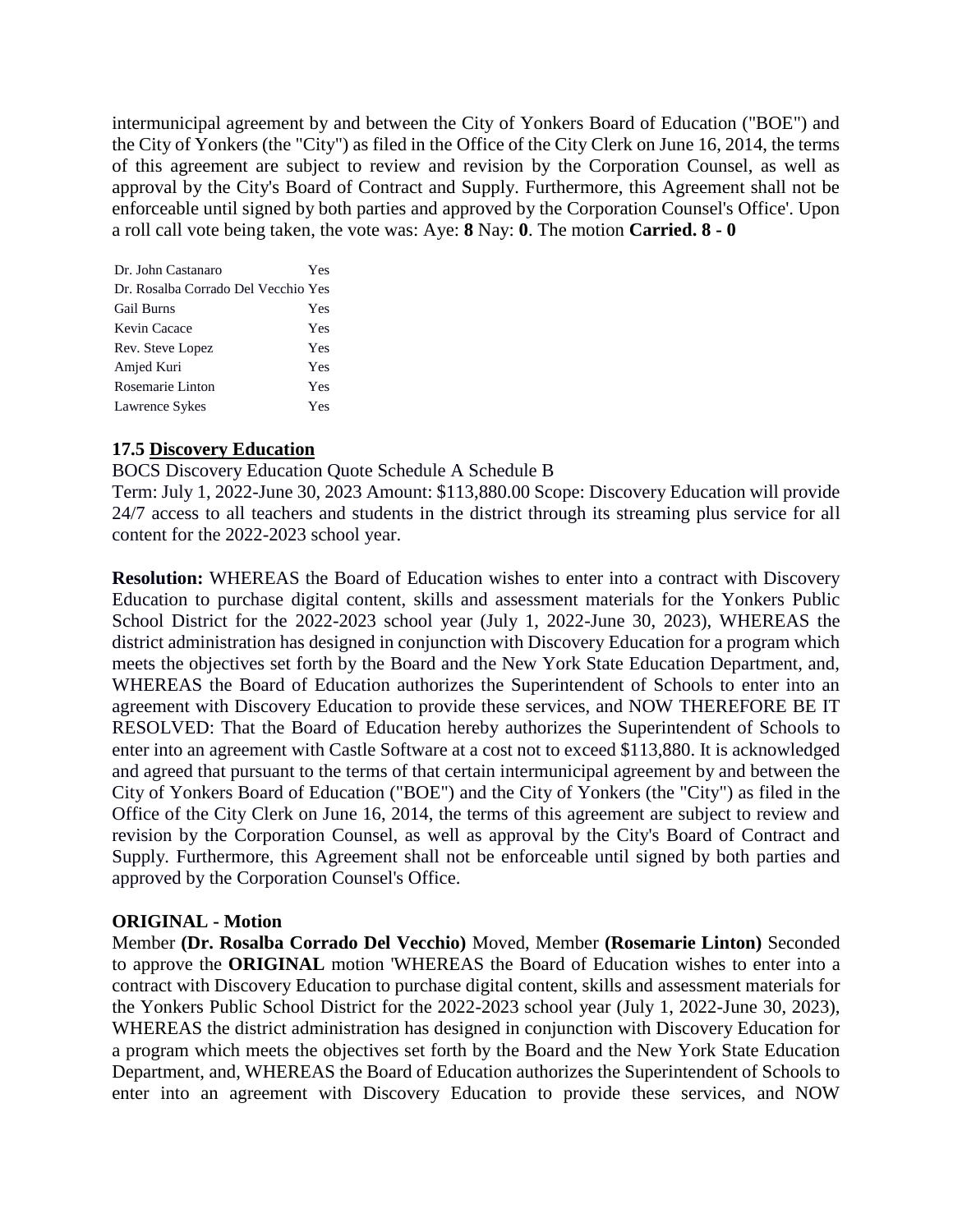intermunicipal agreement by and between the City of Yonkers Board of Education ("BOE") and the City of Yonkers (the "City") as filed in the Office of the City Clerk on June 16, 2014, the terms of this agreement are subject to review and revision by the Corporation Counsel, as well as approval by the City's Board of Contract and Supply. Furthermore, this Agreement shall not be enforceable until signed by both parties and approved by the Corporation Counsel's Office'. Upon a roll call vote being taken, the vote was: Aye: **8** Nay: **0**. The motion **Carried. 8 - 0** 

| Dr. John Castanaro                  | Yes |
|-------------------------------------|-----|
| Dr. Rosalba Corrado Del Vecchio Yes |     |
| <b>Gail Burns</b>                   | Yes |
| Kevin Cacace                        | Yes |
| Rev. Steve Lopez                    | Yes |
| Amjed Kuri                          | Yes |
| Rosemarie Linton                    | Yes |
| Lawrence Sykes                      | Yes |

# **17.5 Discovery Education**

BOCS Discovery Education Quote Schedule A Schedule B

Term: July 1, 2022-June 30, 2023 Amount: \$113,880.00 Scope: Discovery Education will provide 24/7 access to all teachers and students in the district through its streaming plus service for all content for the 2022-2023 school year.

**Resolution:** WHEREAS the Board of Education wishes to enter into a contract with Discovery Education to purchase digital content, skills and assessment materials for the Yonkers Public School District for the 2022-2023 school year (July 1, 2022-June 30, 2023), WHEREAS the district administration has designed in conjunction with Discovery Education for a program which meets the objectives set forth by the Board and the New York State Education Department, and, WHEREAS the Board of Education authorizes the Superintendent of Schools to enter into an agreement with Discovery Education to provide these services, and NOW THEREFORE BE IT RESOLVED: That the Board of Education hereby authorizes the Superintendent of Schools to enter into an agreement with Castle Software at a cost not to exceed \$113,880. It is acknowledged and agreed that pursuant to the terms of that certain intermunicipal agreement by and between the City of Yonkers Board of Education ("BOE") and the City of Yonkers (the "City") as filed in the Office of the City Clerk on June 16, 2014, the terms of this agreement are subject to review and revision by the Corporation Counsel, as well as approval by the City's Board of Contract and Supply. Furthermore, this Agreement shall not be enforceable until signed by both parties and approved by the Corporation Counsel's Office.

# **ORIGINAL - Motion**

Member **(Dr. Rosalba Corrado Del Vecchio)** Moved, Member **(Rosemarie Linton)** Seconded to approve the **ORIGINAL** motion 'WHEREAS the Board of Education wishes to enter into a contract with Discovery Education to purchase digital content, skills and assessment materials for the Yonkers Public School District for the 2022-2023 school year (July 1, 2022-June 30, 2023), WHEREAS the district administration has designed in conjunction with Discovery Education for a program which meets the objectives set forth by the Board and the New York State Education Department, and, WHEREAS the Board of Education authorizes the Superintendent of Schools to enter into an agreement with Discovery Education to provide these services, and NOW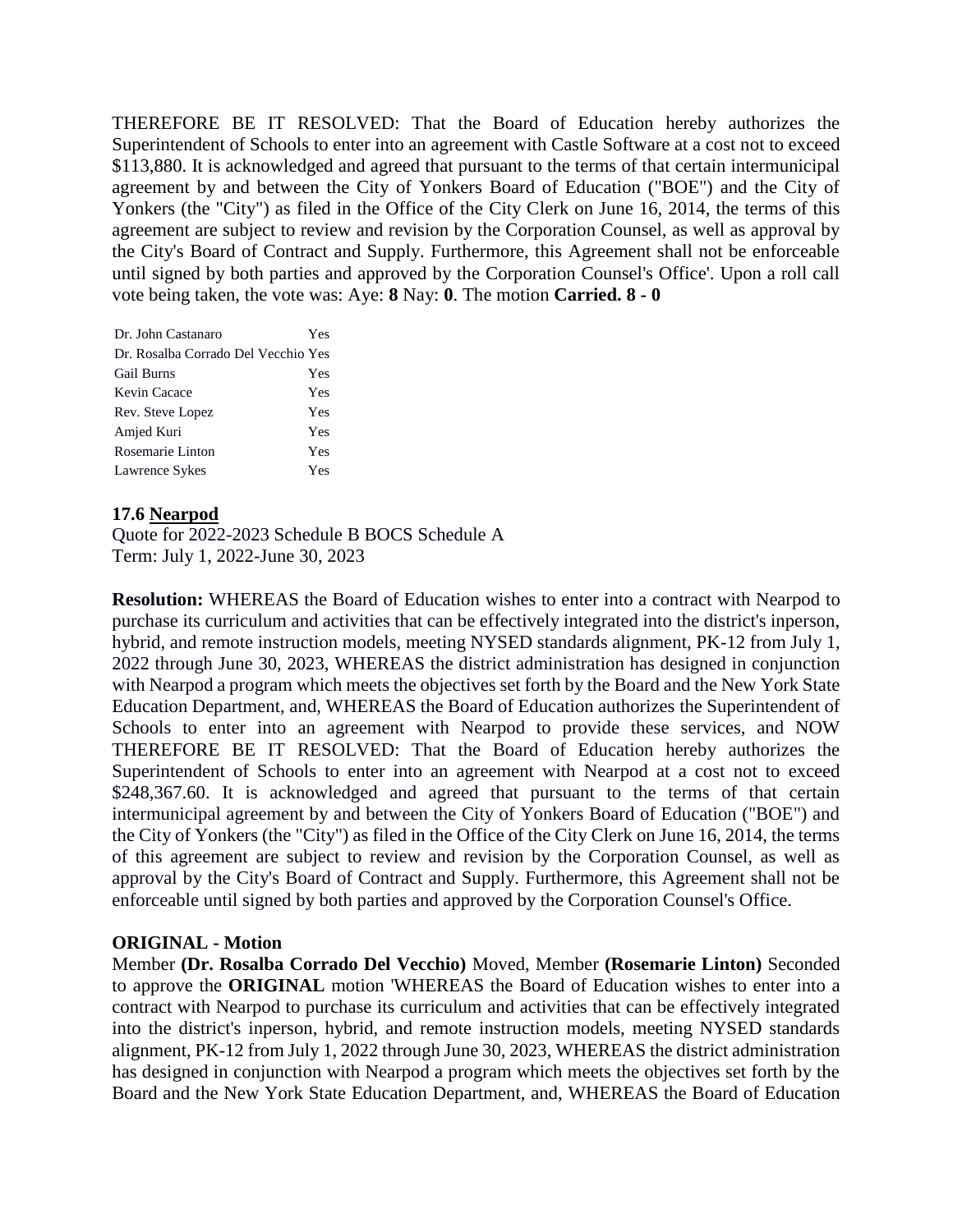THEREFORE BE IT RESOLVED: That the Board of Education hereby authorizes the Superintendent of Schools to enter into an agreement with Castle Software at a cost not to exceed \$113,880. It is acknowledged and agreed that pursuant to the terms of that certain intermunicipal agreement by and between the City of Yonkers Board of Education ("BOE") and the City of Yonkers (the "City") as filed in the Office of the City Clerk on June 16, 2014, the terms of this agreement are subject to review and revision by the Corporation Counsel, as well as approval by the City's Board of Contract and Supply. Furthermore, this Agreement shall not be enforceable until signed by both parties and approved by the Corporation Counsel's Office'. Upon a roll call vote being taken, the vote was: Aye: **8** Nay: **0**. The motion **Carried. 8 - 0** 

| Dr. John Castanaro                  | Yes |
|-------------------------------------|-----|
| Dr. Rosalba Corrado Del Vecchio Yes |     |
| <b>Gail Burns</b>                   | Yes |
| Kevin Cacace                        | Yes |
| Rev. Steve Lopez                    | Yes |
| Amjed Kuri                          | Yes |
| Rosemarie Linton                    | Yes |
| Lawrence Sykes                      | Yes |

# **17.6 Nearpod**

Quote for 2022-2023 Schedule B BOCS Schedule A Term: July 1, 2022-June 30, 2023

**Resolution:** WHEREAS the Board of Education wishes to enter into a contract with Nearpod to purchase its curriculum and activities that can be effectively integrated into the district's inperson, hybrid, and remote instruction models, meeting NYSED standards alignment, PK-12 from July 1, 2022 through June 30, 2023, WHEREAS the district administration has designed in conjunction with Nearpod a program which meets the objectives set forth by the Board and the New York State Education Department, and, WHEREAS the Board of Education authorizes the Superintendent of Schools to enter into an agreement with Nearpod to provide these services, and NOW THEREFORE BE IT RESOLVED: That the Board of Education hereby authorizes the Superintendent of Schools to enter into an agreement with Nearpod at a cost not to exceed \$248,367.60. It is acknowledged and agreed that pursuant to the terms of that certain intermunicipal agreement by and between the City of Yonkers Board of Education ("BOE") and the City of Yonkers (the "City") as filed in the Office of the City Clerk on June 16, 2014, the terms of this agreement are subject to review and revision by the Corporation Counsel, as well as approval by the City's Board of Contract and Supply. Furthermore, this Agreement shall not be enforceable until signed by both parties and approved by the Corporation Counsel's Office.

# **ORIGINAL - Motion**

Member **(Dr. Rosalba Corrado Del Vecchio)** Moved, Member **(Rosemarie Linton)** Seconded to approve the **ORIGINAL** motion 'WHEREAS the Board of Education wishes to enter into a contract with Nearpod to purchase its curriculum and activities that can be effectively integrated into the district's inperson, hybrid, and remote instruction models, meeting NYSED standards alignment, PK-12 from July 1, 2022 through June 30, 2023, WHEREAS the district administration has designed in conjunction with Nearpod a program which meets the objectives set forth by the Board and the New York State Education Department, and, WHEREAS the Board of Education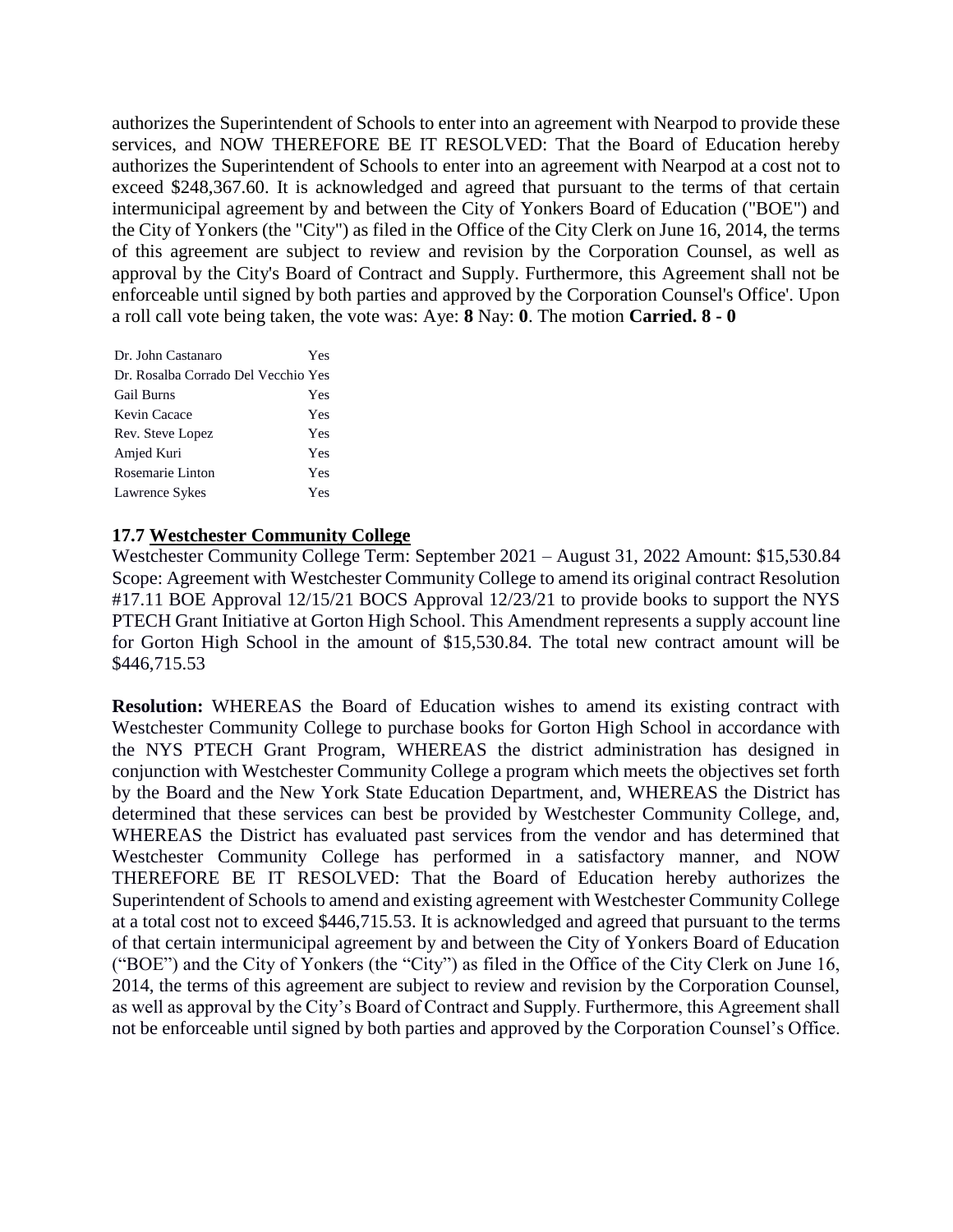authorizes the Superintendent of Schools to enter into an agreement with Nearpod to provide these services, and NOW THEREFORE BE IT RESOLVED: That the Board of Education hereby authorizes the Superintendent of Schools to enter into an agreement with Nearpod at a cost not to exceed \$248,367.60. It is acknowledged and agreed that pursuant to the terms of that certain intermunicipal agreement by and between the City of Yonkers Board of Education ("BOE") and the City of Yonkers (the "City") as filed in the Office of the City Clerk on June 16, 2014, the terms of this agreement are subject to review and revision by the Corporation Counsel, as well as approval by the City's Board of Contract and Supply. Furthermore, this Agreement shall not be enforceable until signed by both parties and approved by the Corporation Counsel's Office'. Upon a roll call vote being taken, the vote was: Aye: **8** Nay: **0**. The motion **Carried. 8 - 0** 

| Dr. John Castanaro                  | Yes |
|-------------------------------------|-----|
| Dr. Rosalba Corrado Del Vecchio Yes |     |
| <b>Gail Burns</b>                   | Yes |
| Kevin Cacace                        | Yes |
| Rev. Steve Lopez                    | Yes |
| Amjed Kuri                          | Yes |
| Rosemarie Linton                    | Yes |
| Lawrence Sykes                      | Yes |

# **17.7 Westchester Community College**

Westchester Community College Term: September 2021 – August 31, 2022 Amount: \$15,530.84 Scope: Agreement with Westchester Community College to amend its original contract Resolution #17.11 BOE Approval 12/15/21 BOCS Approval 12/23/21 to provide books to support the NYS PTECH Grant Initiative at Gorton High School. This Amendment represents a supply account line for Gorton High School in the amount of \$15,530.84. The total new contract amount will be \$446,715.53

**Resolution:** WHEREAS the Board of Education wishes to amend its existing contract with Westchester Community College to purchase books for Gorton High School in accordance with the NYS PTECH Grant Program, WHEREAS the district administration has designed in conjunction with Westchester Community College a program which meets the objectives set forth by the Board and the New York State Education Department, and, WHEREAS the District has determined that these services can best be provided by Westchester Community College, and, WHEREAS the District has evaluated past services from the vendor and has determined that Westchester Community College has performed in a satisfactory manner, and NOW THEREFORE BE IT RESOLVED: That the Board of Education hereby authorizes the Superintendent of Schools to amend and existing agreement with Westchester Community College at a total cost not to exceed \$446,715.53. It is acknowledged and agreed that pursuant to the terms of that certain intermunicipal agreement by and between the City of Yonkers Board of Education ("BOE") and the City of Yonkers (the "City") as filed in the Office of the City Clerk on June 16, 2014, the terms of this agreement are subject to review and revision by the Corporation Counsel, as well as approval by the City's Board of Contract and Supply. Furthermore, this Agreement shall not be enforceable until signed by both parties and approved by the Corporation Counsel's Office.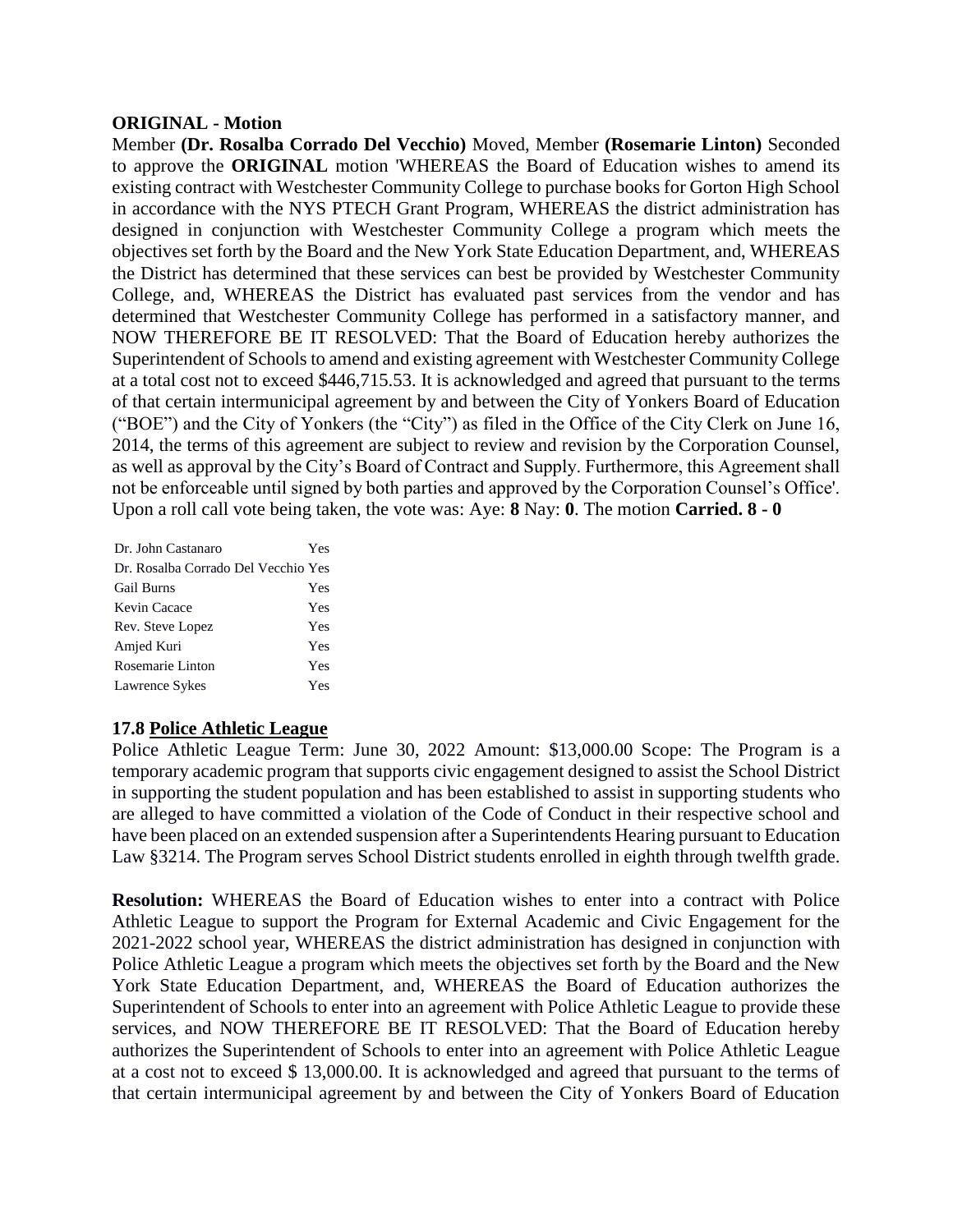#### **ORIGINAL - Motion**

Member **(Dr. Rosalba Corrado Del Vecchio)** Moved, Member **(Rosemarie Linton)** Seconded to approve the **ORIGINAL** motion 'WHEREAS the Board of Education wishes to amend its existing contract with Westchester Community College to purchase books for Gorton High School in accordance with the NYS PTECH Grant Program, WHEREAS the district administration has designed in conjunction with Westchester Community College a program which meets the objectives set forth by the Board and the New York State Education Department, and, WHEREAS the District has determined that these services can best be provided by Westchester Community College, and, WHEREAS the District has evaluated past services from the vendor and has determined that Westchester Community College has performed in a satisfactory manner, and NOW THEREFORE BE IT RESOLVED: That the Board of Education hereby authorizes the Superintendent of Schools to amend and existing agreement with Westchester Community College at a total cost not to exceed \$446,715.53. It is acknowledged and agreed that pursuant to the terms of that certain intermunicipal agreement by and between the City of Yonkers Board of Education ("BOE") and the City of Yonkers (the "City") as filed in the Office of the City Clerk on June 16, 2014, the terms of this agreement are subject to review and revision by the Corporation Counsel, as well as approval by the City's Board of Contract and Supply. Furthermore, this Agreement shall not be enforceable until signed by both parties and approved by the Corporation Counsel's Office'. Upon a roll call vote being taken, the vote was: Aye: **8** Nay: **0**. The motion **Carried. 8 - 0** 

| Dr. John Castanaro                  | Yes |
|-------------------------------------|-----|
| Dr. Rosalba Corrado Del Vecchio Yes |     |
| <b>Gail Burns</b>                   | Yes |
| Kevin Cacace                        | Yes |
| Rev. Steve Lopez                    | Yes |
| Amjed Kuri                          | Yes |
| Rosemarie Linton                    | Yes |
| Lawrence Sykes                      | Yes |

#### **17.8 Police Athletic League**

Police Athletic League Term: June 30, 2022 Amount: \$13,000.00 Scope: The Program is a temporary academic program that supports civic engagement designed to assist the School District in supporting the student population and has been established to assist in supporting students who are alleged to have committed a violation of the Code of Conduct in their respective school and have been placed on an extended suspension after a Superintendents Hearing pursuant to Education Law §3214. The Program serves School District students enrolled in eighth through twelfth grade.

**Resolution:** WHEREAS the Board of Education wishes to enter into a contract with Police Athletic League to support the Program for External Academic and Civic Engagement for the 2021-2022 school year, WHEREAS the district administration has designed in conjunction with Police Athletic League a program which meets the objectives set forth by the Board and the New York State Education Department, and, WHEREAS the Board of Education authorizes the Superintendent of Schools to enter into an agreement with Police Athletic League to provide these services, and NOW THEREFORE BE IT RESOLVED: That the Board of Education hereby authorizes the Superintendent of Schools to enter into an agreement with Police Athletic League at a cost not to exceed \$ 13,000.00. It is acknowledged and agreed that pursuant to the terms of that certain intermunicipal agreement by and between the City of Yonkers Board of Education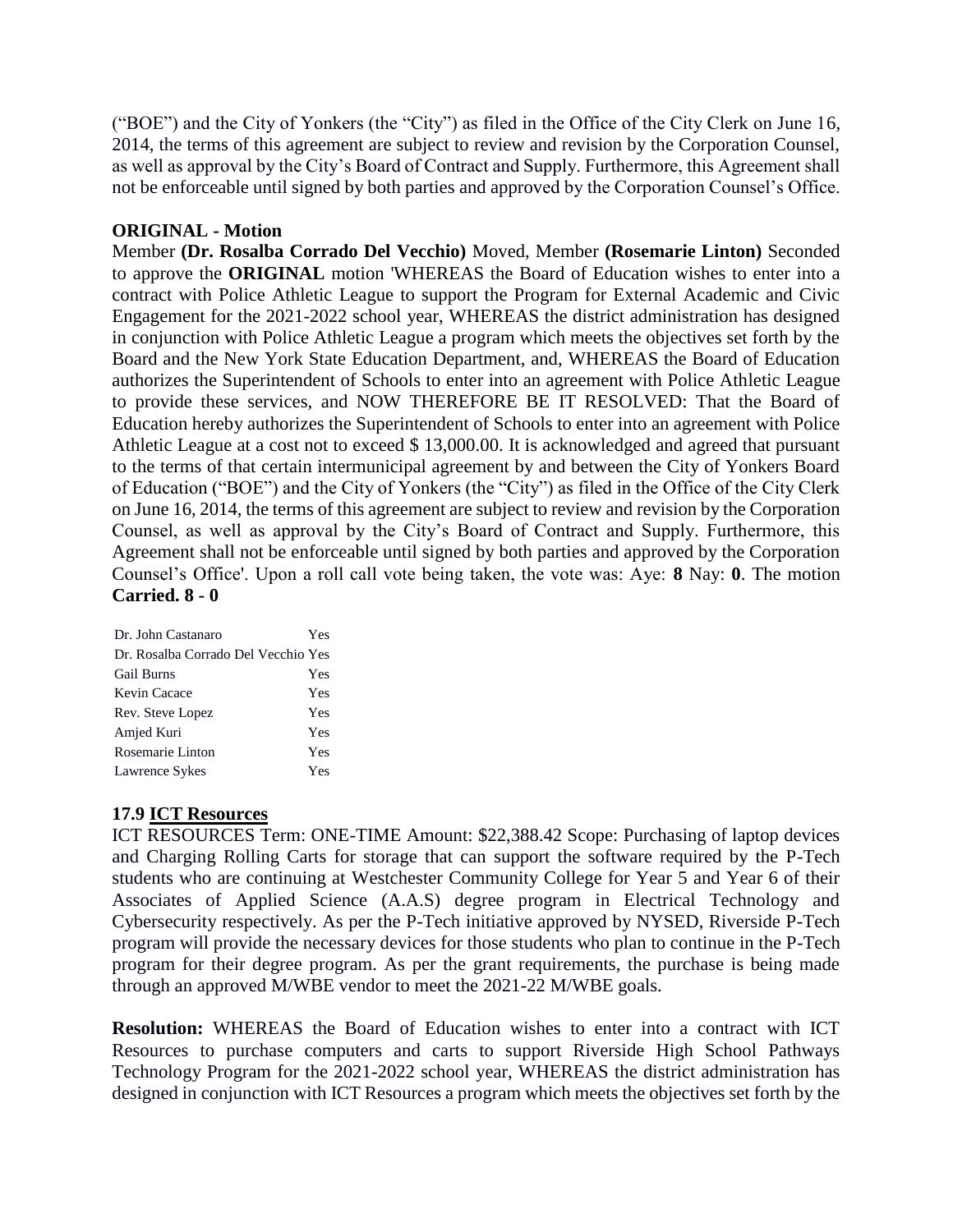("BOE") and the City of Yonkers (the "City") as filed in the Office of the City Clerk on June 16, 2014, the terms of this agreement are subject to review and revision by the Corporation Counsel, as well as approval by the City's Board of Contract and Supply. Furthermore, this Agreement shall not be enforceable until signed by both parties and approved by the Corporation Counsel's Office.

# **ORIGINAL - Motion**

Member **(Dr. Rosalba Corrado Del Vecchio)** Moved, Member **(Rosemarie Linton)** Seconded to approve the **ORIGINAL** motion 'WHEREAS the Board of Education wishes to enter into a contract with Police Athletic League to support the Program for External Academic and Civic Engagement for the 2021-2022 school year, WHEREAS the district administration has designed in conjunction with Police Athletic League a program which meets the objectives set forth by the Board and the New York State Education Department, and, WHEREAS the Board of Education authorizes the Superintendent of Schools to enter into an agreement with Police Athletic League to provide these services, and NOW THEREFORE BE IT RESOLVED: That the Board of Education hereby authorizes the Superintendent of Schools to enter into an agreement with Police Athletic League at a cost not to exceed \$ 13,000.00. It is acknowledged and agreed that pursuant to the terms of that certain intermunicipal agreement by and between the City of Yonkers Board of Education ("BOE") and the City of Yonkers (the "City") as filed in the Office of the City Clerk on June 16, 2014, the terms of this agreement are subject to review and revision by the Corporation Counsel, as well as approval by the City's Board of Contract and Supply. Furthermore, this Agreement shall not be enforceable until signed by both parties and approved by the Corporation Counsel's Office'. Upon a roll call vote being taken, the vote was: Aye: **8** Nay: **0**. The motion **Carried. 8 - 0** 

| Dr. John Castanaro                  | Yes |
|-------------------------------------|-----|
| Dr. Rosalba Corrado Del Vecchio Yes |     |
| <b>Gail Burns</b>                   | Yes |
| Kevin Cacace                        | Yes |
| Rev. Steve Lopez                    | Yes |
| Amjed Kuri                          | Yes |
| Rosemarie Linton                    | Yes |
| Lawrence Sykes                      | Yes |

# **17.9 ICT Resources**

ICT RESOURCES Term: ONE-TIME Amount: \$22,388.42 Scope: Purchasing of laptop devices and Charging Rolling Carts for storage that can support the software required by the P-Tech students who are continuing at Westchester Community College for Year 5 and Year 6 of their Associates of Applied Science (A.A.S) degree program in Electrical Technology and Cybersecurity respectively. As per the P-Tech initiative approved by NYSED, Riverside P-Tech program will provide the necessary devices for those students who plan to continue in the P-Tech program for their degree program. As per the grant requirements, the purchase is being made through an approved M/WBE vendor to meet the 2021-22 M/WBE goals.

**Resolution:** WHEREAS the Board of Education wishes to enter into a contract with ICT Resources to purchase computers and carts to support Riverside High School Pathways Technology Program for the 2021-2022 school year, WHEREAS the district administration has designed in conjunction with ICT Resources a program which meets the objectives set forth by the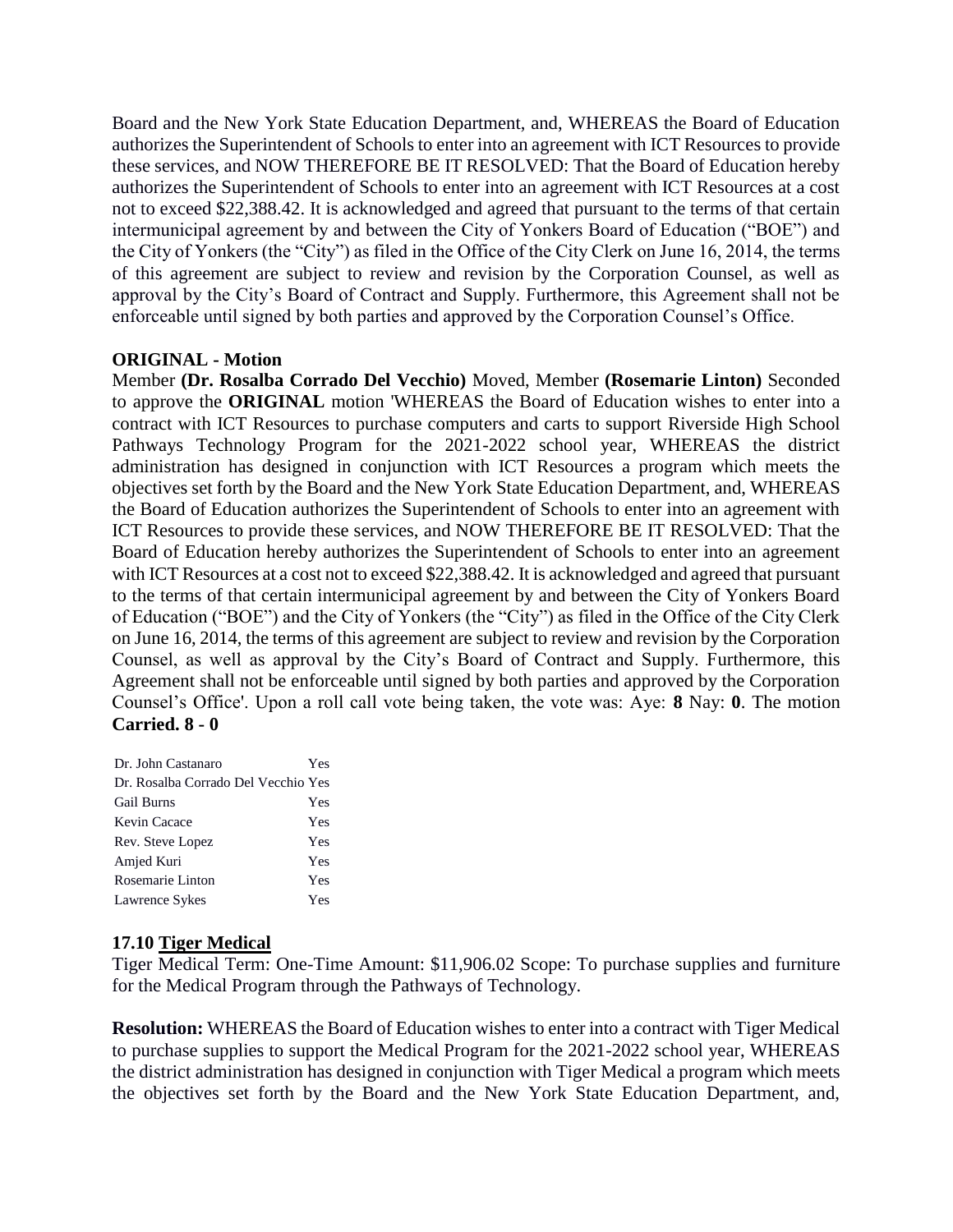Board and the New York State Education Department, and, WHEREAS the Board of Education authorizes the Superintendent of Schools to enter into an agreement with ICT Resources to provide these services, and NOW THEREFORE BE IT RESOLVED: That the Board of Education hereby authorizes the Superintendent of Schools to enter into an agreement with ICT Resources at a cost not to exceed \$22,388.42. It is acknowledged and agreed that pursuant to the terms of that certain intermunicipal agreement by and between the City of Yonkers Board of Education ("BOE") and the City of Yonkers (the "City") as filed in the Office of the City Clerk on June 16, 2014, the terms of this agreement are subject to review and revision by the Corporation Counsel, as well as approval by the City's Board of Contract and Supply. Furthermore, this Agreement shall not be enforceable until signed by both parties and approved by the Corporation Counsel's Office.

# **ORIGINAL - Motion**

Member **(Dr. Rosalba Corrado Del Vecchio)** Moved, Member **(Rosemarie Linton)** Seconded to approve the **ORIGINAL** motion 'WHEREAS the Board of Education wishes to enter into a contract with ICT Resources to purchase computers and carts to support Riverside High School Pathways Technology Program for the 2021-2022 school year, WHEREAS the district administration has designed in conjunction with ICT Resources a program which meets the objectives set forth by the Board and the New York State Education Department, and, WHEREAS the Board of Education authorizes the Superintendent of Schools to enter into an agreement with ICT Resources to provide these services, and NOW THEREFORE BE IT RESOLVED: That the Board of Education hereby authorizes the Superintendent of Schools to enter into an agreement with ICT Resources at a cost not to exceed \$22,388.42. It is acknowledged and agreed that pursuant to the terms of that certain intermunicipal agreement by and between the City of Yonkers Board of Education ("BOE") and the City of Yonkers (the "City") as filed in the Office of the City Clerk on June 16, 2014, the terms of this agreement are subject to review and revision by the Corporation Counsel, as well as approval by the City's Board of Contract and Supply. Furthermore, this Agreement shall not be enforceable until signed by both parties and approved by the Corporation Counsel's Office'. Upon a roll call vote being taken, the vote was: Aye: **8** Nay: **0**. The motion **Carried. 8 - 0** 

| Dr. John Castanaro                  | Yes |
|-------------------------------------|-----|
| Dr. Rosalba Corrado Del Vecchio Yes |     |
| <b>Gail Burns</b>                   | Yes |
| Kevin Cacace                        | Yes |
| Rev. Steve Lopez                    | Yes |
| Amjed Kuri                          | Yes |
| Rosemarie Linton                    | Yes |
| Lawrence Sykes                      | Yes |

# **17.10 Tiger Medical**

Tiger Medical Term: One-Time Amount: \$11,906.02 Scope: To purchase supplies and furniture for the Medical Program through the Pathways of Technology.

**Resolution:** WHEREAS the Board of Education wishes to enter into a contract with Tiger Medical to purchase supplies to support the Medical Program for the 2021-2022 school year, WHEREAS the district administration has designed in conjunction with Tiger Medical a program which meets the objectives set forth by the Board and the New York State Education Department, and,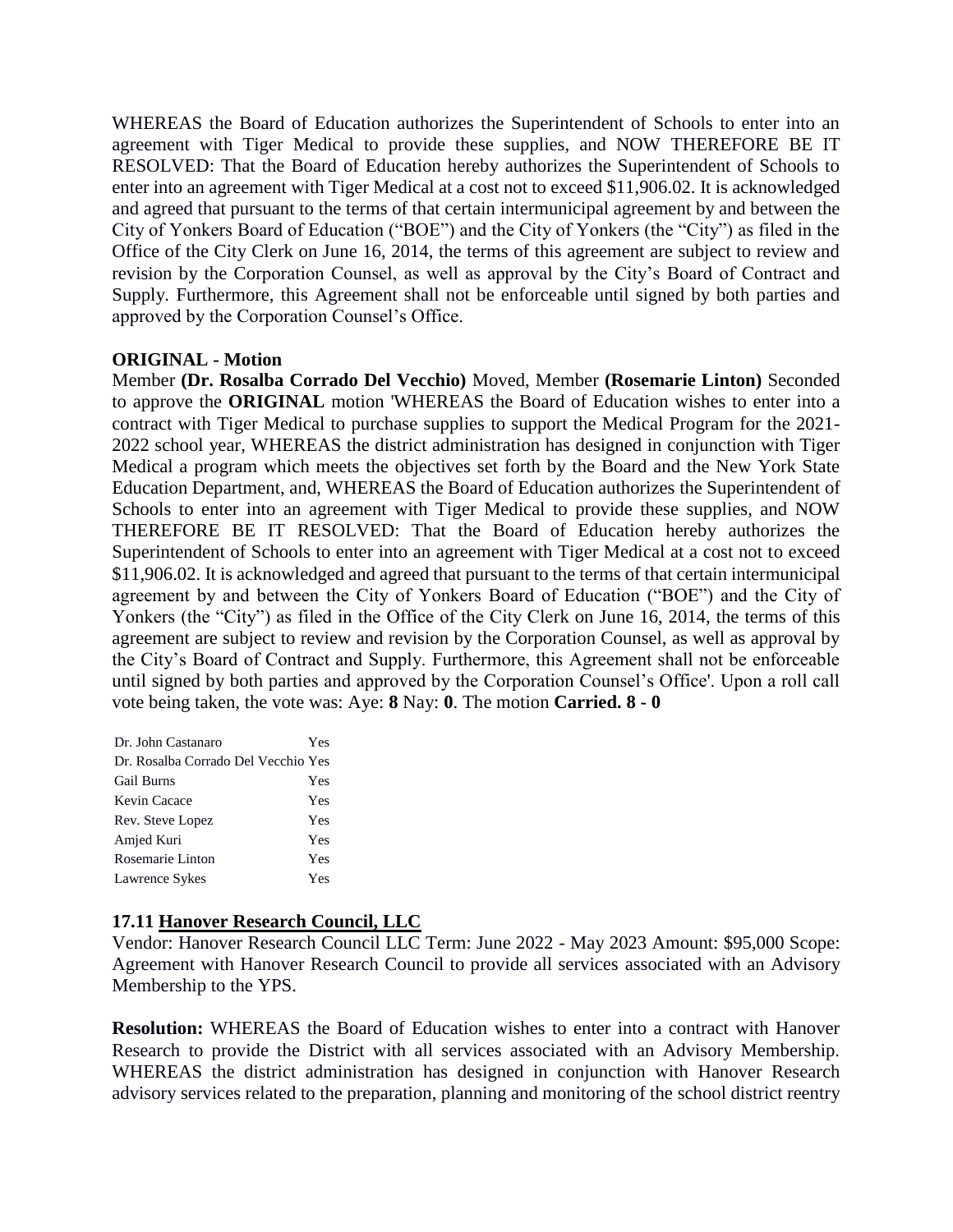WHEREAS the Board of Education authorizes the Superintendent of Schools to enter into an agreement with Tiger Medical to provide these supplies, and NOW THEREFORE BE IT RESOLVED: That the Board of Education hereby authorizes the Superintendent of Schools to enter into an agreement with Tiger Medical at a cost not to exceed \$11,906.02. It is acknowledged and agreed that pursuant to the terms of that certain intermunicipal agreement by and between the City of Yonkers Board of Education ("BOE") and the City of Yonkers (the "City") as filed in the Office of the City Clerk on June 16, 2014, the terms of this agreement are subject to review and revision by the Corporation Counsel, as well as approval by the City's Board of Contract and Supply. Furthermore, this Agreement shall not be enforceable until signed by both parties and approved by the Corporation Counsel's Office.

# **ORIGINAL - Motion**

Member **(Dr. Rosalba Corrado Del Vecchio)** Moved, Member **(Rosemarie Linton)** Seconded to approve the **ORIGINAL** motion 'WHEREAS the Board of Education wishes to enter into a contract with Tiger Medical to purchase supplies to support the Medical Program for the 2021- 2022 school year, WHEREAS the district administration has designed in conjunction with Tiger Medical a program which meets the objectives set forth by the Board and the New York State Education Department, and, WHEREAS the Board of Education authorizes the Superintendent of Schools to enter into an agreement with Tiger Medical to provide these supplies, and NOW THEREFORE BE IT RESOLVED: That the Board of Education hereby authorizes the Superintendent of Schools to enter into an agreement with Tiger Medical at a cost not to exceed \$11,906.02. It is acknowledged and agreed that pursuant to the terms of that certain intermunicipal agreement by and between the City of Yonkers Board of Education ("BOE") and the City of Yonkers (the "City") as filed in the Office of the City Clerk on June 16, 2014, the terms of this agreement are subject to review and revision by the Corporation Counsel, as well as approval by the City's Board of Contract and Supply. Furthermore, this Agreement shall not be enforceable until signed by both parties and approved by the Corporation Counsel's Office'. Upon a roll call vote being taken, the vote was: Aye: **8** Nay: **0**. The motion **Carried. 8 - 0** 

| Dr. John Castanaro                  | Yes |
|-------------------------------------|-----|
| Dr. Rosalba Corrado Del Vecchio Yes |     |
| <b>Gail Burns</b>                   | Yes |
| Kevin Cacace                        | Yes |
| Rev. Steve Lopez                    | Yes |
| Amjed Kuri                          | Yes |
| Rosemarie Linton                    | Yes |
| Lawrence Sykes                      | Yes |

# **17.11 Hanover Research Council, LLC**

Vendor: Hanover Research Council LLC Term: June 2022 - May 2023 Amount: \$95,000 Scope: Agreement with Hanover Research Council to provide all services associated with an Advisory Membership to the YPS.

**Resolution:** WHEREAS the Board of Education wishes to enter into a contract with Hanover Research to provide the District with all services associated with an Advisory Membership. WHEREAS the district administration has designed in conjunction with Hanover Research advisory services related to the preparation, planning and monitoring of the school district reentry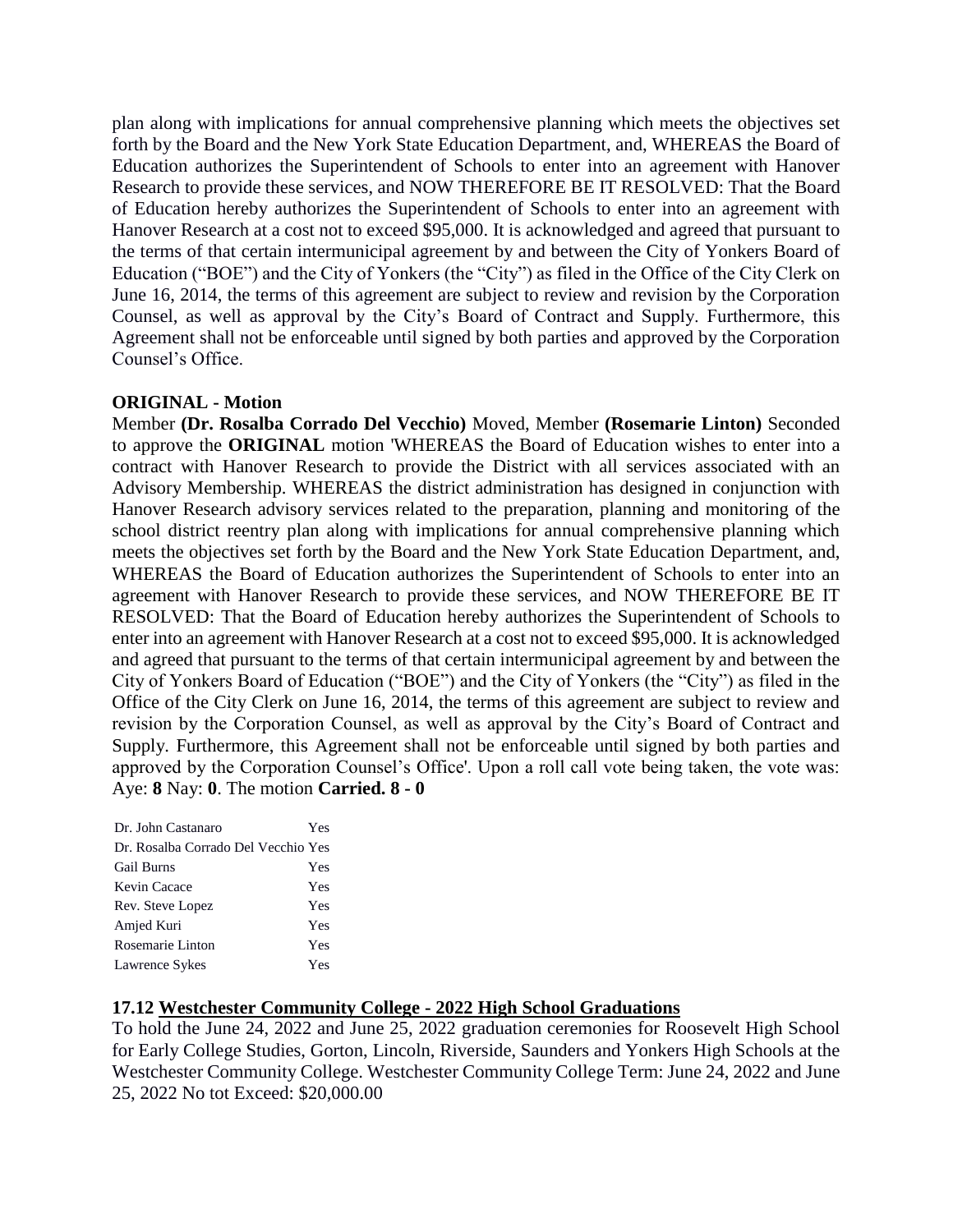plan along with implications for annual comprehensive planning which meets the objectives set forth by the Board and the New York State Education Department, and, WHEREAS the Board of Education authorizes the Superintendent of Schools to enter into an agreement with Hanover Research to provide these services, and NOW THEREFORE BE IT RESOLVED: That the Board of Education hereby authorizes the Superintendent of Schools to enter into an agreement with Hanover Research at a cost not to exceed \$95,000. It is acknowledged and agreed that pursuant to the terms of that certain intermunicipal agreement by and between the City of Yonkers Board of Education ("BOE") and the City of Yonkers (the "City") as filed in the Office of the City Clerk on June 16, 2014, the terms of this agreement are subject to review and revision by the Corporation Counsel, as well as approval by the City's Board of Contract and Supply. Furthermore, this Agreement shall not be enforceable until signed by both parties and approved by the Corporation Counsel's Office.

#### **ORIGINAL - Motion**

Member **(Dr. Rosalba Corrado Del Vecchio)** Moved, Member **(Rosemarie Linton)** Seconded to approve the **ORIGINAL** motion 'WHEREAS the Board of Education wishes to enter into a contract with Hanover Research to provide the District with all services associated with an Advisory Membership. WHEREAS the district administration has designed in conjunction with Hanover Research advisory services related to the preparation, planning and monitoring of the school district reentry plan along with implications for annual comprehensive planning which meets the objectives set forth by the Board and the New York State Education Department, and, WHEREAS the Board of Education authorizes the Superintendent of Schools to enter into an agreement with Hanover Research to provide these services, and NOW THEREFORE BE IT RESOLVED: That the Board of Education hereby authorizes the Superintendent of Schools to enter into an agreement with Hanover Research at a cost not to exceed \$95,000. It is acknowledged and agreed that pursuant to the terms of that certain intermunicipal agreement by and between the City of Yonkers Board of Education ("BOE") and the City of Yonkers (the "City") as filed in the Office of the City Clerk on June 16, 2014, the terms of this agreement are subject to review and revision by the Corporation Counsel, as well as approval by the City's Board of Contract and Supply. Furthermore, this Agreement shall not be enforceable until signed by both parties and approved by the Corporation Counsel's Office'. Upon a roll call vote being taken, the vote was: Aye: **8** Nay: **0**. The motion **Carried. 8 - 0** 

| Dr. John Castanaro                  | Yes |
|-------------------------------------|-----|
| Dr. Rosalba Corrado Del Vecchio Yes |     |
| <b>Gail Burns</b>                   | Yes |
| Kevin Cacace                        | Yes |
| Rev. Steve Lopez                    | Yes |
| Amjed Kuri                          | Yes |
| Rosemarie Linton                    | Yes |
| Lawrence Sykes                      | Yes |

#### **17.12 Westchester Community College - 2022 High School Graduations**

To hold the June 24, 2022 and June 25, 2022 graduation ceremonies for Roosevelt High School for Early College Studies, Gorton, Lincoln, Riverside, Saunders and Yonkers High Schools at the Westchester Community College. Westchester Community College Term: June 24, 2022 and June 25, 2022 No tot Exceed: \$20,000.00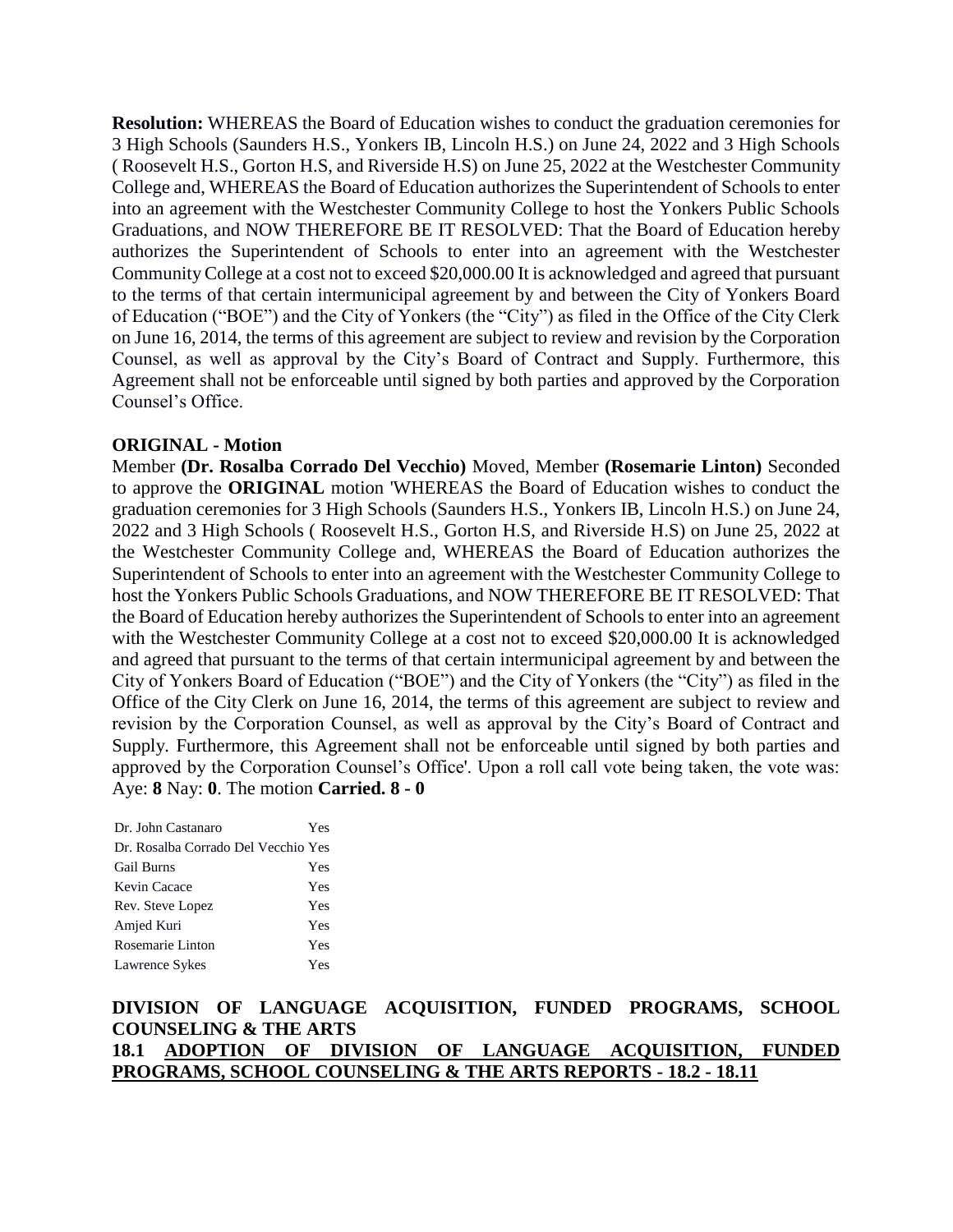**Resolution:** WHEREAS the Board of Education wishes to conduct the graduation ceremonies for 3 High Schools (Saunders H.S., Yonkers IB, Lincoln H.S.) on June 24, 2022 and 3 High Schools ( Roosevelt H.S., Gorton H.S, and Riverside H.S) on June 25, 2022 at the Westchester Community College and, WHEREAS the Board of Education authorizes the Superintendent of Schools to enter into an agreement with the Westchester Community College to host the Yonkers Public Schools Graduations, and NOW THEREFORE BE IT RESOLVED: That the Board of Education hereby authorizes the Superintendent of Schools to enter into an agreement with the Westchester Community College at a cost not to exceed \$20,000.00 It is acknowledged and agreed that pursuant to the terms of that certain intermunicipal agreement by and between the City of Yonkers Board of Education ("BOE") and the City of Yonkers (the "City") as filed in the Office of the City Clerk on June 16, 2014, the terms of this agreement are subject to review and revision by the Corporation Counsel, as well as approval by the City's Board of Contract and Supply. Furthermore, this Agreement shall not be enforceable until signed by both parties and approved by the Corporation Counsel's Office.

#### **ORIGINAL - Motion**

Member **(Dr. Rosalba Corrado Del Vecchio)** Moved, Member **(Rosemarie Linton)** Seconded to approve the **ORIGINAL** motion 'WHEREAS the Board of Education wishes to conduct the graduation ceremonies for 3 High Schools (Saunders H.S., Yonkers IB, Lincoln H.S.) on June 24, 2022 and 3 High Schools ( Roosevelt H.S., Gorton H.S, and Riverside H.S) on June 25, 2022 at the Westchester Community College and, WHEREAS the Board of Education authorizes the Superintendent of Schools to enter into an agreement with the Westchester Community College to host the Yonkers Public Schools Graduations, and NOW THEREFORE BE IT RESOLVED: That the Board of Education hereby authorizes the Superintendent of Schools to enter into an agreement with the Westchester Community College at a cost not to exceed \$20,000.00 It is acknowledged and agreed that pursuant to the terms of that certain intermunicipal agreement by and between the City of Yonkers Board of Education ("BOE") and the City of Yonkers (the "City") as filed in the Office of the City Clerk on June 16, 2014, the terms of this agreement are subject to review and revision by the Corporation Counsel, as well as approval by the City's Board of Contract and Supply. Furthermore, this Agreement shall not be enforceable until signed by both parties and approved by the Corporation Counsel's Office'. Upon a roll call vote being taken, the vote was: Aye: **8** Nay: **0**. The motion **Carried. 8 - 0** 

| Dr. John Castanaro                  | Yes |
|-------------------------------------|-----|
| Dr. Rosalba Corrado Del Vecchio Yes |     |
| <b>Gail Burns</b>                   | Yes |
| Kevin Cacace                        | Yes |
| Rev. Steve Lopez                    | Yes |
| Amjed Kuri                          | Yes |
| Rosemarie Linton                    | Yes |
| Lawrence Sykes                      | Yes |

**DIVISION OF LANGUAGE ACQUISITION, FUNDED PROGRAMS, SCHOOL COUNSELING & THE ARTS 18.1 ADOPTION OF DIVISION OF LANGUAGE ACQUISITION, FUNDED PROGRAMS, SCHOOL COUNSELING & THE ARTS REPORTS - 18.2 - 18.11**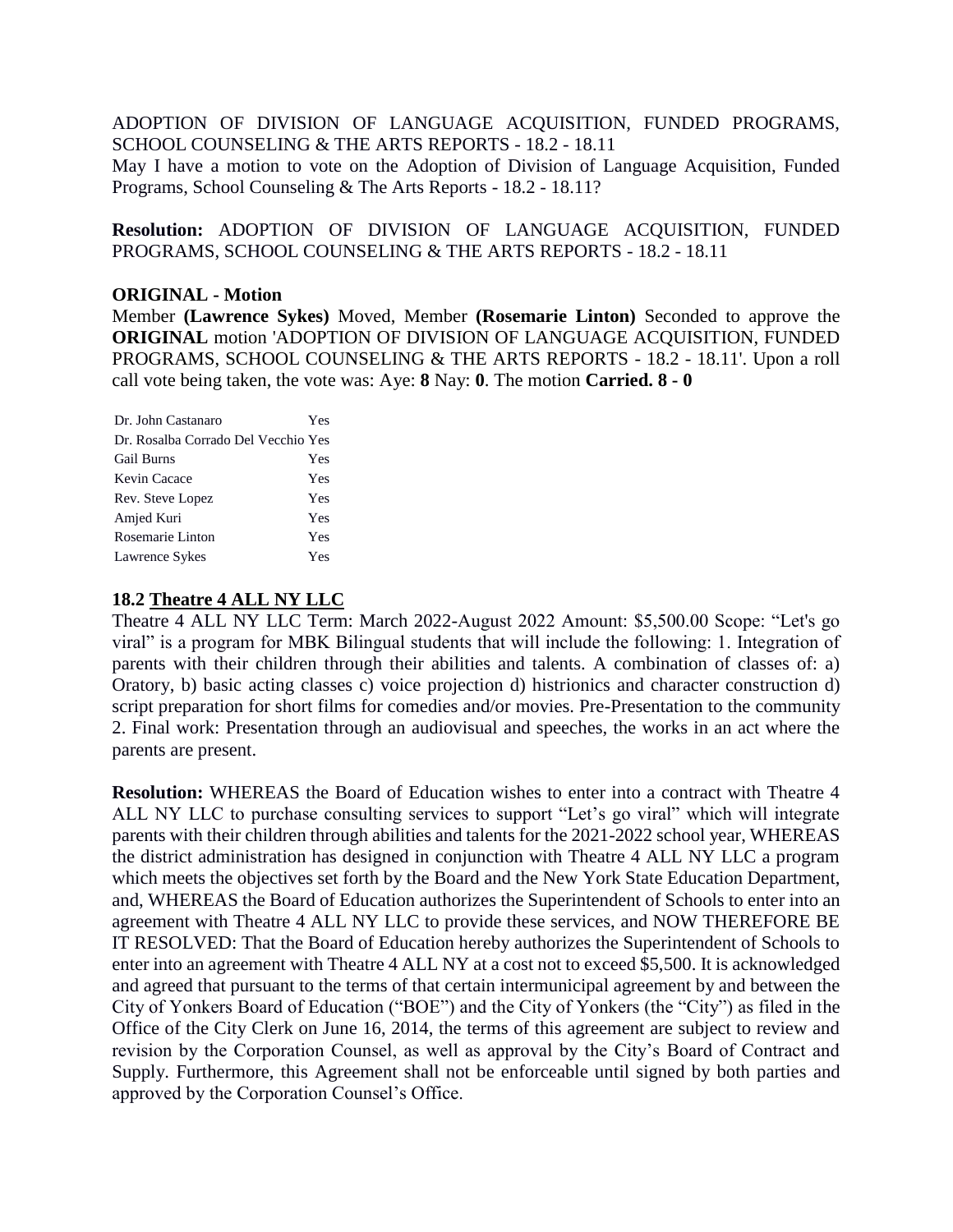ADOPTION OF DIVISION OF LANGUAGE ACQUISITION, FUNDED PROGRAMS, SCHOOL COUNSELING & THE ARTS REPORTS - 18.2 - 18.11

May I have a motion to vote on the Adoption of Division of Language Acquisition, Funded Programs, School Counseling & The Arts Reports - 18.2 - 18.11?

**Resolution:** ADOPTION OF DIVISION OF LANGUAGE ACQUISITION, FUNDED PROGRAMS, SCHOOL COUNSELING & THE ARTS REPORTS - 18.2 - 18.11

#### **ORIGINAL - Motion**

Member **(Lawrence Sykes)** Moved, Member **(Rosemarie Linton)** Seconded to approve the **ORIGINAL** motion 'ADOPTION OF DIVISION OF LANGUAGE ACQUISITION, FUNDED PROGRAMS, SCHOOL COUNSELING & THE ARTS REPORTS - 18.2 - 18.11'. Upon a roll call vote being taken, the vote was: Aye: **8** Nay: **0**. The motion **Carried. 8 - 0** 

| Yes                                 |
|-------------------------------------|
| Dr. Rosalba Corrado Del Vecchio Yes |
| Yes                                 |
| Yes                                 |
| Yes                                 |
| Yes                                 |
| Yes                                 |
| Yes                                 |
|                                     |

# **18.2 Theatre 4 ALL NY LLC**

Theatre 4 ALL NY LLC Term: March 2022-August 2022 Amount: \$5,500.00 Scope: "Let's go viral" is a program for MBK Bilingual students that will include the following: 1. Integration of parents with their children through their abilities and talents. A combination of classes of: a) Oratory, b) basic acting classes c) voice projection d) histrionics and character construction d) script preparation for short films for comedies and/or movies. Pre-Presentation to the community 2. Final work: Presentation through an audiovisual and speeches, the works in an act where the parents are present.

**Resolution:** WHEREAS the Board of Education wishes to enter into a contract with Theatre 4 ALL NY LLC to purchase consulting services to support "Let's go viral" which will integrate parents with their children through abilities and talents for the 2021-2022 school year, WHEREAS the district administration has designed in conjunction with Theatre 4 ALL NY LLC a program which meets the objectives set forth by the Board and the New York State Education Department, and, WHEREAS the Board of Education authorizes the Superintendent of Schools to enter into an agreement with Theatre 4 ALL NY LLC to provide these services, and NOW THEREFORE BE IT RESOLVED: That the Board of Education hereby authorizes the Superintendent of Schools to enter into an agreement with Theatre 4 ALL NY at a cost not to exceed \$5,500. It is acknowledged and agreed that pursuant to the terms of that certain intermunicipal agreement by and between the City of Yonkers Board of Education ("BOE") and the City of Yonkers (the "City") as filed in the Office of the City Clerk on June 16, 2014, the terms of this agreement are subject to review and revision by the Corporation Counsel, as well as approval by the City's Board of Contract and Supply. Furthermore, this Agreement shall not be enforceable until signed by both parties and approved by the Corporation Counsel's Office.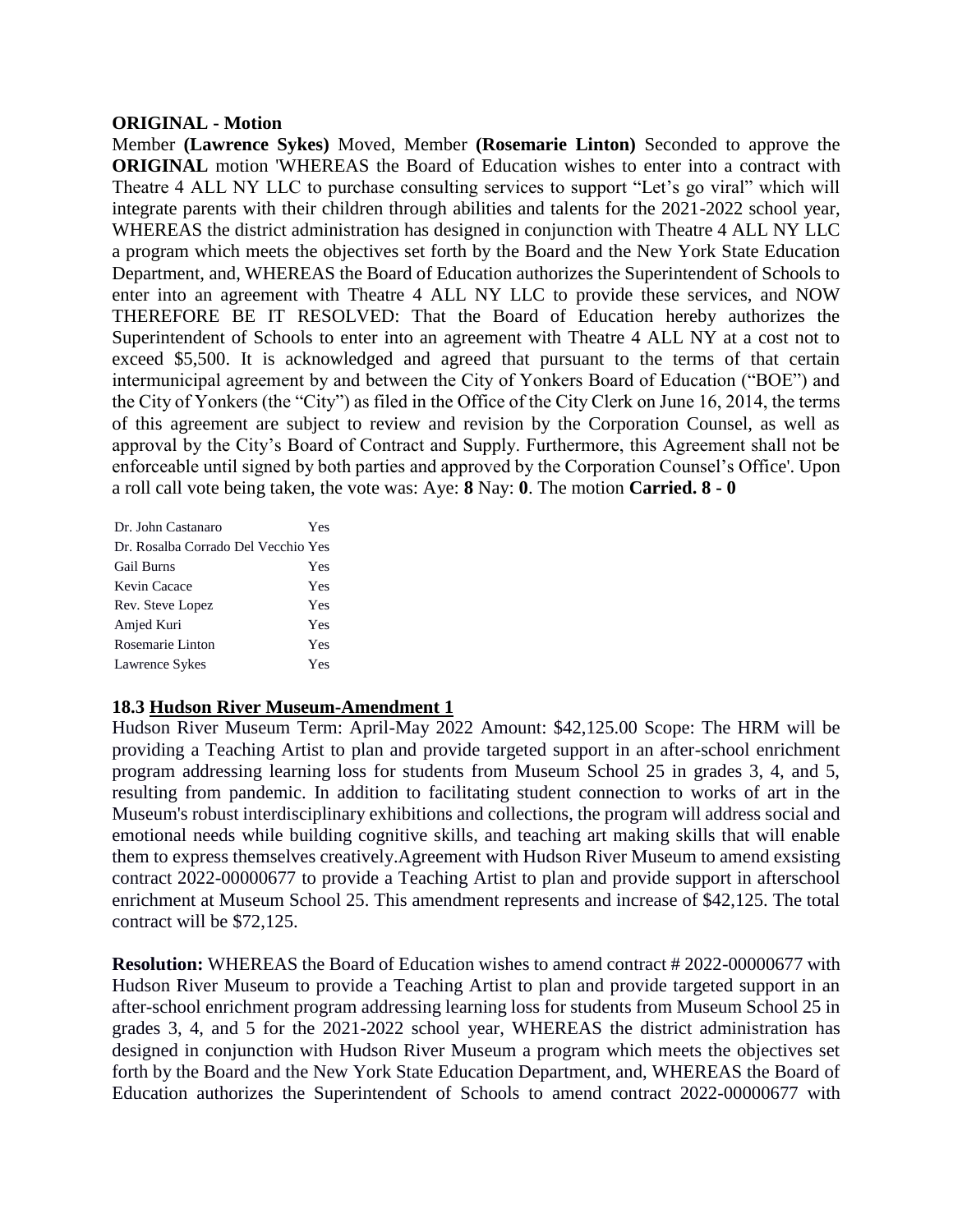#### **ORIGINAL - Motion**

Member **(Lawrence Sykes)** Moved, Member **(Rosemarie Linton)** Seconded to approve the **ORIGINAL** motion 'WHEREAS the Board of Education wishes to enter into a contract with Theatre 4 ALL NY LLC to purchase consulting services to support "Let's go viral" which will integrate parents with their children through abilities and talents for the 2021-2022 school year, WHEREAS the district administration has designed in conjunction with Theatre 4 ALL NY LLC a program which meets the objectives set forth by the Board and the New York State Education Department, and, WHEREAS the Board of Education authorizes the Superintendent of Schools to enter into an agreement with Theatre 4 ALL NY LLC to provide these services, and NOW THEREFORE BE IT RESOLVED: That the Board of Education hereby authorizes the Superintendent of Schools to enter into an agreement with Theatre 4 ALL NY at a cost not to exceed \$5,500. It is acknowledged and agreed that pursuant to the terms of that certain intermunicipal agreement by and between the City of Yonkers Board of Education ("BOE") and the City of Yonkers (the "City") as filed in the Office of the City Clerk on June 16, 2014, the terms of this agreement are subject to review and revision by the Corporation Counsel, as well as approval by the City's Board of Contract and Supply. Furthermore, this Agreement shall not be enforceable until signed by both parties and approved by the Corporation Counsel's Office'. Upon a roll call vote being taken, the vote was: Aye: **8** Nay: **0**. The motion **Carried. 8 - 0** 

| Dr. John Castanaro                  | Yes |
|-------------------------------------|-----|
| Dr. Rosalba Corrado Del Vecchio Yes |     |
| <b>Gail Burns</b>                   | Yes |
| Kevin Cacace                        | Yes |
| Rev. Steve Lopez                    | Yes |
| Amjed Kuri                          | Yes |
| Rosemarie Linton                    | Yes |
| Lawrence Sykes                      | Yes |

### **18.3 Hudson River Museum-Amendment 1**

Hudson River Museum Term: April-May 2022 Amount: \$42,125.00 Scope: The HRM will be providing a Teaching Artist to plan and provide targeted support in an after-school enrichment program addressing learning loss for students from Museum School 25 in grades 3, 4, and 5, resulting from pandemic. In addition to facilitating student connection to works of art in the Museum's robust interdisciplinary exhibitions and collections, the program will address social and emotional needs while building cognitive skills, and teaching art making skills that will enable them to express themselves creatively.Agreement with Hudson River Museum to amend exsisting contract 2022-00000677 to provide a Teaching Artist to plan and provide support in afterschool enrichment at Museum School 25. This amendment represents and increase of \$42,125. The total contract will be \$72,125.

**Resolution:** WHEREAS the Board of Education wishes to amend contract # 2022-00000677 with Hudson River Museum to provide a Teaching Artist to plan and provide targeted support in an after-school enrichment program addressing learning loss for students from Museum School 25 in grades 3, 4, and 5 for the 2021-2022 school year, WHEREAS the district administration has designed in conjunction with Hudson River Museum a program which meets the objectives set forth by the Board and the New York State Education Department, and, WHEREAS the Board of Education authorizes the Superintendent of Schools to amend contract 2022-00000677 with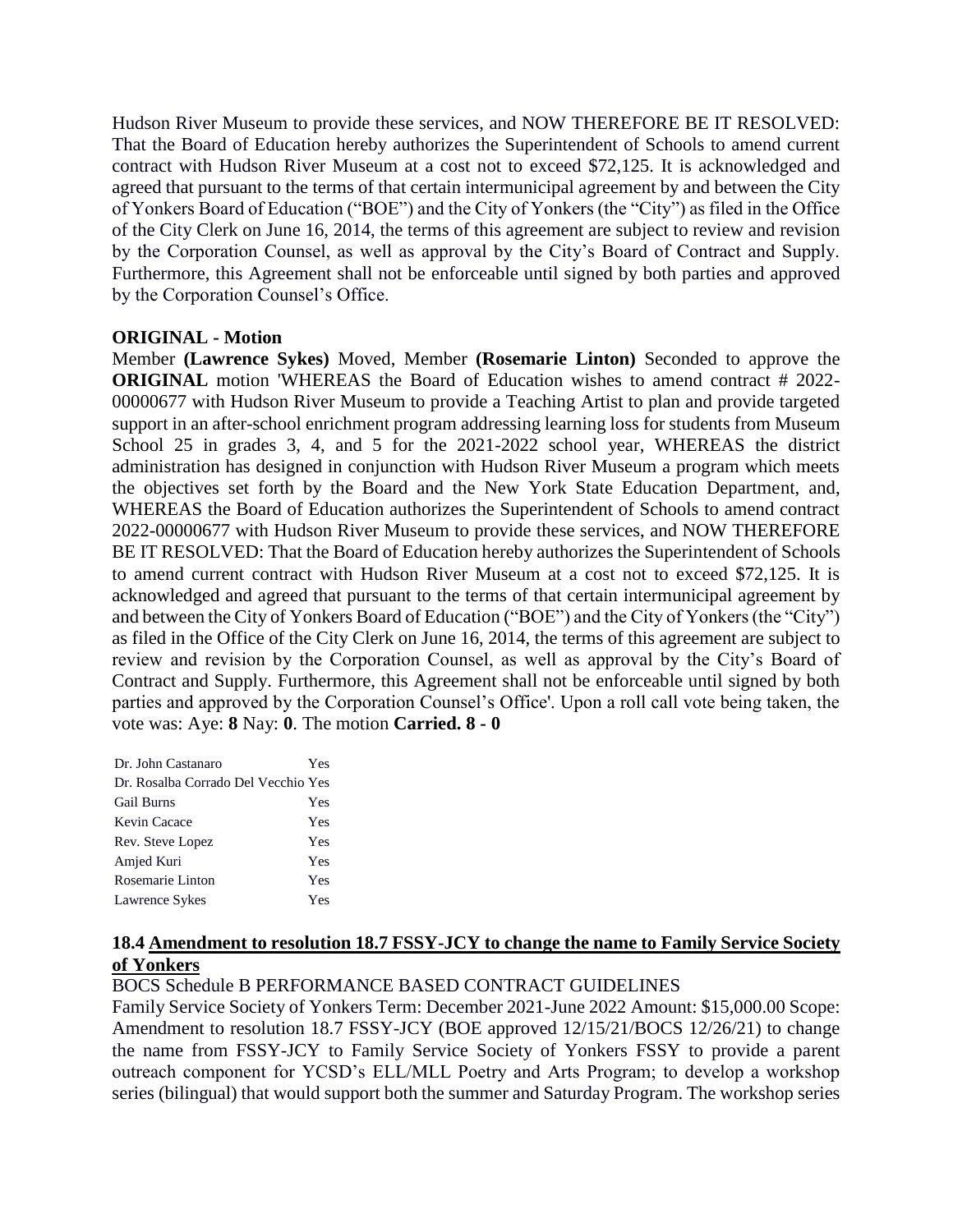Hudson River Museum to provide these services, and NOW THEREFORE BE IT RESOLVED: That the Board of Education hereby authorizes the Superintendent of Schools to amend current contract with Hudson River Museum at a cost not to exceed \$72,125. It is acknowledged and agreed that pursuant to the terms of that certain intermunicipal agreement by and between the City of Yonkers Board of Education ("BOE") and the City of Yonkers (the "City") as filed in the Office of the City Clerk on June 16, 2014, the terms of this agreement are subject to review and revision by the Corporation Counsel, as well as approval by the City's Board of Contract and Supply. Furthermore, this Agreement shall not be enforceable until signed by both parties and approved by the Corporation Counsel's Office.

### **ORIGINAL - Motion**

Member **(Lawrence Sykes)** Moved, Member **(Rosemarie Linton)** Seconded to approve the **ORIGINAL** motion 'WHEREAS the Board of Education wishes to amend contract # 2022-00000677 with Hudson River Museum to provide a Teaching Artist to plan and provide targeted support in an after-school enrichment program addressing learning loss for students from Museum School 25 in grades 3, 4, and 5 for the 2021-2022 school year, WHEREAS the district administration has designed in conjunction with Hudson River Museum a program which meets the objectives set forth by the Board and the New York State Education Department, and, WHEREAS the Board of Education authorizes the Superintendent of Schools to amend contract 2022-00000677 with Hudson River Museum to provide these services, and NOW THEREFORE BE IT RESOLVED: That the Board of Education hereby authorizes the Superintendent of Schools to amend current contract with Hudson River Museum at a cost not to exceed \$72,125. It is acknowledged and agreed that pursuant to the terms of that certain intermunicipal agreement by and between the City of Yonkers Board of Education ("BOE") and the City of Yonkers (the "City") as filed in the Office of the City Clerk on June 16, 2014, the terms of this agreement are subject to review and revision by the Corporation Counsel, as well as approval by the City's Board of Contract and Supply. Furthermore, this Agreement shall not be enforceable until signed by both parties and approved by the Corporation Counsel's Office'. Upon a roll call vote being taken, the vote was: Aye: **8** Nay: **0**. The motion **Carried. 8 - 0** 

| Yes                                 |
|-------------------------------------|
| Dr. Rosalba Corrado Del Vecchio Yes |
| Yes                                 |
| Yes                                 |
| Yes                                 |
| Yes                                 |
| Yes                                 |
| Yes                                 |
|                                     |

### **18.4 Amendment to resolution 18.7 FSSY-JCY to change the name to Family Service Society of Yonkers**

BOCS Schedule B PERFORMANCE BASED CONTRACT GUIDELINES

Family Service Society of Yonkers Term: December 2021-June 2022 Amount: \$15,000.00 Scope: Amendment to resolution 18.7 FSSY-JCY (BOE approved 12/15/21/BOCS 12/26/21) to change the name from FSSY-JCY to Family Service Society of Yonkers FSSY to provide a parent outreach component for YCSD's ELL/MLL Poetry and Arts Program; to develop a workshop series (bilingual) that would support both the summer and Saturday Program. The workshop series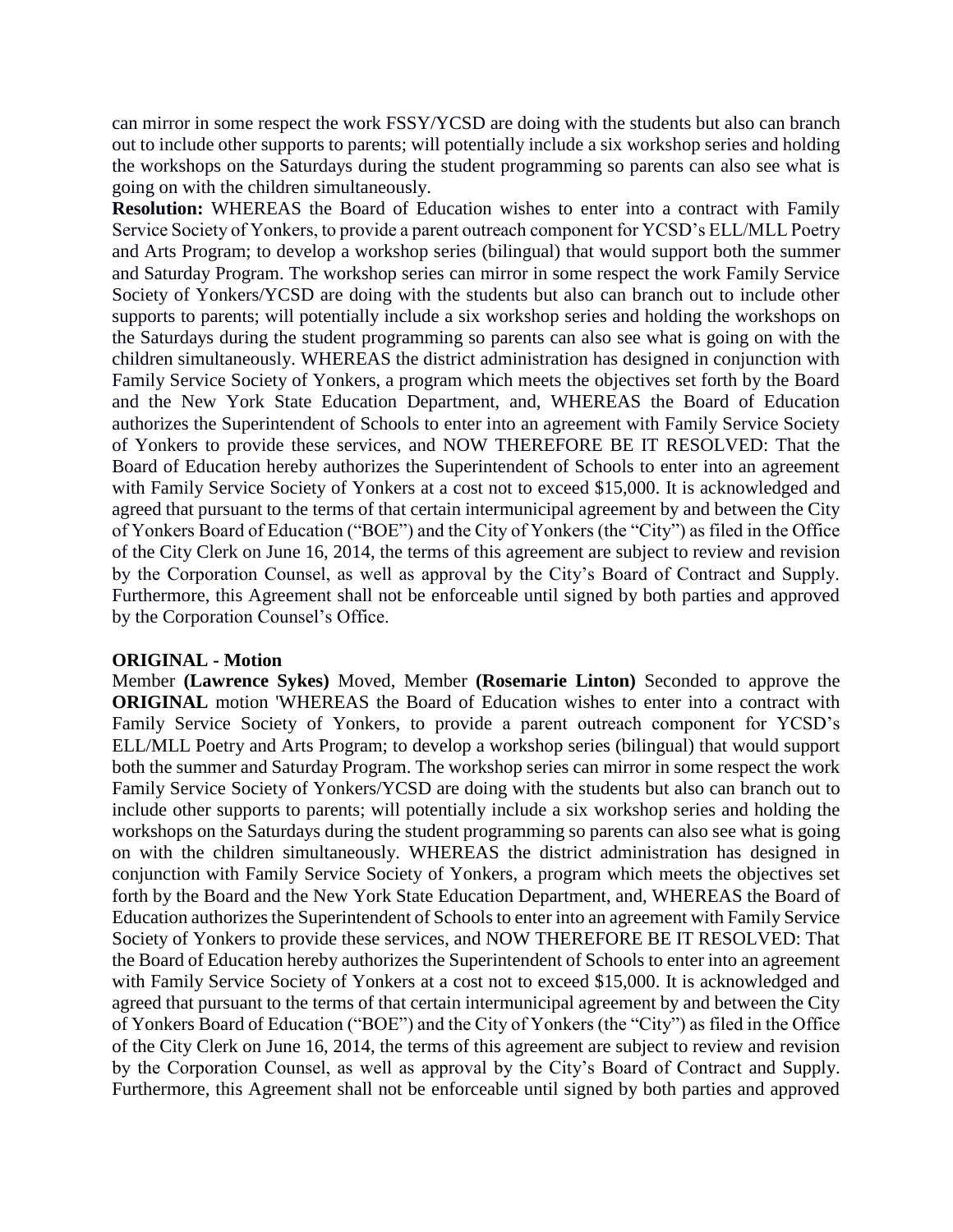can mirror in some respect the work FSSY/YCSD are doing with the students but also can branch out to include other supports to parents; will potentially include a six workshop series and holding the workshops on the Saturdays during the student programming so parents can also see what is going on with the children simultaneously.

**Resolution:** WHEREAS the Board of Education wishes to enter into a contract with Family Service Society of Yonkers, to provide a parent outreach component for YCSD's ELL/MLL Poetry and Arts Program; to develop a workshop series (bilingual) that would support both the summer and Saturday Program. The workshop series can mirror in some respect the work Family Service Society of Yonkers/YCSD are doing with the students but also can branch out to include other supports to parents; will potentially include a six workshop series and holding the workshops on the Saturdays during the student programming so parents can also see what is going on with the children simultaneously. WHEREAS the district administration has designed in conjunction with Family Service Society of Yonkers, a program which meets the objectives set forth by the Board and the New York State Education Department, and, WHEREAS the Board of Education authorizes the Superintendent of Schools to enter into an agreement with Family Service Society of Yonkers to provide these services, and NOW THEREFORE BE IT RESOLVED: That the Board of Education hereby authorizes the Superintendent of Schools to enter into an agreement with Family Service Society of Yonkers at a cost not to exceed \$15,000. It is acknowledged and agreed that pursuant to the terms of that certain intermunicipal agreement by and between the City of Yonkers Board of Education ("BOE") and the City of Yonkers (the "City") as filed in the Office of the City Clerk on June 16, 2014, the terms of this agreement are subject to review and revision by the Corporation Counsel, as well as approval by the City's Board of Contract and Supply. Furthermore, this Agreement shall not be enforceable until signed by both parties and approved by the Corporation Counsel's Office.

### **ORIGINAL - Motion**

Member **(Lawrence Sykes)** Moved, Member **(Rosemarie Linton)** Seconded to approve the **ORIGINAL** motion 'WHEREAS the Board of Education wishes to enter into a contract with Family Service Society of Yonkers, to provide a parent outreach component for YCSD's ELL/MLL Poetry and Arts Program; to develop a workshop series (bilingual) that would support both the summer and Saturday Program. The workshop series can mirror in some respect the work Family Service Society of Yonkers/YCSD are doing with the students but also can branch out to include other supports to parents; will potentially include a six workshop series and holding the workshops on the Saturdays during the student programming so parents can also see what is going on with the children simultaneously. WHEREAS the district administration has designed in conjunction with Family Service Society of Yonkers, a program which meets the objectives set forth by the Board and the New York State Education Department, and, WHEREAS the Board of Education authorizes the Superintendent of Schools to enter into an agreement with Family Service Society of Yonkers to provide these services, and NOW THEREFORE BE IT RESOLVED: That the Board of Education hereby authorizes the Superintendent of Schools to enter into an agreement with Family Service Society of Yonkers at a cost not to exceed \$15,000. It is acknowledged and agreed that pursuant to the terms of that certain intermunicipal agreement by and between the City of Yonkers Board of Education ("BOE") and the City of Yonkers (the "City") as filed in the Office of the City Clerk on June 16, 2014, the terms of this agreement are subject to review and revision by the Corporation Counsel, as well as approval by the City's Board of Contract and Supply. Furthermore, this Agreement shall not be enforceable until signed by both parties and approved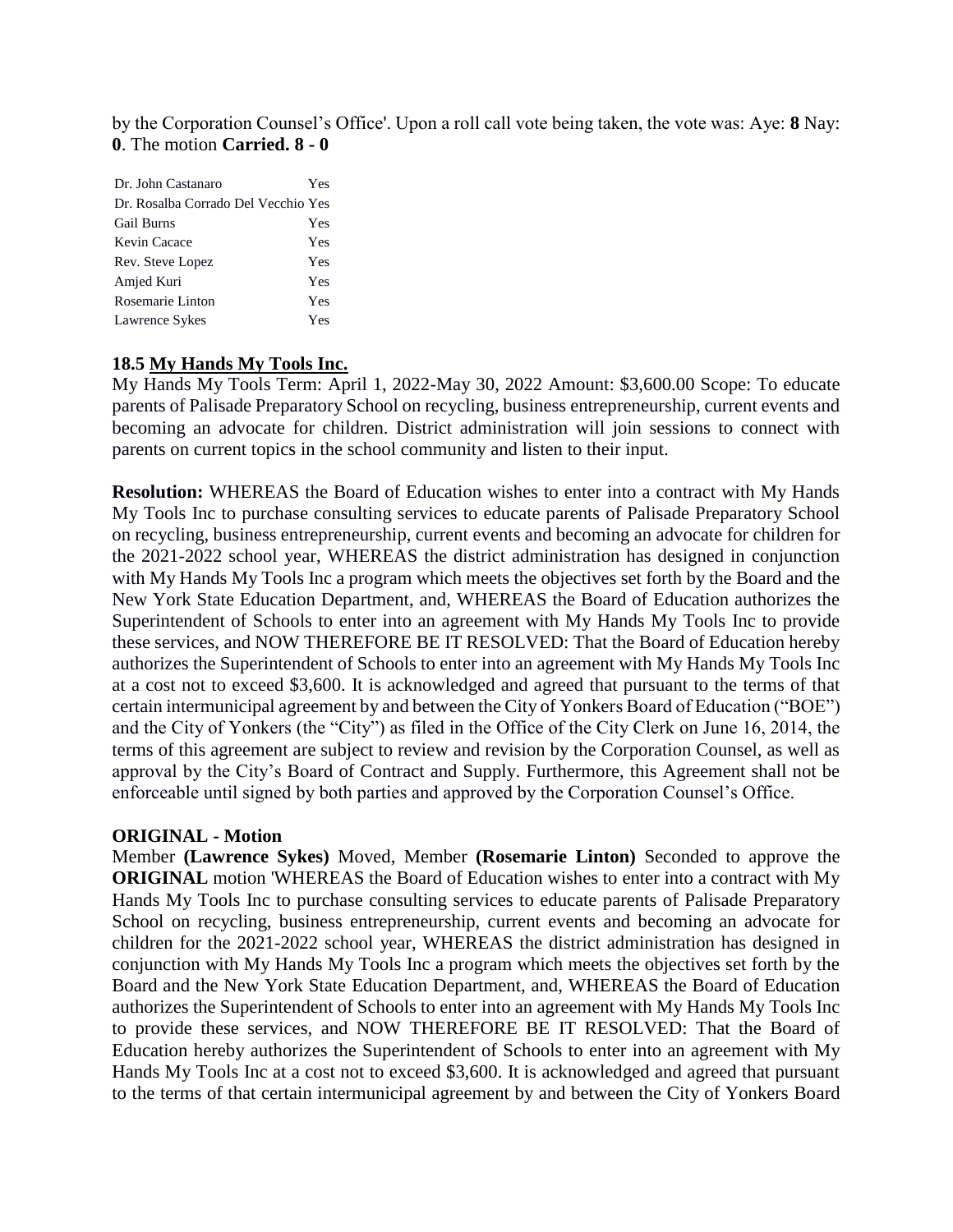by the Corporation Counsel's Office'. Upon a roll call vote being taken, the vote was: Aye: **8** Nay: **0**. The motion **Carried. 8 - 0** 

| Dr. John Castanaro<br>Yes           |  |
|-------------------------------------|--|
| Dr. Rosalba Corrado Del Vecchio Yes |  |
| <b>Gail Burns</b><br>Yes            |  |
| Kevin Cacace<br>Yes                 |  |
| Rev. Steve Lopez<br>Yes             |  |
| Amjed Kuri<br>Yes                   |  |
| Rosemarie Linton<br>Yes             |  |
| Lawrence Sykes<br>Yes               |  |

### **18.5 My Hands My Tools Inc.**

My Hands My Tools Term: April 1, 2022-May 30, 2022 Amount: \$3,600.00 Scope: To educate parents of Palisade Preparatory School on recycling, business entrepreneurship, current events and becoming an advocate for children. District administration will join sessions to connect with parents on current topics in the school community and listen to their input.

**Resolution:** WHEREAS the Board of Education wishes to enter into a contract with My Hands My Tools Inc to purchase consulting services to educate parents of Palisade Preparatory School on recycling, business entrepreneurship, current events and becoming an advocate for children for the 2021-2022 school year, WHEREAS the district administration has designed in conjunction with My Hands My Tools Inc a program which meets the objectives set forth by the Board and the New York State Education Department, and, WHEREAS the Board of Education authorizes the Superintendent of Schools to enter into an agreement with My Hands My Tools Inc to provide these services, and NOW THEREFORE BE IT RESOLVED: That the Board of Education hereby authorizes the Superintendent of Schools to enter into an agreement with My Hands My Tools Inc at a cost not to exceed \$3,600. It is acknowledged and agreed that pursuant to the terms of that certain intermunicipal agreement by and between the City of Yonkers Board of Education ("BOE") and the City of Yonkers (the "City") as filed in the Office of the City Clerk on June 16, 2014, the terms of this agreement are subject to review and revision by the Corporation Counsel, as well as approval by the City's Board of Contract and Supply. Furthermore, this Agreement shall not be enforceable until signed by both parties and approved by the Corporation Counsel's Office.

#### **ORIGINAL - Motion**

Member **(Lawrence Sykes)** Moved, Member **(Rosemarie Linton)** Seconded to approve the **ORIGINAL** motion 'WHEREAS the Board of Education wishes to enter into a contract with My Hands My Tools Inc to purchase consulting services to educate parents of Palisade Preparatory School on recycling, business entrepreneurship, current events and becoming an advocate for children for the 2021-2022 school year, WHEREAS the district administration has designed in conjunction with My Hands My Tools Inc a program which meets the objectives set forth by the Board and the New York State Education Department, and, WHEREAS the Board of Education authorizes the Superintendent of Schools to enter into an agreement with My Hands My Tools Inc to provide these services, and NOW THEREFORE BE IT RESOLVED: That the Board of Education hereby authorizes the Superintendent of Schools to enter into an agreement with My Hands My Tools Inc at a cost not to exceed \$3,600. It is acknowledged and agreed that pursuant to the terms of that certain intermunicipal agreement by and between the City of Yonkers Board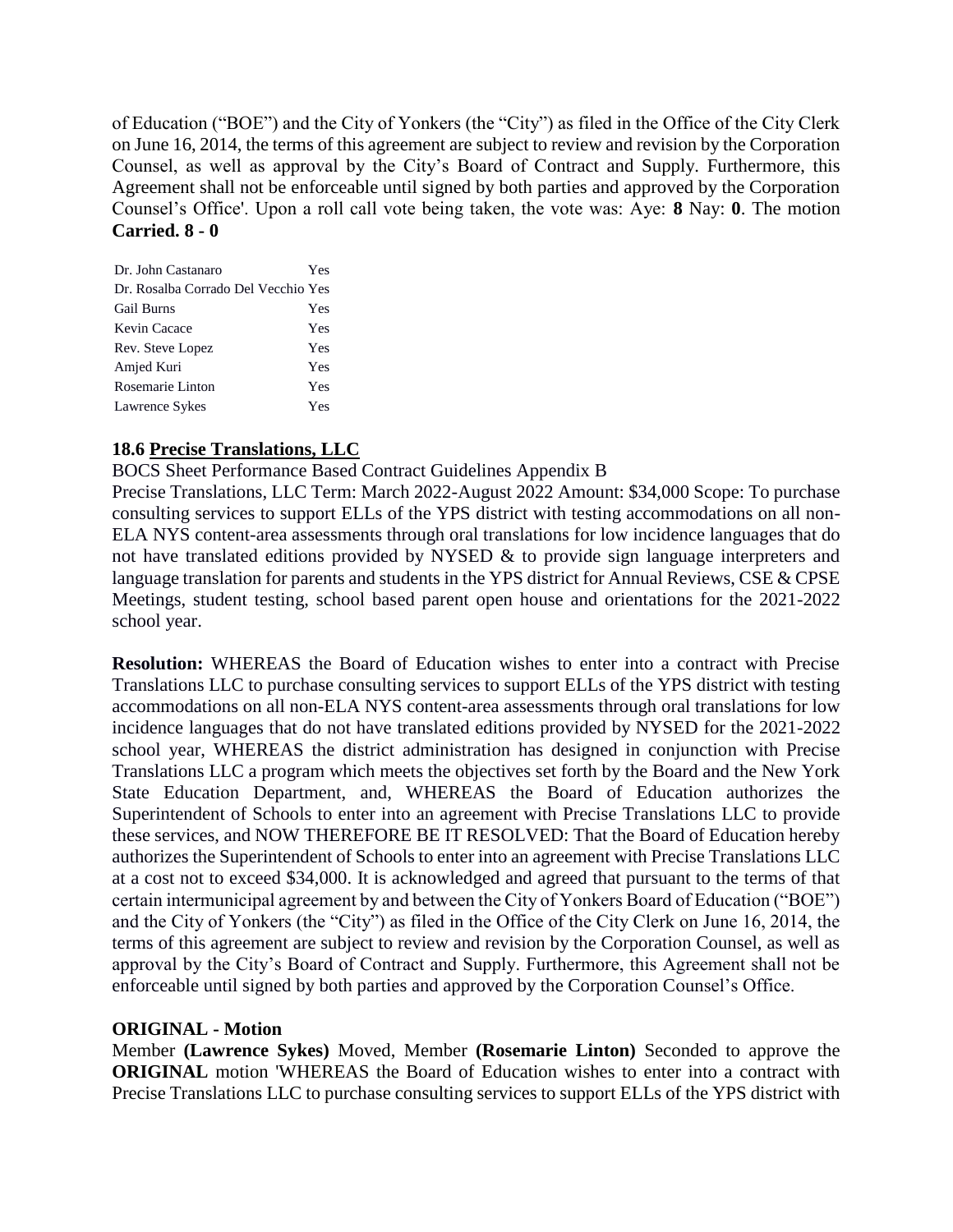of Education ("BOE") and the City of Yonkers (the "City") as filed in the Office of the City Clerk on June 16, 2014, the terms of this agreement are subject to review and revision by the Corporation Counsel, as well as approval by the City's Board of Contract and Supply. Furthermore, this Agreement shall not be enforceable until signed by both parties and approved by the Corporation Counsel's Office'. Upon a roll call vote being taken, the vote was: Aye: **8** Nay: **0**. The motion **Carried. 8 - 0** 

| Dr. John Castanaro                  | Yes |
|-------------------------------------|-----|
| Dr. Rosalba Corrado Del Vecchio Yes |     |
| <b>Gail Burns</b>                   | Yes |
| Kevin Cacace                        | Yes |
| Rev. Steve Lopez                    | Yes |
| Amjed Kuri                          | Yes |
| Rosemarie Linton                    | Yes |
| Lawrence Sykes                      | Yes |

# **18.6 Precise Translations, LLC**

BOCS Sheet Performance Based Contract Guidelines Appendix B

Precise Translations, LLC Term: March 2022-August 2022 Amount: \$34,000 Scope: To purchase consulting services to support ELLs of the YPS district with testing accommodations on all non-ELA NYS content-area assessments through oral translations for low incidence languages that do not have translated editions provided by NYSED & to provide sign language interpreters and language translation for parents and students in the YPS district for Annual Reviews, CSE & CPSE Meetings, student testing, school based parent open house and orientations for the 2021-2022 school year.

**Resolution:** WHEREAS the Board of Education wishes to enter into a contract with Precise Translations LLC to purchase consulting services to support ELLs of the YPS district with testing accommodations on all non-ELA NYS content-area assessments through oral translations for low incidence languages that do not have translated editions provided by NYSED for the 2021-2022 school year, WHEREAS the district administration has designed in conjunction with Precise Translations LLC a program which meets the objectives set forth by the Board and the New York State Education Department, and, WHEREAS the Board of Education authorizes the Superintendent of Schools to enter into an agreement with Precise Translations LLC to provide these services, and NOW THEREFORE BE IT RESOLVED: That the Board of Education hereby authorizes the Superintendent of Schools to enter into an agreement with Precise Translations LLC at a cost not to exceed \$34,000. It is acknowledged and agreed that pursuant to the terms of that certain intermunicipal agreement by and between the City of Yonkers Board of Education ("BOE") and the City of Yonkers (the "City") as filed in the Office of the City Clerk on June 16, 2014, the terms of this agreement are subject to review and revision by the Corporation Counsel, as well as approval by the City's Board of Contract and Supply. Furthermore, this Agreement shall not be enforceable until signed by both parties and approved by the Corporation Counsel's Office.

### **ORIGINAL - Motion**

Member **(Lawrence Sykes)** Moved, Member **(Rosemarie Linton)** Seconded to approve the **ORIGINAL** motion 'WHEREAS the Board of Education wishes to enter into a contract with Precise Translations LLC to purchase consulting services to support ELLs of the YPS district with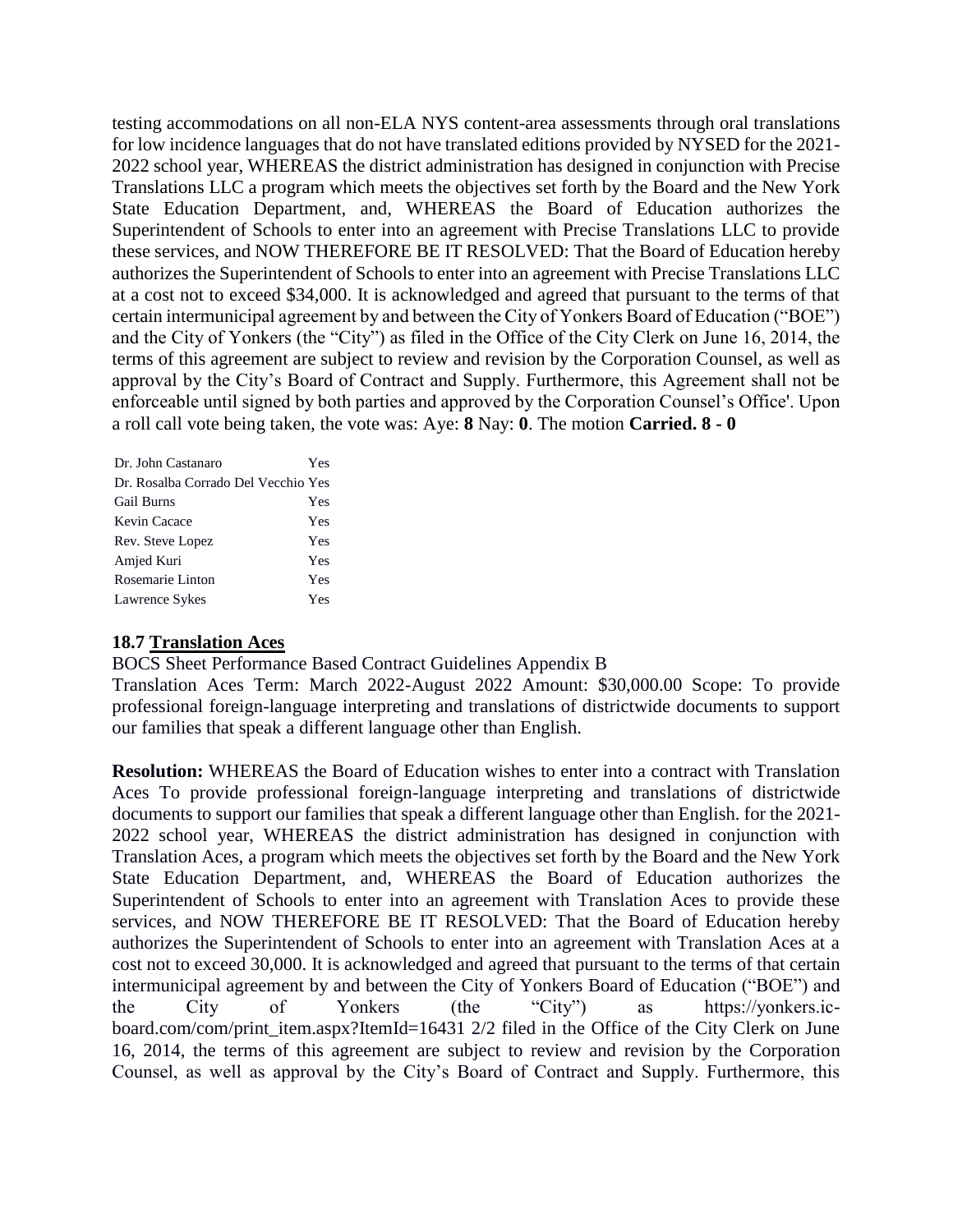testing accommodations on all non-ELA NYS content-area assessments through oral translations for low incidence languages that do not have translated editions provided by NYSED for the 2021- 2022 school year, WHEREAS the district administration has designed in conjunction with Precise Translations LLC a program which meets the objectives set forth by the Board and the New York State Education Department, and, WHEREAS the Board of Education authorizes the Superintendent of Schools to enter into an agreement with Precise Translations LLC to provide these services, and NOW THEREFORE BE IT RESOLVED: That the Board of Education hereby authorizes the Superintendent of Schools to enter into an agreement with Precise Translations LLC at a cost not to exceed \$34,000. It is acknowledged and agreed that pursuant to the terms of that certain intermunicipal agreement by and between the City of Yonkers Board of Education ("BOE") and the City of Yonkers (the "City") as filed in the Office of the City Clerk on June 16, 2014, the terms of this agreement are subject to review and revision by the Corporation Counsel, as well as approval by the City's Board of Contract and Supply. Furthermore, this Agreement shall not be enforceable until signed by both parties and approved by the Corporation Counsel's Office'. Upon a roll call vote being taken, the vote was: Aye: **8** Nay: **0**. The motion **Carried. 8 - 0** 

| Dr. John Castanaro                  | Yes |
|-------------------------------------|-----|
| Dr. Rosalba Corrado Del Vecchio Yes |     |
| <b>Gail Burns</b>                   | Yes |
| Kevin Cacace                        | Yes |
| Rev. Steve Lopez                    | Yes |
| Amjed Kuri                          | Yes |
| Rosemarie Linton                    | Yes |
| Lawrence Sykes                      | Yes |

#### **18.7 Translation Aces**

BOCS Sheet Performance Based Contract Guidelines Appendix B

Translation Aces Term: March 2022-August 2022 Amount: \$30,000.00 Scope: To provide professional foreign-language interpreting and translations of districtwide documents to support our families that speak a different language other than English.

**Resolution:** WHEREAS the Board of Education wishes to enter into a contract with Translation Aces To provide professional foreign-language interpreting and translations of districtwide documents to support our families that speak a different language other than English. for the 2021- 2022 school year, WHEREAS the district administration has designed in conjunction with Translation Aces, a program which meets the objectives set forth by the Board and the New York State Education Department, and, WHEREAS the Board of Education authorizes the Superintendent of Schools to enter into an agreement with Translation Aces to provide these services, and NOW THEREFORE BE IT RESOLVED: That the Board of Education hereby authorizes the Superintendent of Schools to enter into an agreement with Translation Aces at a cost not to exceed 30,000. It is acknowledged and agreed that pursuant to the terms of that certain intermunicipal agreement by and between the City of Yonkers Board of Education ("BOE") and the City of Yonkers (the "City") as https://yonkers.icboard.com/com/print\_item.aspx?ItemId=16431 2/2 filed in the Office of the City Clerk on June 16, 2014, the terms of this agreement are subject to review and revision by the Corporation Counsel, as well as approval by the City's Board of Contract and Supply. Furthermore, this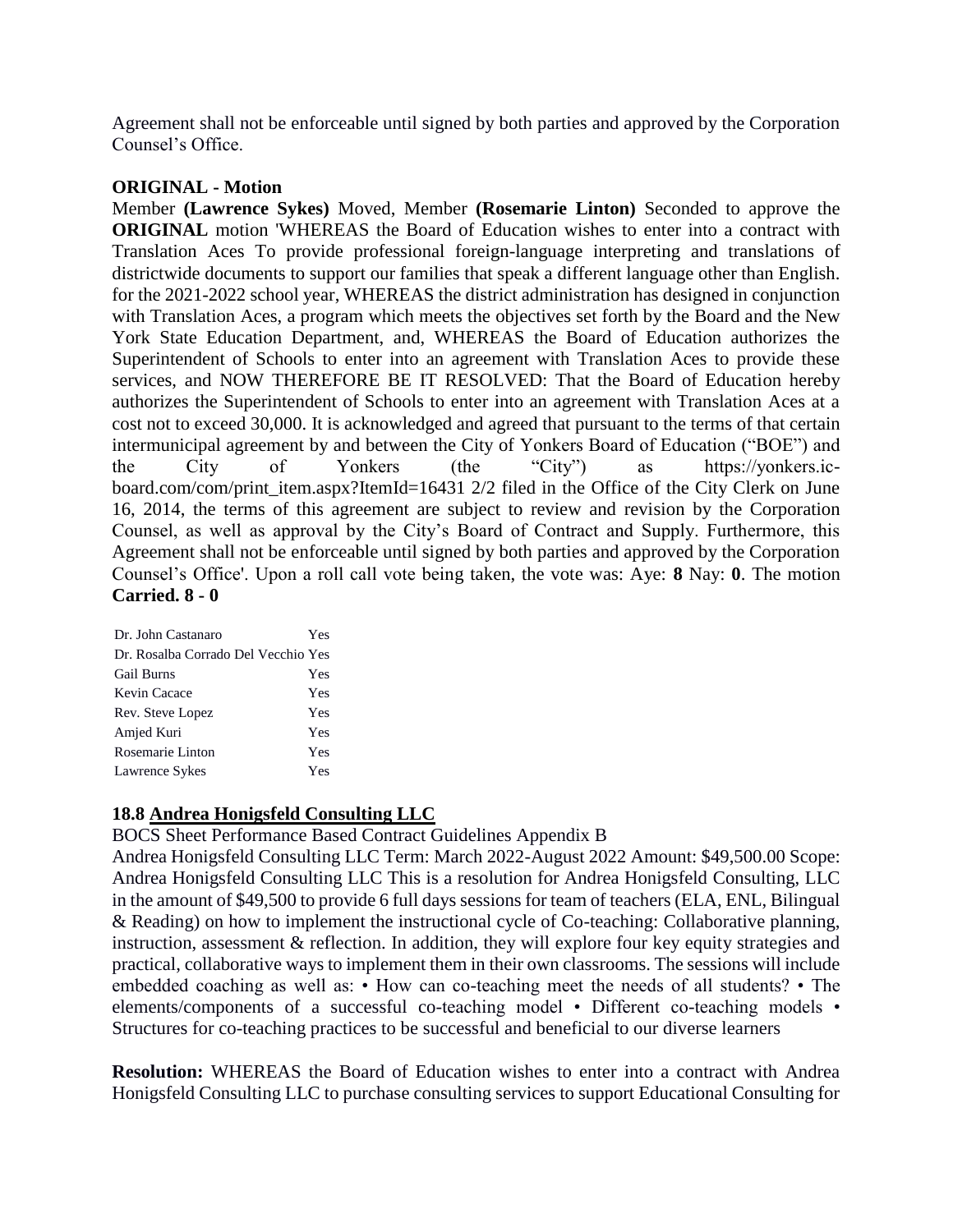Agreement shall not be enforceable until signed by both parties and approved by the Corporation Counsel's Office.

### **ORIGINAL - Motion**

Member **(Lawrence Sykes)** Moved, Member **(Rosemarie Linton)** Seconded to approve the **ORIGINAL** motion 'WHEREAS the Board of Education wishes to enter into a contract with Translation Aces To provide professional foreign-language interpreting and translations of districtwide documents to support our families that speak a different language other than English. for the 2021-2022 school year, WHEREAS the district administration has designed in conjunction with Translation Aces, a program which meets the objectives set forth by the Board and the New York State Education Department, and, WHEREAS the Board of Education authorizes the Superintendent of Schools to enter into an agreement with Translation Aces to provide these services, and NOW THEREFORE BE IT RESOLVED: That the Board of Education hereby authorizes the Superintendent of Schools to enter into an agreement with Translation Aces at a cost not to exceed 30,000. It is acknowledged and agreed that pursuant to the terms of that certain intermunicipal agreement by and between the City of Yonkers Board of Education ("BOE") and the City of Yonkers (the "City") as https://yonkers.icboard.com/com/print\_item.aspx?ItemId=16431 2/2 filed in the Office of the City Clerk on June 16, 2014, the terms of this agreement are subject to review and revision by the Corporation Counsel, as well as approval by the City's Board of Contract and Supply. Furthermore, this Agreement shall not be enforceable until signed by both parties and approved by the Corporation Counsel's Office'. Upon a roll call vote being taken, the vote was: Aye: **8** Nay: **0**. The motion **Carried. 8 - 0** 

| Dr. John Castanaro                  | Yes |
|-------------------------------------|-----|
| Dr. Rosalba Corrado Del Vecchio Yes |     |
| <b>Gail Burns</b>                   | Yes |
| Kevin Cacace                        | Yes |
| Rev. Steve Lopez                    | Yes |
| Amjed Kuri                          | Yes |
| Rosemarie Linton                    | Yes |
| Lawrence Sykes                      | Yes |

# **18.8 Andrea Honigsfeld Consulting LLC**

BOCS Sheet Performance Based Contract Guidelines Appendix B

Andrea Honigsfeld Consulting LLC Term: March 2022-August 2022 Amount: \$49,500.00 Scope: Andrea Honigsfeld Consulting LLC This is a resolution for Andrea Honigsfeld Consulting, LLC in the amount of \$49,500 to provide 6 full days sessions for team of teachers (ELA, ENL, Bilingual & Reading) on how to implement the instructional cycle of Co-teaching: Collaborative planning, instruction, assessment & reflection. In addition, they will explore four key equity strategies and practical, collaborative ways to implement them in their own classrooms. The sessions will include embedded coaching as well as: • How can co-teaching meet the needs of all students? • The elements/components of a successful co-teaching model • Different co-teaching models • Structures for co-teaching practices to be successful and beneficial to our diverse learners

**Resolution:** WHEREAS the Board of Education wishes to enter into a contract with Andrea Honigsfeld Consulting LLC to purchase consulting services to support Educational Consulting for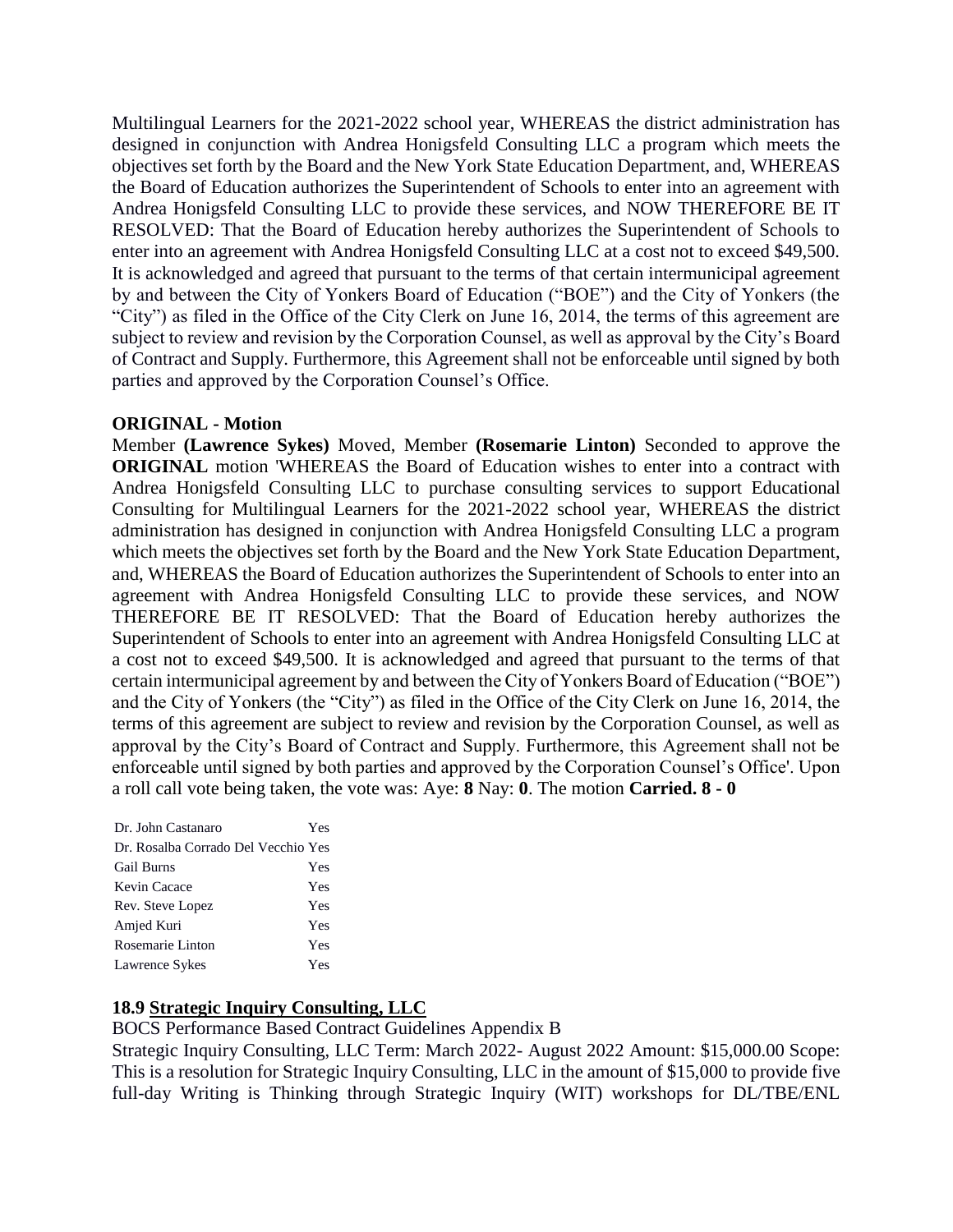Multilingual Learners for the 2021-2022 school year, WHEREAS the district administration has designed in conjunction with Andrea Honigsfeld Consulting LLC a program which meets the objectives set forth by the Board and the New York State Education Department, and, WHEREAS the Board of Education authorizes the Superintendent of Schools to enter into an agreement with Andrea Honigsfeld Consulting LLC to provide these services, and NOW THEREFORE BE IT RESOLVED: That the Board of Education hereby authorizes the Superintendent of Schools to enter into an agreement with Andrea Honigsfeld Consulting LLC at a cost not to exceed \$49,500. It is acknowledged and agreed that pursuant to the terms of that certain intermunicipal agreement by and between the City of Yonkers Board of Education ("BOE") and the City of Yonkers (the "City") as filed in the Office of the City Clerk on June 16, 2014, the terms of this agreement are subject to review and revision by the Corporation Counsel, as well as approval by the City's Board of Contract and Supply. Furthermore, this Agreement shall not be enforceable until signed by both parties and approved by the Corporation Counsel's Office.

### **ORIGINAL - Motion**

Member **(Lawrence Sykes)** Moved, Member **(Rosemarie Linton)** Seconded to approve the **ORIGINAL** motion 'WHEREAS the Board of Education wishes to enter into a contract with Andrea Honigsfeld Consulting LLC to purchase consulting services to support Educational Consulting for Multilingual Learners for the 2021-2022 school year, WHEREAS the district administration has designed in conjunction with Andrea Honigsfeld Consulting LLC a program which meets the objectives set forth by the Board and the New York State Education Department, and, WHEREAS the Board of Education authorizes the Superintendent of Schools to enter into an agreement with Andrea Honigsfeld Consulting LLC to provide these services, and NOW THEREFORE BE IT RESOLVED: That the Board of Education hereby authorizes the Superintendent of Schools to enter into an agreement with Andrea Honigsfeld Consulting LLC at a cost not to exceed \$49,500. It is acknowledged and agreed that pursuant to the terms of that certain intermunicipal agreement by and between the City of Yonkers Board of Education ("BOE") and the City of Yonkers (the "City") as filed in the Office of the City Clerk on June 16, 2014, the terms of this agreement are subject to review and revision by the Corporation Counsel, as well as approval by the City's Board of Contract and Supply. Furthermore, this Agreement shall not be enforceable until signed by both parties and approved by the Corporation Counsel's Office'. Upon a roll call vote being taken, the vote was: Aye: **8** Nay: **0**. The motion **Carried. 8 - 0** 

| Dr. John Castanaro                  | Yes |
|-------------------------------------|-----|
| Dr. Rosalba Corrado Del Vecchio Yes |     |
| <b>Gail Burns</b>                   | Yes |
| Kevin Cacace                        | Yes |
| Rev. Steve Lopez                    | Yes |
| Amjed Kuri                          | Yes |
| Rosemarie Linton                    | Yes |
| Lawrence Sykes                      | Yes |

### **18.9 Strategic Inquiry Consulting, LLC**

BOCS Performance Based Contract Guidelines Appendix B

Strategic Inquiry Consulting, LLC Term: March 2022- August 2022 Amount: \$15,000.00 Scope: This is a resolution for Strategic Inquiry Consulting, LLC in the amount of \$15,000 to provide five full-day Writing is Thinking through Strategic Inquiry (WIT) workshops for DL/TBE/ENL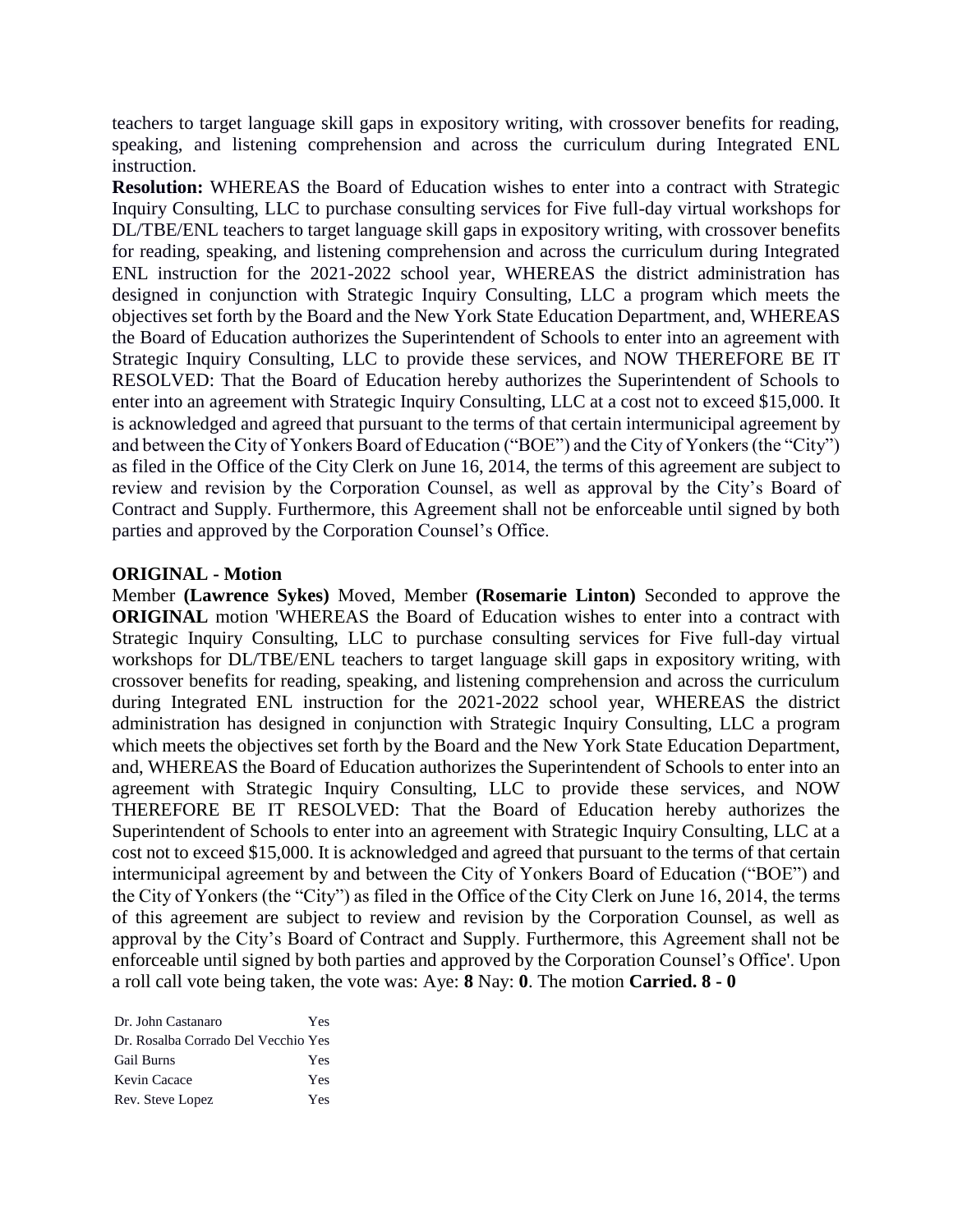teachers to target language skill gaps in expository writing, with crossover benefits for reading, speaking, and listening comprehension and across the curriculum during Integrated ENL instruction.

**Resolution:** WHEREAS the Board of Education wishes to enter into a contract with Strategic Inquiry Consulting, LLC to purchase consulting services for Five full-day virtual workshops for DL/TBE/ENL teachers to target language skill gaps in expository writing, with crossover benefits for reading, speaking, and listening comprehension and across the curriculum during Integrated ENL instruction for the 2021-2022 school year, WHEREAS the district administration has designed in conjunction with Strategic Inquiry Consulting, LLC a program which meets the objectives set forth by the Board and the New York State Education Department, and, WHEREAS the Board of Education authorizes the Superintendent of Schools to enter into an agreement with Strategic Inquiry Consulting, LLC to provide these services, and NOW THEREFORE BE IT RESOLVED: That the Board of Education hereby authorizes the Superintendent of Schools to enter into an agreement with Strategic Inquiry Consulting, LLC at a cost not to exceed \$15,000. It is acknowledged and agreed that pursuant to the terms of that certain intermunicipal agreement by and between the City of Yonkers Board of Education ("BOE") and the City of Yonkers (the "City") as filed in the Office of the City Clerk on June 16, 2014, the terms of this agreement are subject to review and revision by the Corporation Counsel, as well as approval by the City's Board of Contract and Supply. Furthermore, this Agreement shall not be enforceable until signed by both parties and approved by the Corporation Counsel's Office.

#### **ORIGINAL - Motion**

Member **(Lawrence Sykes)** Moved, Member **(Rosemarie Linton)** Seconded to approve the **ORIGINAL** motion 'WHEREAS the Board of Education wishes to enter into a contract with Strategic Inquiry Consulting, LLC to purchase consulting services for Five full-day virtual workshops for DL/TBE/ENL teachers to target language skill gaps in expository writing, with crossover benefits for reading, speaking, and listening comprehension and across the curriculum during Integrated ENL instruction for the 2021-2022 school year, WHEREAS the district administration has designed in conjunction with Strategic Inquiry Consulting, LLC a program which meets the objectives set forth by the Board and the New York State Education Department, and, WHEREAS the Board of Education authorizes the Superintendent of Schools to enter into an agreement with Strategic Inquiry Consulting, LLC to provide these services, and NOW THEREFORE BE IT RESOLVED: That the Board of Education hereby authorizes the Superintendent of Schools to enter into an agreement with Strategic Inquiry Consulting, LLC at a cost not to exceed \$15,000. It is acknowledged and agreed that pursuant to the terms of that certain intermunicipal agreement by and between the City of Yonkers Board of Education ("BOE") and the City of Yonkers (the "City") as filed in the Office of the City Clerk on June 16, 2014, the terms of this agreement are subject to review and revision by the Corporation Counsel, as well as approval by the City's Board of Contract and Supply. Furthermore, this Agreement shall not be enforceable until signed by both parties and approved by the Corporation Counsel's Office'. Upon a roll call vote being taken, the vote was: Aye: **8** Nay: **0**. The motion **Carried. 8 - 0** 

| Dr. John Castanaro                  | Yes |
|-------------------------------------|-----|
| Dr. Rosalba Corrado Del Vecchio Yes |     |
| <b>Gail Burns</b>                   | Yes |
| Kevin Cacace                        | Yes |
| Rev. Steve Lopez                    | Yes |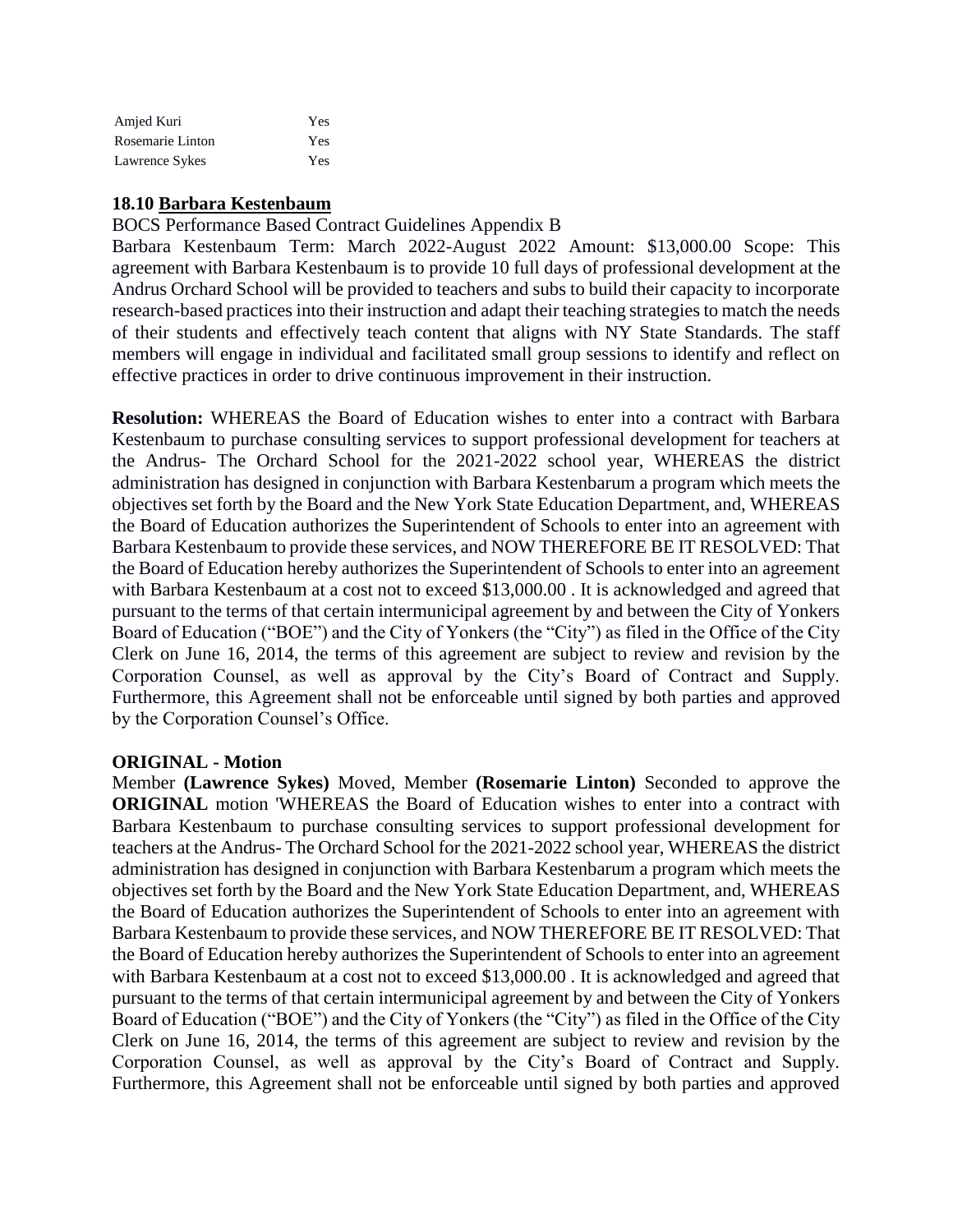| Amjed Kuri       | Yes |
|------------------|-----|
| Rosemarie Linton | Yes |
| Lawrence Sykes   | Yes |

### **18.10 Barbara Kestenbaum**

BOCS Performance Based Contract Guidelines Appendix B

Barbara Kestenbaum Term: March 2022-August 2022 Amount: \$13,000.00 Scope: This agreement with Barbara Kestenbaum is to provide 10 full days of professional development at the Andrus Orchard School will be provided to teachers and subs to build their capacity to incorporate research-based practices into their instruction and adapt their teaching strategies to match the needs of their students and effectively teach content that aligns with NY State Standards. The staff members will engage in individual and facilitated small group sessions to identify and reflect on effective practices in order to drive continuous improvement in their instruction.

**Resolution:** WHEREAS the Board of Education wishes to enter into a contract with Barbara Kestenbaum to purchase consulting services to support professional development for teachers at the Andrus- The Orchard School for the 2021-2022 school year, WHEREAS the district administration has designed in conjunction with Barbara Kestenbarum a program which meets the objectives set forth by the Board and the New York State Education Department, and, WHEREAS the Board of Education authorizes the Superintendent of Schools to enter into an agreement with Barbara Kestenbaum to provide these services, and NOW THEREFORE BE IT RESOLVED: That the Board of Education hereby authorizes the Superintendent of Schools to enter into an agreement with Barbara Kestenbaum at a cost not to exceed \$13,000.00 . It is acknowledged and agreed that pursuant to the terms of that certain intermunicipal agreement by and between the City of Yonkers Board of Education ("BOE") and the City of Yonkers (the "City") as filed in the Office of the City Clerk on June 16, 2014, the terms of this agreement are subject to review and revision by the Corporation Counsel, as well as approval by the City's Board of Contract and Supply. Furthermore, this Agreement shall not be enforceable until signed by both parties and approved by the Corporation Counsel's Office.

### **ORIGINAL - Motion**

Member **(Lawrence Sykes)** Moved, Member **(Rosemarie Linton)** Seconded to approve the **ORIGINAL** motion 'WHEREAS the Board of Education wishes to enter into a contract with Barbara Kestenbaum to purchase consulting services to support professional development for teachers at the Andrus- The Orchard School for the 2021-2022 school year, WHEREAS the district administration has designed in conjunction with Barbara Kestenbarum a program which meets the objectives set forth by the Board and the New York State Education Department, and, WHEREAS the Board of Education authorizes the Superintendent of Schools to enter into an agreement with Barbara Kestenbaum to provide these services, and NOW THEREFORE BE IT RESOLVED: That the Board of Education hereby authorizes the Superintendent of Schools to enter into an agreement with Barbara Kestenbaum at a cost not to exceed \$13,000.00 . It is acknowledged and agreed that pursuant to the terms of that certain intermunicipal agreement by and between the City of Yonkers Board of Education ("BOE") and the City of Yonkers (the "City") as filed in the Office of the City Clerk on June 16, 2014, the terms of this agreement are subject to review and revision by the Corporation Counsel, as well as approval by the City's Board of Contract and Supply. Furthermore, this Agreement shall not be enforceable until signed by both parties and approved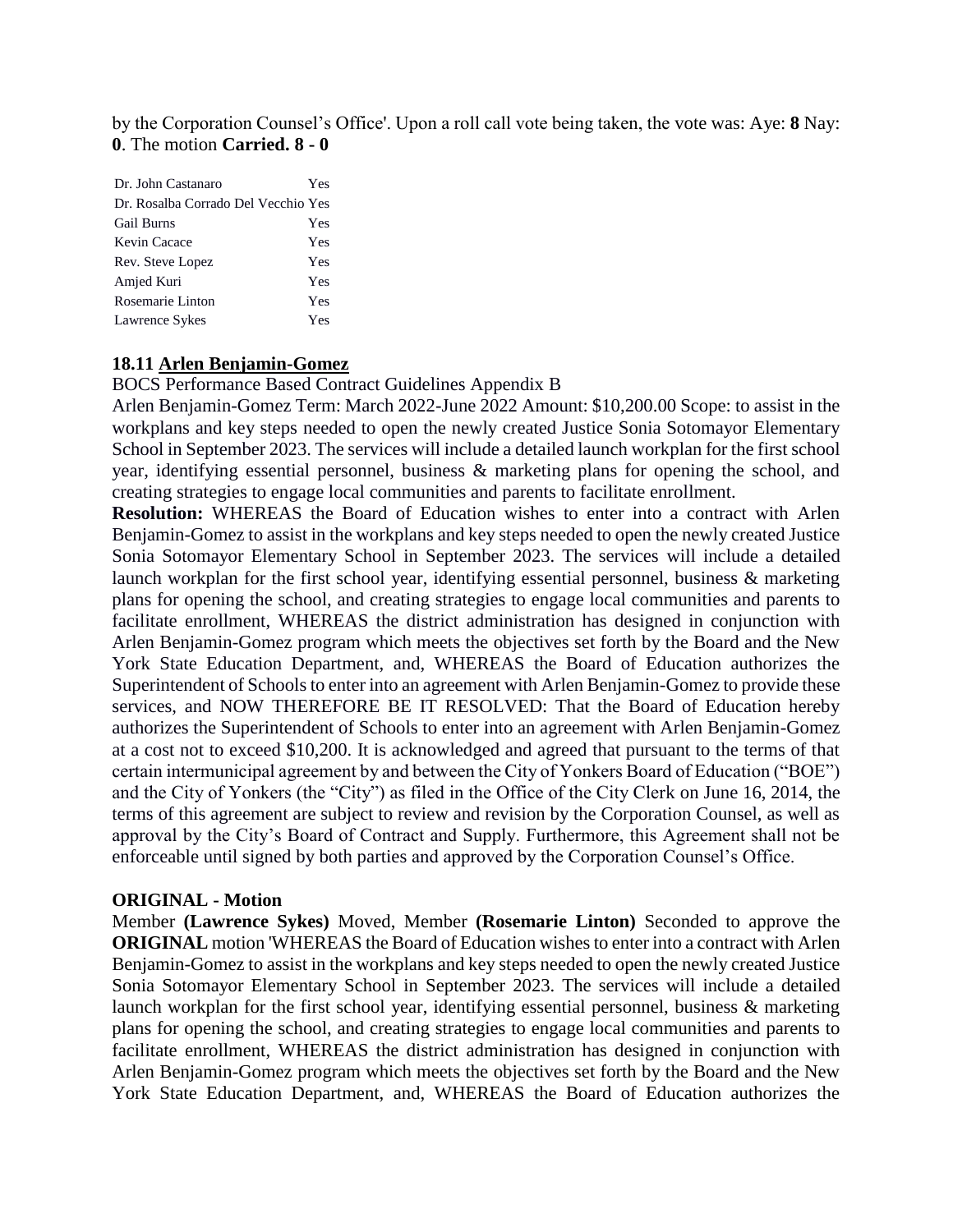by the Corporation Counsel's Office'. Upon a roll call vote being taken, the vote was: Aye: **8** Nay: **0**. The motion **Carried. 8 - 0** 

| Dr. John Castanaro                  | Yes |
|-------------------------------------|-----|
| Dr. Rosalba Corrado Del Vecchio Yes |     |
| <b>Gail Burns</b>                   | Yes |
| Kevin Cacace                        | Yes |
| Rev. Steve Lopez                    | Yes |
| Amjed Kuri                          | Yes |
| Rosemarie Linton                    | Yes |
| Lawrence Sykes                      | Yes |
|                                     |     |

#### **18.11 Arlen Benjamin-Gomez**

BOCS Performance Based Contract Guidelines Appendix B

Arlen Benjamin-Gomez Term: March 2022-June 2022 Amount: \$10,200.00 Scope: to assist in the workplans and key steps needed to open the newly created Justice Sonia Sotomayor Elementary School in September 2023. The services will include a detailed launch workplan for the first school year, identifying essential personnel, business & marketing plans for opening the school, and creating strategies to engage local communities and parents to facilitate enrollment.

**Resolution:** WHEREAS the Board of Education wishes to enter into a contract with Arlen Benjamin-Gomez to assist in the workplans and key steps needed to open the newly created Justice Sonia Sotomayor Elementary School in September 2023. The services will include a detailed launch workplan for the first school year, identifying essential personnel, business & marketing plans for opening the school, and creating strategies to engage local communities and parents to facilitate enrollment, WHEREAS the district administration has designed in conjunction with Arlen Benjamin-Gomez program which meets the objectives set forth by the Board and the New York State Education Department, and, WHEREAS the Board of Education authorizes the Superintendent of Schools to enter into an agreement with Arlen Benjamin-Gomez to provide these services, and NOW THEREFORE BE IT RESOLVED: That the Board of Education hereby authorizes the Superintendent of Schools to enter into an agreement with Arlen Benjamin-Gomez at a cost not to exceed \$10,200. It is acknowledged and agreed that pursuant to the terms of that certain intermunicipal agreement by and between the City of Yonkers Board of Education ("BOE") and the City of Yonkers (the "City") as filed in the Office of the City Clerk on June 16, 2014, the terms of this agreement are subject to review and revision by the Corporation Counsel, as well as approval by the City's Board of Contract and Supply. Furthermore, this Agreement shall not be enforceable until signed by both parties and approved by the Corporation Counsel's Office.

#### **ORIGINAL - Motion**

Member **(Lawrence Sykes)** Moved, Member **(Rosemarie Linton)** Seconded to approve the **ORIGINAL** motion 'WHEREAS the Board of Education wishes to enter into a contract with Arlen Benjamin-Gomez to assist in the workplans and key steps needed to open the newly created Justice Sonia Sotomayor Elementary School in September 2023. The services will include a detailed launch workplan for the first school year, identifying essential personnel, business & marketing plans for opening the school, and creating strategies to engage local communities and parents to facilitate enrollment, WHEREAS the district administration has designed in conjunction with Arlen Benjamin-Gomez program which meets the objectives set forth by the Board and the New York State Education Department, and, WHEREAS the Board of Education authorizes the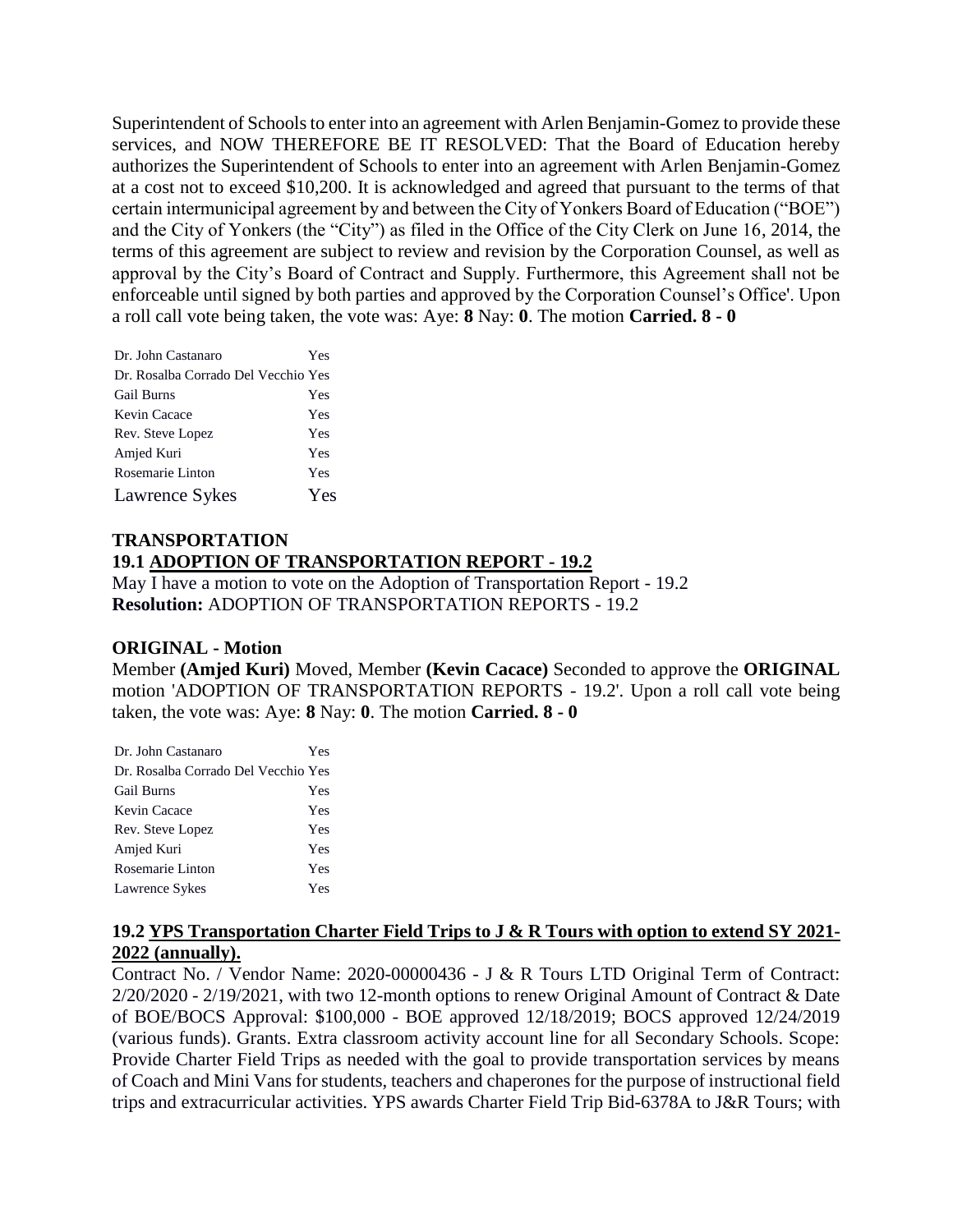Superintendent of Schools to enter into an agreement with Arlen Benjamin-Gomez to provide these services, and NOW THEREFORE BE IT RESOLVED: That the Board of Education hereby authorizes the Superintendent of Schools to enter into an agreement with Arlen Benjamin-Gomez at a cost not to exceed \$10,200. It is acknowledged and agreed that pursuant to the terms of that certain intermunicipal agreement by and between the City of Yonkers Board of Education ("BOE") and the City of Yonkers (the "City") as filed in the Office of the City Clerk on June 16, 2014, the terms of this agreement are subject to review and revision by the Corporation Counsel, as well as approval by the City's Board of Contract and Supply. Furthermore, this Agreement shall not be enforceable until signed by both parties and approved by the Corporation Counsel's Office'. Upon a roll call vote being taken, the vote was: Aye: **8** Nay: **0**. The motion **Carried. 8 - 0** 

| Dr. John Castanaro                  | Yes |
|-------------------------------------|-----|
| Dr. Rosalba Corrado Del Vecchio Yes |     |
| <b>Gail Burns</b>                   | Yes |
| Kevin Cacace                        | Yes |
| Rev. Steve Lopez                    | Yes |
| Amjed Kuri                          | Yes |
| Rosemarie Linton                    | Yes |
| Lawrence Sykes                      | Yes |

# **TRANSPORTATION 19.1 ADOPTION OF TRANSPORTATION REPORT - 19.2**

May I have a motion to vote on the Adoption of Transportation Report - 19.2 **Resolution:** ADOPTION OF TRANSPORTATION REPORTS - 19.2

### **ORIGINAL - Motion**

Member **(Amjed Kuri)** Moved, Member **(Kevin Cacace)** Seconded to approve the **ORIGINAL**  motion 'ADOPTION OF TRANSPORTATION REPORTS - 19.2'. Upon a roll call vote being taken, the vote was: Aye: **8** Nay: **0**. The motion **Carried. 8 - 0** 

| Dr. John Castanaro                  | Yes |
|-------------------------------------|-----|
| Dr. Rosalba Corrado Del Vecchio Yes |     |
| <b>Gail Burns</b>                   | Yes |
| Kevin Cacace                        | Yes |
| Rev. Steve Lopez                    | Yes |
| Amjed Kuri                          | Yes |
| Rosemarie Linton                    | Yes |
| Lawrence Sykes                      | Yes |

# **19.2 YPS Transportation Charter Field Trips to J & R Tours with option to extend SY 2021- 2022 (annually).**

Contract No. / Vendor Name: 2020-00000436 - J & R Tours LTD Original Term of Contract: 2/20/2020 - 2/19/2021, with two 12-month options to renew Original Amount of Contract & Date of BOE/BOCS Approval: \$100,000 - BOE approved 12/18/2019; BOCS approved 12/24/2019 (various funds). Grants. Extra classroom activity account line for all Secondary Schools. Scope: Provide Charter Field Trips as needed with the goal to provide transportation services by means of Coach and Mini Vans for students, teachers and chaperones for the purpose of instructional field trips and extracurricular activities. YPS awards Charter Field Trip Bid-6378A to J&R Tours; with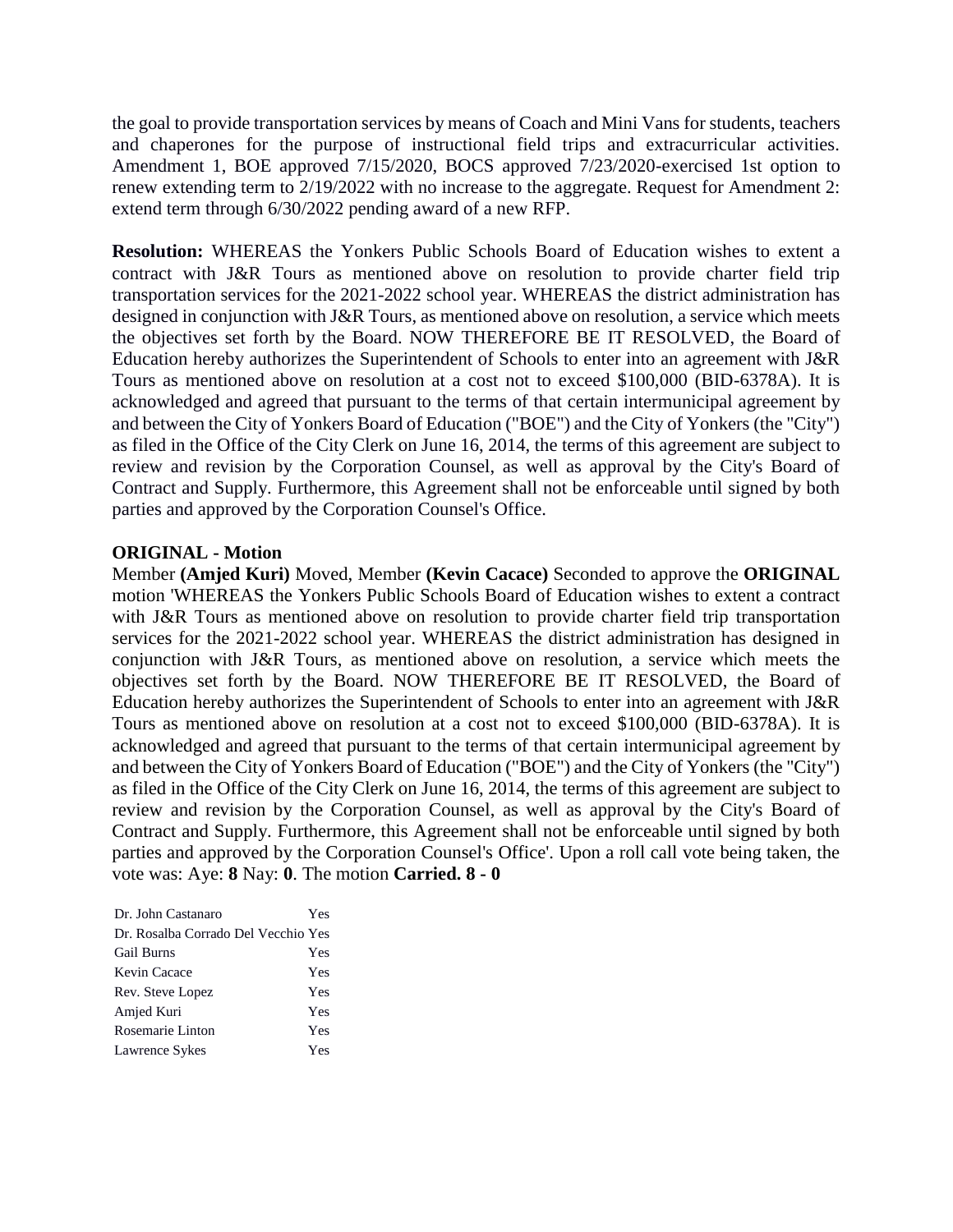the goal to provide transportation services by means of Coach and Mini Vans for students, teachers and chaperones for the purpose of instructional field trips and extracurricular activities. Amendment 1, BOE approved 7/15/2020, BOCS approved 7/23/2020-exercised 1st option to renew extending term to 2/19/2022 with no increase to the aggregate. Request for Amendment 2: extend term through 6/30/2022 pending award of a new RFP.

**Resolution:** WHEREAS the Yonkers Public Schools Board of Education wishes to extent a contract with J&R Tours as mentioned above on resolution to provide charter field trip transportation services for the 2021-2022 school year. WHEREAS the district administration has designed in conjunction with J&R Tours, as mentioned above on resolution, a service which meets the objectives set forth by the Board. NOW THEREFORE BE IT RESOLVED, the Board of Education hereby authorizes the Superintendent of Schools to enter into an agreement with J&R Tours as mentioned above on resolution at a cost not to exceed \$100,000 (BID-6378A). It is acknowledged and agreed that pursuant to the terms of that certain intermunicipal agreement by and between the City of Yonkers Board of Education ("BOE") and the City of Yonkers (the "City") as filed in the Office of the City Clerk on June 16, 2014, the terms of this agreement are subject to review and revision by the Corporation Counsel, as well as approval by the City's Board of Contract and Supply. Furthermore, this Agreement shall not be enforceable until signed by both parties and approved by the Corporation Counsel's Office.

#### **ORIGINAL - Motion**

Member **(Amjed Kuri)** Moved, Member **(Kevin Cacace)** Seconded to approve the **ORIGINAL**  motion 'WHEREAS the Yonkers Public Schools Board of Education wishes to extent a contract with J&R Tours as mentioned above on resolution to provide charter field trip transportation services for the 2021-2022 school year. WHEREAS the district administration has designed in conjunction with J&R Tours, as mentioned above on resolution, a service which meets the objectives set forth by the Board. NOW THEREFORE BE IT RESOLVED, the Board of Education hereby authorizes the Superintendent of Schools to enter into an agreement with J&R Tours as mentioned above on resolution at a cost not to exceed \$100,000 (BID-6378A). It is acknowledged and agreed that pursuant to the terms of that certain intermunicipal agreement by and between the City of Yonkers Board of Education ("BOE") and the City of Yonkers (the "City") as filed in the Office of the City Clerk on June 16, 2014, the terms of this agreement are subject to review and revision by the Corporation Counsel, as well as approval by the City's Board of Contract and Supply. Furthermore, this Agreement shall not be enforceable until signed by both parties and approved by the Corporation Counsel's Office'. Upon a roll call vote being taken, the vote was: Aye: **8** Nay: **0**. The motion **Carried. 8 - 0** 

| Dr. John Castanaro                  | Yes |
|-------------------------------------|-----|
| Dr. Rosalba Corrado Del Vecchio Yes |     |
| <b>Gail Burns</b>                   | Yes |
| Kevin Cacace                        | Yes |
| Rev. Steve Lopez                    | Yes |
| Amjed Kuri                          | Yes |
| Rosemarie Linton                    | Yes |
| Lawrence Sykes                      | Yes |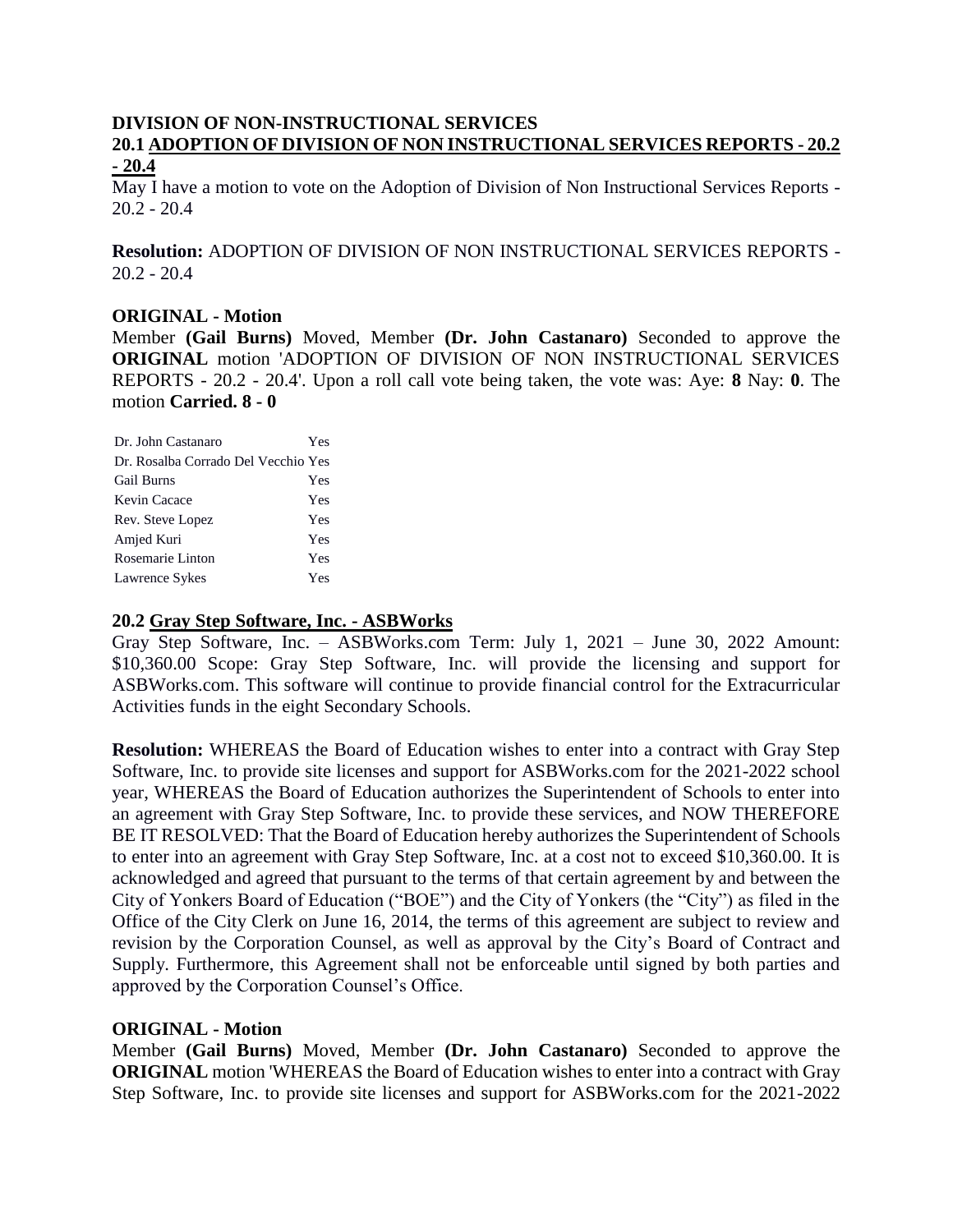# **DIVISION OF NON-INSTRUCTIONAL SERVICES 20.1 ADOPTION OF DIVISION OF NON INSTRUCTIONAL SERVICES REPORTS - 20.2**

### **- 20.4**

May I have a motion to vote on the Adoption of Division of Non Instructional Services Reports - 20.2 - 20.4

**Resolution:** ADOPTION OF DIVISION OF NON INSTRUCTIONAL SERVICES REPORTS -  $20.2 - 20.4$ 

#### **ORIGINAL - Motion**

Member **(Gail Burns)** Moved, Member **(Dr. John Castanaro)** Seconded to approve the **ORIGINAL** motion 'ADOPTION OF DIVISION OF NON INSTRUCTIONAL SERVICES REPORTS - 20.2 - 20.4'. Upon a roll call vote being taken, the vote was: Aye: **8** Nay: **0**. The motion **Carried. 8 - 0** 

| Dr. John Castanaro                  | Yes |
|-------------------------------------|-----|
| Dr. Rosalba Corrado Del Vecchio Yes |     |
| <b>Gail Burns</b>                   | Yes |
| Kevin Cacace                        | Yes |
| Rev. Steve Lopez                    | Yes |
| Amjed Kuri                          | Yes |
| Rosemarie Linton                    | Yes |
| Lawrence Sykes                      | Yes |

### **20.2 Gray Step Software, Inc. - ASBWorks**

Gray Step Software, Inc. – ASBWorks.com Term: July 1, 2021 – June 30, 2022 Amount: \$10,360.00 Scope: Gray Step Software, Inc. will provide the licensing and support for ASBWorks.com. This software will continue to provide financial control for the Extracurricular Activities funds in the eight Secondary Schools.

**Resolution:** WHEREAS the Board of Education wishes to enter into a contract with Gray Step Software, Inc. to provide site licenses and support for ASBWorks.com for the 2021-2022 school year, WHEREAS the Board of Education authorizes the Superintendent of Schools to enter into an agreement with Gray Step Software, Inc. to provide these services, and NOW THEREFORE BE IT RESOLVED: That the Board of Education hereby authorizes the Superintendent of Schools to enter into an agreement with Gray Step Software, Inc. at a cost not to exceed \$10,360.00. It is acknowledged and agreed that pursuant to the terms of that certain agreement by and between the City of Yonkers Board of Education ("BOE") and the City of Yonkers (the "City") as filed in the Office of the City Clerk on June 16, 2014, the terms of this agreement are subject to review and revision by the Corporation Counsel, as well as approval by the City's Board of Contract and Supply. Furthermore, this Agreement shall not be enforceable until signed by both parties and approved by the Corporation Counsel's Office.

### **ORIGINAL - Motion**

Member **(Gail Burns)** Moved, Member **(Dr. John Castanaro)** Seconded to approve the **ORIGINAL** motion 'WHEREAS the Board of Education wishes to enter into a contract with Gray Step Software, Inc. to provide site licenses and support for ASBWorks.com for the 2021-2022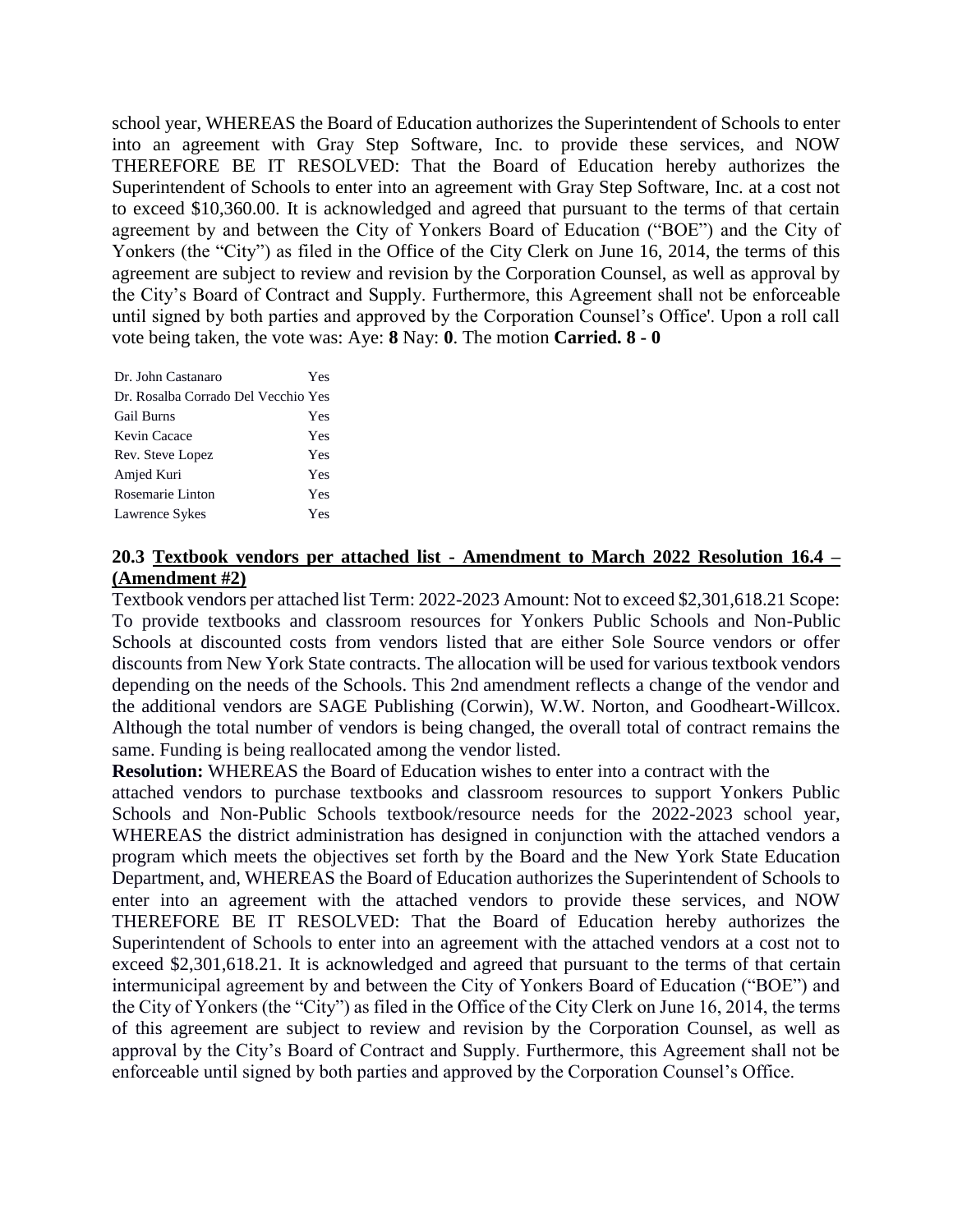school year, WHEREAS the Board of Education authorizes the Superintendent of Schools to enter into an agreement with Gray Step Software, Inc. to provide these services, and NOW THEREFORE BE IT RESOLVED: That the Board of Education hereby authorizes the Superintendent of Schools to enter into an agreement with Gray Step Software, Inc. at a cost not to exceed \$10,360.00. It is acknowledged and agreed that pursuant to the terms of that certain agreement by and between the City of Yonkers Board of Education ("BOE") and the City of Yonkers (the "City") as filed in the Office of the City Clerk on June 16, 2014, the terms of this agreement are subject to review and revision by the Corporation Counsel, as well as approval by the City's Board of Contract and Supply. Furthermore, this Agreement shall not be enforceable until signed by both parties and approved by the Corporation Counsel's Office'. Upon a roll call vote being taken, the vote was: Aye: **8** Nay: **0**. The motion **Carried. 8 - 0** 

| Dr. John Castanaro                  | Yes |
|-------------------------------------|-----|
| Dr. Rosalba Corrado Del Vecchio Yes |     |
| <b>Gail Burns</b>                   | Yes |
| Kevin Cacace                        | Yes |
| Rev. Steve Lopez                    | Yes |
| Amjed Kuri                          | Yes |
| Rosemarie Linton                    | Yes |
| Lawrence Sykes                      | Yes |

### **20.3 Textbook vendors per attached list - Amendment to March 2022 Resolution 16.4 – (Amendment #2)**

Textbook vendors per attached list Term: 2022-2023 Amount: Not to exceed \$2,301,618.21 Scope: To provide textbooks and classroom resources for Yonkers Public Schools and Non-Public Schools at discounted costs from vendors listed that are either Sole Source vendors or offer discounts from New York State contracts. The allocation will be used for various textbook vendors depending on the needs of the Schools. This 2nd amendment reflects a change of the vendor and the additional vendors are SAGE Publishing (Corwin), W.W. Norton, and Goodheart-Willcox. Although the total number of vendors is being changed, the overall total of contract remains the same. Funding is being reallocated among the vendor listed.

**Resolution:** WHEREAS the Board of Education wishes to enter into a contract with the

attached vendors to purchase textbooks and classroom resources to support Yonkers Public Schools and Non-Public Schools textbook/resource needs for the 2022-2023 school year, WHEREAS the district administration has designed in conjunction with the attached vendors a program which meets the objectives set forth by the Board and the New York State Education Department, and, WHEREAS the Board of Education authorizes the Superintendent of Schools to enter into an agreement with the attached vendors to provide these services, and NOW THEREFORE BE IT RESOLVED: That the Board of Education hereby authorizes the Superintendent of Schools to enter into an agreement with the attached vendors at a cost not to exceed \$2,301,618.21. It is acknowledged and agreed that pursuant to the terms of that certain intermunicipal agreement by and between the City of Yonkers Board of Education ("BOE") and the City of Yonkers (the "City") as filed in the Office of the City Clerk on June 16, 2014, the terms of this agreement are subject to review and revision by the Corporation Counsel, as well as approval by the City's Board of Contract and Supply. Furthermore, this Agreement shall not be enforceable until signed by both parties and approved by the Corporation Counsel's Office.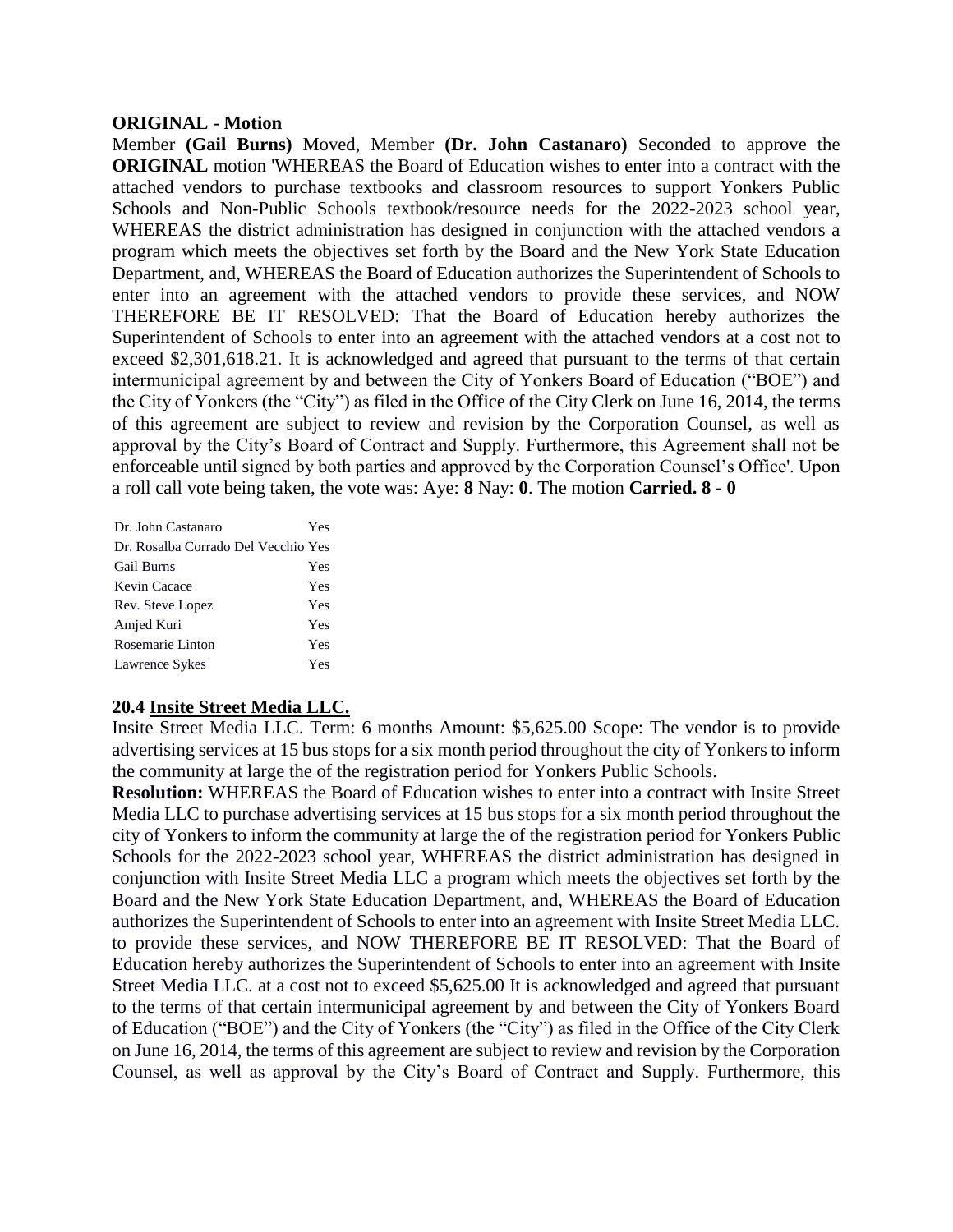#### **ORIGINAL - Motion**

Member **(Gail Burns)** Moved, Member **(Dr. John Castanaro)** Seconded to approve the **ORIGINAL** motion 'WHEREAS the Board of Education wishes to enter into a contract with the attached vendors to purchase textbooks and classroom resources to support Yonkers Public Schools and Non-Public Schools textbook/resource needs for the 2022-2023 school year, WHEREAS the district administration has designed in conjunction with the attached vendors a program which meets the objectives set forth by the Board and the New York State Education Department, and, WHEREAS the Board of Education authorizes the Superintendent of Schools to enter into an agreement with the attached vendors to provide these services, and NOW THEREFORE BE IT RESOLVED: That the Board of Education hereby authorizes the Superintendent of Schools to enter into an agreement with the attached vendors at a cost not to exceed \$2,301,618.21. It is acknowledged and agreed that pursuant to the terms of that certain intermunicipal agreement by and between the City of Yonkers Board of Education ("BOE") and the City of Yonkers (the "City") as filed in the Office of the City Clerk on June 16, 2014, the terms of this agreement are subject to review and revision by the Corporation Counsel, as well as approval by the City's Board of Contract and Supply. Furthermore, this Agreement shall not be enforceable until signed by both parties and approved by the Corporation Counsel's Office'. Upon a roll call vote being taken, the vote was: Aye: **8** Nay: **0**. The motion **Carried. 8 - 0** 

| Dr. John Castanaro                  | Yes |
|-------------------------------------|-----|
| Dr. Rosalba Corrado Del Vecchio Yes |     |
| <b>Gail Burns</b>                   | Yes |
| Kevin Cacace                        | Yes |
| Rev. Steve Lopez                    | Yes |
| Amjed Kuri                          | Yes |
| Rosemarie Linton                    | Yes |
| Lawrence Sykes                      | Yes |

### **20.4 Insite Street Media LLC.**

Insite Street Media LLC. Term: 6 months Amount: \$5,625.00 Scope: The vendor is to provide advertising services at 15 bus stops for a six month period throughout the city of Yonkers to inform the community at large the of the registration period for Yonkers Public Schools.

**Resolution:** WHEREAS the Board of Education wishes to enter into a contract with Insite Street Media LLC to purchase advertising services at 15 bus stops for a six month period throughout the city of Yonkers to inform the community at large the of the registration period for Yonkers Public Schools for the 2022-2023 school year, WHEREAS the district administration has designed in conjunction with Insite Street Media LLC a program which meets the objectives set forth by the Board and the New York State Education Department, and, WHEREAS the Board of Education authorizes the Superintendent of Schools to enter into an agreement with Insite Street Media LLC. to provide these services, and NOW THEREFORE BE IT RESOLVED: That the Board of Education hereby authorizes the Superintendent of Schools to enter into an agreement with Insite Street Media LLC. at a cost not to exceed \$5,625.00 It is acknowledged and agreed that pursuant to the terms of that certain intermunicipal agreement by and between the City of Yonkers Board of Education ("BOE") and the City of Yonkers (the "City") as filed in the Office of the City Clerk on June 16, 2014, the terms of this agreement are subject to review and revision by the Corporation Counsel, as well as approval by the City's Board of Contract and Supply. Furthermore, this